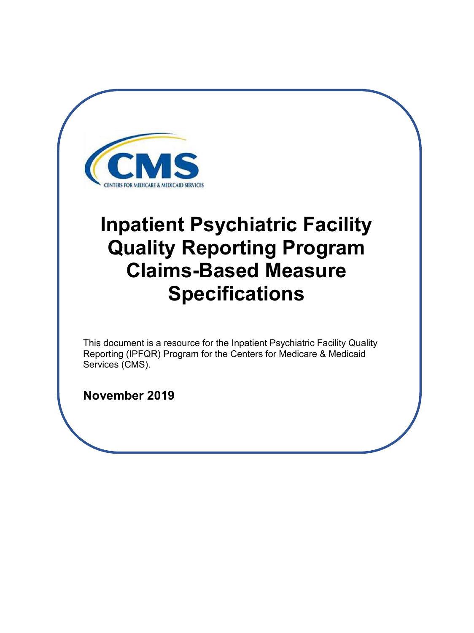<span id="page-0-0"></span>

# **Inpatient Psychiatric Facility Quality Reporting Program Claims-Based Measure Specifications**

This document is a resource for the Inpatient Psychiatric Facility Quality Reporting (IPFQR) Program for the Centers for Medicare & Medicaid Services (CMS).

**November 2019**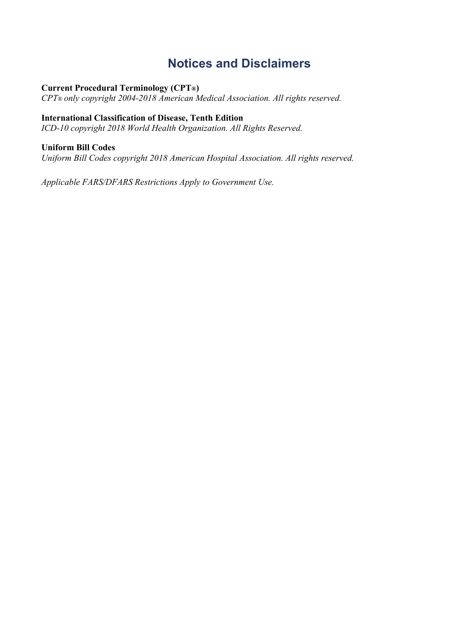# **Notices and Disclaimers**

### <span id="page-1-0"></span>**Current Procedural Terminology (CPT®)**

*CPT® only copyright 2004-2018 American Medical Association. All rights reserved.* 

### **International Classification of Disease, Tenth Edition**

*ICD-10 copyright 2018 World Health Organization. All Rights Reserved.* 

#### **Uniform Bill Codes**

*Uniform Bill Codes copyright 2018 American Hospital Association. All rights reserved.* 

*Applicable FARS/DFARS Restrictions Apply to Government Use.*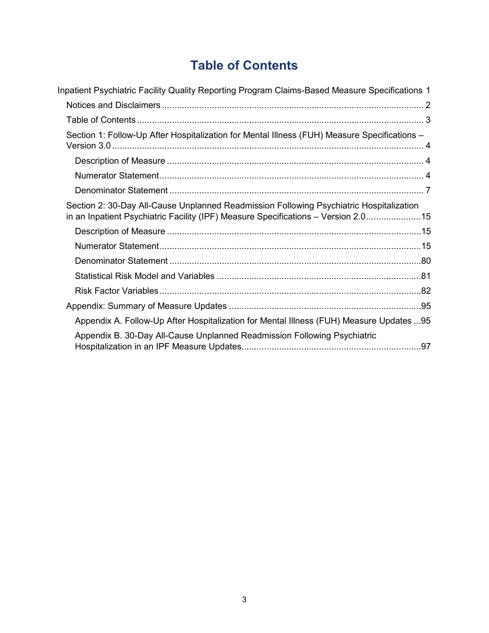# <span id="page-2-0"></span>**Table of Contents**

| Inpatient Psychiatric Facility Quality Reporting Program Claims-Based Measure Specifications 1                                                                               |
|------------------------------------------------------------------------------------------------------------------------------------------------------------------------------|
|                                                                                                                                                                              |
|                                                                                                                                                                              |
| Section 1: Follow-Up After Hospitalization for Mental Illness (FUH) Measure Specifications -                                                                                 |
|                                                                                                                                                                              |
|                                                                                                                                                                              |
|                                                                                                                                                                              |
| Section 2: 30-Day All-Cause Unplanned Readmission Following Psychiatric Hospitalization<br>in an Inpatient Psychiatric Facility (IPF) Measure Specifications - Version 2.015 |
|                                                                                                                                                                              |
|                                                                                                                                                                              |
|                                                                                                                                                                              |
|                                                                                                                                                                              |
|                                                                                                                                                                              |
|                                                                                                                                                                              |
| Appendix A. Follow-Up After Hospitalization for Mental Illness (FUH) Measure Updates  95                                                                                     |
| Appendix B. 30-Day All-Cause Unplanned Readmission Following Psychiatric                                                                                                     |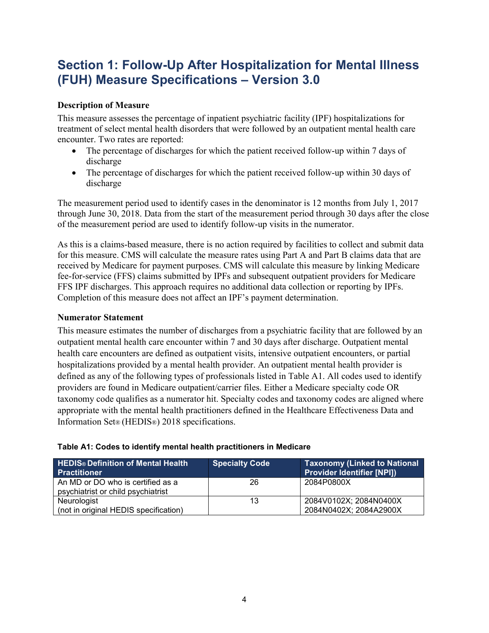# <span id="page-3-0"></span>**Section 1: Follow-Up After Hospitalization for Mental Illness (FUH) Measure Specifications – Version 3.0**

### <span id="page-3-1"></span>**Description of Measure**

This measure assesses the percentage of inpatient psychiatric facility (IPF) hospitalizations for treatment of select mental health disorders that were followed by an outpatient mental health care encounter. Two rates are reported:

- The percentage of discharges for which the patient received follow-up within 7 days of discharge
- The percentage of discharges for which the patient received follow-up within 30 days of discharge

The measurement period used to identify cases in the denominator is 12 months from July 1, 2017 through June 30, 2018. Data from the start of the measurement period through 30 days after the close of the measurement period are used to identify follow-up visits in the numerator.

As this is a claims-based measure, there is no action required by facilities to collect and submit data for this measure. CMS will calculate the measure rates using Part A and Part B claims data that are received by Medicare for payment purposes. CMS will calculate this measure by linking Medicare fee-for-service (FFS) claims submitted by IPFs and subsequent outpatient providers for Medicare FFS IPF discharges. This approach requires no additional data collection or reporting by IPFs. Completion of this measure does not affect an IPF's payment determination.

#### <span id="page-3-2"></span>**Numerator Statement**

This measure estimates the number of discharges from a psychiatric facility that are followed by an outpatient mental health care encounter within 7 and 30 days after discharge. Outpatient mental health care encounters are defined as outpatient visits, intensive outpatient encounters, or partial hospitalizations provided by a mental health provider. An outpatient mental health provider is defined as any of the following types of professionals listed in Table A1. All codes used to identify providers are found in Medicare outpatient/carrier files. Either a Medicare specialty code OR taxonomy code qualifies as a numerator hit. Specialty codes and taxonomy codes are aligned where appropriate with the mental health practitioners defined in the Healthcare Effectiveness Data and Information Set® (HEDIS®) 2018 specifications.

| <b>HEDIS® Definition of Mental Health</b><br><b>Practitioner</b>        | <b>Specialty Code</b> | <b>Taxonomy (Linked to National</b><br><b>Provider Identifier [NPI])</b> |
|-------------------------------------------------------------------------|-----------------------|--------------------------------------------------------------------------|
| An MD or DO who is certified as a<br>psychiatrist or child psychiatrist | 26                    | 2084P0800X                                                               |
| Neurologist                                                             | 13                    | 2084V0102X; 2084N0400X                                                   |
| (not in original HEDIS specification)                                   |                       | 2084N0402X; 2084A2900X                                                   |

#### **Table A1: Codes to identify mental health practitioners in Medicare**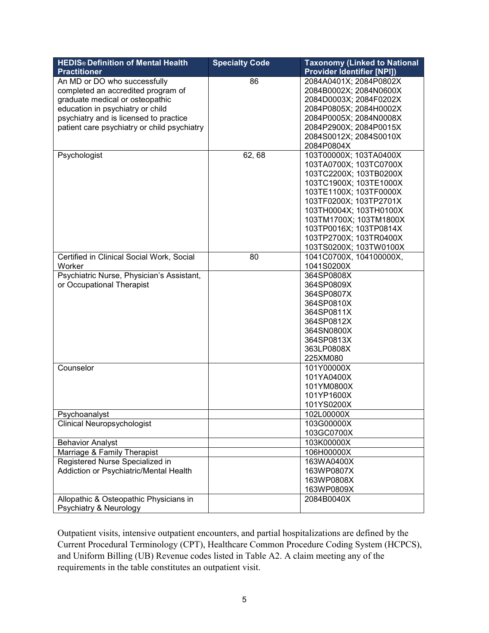| <b>HEDIS® Definition of Mental Health</b>   | <b>Specialty Code</b> | <b>Taxonomy (Linked to National</b> |
|---------------------------------------------|-----------------------|-------------------------------------|
| <b>Practitioner</b>                         |                       | <b>Provider Identifier [NPI])</b>   |
| An MD or DO who successfully                | 86                    | 2084A0401X; 2084P0802X              |
| completed an accredited program of          |                       | 2084B0002X; 2084N0600X              |
| graduate medical or osteopathic             |                       | 2084D0003X; 2084F0202X              |
| education in psychiatry or child            |                       | 2084P0805X; 2084H0002X              |
| psychiatry and is licensed to practice      |                       | 2084P0005X; 2084N0008X              |
| patient care psychiatry or child psychiatry |                       | 2084P2900X; 2084P0015X              |
|                                             |                       | 2084S0012X; 2084S0010X              |
|                                             |                       | 2084P0804X                          |
| Psychologist                                | 62,68                 | 103T00000X; 103TA0400X              |
|                                             |                       | 103TA0700X; 103TC0700X              |
|                                             |                       | 103TC2200X; 103TB0200X              |
|                                             |                       | 103TC1900X; 103TE1000X              |
|                                             |                       | 103TE1100X; 103TF0000X              |
|                                             |                       | 103TF0200X; 103TP2701X              |
|                                             |                       | 103TH0004X; 103TH0100X              |
|                                             |                       | 103TM1700X; 103TM1800X              |
|                                             |                       | 103TP0016X; 103TP0814X              |
|                                             |                       | 103TP2700X; 103TR0400X              |
|                                             |                       | 103TS0200X; 103TW0100X              |
| Certified in Clinical Social Work, Social   | 80                    | 1041C0700X, 104100000X,             |
| Worker                                      |                       | 1041S0200X                          |
| Psychiatric Nurse, Physician's Assistant,   |                       | 364SP0808X                          |
| or Occupational Therapist                   |                       | 364SP0809X                          |
|                                             |                       | 364SP0807X                          |
|                                             |                       | 364SP0810X                          |
|                                             |                       | 364SP0811X                          |
|                                             |                       | 364SP0812X                          |
|                                             |                       | 364SN0800X                          |
|                                             |                       | 364SP0813X                          |
|                                             |                       | 363LP0808X                          |
|                                             |                       | 225XM080                            |
| Counselor                                   |                       | 101Y00000X                          |
|                                             |                       | 101YA0400X                          |
|                                             |                       | 101YM0800X                          |
|                                             |                       | 101YP1600X                          |
|                                             |                       | 101YS0200X                          |
| Psychoanalyst                               |                       | 102L00000X                          |
| Clinical Neuropsychologist                  |                       | 103G00000X                          |
|                                             |                       | 103GC0700X                          |
| <b>Behavior Analyst</b>                     |                       | 103K00000X                          |
| Marriage & Family Therapist                 |                       | 106H00000X                          |
| Registered Nurse Specialized in             |                       | 163WA0400X                          |
| Addiction or Psychiatric/Mental Health      |                       | 163WP0807X                          |
|                                             |                       | 163WP0808X                          |
|                                             |                       | 163WP0809X                          |
| Allopathic & Osteopathic Physicians in      |                       | 2084B0040X                          |
| Psychiatry & Neurology                      |                       |                                     |
|                                             |                       |                                     |

Outpatient visits, intensive outpatient encounters, and partial hospitalizations are defined by the Current Procedural Terminology (CPT), Healthcare Common Procedure Coding System (HCPCS), and Uniform Billing (UB) Revenue codes listed in Table A2. A claim meeting any of the requirements in the table constitutes an outpatient visit.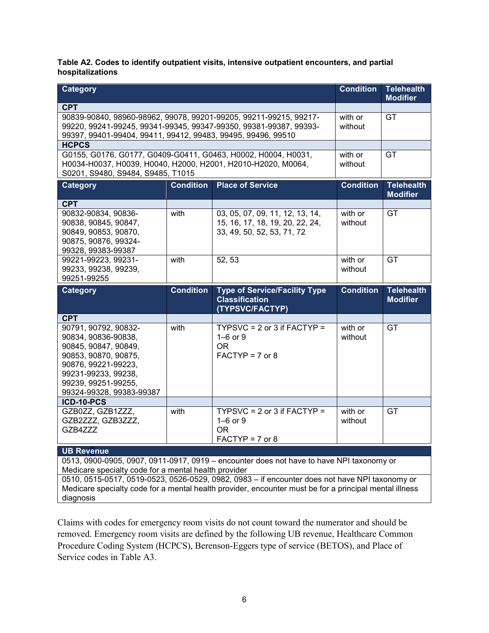**Table A2. Codes to identify outpatient visits, intensive outpatient encounters, and partial hospitalizations**

| Category                                                                                                                                         |                  |                                                                                                        | <b>Condition</b>   | <b>Telehealth</b><br><b>Modifier</b> |
|--------------------------------------------------------------------------------------------------------------------------------------------------|------------------|--------------------------------------------------------------------------------------------------------|--------------------|--------------------------------------|
| <b>CPT</b>                                                                                                                                       |                  |                                                                                                        |                    |                                      |
| 90839-90840, 98960-98962, 99078, 99201-99205, 99211-99215, 99217-<br>99220, 99241-99245, 99341-99345, 99347-99350, 99381-99387, 99393-           |                  |                                                                                                        | with or<br>without | GT                                   |
| 99397, 99401-99404, 99411, 99412, 99483, 99495, 99496, 99510                                                                                     |                  |                                                                                                        |                    |                                      |
| <b>HCPCS</b><br>G0155, G0176, G0177, G0409-G0411, G0463, H0002, H0004, H0031,                                                                    |                  |                                                                                                        | with or            | GT                                   |
| H0034-H0037, H0039, H0040, H2000, H2001, H2010-H2020, M0064,                                                                                     |                  |                                                                                                        | without            |                                      |
| S0201, S9480, S9484, S9485, T1015                                                                                                                |                  |                                                                                                        |                    |                                      |
| Category                                                                                                                                         | <b>Condition</b> | <b>Place of Service</b>                                                                                | <b>Condition</b>   | <b>Telehealth</b><br><b>Modifier</b> |
| <b>CPT</b>                                                                                                                                       |                  |                                                                                                        |                    |                                      |
| 90832-90834, 90836-<br>90838, 90845, 90847,                                                                                                      | with             | 03, 05, 07, 09, 11, 12, 13, 14,<br>15, 16, 17, 18, 19, 20, 22, 24,                                     | with or<br>without | GT                                   |
| 90849, 90853, 90870,                                                                                                                             |                  | 33, 49, 50, 52, 53, 71, 72                                                                             |                    |                                      |
| 90875, 90876, 99324-                                                                                                                             |                  |                                                                                                        |                    |                                      |
| 99328, 99383-99387<br>99221-99223, 99231-                                                                                                        | with             | 52, 53                                                                                                 | with or            | GT                                   |
| 99233, 99238, 99239,                                                                                                                             |                  |                                                                                                        | without            |                                      |
| 99251-99255                                                                                                                                      |                  |                                                                                                        |                    |                                      |
| <b>Category</b>                                                                                                                                  | <b>Condition</b> | <b>Type of Service/Facility Type</b><br><b>Classification</b><br>(TYPSVC/FACTYP)                       | <b>Condition</b>   | <b>Telehealth</b><br><b>Modifier</b> |
| <b>CPT</b>                                                                                                                                       |                  |                                                                                                        |                    |                                      |
| 90791, 90792, 90832-<br>90834, 90836-90838,                                                                                                      | with             | TYPSVC = $2$ or $3$ if FACTYP =<br>$1-6$ or $9$                                                        | with or<br>without | GT                                   |
| 90845, 90847, 90849,                                                                                                                             |                  | <b>OR</b>                                                                                              |                    |                                      |
| 90853, 90870, 90875,                                                                                                                             |                  | $FACTYP = 7$ or 8                                                                                      |                    |                                      |
| 90876, 99221-99223,<br>99231-99233, 99238,                                                                                                       |                  |                                                                                                        |                    |                                      |
| 99239, 99251-99255,                                                                                                                              |                  |                                                                                                        |                    |                                      |
| 99324-99328, 99383-99387                                                                                                                         |                  |                                                                                                        |                    |                                      |
| ICD-10-PCS<br>GZB0ZZ, GZB1ZZZ,                                                                                                                   | with             | TYPSVC = $2$ or $3$ if FACTYP =                                                                        | with or            | GT                                   |
| GZB2ZZZ, GZB3ZZZ,                                                                                                                                |                  | $1-6$ or $9$                                                                                           | without            |                                      |
| GZB4ZZZ                                                                                                                                          |                  | <b>OR</b>                                                                                              |                    |                                      |
|                                                                                                                                                  |                  | $FACTYP = 7$ or 8                                                                                      |                    |                                      |
| <b>UB Revenue</b>                                                                                                                                |                  |                                                                                                        |                    |                                      |
| 0513, 0900-0905, 0907, 0911-0917, 0919 - encounter does not have to have NPI taxonomy or<br>Medicare specialty code for a mental health provider |                  |                                                                                                        |                    |                                      |
| 0510, 0515-0517, 0519-0523, 0526-0529, 0982, 0983 - if encounter does not have NPI taxonomy or                                                   |                  |                                                                                                        |                    |                                      |
|                                                                                                                                                  |                  | Medicare specialty code for a mental health provider, encounter must be for a principal mental illness |                    |                                      |
| diagnosis                                                                                                                                        |                  |                                                                                                        |                    |                                      |

Claims with codes for emergency room visits do not count toward the numerator and should be removed. Emergency room visits are defined by the following UB revenue, Healthcare Common Procedure Coding System (HCPCS), Berenson-Eggers type of service (BETOS), and Place of Service codes in Table A3.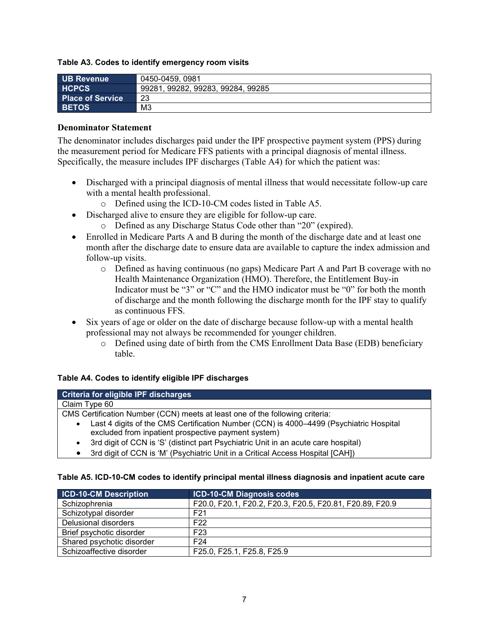#### **Table A3. Codes to identify emergency room visits**

| <b>UB Revenue</b>       | 0450-0459, 0981                   |
|-------------------------|-----------------------------------|
| <b>HCPCS</b>            | 99281, 99282, 99283, 99284, 99285 |
| <b>Place of Service</b> | 23                                |
| <b>BETOS</b>            | MЗ                                |

#### <span id="page-6-0"></span>**Denominator Statement**

The denominator includes discharges paid under the IPF prospective payment system (PPS) during the measurement period for Medicare FFS patients with a principal diagnosis of mental illness. Specifically, the measure includes IPF discharges (Table A4) for which the patient was:

- Discharged with a principal diagnosis of mental illness that would necessitate follow-up care with a mental health professional.
	- o Defined using the ICD-10-CM codes listed in Table A5.
- Discharged alive to ensure they are eligible for follow-up care.
	- o Defined as any Discharge Status Code other than "20" (expired).
- Enrolled in Medicare Parts A and B during the month of the discharge date and at least one month after the discharge date to ensure data are available to capture the index admission and follow-up visits.
	- o Defined as having continuous (no gaps) Medicare Part A and Part B coverage with no Health Maintenance Organization (HMO). Therefore, the Entitlement Buy-in Indicator must be "3" or "C" and the HMO indicator must be "0" for both the month of discharge and the month following the discharge month for the IPF stay to qualify as continuous FFS.
- Six years of age or older on the date of discharge because follow-up with a mental health professional may not always be recommended for younger children.
	- o Defined using date of birth from the CMS Enrollment Data Base (EDB) beneficiary table.

#### **Table A4. Codes to identify eligible IPF discharges**

| Criteria for eligible IPF discharges                                                            |  |  |  |
|-------------------------------------------------------------------------------------------------|--|--|--|
| Claim Type 60                                                                                   |  |  |  |
| CMS Certification Number (CCN) meets at least one of the following criteria:                    |  |  |  |
| Last 4 digits of the CMS Certification Number (CCN) is 4000-4499 (Psychiatric Hospital          |  |  |  |
| excluded from inpatient prospective payment system)                                             |  |  |  |
| 3rd digit of CCN is 'S' (distinct part Psychiatric Unit in an acute care hospital)<br>$\bullet$ |  |  |  |
|                                                                                                 |  |  |  |

3rd digit of CCN is 'M' (Psychiatric Unit in a Critical Access Hospital [CAH])

#### **Table A5. ICD-10-CM codes to identify principal mental illness diagnosis and inpatient acute care**

| <b>ICD-10-CM Description</b> | <b>ICD-10-CM Diagnosis codes</b>                         |
|------------------------------|----------------------------------------------------------|
| Schizophrenia                | F20.0, F20.1, F20.2, F20.3, F20.5, F20.81, F20.89, F20.9 |
| Schizotypal disorder         | F <sub>21</sub>                                          |
| Delusional disorders         | F <sub>22</sub>                                          |
| Brief psychotic disorder     | F <sub>23</sub>                                          |
| Shared psychotic disorder    | F <sub>24</sub>                                          |
| Schizoaffective disorder     | F25.0, F25.1, F25.8, F25.9                               |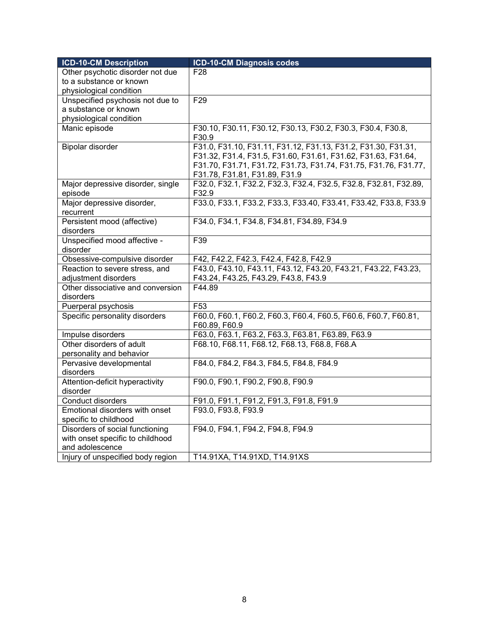| <b>ICD-10-CM Description</b>            | <b>ICD-10-CM Diagnosis codes</b>                                                                                               |
|-----------------------------------------|--------------------------------------------------------------------------------------------------------------------------------|
| Other psychotic disorder not due        | F <sub>28</sub>                                                                                                                |
| to a substance or known                 |                                                                                                                                |
| physiological condition                 |                                                                                                                                |
| Unspecified psychosis not due to        | F <sub>29</sub>                                                                                                                |
| a substance or known                    |                                                                                                                                |
| physiological condition                 |                                                                                                                                |
| Manic episode                           | F30.10, F30.11, F30.12, F30.13, F30.2, F30.3, F30.4, F30.8,<br>F30.9                                                           |
| Bipolar disorder                        | F31.0, F31.10, F31.11, F31.12, F31.13, F31.2, F31.30, F31.31,<br>F31.32, F31.4, F31.5, F31.60, F31.61, F31.62, F31.63, F31.64, |
|                                         | F31.70, F31.71, F31.72, F31.73, F31.74, F31.75, F31.76, F31.77,                                                                |
|                                         | F31.78, F31.81, F31.89, F31.9                                                                                                  |
| Major depressive disorder, single       | F32.0, F32.1, F32.2, F32.3, F32.4, F32.5, F32.8, F32.81, F32.89,                                                               |
| episode                                 | F32.9                                                                                                                          |
| Major depressive disorder,<br>recurrent | F33.0, F33.1, F33.2, F33.3, F33.40, F33.41, F33.42, F33.8, F33.9                                                               |
| Persistent mood (affective)             | F34.0, F34.1, F34.8, F34.81, F34.89, F34.9                                                                                     |
| disorders                               |                                                                                                                                |
| Unspecified mood affective -            | F39                                                                                                                            |
| disorder                                |                                                                                                                                |
| Obsessive-compulsive disorder           | F42, F42.2, F42.3, F42.4, F42.8, F42.9                                                                                         |
| Reaction to severe stress, and          | F43.0, F43.10, F43.11, F43.12, F43.20, F43.21, F43.22, F43.23,                                                                 |
| adjustment disorders                    | F43.24, F43.25, F43.29, F43.8, F43.9                                                                                           |
| Other dissociative and conversion       | F44.89                                                                                                                         |
| disorders                               |                                                                                                                                |
| Puerperal psychosis                     | F <sub>53</sub>                                                                                                                |
| Specific personality disorders          | F60.0, F60.1, F60.2, F60.3, F60.4, F60.5, F60.6, F60.7, F60.81,<br>F60.89, F60.9                                               |
| Impulse disorders                       | F63.0, F63.1, F63.2, F63.3, F63.81, F63.89, F63.9                                                                              |
| Other disorders of adult                | F68.10, F68.11, F68.12, F68.13, F68.8, F68.A                                                                                   |
| personality and behavior                |                                                                                                                                |
| Pervasive developmental                 | F84.0, F84.2, F84.3, F84.5, F84.8, F84.9                                                                                       |
| disorders                               |                                                                                                                                |
| Attention-deficit hyperactivity         | F90.0, F90.1, F90.2, F90.8, F90.9                                                                                              |
| disorder                                |                                                                                                                                |
| Conduct disorders                       | F91.0, F91.1, F91.2, F91.3, F91.8, F91.9                                                                                       |
| Emotional disorders with onset          | F93.0, F93.8, F93.9                                                                                                            |
| specific to childhood                   |                                                                                                                                |
| Disorders of social functioning         | F94.0, F94.1, F94.2, F94.8, F94.9                                                                                              |
| with onset specific to childhood        |                                                                                                                                |
| and adolescence                         |                                                                                                                                |
| Injury of unspecified body region       | T14.91XA, T14.91XD, T14.91XS                                                                                                   |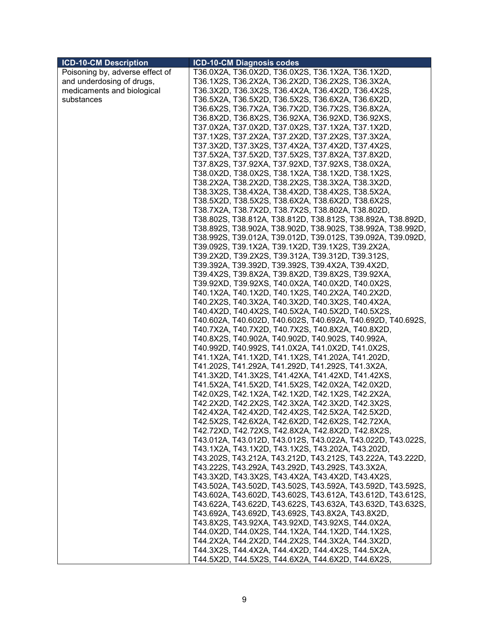| <b>ICD-10-CM Description</b>    | <b>ICD-10-CM Diagnosis codes</b>                            |
|---------------------------------|-------------------------------------------------------------|
| Poisoning by, adverse effect of | T36.0X2A, T36.0X2D, T36.0X2S, T36.1X2A, T36.1X2D,           |
| and underdosing of drugs,       | T36.1X2S, T36.2X2A, T36.2X2D, T36.2X2S, T36.3X2A,           |
| medicaments and biological      | T36.3X2D, T36.3X2S, T36.4X2A, T36.4X2D, T36.4X2S,           |
| substances                      | T36.5X2A, T36.5X2D, T36.5X2S, T36.6X2A, T36.6X2D,           |
|                                 | T36.6X2S, T36.7X2A, T36.7X2D, T36.7X2S, T36.8X2A,           |
|                                 | T36.8X2D, T36.8X2S, T36.92XA, T36.92XD, T36.92XS,           |
|                                 | T37.0X2A, T37.0X2D, T37.0X2S, T37.1X2A, T37.1X2D,           |
|                                 | T37.1X2S, T37.2X2A, T37.2X2D, T37.2X2S, T37.3X2A,           |
|                                 | T37.3X2D, T37.3X2S, T37.4X2A, T37.4X2D, T37.4X2S,           |
|                                 | T37.5X2A, T37.5X2D, T37.5X2S, T37.8X2A, T37.8X2D,           |
|                                 | T37.8X2S, T37.92XA, T37.92XD, T37.92XS, T38.0X2A,           |
|                                 | T38.0X2D, T38.0X2S, T38.1X2A, T38.1X2D, T38.1X2S,           |
|                                 | T38.2X2A, T38.2X2D, T38.2X2S, T38.3X2A, T38.3X2D,           |
|                                 | T38.3X2S, T38.4X2A, T38.4X2D, T38.4X2S, T38.5X2A,           |
|                                 | T38.5X2D, T38.5X2S, T38.6X2A, T38.6X2D, T38.6X2S,           |
|                                 | T38.7X2A, T38.7X2D, T38.7X2S, T38.802A, T38.802D,           |
|                                 | T38.802S, T38.812A, T38.812D, T38.812S, T38.892A, T38.892D, |
|                                 | T38.892S, T38.902A, T38.902D, T38.902S, T38.992A, T38.992D, |
|                                 | T38.992S, T39.012A, T39.012D, T39.012S, T39.092A, T39.092D, |
|                                 | T39.092S, T39.1X2A, T39.1X2D, T39.1X2S, T39.2X2A,           |
|                                 | T39.2X2D, T39.2X2S, T39.312A, T39.312D, T39.312S,           |
|                                 | T39.392A, T39.392D, T39.392S, T39.4X2A, T39.4X2D,           |
|                                 | T39.4X2S, T39.8X2A, T39.8X2D, T39.8X2S, T39.92XA,           |
|                                 | T39.92XD, T39.92XS, T40.0X2A, T40.0X2D, T40.0X2S,           |
|                                 | T40.1X2A, T40.1X2D, T40.1X2S, T40.2X2A, T40.2X2D,           |
|                                 | T40.2X2S, T40.3X2A, T40.3X2D, T40.3X2S, T40.4X2A,           |
|                                 | T40.4X2D, T40.4X2S, T40.5X2A, T40.5X2D, T40.5X2S,           |
|                                 | T40.602A, T40.602D, T40.602S, T40.692A, T40.692D, T40.692S, |
|                                 | T40.7X2A, T40.7X2D, T40.7X2S, T40.8X2A, T40.8X2D,           |
|                                 | T40.8X2S, T40.902A, T40.902D, T40.902S, T40.992A,           |
|                                 | T40.992D, T40.992S, T41.0X2A, T41.0X2D, T41.0X2S,           |
|                                 | T41.1X2A, T41.1X2D, T41.1X2S, T41.202A, T41.202D,           |
|                                 | T41.202S, T41.292A, T41.292D, T41.292S, T41.3X2A,           |
|                                 | T41.3X2D, T41.3X2S, T41.42XA, T41.42XD, T41.42XS,           |
|                                 | T41.5X2A, T41.5X2D, T41.5X2S, T42.0X2A, T42.0X2D,           |
|                                 | T42.0X2S, T42.1X2A, T42.1X2D, T42.1X2S, T42.2X2A,           |
|                                 | T42.2X2D, T42.2X2S, T42.3X2A, T42.3X2D, T42.3X2S,           |
|                                 | T42.4X2A, T42.4X2D, T42.4X2S, T42.5X2A, T42.5X2D,           |
|                                 | T42.5X2S, T42.6X2A, T42.6X2D, T42.6X2S, T42.72XA,           |
|                                 | T42.72XD, T42.72XS, T42.8X2A, T42.8X2D, T42.8X2S,           |
|                                 | T43.012A, T43.012D, T43.012S, T43.022A, T43.022D, T43.022S, |
|                                 | T43.1X2A, T43.1X2D, T43.1X2S, T43.202A, T43.202D,           |
|                                 | T43.202S, T43.212A, T43.212D, T43.212S, T43.222A, T43.222D, |
|                                 | T43.222S, T43.292A, T43.292D, T43.292S, T43.3X2A,           |
|                                 | T43.3X2D, T43.3X2S, T43.4X2A, T43.4X2D, T43.4X2S,           |
|                                 | T43.502A, T43.502D, T43.502S, T43.592A, T43.592D, T43.592S, |
|                                 | T43.602A, T43.602D, T43.602S, T43.612A, T43.612D, T43.612S, |
|                                 | T43.622A, T43.622D, T43.622S, T43.632A, T43.632D, T43.632S, |
|                                 | T43.692A, T43.692D, T43.692S, T43.8X2A, T43.8X2D,           |
|                                 | T43.8X2S, T43.92XA, T43.92XD, T43.92XS, T44.0X2A,           |
|                                 | T44.0X2D, T44.0X2S, T44.1X2A, T44.1X2D, T44.1X2S,           |
|                                 | T44.2X2A, T44.2X2D, T44.2X2S, T44.3X2A, T44.3X2D,           |
|                                 | T44.3X2S, T44.4X2A, T44.4X2D, T44.4X2S, T44.5X2A,           |
|                                 | T44.5X2D, T44.5X2S, T44.6X2A, T44.6X2D, T44.6X2S,           |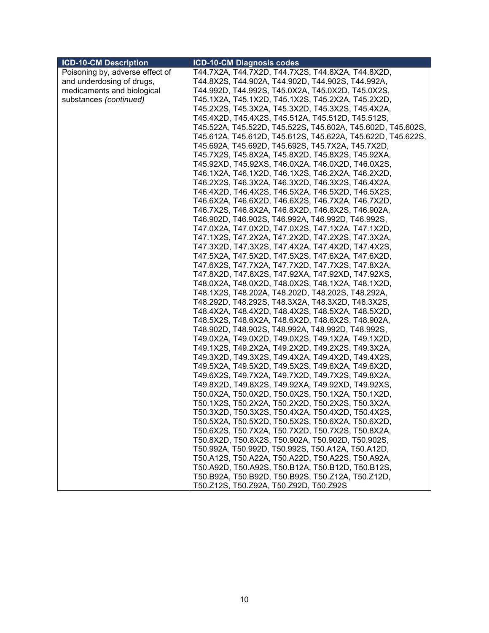| <b>ICD-10-CM Description</b>    | <b>ICD-10-CM Diagnosis codes</b>                            |
|---------------------------------|-------------------------------------------------------------|
| Poisoning by, adverse effect of | T44.7X2A, T44.7X2D, T44.7X2S, T44.8X2A, T44.8X2D,           |
| and underdosing of drugs,       | T44.8X2S, T44.902A, T44.902D, T44.902S, T44.992A,           |
| medicaments and biological      | T44.992D, T44.992S, T45.0X2A, T45.0X2D, T45.0X2S,           |
| substances (continued)          | T45.1X2A, T45.1X2D, T45.1X2S, T45.2X2A, T45.2X2D,           |
|                                 | T45.2X2S, T45.3X2A, T45.3X2D, T45.3X2S, T45.4X2A,           |
|                                 | T45.4X2D, T45.4X2S, T45.512A, T45.512D, T45.512S,           |
|                                 | T45.522A, T45.522D, T45.522S, T45.602A, T45.602D, T45.602S, |
|                                 | T45.612A, T45.612D, T45.612S, T45.622A, T45.622D, T45.622S, |
|                                 | T45.692A, T45.692D, T45.692S, T45.7X2A, T45.7X2D,           |
|                                 | T45.7X2S, T45.8X2A, T45.8X2D, T45.8X2S, T45.92XA,           |
|                                 | T45.92XD, T45.92XS, T46.0X2A, T46.0X2D, T46.0X2S,           |
|                                 | T46.1X2A, T46.1X2D, T46.1X2S, T46.2X2A, T46.2X2D,           |
|                                 | T46.2X2S, T46.3X2A, T46.3X2D, T46.3X2S, T46.4X2A,           |
|                                 | T46.4X2D, T46.4X2S, T46.5X2A, T46.5X2D, T46.5X2S,           |
|                                 | T46.6X2A, T46.6X2D, T46.6X2S, T46.7X2A, T46.7X2D,           |
|                                 | T46.7X2S, T46.8X2A, T46.8X2D, T46.8X2S, T46.902A,           |
|                                 | T46.902D, T46.902S, T46.992A, T46.992D, T46.992S,           |
|                                 | T47.0X2A, T47.0X2D, T47.0X2S, T47.1X2A, T47.1X2D,           |
|                                 | T47.1X2S, T47.2X2A, T47.2X2D, T47.2X2S, T47.3X2A,           |
|                                 | T47.3X2D, T47.3X2S, T47.4X2A, T47.4X2D, T47.4X2S,           |
|                                 | T47.5X2A, T47.5X2D, T47.5X2S, T47.6X2A, T47.6X2D,           |
|                                 | T47.6X2S, T47.7X2A, T47.7X2D, T47.7X2S, T47.8X2A,           |
|                                 | T47.8X2D, T47.8X2S, T47.92XA, T47.92XD, T47.92XS,           |
|                                 | T48.0X2A, T48.0X2D, T48.0X2S, T48.1X2A, T48.1X2D,           |
|                                 | T48.1X2S, T48.202A, T48.202D, T48.202S, T48.292A,           |
|                                 | T48.292D, T48.292S, T48.3X2A, T48.3X2D, T48.3X2S,           |
|                                 | T48.4X2A, T48.4X2D, T48.4X2S, T48.5X2A, T48.5X2D,           |
|                                 | T48.5X2S, T48.6X2A, T48.6X2D, T48.6X2S, T48.902A,           |
|                                 | T48.902D, T48.902S, T48.992A, T48.992D, T48.992S,           |
|                                 | T49.0X2A, T49.0X2D, T49.0X2S, T49.1X2A, T49.1X2D,           |
|                                 | T49.1X2S, T49.2X2A, T49.2X2D, T49.2X2S, T49.3X2A,           |
|                                 | T49.3X2D, T49.3X2S, T49.4X2A, T49.4X2D, T49.4X2S,           |
|                                 | T49.5X2A, T49.5X2D, T49.5X2S, T49.6X2A, T49.6X2D,           |
|                                 | T49.6X2S, T49.7X2A, T49.7X2D, T49.7X2S, T49.8X2A,           |
|                                 | T49.8X2D, T49.8X2S, T49.92XA, T49.92XD, T49.92XS,           |
|                                 | T50.0X2A, T50.0X2D, T50.0X2S, T50.1X2A, T50.1X2D,           |
|                                 | T50.1X2S, T50.2X2A, T50.2X2D, T50.2X2S, T50.3X2A,           |
|                                 | T50.3X2D, T50.3X2S, T50.4X2A, T50.4X2D, T50.4X2S,           |
|                                 | T50.5X2A, T50.5X2D, T50.5X2S, T50.6X2A, T50.6X2D,           |
|                                 | T50.6X2S, T50.7X2A, T50.7X2D, T50.7X2S, T50.8X2A,           |
|                                 | T50.8X2D, T50.8X2S, T50.902A, T50.902D, T50.902S,           |
|                                 | T50.992A, T50.992D, T50.992S, T50.A12A, T50.A12D,           |
|                                 | T50.A12S, T50.A22A, T50.A22D, T50.A22S, T50.A92A,           |
|                                 | T50.A92D, T50.A92S, T50.B12A, T50.B12D, T50.B12S,           |
|                                 | T50.B92A, T50.B92D, T50.B92S, T50.Z12A, T50.Z12D,           |
|                                 | T50.Z12S, T50.Z92A, T50.Z92D, T50.Z92S                      |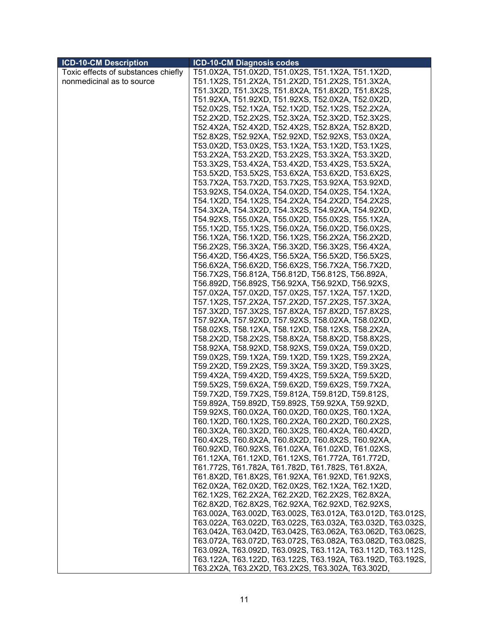| <b>ICD-10-CM Description</b>        | ICD-10-CM Diagnosis codes                                   |
|-------------------------------------|-------------------------------------------------------------|
| Toxic effects of substances chiefly | T51.0X2A, T51.0X2D, T51.0X2S, T51.1X2A, T51.1X2D,           |
| nonmedicinal as to source           | T51.1X2S, T51.2X2A, T51.2X2D, T51.2X2S, T51.3X2A,           |
|                                     | T51.3X2D, T51.3X2S, T51.8X2A, T51.8X2D, T51.8X2S,           |
|                                     | T51.92XA, T51.92XD, T51.92XS, T52.0X2A, T52.0X2D,           |
|                                     | T52.0X2S, T52.1X2A, T52.1X2D, T52.1X2S, T52.2X2A,           |
|                                     | T52.2X2D, T52.2X2S, T52.3X2A, T52.3X2D, T52.3X2S,           |
|                                     | T52.4X2A, T52.4X2D, T52.4X2S, T52.8X2A, T52.8X2D,           |
|                                     | T52.8X2S, T52.92XA, T52.92XD, T52.92XS, T53.0X2A,           |
|                                     | T53.0X2D, T53.0X2S, T53.1X2A, T53.1X2D, T53.1X2S,           |
|                                     | T53.2X2A, T53.2X2D, T53.2X2S, T53.3X2A, T53.3X2D,           |
|                                     | T53.3X2S, T53.4X2A, T53.4X2D, T53.4X2S, T53.5X2A,           |
|                                     | T53.5X2D, T53.5X2S, T53.6X2A, T53.6X2D, T53.6X2S,           |
|                                     | T53.7X2A, T53.7X2D, T53.7X2S, T53.92XA, T53.92XD,           |
|                                     | T53.92XS, T54.0X2A, T54.0X2D, T54.0X2S, T54.1X2A,           |
|                                     | T54.1X2D, T54.1X2S, T54.2X2A, T54.2X2D, T54.2X2S,           |
|                                     | T54.3X2A, T54.3X2D, T54.3X2S, T54.92XA, T54.92XD,           |
|                                     | T54.92XS, T55.0X2A, T55.0X2D, T55.0X2S, T55.1X2A,           |
|                                     | T55.1X2D, T55.1X2S, T56.0X2A, T56.0X2D, T56.0X2S,           |
|                                     | T56.1X2A, T56.1X2D, T56.1X2S, T56.2X2A, T56.2X2D,           |
|                                     | T56.2X2S, T56.3X2A, T56.3X2D, T56.3X2S, T56.4X2A,           |
|                                     | T56.4X2D, T56.4X2S, T56.5X2A, T56.5X2D, T56.5X2S,           |
|                                     | T56.6X2A, T56.6X2D, T56.6X2S, T56.7X2A, T56.7X2D,           |
|                                     | T56.7X2S, T56.812A, T56.812D, T56.812S, T56.892A,           |
|                                     | T56.892D, T56.892S, T56.92XA, T56.92XD, T56.92XS,           |
|                                     | T57.0X2A, T57.0X2D, T57.0X2S, T57.1X2A, T57.1X2D,           |
|                                     | T57.1X2S, T57.2X2A, T57.2X2D, T57.2X2S, T57.3X2A,           |
|                                     | T57.3X2D, T57.3X2S, T57.8X2A, T57.8X2D, T57.8X2S,           |
|                                     | T57.92XA, T57.92XD, T57.92XS, T58.02XA, T58.02XD,           |
|                                     | T58.02XS, T58.12XA, T58.12XD, T58.12XS, T58.2X2A,           |
|                                     | T58.2X2D, T58.2X2S, T58.8X2A, T58.8X2D, T58.8X2S,           |
|                                     | T58.92XA, T58.92XD, T58.92XS, T59.0X2A, T59.0X2D,           |
|                                     | T59.0X2S, T59.1X2A, T59.1X2D, T59.1X2S, T59.2X2A,           |
|                                     | T59.2X2D, T59.2X2S, T59.3X2A, T59.3X2D, T59.3X2S,           |
|                                     | T59.4X2A, T59.4X2D, T59.4X2S, T59.5X2A, T59.5X2D,           |
|                                     | T59.5X2S, T59.6X2A, T59.6X2D, T59.6X2S, T59.7X2A,           |
|                                     | T59.7X2D, T59.7X2S, T59.812A, T59.812D, T59.812S,           |
|                                     | T59.892A, T59.892D, T59.892S, T59.92XA, T59.92XD,           |
|                                     | T59.92XS, T60.0X2A, T60.0X2D, T60.0X2S, T60.1X2A,           |
|                                     | T60.1X2D, T60.1X2S, T60.2X2A, T60.2X2D, T60.2X2S,           |
|                                     | T60.3X2A, T60.3X2D, T60.3X2S, T60.4X2A, T60.4X2D,           |
|                                     | T60.4X2S, T60.8X2A, T60.8X2D, T60.8X2S, T60.92XA,           |
|                                     | T60.92XD, T60.92XS, T61.02XA, T61.02XD, T61.02XS,           |
|                                     | T61.12XA, T61.12XD, T61.12XS, T61.772A, T61.772D,           |
|                                     | T61.772S, T61.782A, T61.782D, T61.782S, T61.8X2A,           |
|                                     | T61.8X2D, T61.8X2S, T61.92XA, T61.92XD, T61.92XS,           |
|                                     | T62.0X2A, T62.0X2D, T62.0X2S, T62.1X2A, T62.1X2D,           |
|                                     | T62.1X2S, T62.2X2A, T62.2X2D, T62.2X2S, T62.8X2A,           |
|                                     | T62.8X2D, T62.8X2S, T62.92XA, T62.92XD, T62.92XS,           |
|                                     | T63.002A, T63.002D, T63.002S, T63.012A, T63.012D, T63.012S, |
|                                     | T63.022A, T63.022D, T63.022S, T63.032A, T63.032D, T63.032S, |
|                                     | T63.042A, T63.042D, T63.042S, T63.062A, T63.062D, T63.062S, |
|                                     | T63.072A, T63.072D, T63.072S, T63.082A, T63.082D, T63.082S, |
|                                     | T63.092A, T63.092D, T63.092S, T63.112A, T63.112D, T63.112S, |
|                                     | T63.122A, T63.122D, T63.122S, T63.192A, T63.192D, T63.192S, |
|                                     | T63.2X2A, T63.2X2D, T63.2X2S, T63.302A, T63.302D,           |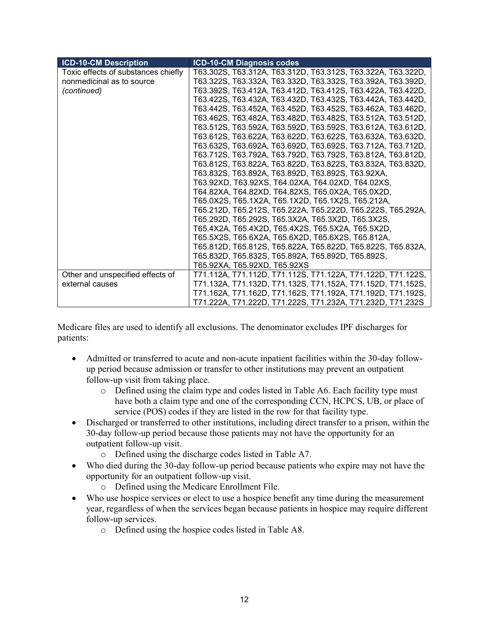| <b>ICD-10-CM Description</b>        | <b>ICD-10-CM Diagnosis codes</b>                            |
|-------------------------------------|-------------------------------------------------------------|
| Toxic effects of substances chiefly | T63.302S, T63.312A, T63.312D, T63.312S, T63.322A, T63.322D, |
| nonmedicinal as to source           | T63.322S, T63.332A, T63.332D, T63.332S, T63.392A, T63.392D, |
| (continued)                         | T63.392S, T63.412A, T63.412D, T63.412S, T63.422A, T63.422D, |
|                                     | T63.422S, T63.432A, T63.432D, T63.432S, T63.442A, T63.442D, |
|                                     | T63.442S, T63.452A, T63.452D, T63.452S, T63.462A, T63.462D, |
|                                     | T63.462S, T63.482A, T63.482D, T63.482S, T63.512A, T63.512D, |
|                                     | T63.512S, T63.592A, T63.592D, T63.592S, T63.612A, T63.612D, |
|                                     | T63.612S, T63.622A, T63.622D, T63.622S, T63.632A, T63.632D, |
|                                     | T63.632S, T63.692A, T63.692D, T63.692S, T63.712A, T63.712D, |
|                                     | T63.712S, T63.792A, T63.792D, T63.792S, T63.812A, T63.812D, |
|                                     | T63.812S, T63.822A, T63.822D, T63.822S, T63.832A, T63.832D, |
|                                     | T63.832S, T63.892A, T63.892D, T63.892S, T63.92XA,           |
|                                     | T63.92XD, T63.92XS, T64.02XA, T64.02XD, T64.02XS,           |
|                                     | T64.82XA, T64.82XD, T64.82XS, T65.0X2A, T65.0X2D,           |
|                                     | T65.0X2S, T65.1X2A, T65.1X2D, T65.1X2S, T65.212A,           |
|                                     | T65.212D, T65.212S, T65.222A, T65.222D, T65.222S, T65.292A, |
|                                     | T65.292D, T65.292S, T65.3X2A, T65.3X2D, T65.3X2S,           |
|                                     | T65.4X2A, T65.4X2D, T65.4X2S, T65.5X2A, T65.5X2D,           |
|                                     | T65.5X2S, T65.6X2A, T65.6X2D, T65.6X2S, T65.812A,           |
|                                     | T65.812D, T65.812S, T65.822A, T65.822D, T65.822S, T65.832A, |
|                                     | T65.832D, T65.832S, T65.892A, T65.892D, T65.892S,           |
|                                     | T65.92XA, T65.92XD, T65.92XS                                |
| Other and unspecified effects of    | T71.112A, T71.112D, T71.112S, T71.122A, T71.122D, T71.122S, |
| external causes                     | T71.132A, T71.132D, T71.132S, T71.152A, T71.152D, T71.152S, |
|                                     | T71.162A, T71.162D, T71.162S, T71.192A, T71.192D, T71.192S, |
|                                     | T71.222A, T71.222D, T71.222S, T71.232A, T71.232D, T71.232S  |

Medicare files are used to identify all exclusions. The denominator excludes IPF discharges for patients:

- Admitted or transferred to acute and non-acute inpatient facilities within the 30-day followup period because admission or transfer to other institutions may prevent an outpatient follow-up visit from taking place.
	- o Defined using the claim type and codes listed in Table A6. Each facility type must have both a claim type and one of the corresponding CCN, HCPCS, UB, or place of service (POS) codes if they are listed in the row for that facility type.
- Discharged or transferred to other institutions, including direct transfer to a prison, within the 30-day follow-up period because those patients may not have the opportunity for an outpatient follow-up visit.
	- o Defined using the discharge codes listed in Table A7.
- Who died during the 30-day follow-up period because patients who expire may not have the opportunity for an outpatient follow-up visit.
	- o Defined using the Medicare Enrollment File.
- Who use hospice services or elect to use a hospice benefit any time during the measurement year, regardless of when the services began because patients in hospice may require different follow-up services.
	- o Defined using the hospice codes listed in Table A8.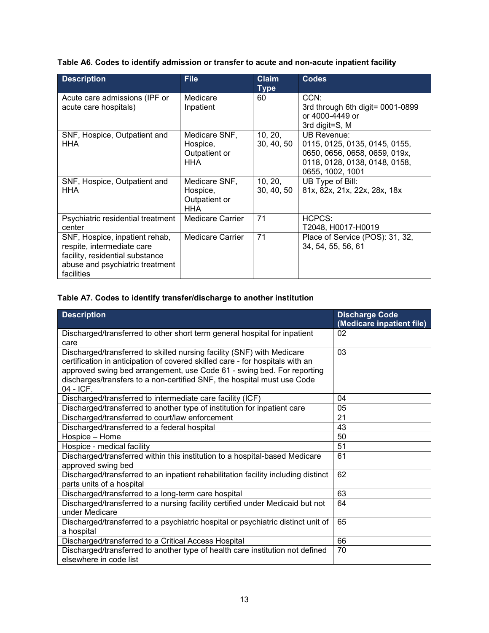**Table A6. Codes to identify admission or transfer to acute and non-acute inpatient facility**

| <b>Description</b>                                                                                                                               | <b>File</b>                                              | <b>Claim</b><br><b>Type</b> | <b>Codes</b>                                                                                                                              |
|--------------------------------------------------------------------------------------------------------------------------------------------------|----------------------------------------------------------|-----------------------------|-------------------------------------------------------------------------------------------------------------------------------------------|
| Acute care admissions (IPF or<br>acute care hospitals)                                                                                           | Medicare<br>Inpatient                                    | 60                          | CCN:<br>3rd through 6th digit= 0001-0899<br>or 4000-4449 or<br>3rd digit=S, M                                                             |
| SNF, Hospice, Outpatient and<br>HHA                                                                                                              | Medicare SNF,<br>Hospice,<br>Outpatient or<br><b>HHA</b> | 10, 20,<br>30, 40, 50       | <b>UB Revenue:</b><br>0115, 0125, 0135, 0145, 0155,<br>0650, 0656, 0658, 0659, 019x,<br>0118, 0128, 0138, 0148, 0158,<br>0655, 1002, 1001 |
| SNF, Hospice, Outpatient and<br><b>HHA</b>                                                                                                       | Medicare SNF,<br>Hospice,<br>Outpatient or<br><b>HHA</b> | 10, 20,<br>30, 40, 50       | UB Type of Bill:<br>81x, 82x, 21x, 22x, 28x, 18x                                                                                          |
| Psychiatric residential treatment<br>center                                                                                                      | <b>Medicare Carrier</b>                                  | 71                          | HCPCS:<br>T2048, H0017-H0019                                                                                                              |
| SNF, Hospice, inpatient rehab,<br>respite, intermediate care<br>facility, residential substance<br>abuse and psychiatric treatment<br>facilities | <b>Medicare Carrier</b>                                  | 71                          | Place of Service (POS): 31, 32,<br>34, 54, 55, 56, 61                                                                                     |

## **Table A7. Codes to identify transfer/discharge to another institution**

| <b>Description</b>                                                                                                                                                                                                                                                                                                          | <b>Discharge Code</b><br>(Medicare inpatient file) |
|-----------------------------------------------------------------------------------------------------------------------------------------------------------------------------------------------------------------------------------------------------------------------------------------------------------------------------|----------------------------------------------------|
| Discharged/transferred to other short term general hospital for inpatient<br>care                                                                                                                                                                                                                                           | 02                                                 |
| Discharged/transferred to skilled nursing facility (SNF) with Medicare<br>certification in anticipation of covered skilled care - for hospitals with an<br>approved swing bed arrangement, use Code 61 - swing bed. For reporting<br>discharges/transfers to a non-certified SNF, the hospital must use Code<br>$04 - ICF.$ | 03                                                 |
| Discharged/transferred to intermediate care facility (ICF)                                                                                                                                                                                                                                                                  | 04                                                 |
| Discharged/transferred to another type of institution for inpatient care                                                                                                                                                                                                                                                    | 05                                                 |
| Discharged/transferred to court/law enforcement                                                                                                                                                                                                                                                                             | 21                                                 |
| Discharged/transferred to a federal hospital                                                                                                                                                                                                                                                                                | 43                                                 |
| Hospice - Home                                                                                                                                                                                                                                                                                                              | 50                                                 |
| Hospice - medical facility                                                                                                                                                                                                                                                                                                  | 51                                                 |
| Discharged/transferred within this institution to a hospital-based Medicare<br>approved swing bed                                                                                                                                                                                                                           | 61                                                 |
| Discharged/transferred to an inpatient rehabilitation facility including distinct<br>parts units of a hospital                                                                                                                                                                                                              | 62                                                 |
| Discharged/transferred to a long-term care hospital                                                                                                                                                                                                                                                                         | 63                                                 |
| Discharged/transferred to a nursing facility certified under Medicaid but not<br>under Medicare                                                                                                                                                                                                                             | 64                                                 |
| Discharged/transferred to a psychiatric hospital or psychiatric distinct unit of<br>a hospital                                                                                                                                                                                                                              | 65                                                 |
| Discharged/transferred to a Critical Access Hospital                                                                                                                                                                                                                                                                        | 66                                                 |
| Discharged/transferred to another type of health care institution not defined<br>elsewhere in code list                                                                                                                                                                                                                     | 70                                                 |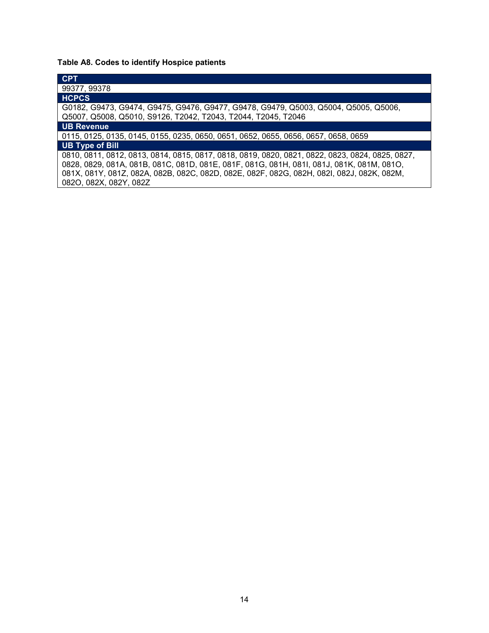# **Table A8. Codes to identify Hospice patients**

| <b>CPT</b>                                                                                      |
|-------------------------------------------------------------------------------------------------|
| 99377, 99378                                                                                    |
| <b>HCPCS</b>                                                                                    |
| G0182, G9473, G9474, G9475, G9476, G9477, G9478, G9479, Q5003, Q5004, Q5005, Q5006,             |
| Q5007, Q5008, Q5010, S9126, T2042, T2043, T2044, T2045, T2046                                   |
| <b>UB Revenue</b>                                                                               |
| 0115, 0125, 0135, 0145, 0155, 0235, 0650, 0651, 0652, 0655, 0656, 0657, 0658, 0659              |
| <b>UB Type of Bill</b>                                                                          |
| 0810, 0811, 0812, 0813, 0814, 0815, 0817, 0818, 0819, 0820, 0821, 0822, 0823, 0824, 0825, 0827, |
| 0828, 0829, 081A, 081B, 081C, 081D, 081E, 081F, 081G, 081H, 081I, 081J, 081K, 081M, 081O,       |
| 081X, 081Y, 081Z, 082A, 082B, 082C, 082D, 082E, 082F, 082G, 082H, 082I, 082J, 082K, 082M,       |
| 082O, 082X, 082Y, 082Z                                                                          |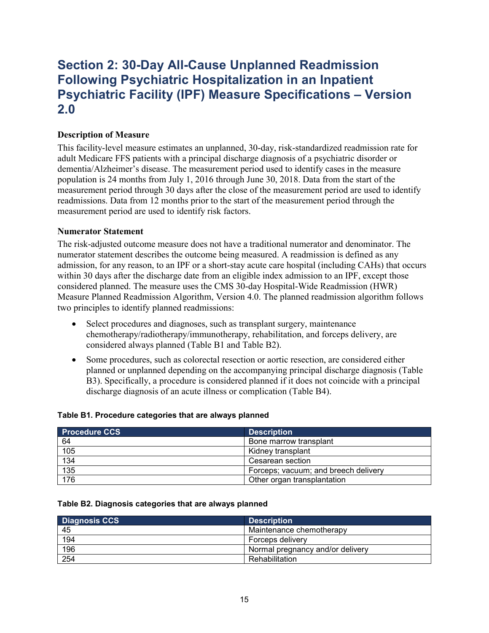# <span id="page-14-0"></span>**Section 2: 30-Day All-Cause Unplanned Readmission Following Psychiatric Hospitalization in an Inpatient Psychiatric Facility (IPF) Measure Specifications – Version 2.0**

### <span id="page-14-1"></span>**Description of Measure**

This facility-level measure estimates an unplanned, 30-day, risk-standardized readmission rate for adult Medicare FFS patients with a principal discharge diagnosis of a psychiatric disorder or dementia/Alzheimer's disease. The measurement period used to identify cases in the measure population is 24 months from July 1, 2016 through June 30, 2018. Data from the start of the measurement period through 30 days after the close of the measurement period are used to identify readmissions. Data from 12 months prior to the start of the measurement period through the measurement period are used to identify risk factors.

#### <span id="page-14-2"></span>**Numerator Statement**

The risk-adjusted outcome measure does not have a traditional numerator and denominator. The numerator statement describes the outcome being measured. A readmission is defined as any admission, for any reason, to an IPF or a short-stay acute care hospital (including CAHs) that occurs within 30 days after the discharge date from an eligible index admission to an IPF, except those considered planned. The measure uses the CMS 30-day Hospital-Wide Readmission (HWR) Measure Planned Readmission Algorithm, Version 4.0. The planned readmission algorithm follows two principles to identify planned readmissions:

- Select procedures and diagnoses, such as transplant surgery, maintenance chemotherapy/radiotherapy/immunotherapy, rehabilitation, and forceps delivery, are considered always planned (Table B1 and Table B2).
- Some procedures, such as colorectal resection or aortic resection, are considered either planned or unplanned depending on the accompanying principal discharge diagnosis (Table B3). Specifically, a procedure is considered planned if it does not coincide with a principal discharge diagnosis of an acute illness or complication (Table B4).

| <b>Procedure CCS</b> | <b>Description</b>                   |
|----------------------|--------------------------------------|
| 64                   | Bone marrow transplant               |
| 105                  | Kidney transplant                    |
| 134                  | Cesarean section                     |
| 135                  | Forceps; vacuum; and breech delivery |
| 176                  | Other organ transplantation          |

#### **Table B1. Procedure categories that are always planned**

#### **Table B2. Diagnosis categories that are always planned**

| <b>Diagnosis CCS</b> | <b>Description</b>               |
|----------------------|----------------------------------|
| 45                   | Maintenance chemotherapy         |
| 194                  | Forceps delivery                 |
| 196                  | Normal pregnancy and/or delivery |
| 254                  | Rehabilitation                   |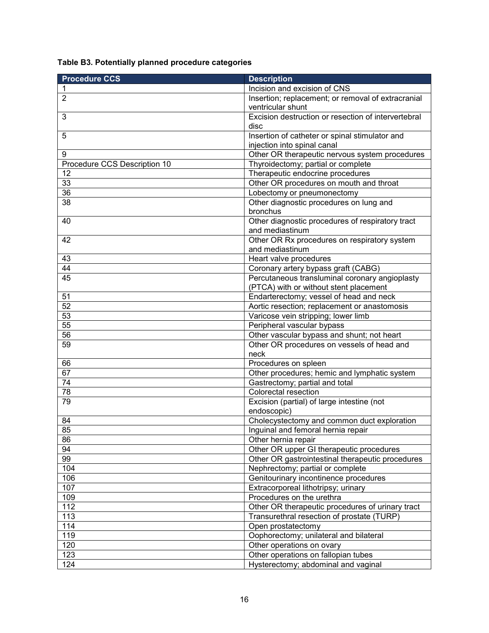|  |  | Table B3. Potentially planned procedure categories |
|--|--|----------------------------------------------------|
|  |  |                                                    |

| <b>Procedure CCS</b>         | <b>Description</b>                                                                       |
|------------------------------|------------------------------------------------------------------------------------------|
| 1                            | Incision and excision of CNS                                                             |
| $\overline{2}$               | Insertion; replacement; or removal of extracranial<br>ventricular shunt                  |
| 3                            | Excision destruction or resection of intervertebral<br>disc                              |
| 5                            | Insertion of catheter or spinal stimulator and                                           |
|                              | injection into spinal canal                                                              |
| 9                            | Other OR therapeutic nervous system procedures                                           |
| Procedure CCS Description 10 | Thyroidectomy; partial or complete                                                       |
| 12                           | Therapeutic endocrine procedures                                                         |
| $\overline{33}$              | Other OR procedures on mouth and throat                                                  |
| 36                           | Lobectomy or pneumonectomy                                                               |
| $\overline{38}$              | Other diagnostic procedures on lung and<br>bronchus                                      |
| 40                           | Other diagnostic procedures of respiratory tract<br>and mediastinum                      |
| 42                           | Other OR Rx procedures on respiratory system<br>and mediastinum                          |
| 43                           | Heart valve procedures                                                                   |
| 44                           | Coronary artery bypass graft (CABG)                                                      |
| 45                           | Percutaneous transluminal coronary angioplasty<br>(PTCA) with or without stent placement |
| 51                           | Endarterectomy; vessel of head and neck                                                  |
| $\overline{52}$              | Aortic resection; replacement or anastomosis                                             |
| 53                           | Varicose vein stripping; lower limb                                                      |
| 55                           | Peripheral vascular bypass                                                               |
| 56                           | Other vascular bypass and shunt; not heart                                               |
| 59                           | Other OR procedures on vessels of head and<br>neck                                       |
| 66                           | Procedures on spleen                                                                     |
| 67                           | Other procedures; hemic and lymphatic system                                             |
| 74                           | Gastrectomy; partial and total                                                           |
| 78                           | Colorectal resection                                                                     |
| 79                           | Excision (partial) of large intestine (not<br>endoscopic)                                |
| 84                           | Cholecystectomy and common duct exploration                                              |
| 85                           | Inguinal and femoral hernia repair                                                       |
| 86                           | Other hernia repair                                                                      |
| 94                           | Other OR upper GI therapeutic procedures                                                 |
| 99                           | Other OR gastrointestinal therapeutic procedures                                         |
| 104                          | Nephrectomy; partial or complete                                                         |
| 106                          | Genitourinary incontinence procedures                                                    |
| 107                          | Extracorporeal lithotripsy; urinary                                                      |
| 109                          | Procedures on the urethra                                                                |
| 112                          | Other OR therapeutic procedures of urinary tract                                         |
| 113                          | Transurethral resection of prostate (TURP)                                               |
| 114                          | Open prostatectomy                                                                       |
| 119                          | Oophorectomy; unilateral and bilateral                                                   |
| 120                          | Other operations on ovary                                                                |
| 123                          | Other operations on fallopian tubes                                                      |
| 124                          | Hysterectomy; abdominal and vaginal                                                      |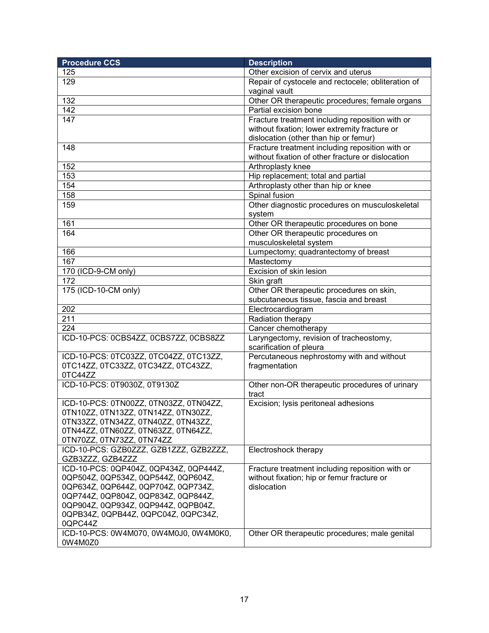| <b>Procedure CCS</b>                   | <b>Description</b>                                 |
|----------------------------------------|----------------------------------------------------|
| 125                                    | Other excision of cervix and uterus                |
| 129                                    | Repair of cystocele and rectocele; obliteration of |
|                                        | vaginal vault                                      |
| 132                                    | Other OR therapeutic procedures; female organs     |
| 142                                    | Partial excision bone                              |
| 147                                    | Fracture treatment including reposition with or    |
|                                        | without fixation; lower extremity fracture or      |
|                                        | dislocation (other than hip or femur)              |
| 148                                    | Fracture treatment including reposition with or    |
|                                        | without fixation of other fracture or dislocation  |
| 152                                    | Arthroplasty knee                                  |
| 153                                    | Hip replacement; total and partial                 |
| 154                                    | Arthroplasty other than hip or knee                |
| 158                                    | Spinal fusion                                      |
| 159                                    | Other diagnostic procedures on musculoskeletal     |
|                                        | system                                             |
| 161                                    | Other OR therapeutic procedures on bone            |
| 164                                    | Other OR therapeutic procedures on                 |
|                                        | musculoskeletal system                             |
| 166                                    | Lumpectomy; quadrantectomy of breast               |
| 167                                    | Mastectomy                                         |
| 170 (ICD-9-CM only)                    | Excision of skin lesion                            |
| 172                                    | Skin graft                                         |
| 175 (ICD-10-CM only)                   | Other OR therapeutic procedures on skin,           |
|                                        | subcutaneous tissue, fascia and breast             |
| 202                                    | Electrocardiogram                                  |
| 211                                    | Radiation therapy                                  |
| 224                                    | Cancer chemotherapy                                |
| ICD-10-PCS: 0CBS4ZZ, 0CBS7ZZ, 0CBS8ZZ  | Laryngectomy, revision of tracheostomy,            |
|                                        | scarification of pleura                            |
| ICD-10-PCS: 0TC03ZZ, 0TC04ZZ, 0TC13ZZ, | Percutaneous nephrostomy with and without          |
| 0TC14ZZ, 0TC33ZZ, 0TC34ZZ, 0TC43ZZ,    | fragmentation                                      |
| 0TC44ZZ                                |                                                    |
| ICD-10-PCS: 0T9030Z, 0T9130Z           | Other non-OR therapeutic procedures of urinary     |
|                                        | tract                                              |
| ICD-10-PCS: 0TN00ZZ, 0TN03ZZ, 0TN04ZZ, | Excision; lysis peritoneal adhesions               |
| 0TN10ZZ, 0TN13ZZ, 0TN14ZZ, 0TN30ZZ,    |                                                    |
| 0TN33ZZ, 0TN34ZZ, 0TN40ZZ, 0TN43ZZ,    |                                                    |
| 0TN44ZZ, 0TN60ZZ, 0TN63ZZ, 0TN64ZZ,    |                                                    |
| 0TN70ZZ, 0TN73ZZ, 0TN74ZZ              |                                                    |
| ICD-10-PCS: GZB0ZZZ, GZB1ZZZ, GZB2ZZZ, | Electroshock therapy                               |
| GZB3ZZZ, GZB4ZZZ                       |                                                    |
| ICD-10-PCS: 0QP404Z, 0QP434Z, 0QP444Z, | Fracture treatment including reposition with or    |
| 0QP504Z, 0QP534Z, 0QP544Z, 0QP604Z,    | without fixation; hip or femur fracture or         |
| 0QP634Z, 0QP644Z, 0QP704Z, 0QP734Z,    | dislocation                                        |
| 0QP744Z, 0QP804Z, 0QP834Z, 0QP844Z,    |                                                    |
| 0QP904Z, 0QP934Z, 0QP944Z, 0QPB04Z,    |                                                    |
| 0QPB34Z, 0QPB44Z, 0QPC04Z, 0QPC34Z,    |                                                    |
| 0QPC44Z                                |                                                    |
| ICD-10-PCS: 0W4M070, 0W4M0J0, 0W4M0K0, | Other OR therapeutic procedures; male genital      |
| 0W4M0Z0                                |                                                    |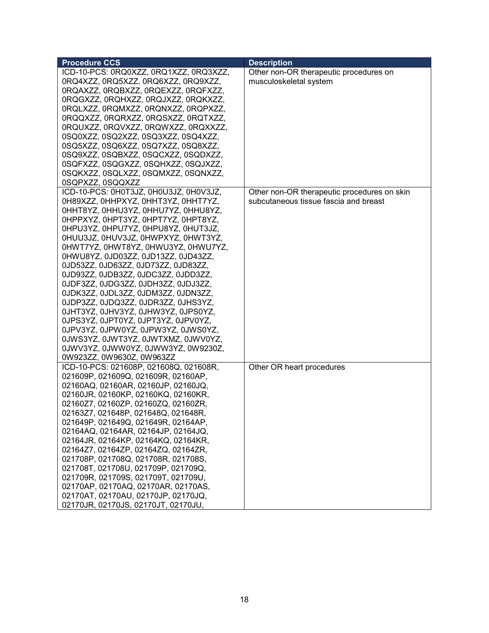| <b>Procedure CCS</b>                                                       | <b>Description</b>                          |
|----------------------------------------------------------------------------|---------------------------------------------|
| ICD-10-PCS: 0RQ0XZZ, 0RQ1XZZ, 0RQ3XZZ,                                     | Other non-OR therapeutic procedures on      |
| 0RQ4XZZ, 0RQ5XZZ, 0RQ6XZZ, 0RQ9XZZ,                                        | musculoskeletal system                      |
| 0RQAXZZ, 0RQBXZZ, 0RQEXZZ, 0RQFXZZ,                                        |                                             |
| 0RQGXZZ, 0RQHXZZ, 0RQJXZZ, 0RQKXZZ,                                        |                                             |
| 0RQLXZZ, 0RQMXZZ, 0RQNXZZ, 0RQPXZZ,                                        |                                             |
| 0RQQXZZ, 0RQRXZZ, 0RQSXZZ, 0RQTXZZ,                                        |                                             |
| 0RQUXZZ, 0RQVXZZ, 0RQWXZZ, 0RQXXZZ,                                        |                                             |
| 0SQ0XZZ, 0SQ2XZZ, 0SQ3XZZ, 0SQ4XZZ,                                        |                                             |
| 0SQ5XZZ, 0SQ6XZZ, 0SQ7XZZ, 0SQ8XZZ,                                        |                                             |
| 0SQ9XZZ, 0SQBXZZ, 0SQCXZZ, 0SQDXZZ,                                        |                                             |
| 0SQFXZZ, 0SQGXZZ, 0SQHXZZ, 0SQJXZZ,                                        |                                             |
| 0SQKXZZ, 0SQLXZZ, 0SQMXZZ, 0SQNXZZ,                                        |                                             |
| 0SQPXZZ, 0SQQXZZ                                                           |                                             |
| ICD-10-PCS: 0H0T3JZ, 0H0U3JZ, 0H0V3JZ,                                     | Other non-OR therapeutic procedures on skin |
| 0H89XZZ, 0HHPXYZ, 0HHT3YZ, 0HHT7YZ,                                        | subcutaneous tissue fascia and breast       |
| 0HHT8YZ, 0HHU3YZ, 0HHU7YZ, 0HHU8YZ,                                        |                                             |
| OHPPXYZ, OHPT3YZ, OHPT7YZ, OHPT8YZ,                                        |                                             |
| 0HPU3YZ, 0HPU7YZ, 0HPU8YZ, 0HUT3JZ,                                        |                                             |
| 0HUU3JZ, 0HUV3JZ, 0HWPXYZ, 0HWT3YZ,                                        |                                             |
| 0HWT7YZ, 0HWT8YZ, 0HWU3YZ, 0HWU7YZ,                                        |                                             |
| 0HWU8YZ, 0JD03ZZ, 0JD13ZZ, 0JD43ZZ,                                        |                                             |
| 0JD53ZZ, 0JD63ZZ, 0JD73ZZ, 0JD83ZZ,                                        |                                             |
| 0JD93ZZ, 0JDB3ZZ, 0JDC3ZZ, 0JDD3ZZ,                                        |                                             |
| 0JDF3ZZ, 0JDG3ZZ, 0JDH3ZZ, 0JDJ3ZZ,                                        |                                             |
| 0JDK3ZZ, 0JDL3ZZ, 0JDM3ZZ, 0JDN3ZZ,                                        |                                             |
| 0JDP3ZZ, 0JDQ3ZZ, 0JDR3ZZ, 0JHS3YZ,                                        |                                             |
| 0JHT3YZ, 0JHV3YZ, 0JHW3YZ, 0JPS0YZ,                                        |                                             |
| 0JPS3YZ, 0JPT0YZ, 0JPT3YZ, 0JPV0YZ,                                        |                                             |
| 0JPV3YZ, 0JPW0YZ, 0JPW3YZ, 0JWS0YZ,                                        |                                             |
| 0JWS3YZ, 0JWT3YZ, 0JWTXMZ, 0JWV0YZ,                                        |                                             |
| 0JWV3YZ, 0JWW0YZ, 0JWW3YZ, 0W9230Z,                                        |                                             |
| 0W923ZZ, 0W9630Z, 0W963ZZ                                                  |                                             |
| ICD-10-PCS: 021608P, 021608Q, 021608R,                                     | Other OR heart procedures                   |
| 021609P, 021609Q, 021609R, 02160AP,                                        |                                             |
| 02160AQ, 02160AR, 02160JP, 02160JQ,                                        |                                             |
| 02160JR, 02160KP, 02160KQ, 02160KR,                                        |                                             |
| 02160Z7, 02160ZP, 02160ZQ, 02160ZR,                                        |                                             |
| 02163Z7, 021648P, 021648Q, 021648R,<br>021649P, 021649Q, 021649R, 02164AP, |                                             |
| 02164AQ, 02164AR, 02164JP, 02164JQ,                                        |                                             |
| 02164JR, 02164KP, 02164KQ, 02164KR,                                        |                                             |
| 02164Z7, 02164ZP, 02164ZQ, 02164ZR,                                        |                                             |
| 021708P, 021708Q, 021708R, 021708S,                                        |                                             |
| 021708T, 021708U, 021709P, 021709Q,                                        |                                             |
| 021709R, 021709S, 021709T, 021709U,                                        |                                             |
| 02170AP, 02170AQ, 02170AR, 02170AS,                                        |                                             |
| 02170AT, 02170AU, 02170JP, 02170JQ,                                        |                                             |
| 02170JR, 02170JS, 02170JT, 02170JU,                                        |                                             |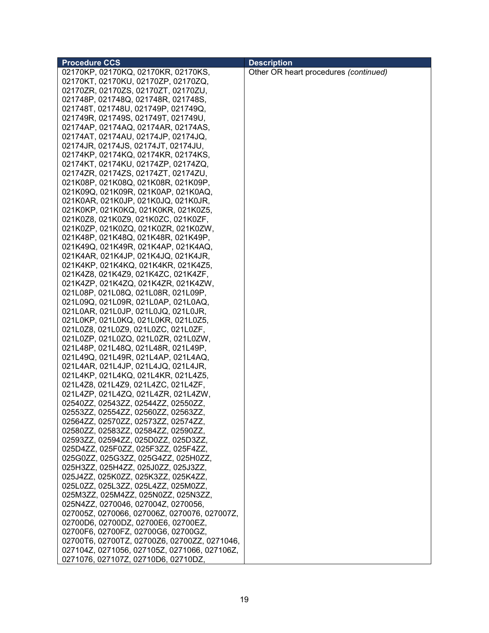| <b>Procedure CCS</b>                         | <b>Description</b>                    |
|----------------------------------------------|---------------------------------------|
| 02170KP, 02170KQ, 02170KR, 02170KS,          | Other OR heart procedures (continued) |
| 02170KT, 02170KU, 02170ZP, 02170ZQ,          |                                       |
| 02170ZR, 02170ZS, 02170ZT, 02170ZU,          |                                       |
| 021748P, 021748Q, 021748R, 021748S,          |                                       |
| 021748T, 021748U, 021749P, 021749Q,          |                                       |
| 021749R, 021749S, 021749T, 021749U,          |                                       |
| 02174AP, 02174AQ, 02174AR, 02174AS,          |                                       |
| 02174AT, 02174AU, 02174JP, 02174JQ,          |                                       |
| 02174JR, 02174JS, 02174JT, 02174JU,          |                                       |
| 02174KP, 02174KQ, 02174KR, 02174KS,          |                                       |
| 02174KT, 02174KU, 02174ZP, 02174ZQ,          |                                       |
| 02174ZR, 02174ZS, 02174ZT, 02174ZU,          |                                       |
|                                              |                                       |
| 021K08P, 021K08Q, 021K08R, 021K09P,          |                                       |
| 021K09Q, 021K09R, 021K0AP, 021K0AQ,          |                                       |
| 021K0AR, 021K0JP, 021K0JQ, 021K0JR,          |                                       |
| 021K0KP, 021K0KQ, 021K0KR, 021K0Z5,          |                                       |
| 021K0Z8, 021K0Z9, 021K0ZC, 021K0ZF,          |                                       |
| 021K0ZP, 021K0ZQ, 021K0ZR, 021K0ZW,          |                                       |
| 021K48P, 021K48Q, 021K48R, 021K49P,          |                                       |
| 021K49Q, 021K49R, 021K4AP, 021K4AQ,          |                                       |
| 021K4AR, 021K4JP, 021K4JQ, 021K4JR,          |                                       |
| 021K4KP, 021K4KQ, 021K4KR, 021K4Z5,          |                                       |
| 021K4Z8, 021K4Z9, 021K4ZC, 021K4ZF,          |                                       |
| 021K4ZP, 021K4ZQ, 021K4ZR, 021K4ZW,          |                                       |
| 021L08P, 021L08Q, 021L08R, 021L09P,          |                                       |
| 021L09Q, 021L09R, 021L0AP, 021L0AQ,          |                                       |
| 021L0AR, 021L0JP, 021L0JQ, 021L0JR,          |                                       |
| 021L0KP, 021L0KQ, 021L0KR, 021L0Z5,          |                                       |
| 021L0Z8, 021L0Z9, 021L0ZC, 021L0ZF,          |                                       |
| 021L0ZP, 021L0ZQ, 021L0ZR, 021L0ZW,          |                                       |
| 021L48P, 021L48Q, 021L48R, 021L49P,          |                                       |
| 021L49Q, 021L49R, 021L4AP, 021L4AQ,          |                                       |
| 021L4AR, 021L4JP, 021L4JQ, 021L4JR,          |                                       |
| 021L4KP, 021L4KQ, 021L4KR, 021L4Z5,          |                                       |
| 021L4Z8, 021L4Z9, 021L4ZC, 021L4ZF,          |                                       |
| 021L4ZP, 021L4ZQ, 021L4ZR, 021L4ZW,          |                                       |
| 02540ZZ, 02543ZZ, 02544ZZ, 02550ZZ,          |                                       |
| 02553ZZ, 02554ZZ, 02560ZZ, 02563ZZ,          |                                       |
| 02564ZZ, 02570ZZ, 02573ZZ, 02574ZZ,          |                                       |
| 02580ZZ, 02583ZZ, 02584ZZ, 02590ZZ,          |                                       |
| 02593ZZ, 02594ZZ, 025D0ZZ, 025D3ZZ,          |                                       |
| 025D4ZZ, 025F0ZZ, 025F3ZZ, 025F4ZZ,          |                                       |
| 025G0ZZ, 025G3ZZ, 025G4ZZ, 025H0ZZ,          |                                       |
| 025H3ZZ, 025H4ZZ, 025J0ZZ, 025J3ZZ,          |                                       |
| 025J4ZZ, 025K0ZZ, 025K3ZZ, 025K4ZZ,          |                                       |
| 025L0ZZ, 025L3ZZ, 025L4ZZ, 025M0ZZ,          |                                       |
| 025M3ZZ, 025M4ZZ, 025N0ZZ, 025N3ZZ,          |                                       |
| 025N4ZZ, 0270046, 027004Z, 0270056,          |                                       |
| 027005Z, 0270066, 027006Z, 0270076, 027007Z, |                                       |
| 02700D6, 02700DZ, 02700E6, 02700EZ,          |                                       |
| 02700F6, 02700FZ, 02700G6, 02700GZ,          |                                       |
| 02700T6, 02700TZ, 02700Z6, 02700ZZ, 0271046, |                                       |
| 027104Z, 0271056, 027105Z, 0271066, 027106Z, |                                       |
| 0271076, 027107Z, 02710D6, 02710DZ,          |                                       |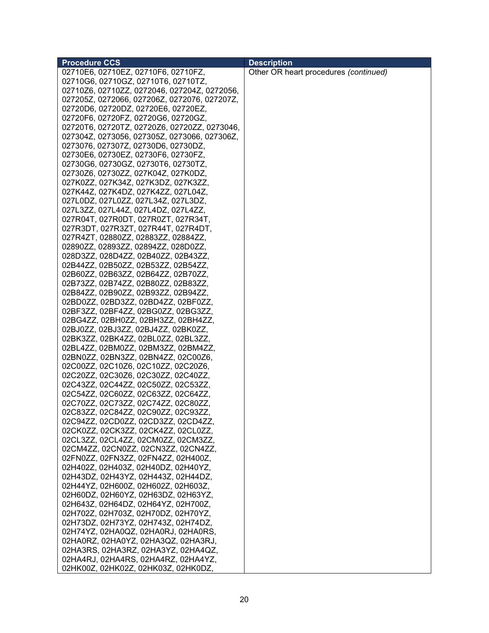| <b>Procedure CCS</b>                         | <b>Description</b>                    |
|----------------------------------------------|---------------------------------------|
| 02710E6, 02710EZ, 02710F6, 02710FZ,          | Other OR heart procedures (continued) |
| 02710G6, 02710GZ, 02710T6, 02710TZ,          |                                       |
| 02710Z6, 02710ZZ, 0272046, 027204Z, 0272056, |                                       |
| 027205Z, 0272066, 027206Z, 0272076, 027207Z, |                                       |
| 02720D6, 02720DZ, 02720E6, 02720EZ,          |                                       |
| 02720F6, 02720FZ, 02720G6, 02720GZ,          |                                       |
| 02720T6, 02720TZ, 02720Z6, 02720ZZ, 0273046, |                                       |
| 027304Z, 0273056, 027305Z, 0273066, 027306Z, |                                       |
| 0273076, 027307Z, 02730D6, 02730DZ,          |                                       |
| 02730E6, 02730EZ, 02730F6, 02730FZ,          |                                       |
| 02730G6, 02730GZ, 02730T6, 02730TZ,          |                                       |
| 02730Z6, 02730ZZ, 027K04Z, 027K0DZ,          |                                       |
|                                              |                                       |
| 027K0ZZ, 027K34Z, 027K3DZ, 027K3ZZ,          |                                       |
| 027K44Z, 027K4DZ, 027K4ZZ, 027L04Z,          |                                       |
| 027L0DZ, 027L0ZZ, 027L34Z, 027L3DZ,          |                                       |
| 027L3ZZ, 027L44Z, 027L4DZ, 027L4ZZ,          |                                       |
| 027R04T, 027R0DT, 027R0ZT, 027R34T,          |                                       |
| 027R3DT, 027R3ZT, 027R44T, 027R4DT,          |                                       |
| 027R4ZT, 02880ZZ, 02883ZZ, 02884ZZ,          |                                       |
| 02890ZZ, 02893ZZ, 02894ZZ, 028D0ZZ,          |                                       |
| 028D3ZZ, 028D4ZZ, 02B40ZZ, 02B43ZZ,          |                                       |
| 02B44ZZ, 02B50ZZ, 02B53ZZ, 02B54ZZ,          |                                       |
| 02B60ZZ, 02B63ZZ, 02B64ZZ, 02B70ZZ,          |                                       |
| 02B73ZZ, 02B74ZZ, 02B80ZZ, 02B83ZZ,          |                                       |
| 02B84ZZ, 02B90ZZ, 02B93ZZ, 02B94ZZ,          |                                       |
| 02BD0ZZ, 02BD3ZZ, 02BD4ZZ, 02BF0ZZ,          |                                       |
| 02BF3ZZ, 02BF4ZZ, 02BG0ZZ, 02BG3ZZ,          |                                       |
| 02BG4ZZ, 02BH0ZZ, 02BH3ZZ, 02BH4ZZ,          |                                       |
| 02BJ0ZZ, 02BJ3ZZ, 02BJ4ZZ, 02BK0ZZ,          |                                       |
| 02BK3ZZ, 02BK4ZZ, 02BL0ZZ, 02BL3ZZ,          |                                       |
| 02BL4ZZ, 02BM0ZZ, 02BM3ZZ, 02BM4ZZ,          |                                       |
| 02BN0ZZ, 02BN3ZZ, 02BN4ZZ, 02C00Z6,          |                                       |
| 02C00ZZ, 02C10Z6, 02C10ZZ, 02C20Z6,          |                                       |
| 02C20ZZ, 02C30Z6, 02C30ZZ, 02C40ZZ,          |                                       |
| 02C43ZZ, 02C44ZZ, 02C50ZZ, 02C53ZZ,          |                                       |
| 02C54ZZ, 02C60ZZ, 02C63ZZ, 02C64ZZ,          |                                       |
| 02C70ZZ, 02C73ZZ, 02C74ZZ, 02C80ZZ,          |                                       |
| 02C83ZZ, 02C84ZZ, 02C90ZZ, 02C93ZZ,          |                                       |
| 02C94ZZ, 02CD0ZZ, 02CD3ZZ, 02CD4ZZ,          |                                       |
| 02CK0ZZ, 02CK3ZZ, 02CK4ZZ, 02CL0ZZ,          |                                       |
| 02CL3ZZ, 02CL4ZZ, 02CM0ZZ, 02CM3ZZ,          |                                       |
| 02CM4ZZ, 02CN0ZZ, 02CN3ZZ, 02CN4ZZ,          |                                       |
| 02FN0ZZ, 02FN3ZZ, 02FN4ZZ, 02H400Z,          |                                       |
| 02H402Z, 02H403Z, 02H40DZ, 02H40YZ,          |                                       |
| 02H43DZ, 02H43YZ, 02H443Z, 02H44DZ,          |                                       |
| 02H44YZ, 02H600Z, 02H602Z, 02H603Z,          |                                       |
| 02H60DZ, 02H60YZ, 02H63DZ, 02H63YZ,          |                                       |
| 02H643Z, 02H64DZ, 02H64YZ, 02H700Z,          |                                       |
|                                              |                                       |
| 02H702Z, 02H703Z, 02H70DZ, 02H70YZ,          |                                       |
| 02H73DZ, 02H73YZ, 02H743Z, 02H74DZ,          |                                       |
| 02H74YZ, 02HA0QZ, 02HA0RJ, 02HA0RS,          |                                       |
| 02HA0RZ, 02HA0YZ, 02HA3QZ, 02HA3RJ,          |                                       |
| 02HA3RS, 02HA3RZ, 02HA3YZ, 02HA4QZ,          |                                       |
| 02HA4RJ, 02HA4RS, 02HA4RZ, 02HA4YZ,          |                                       |
| 02HK00Z, 02HK02Z, 02HK03Z, 02HK0DZ,          |                                       |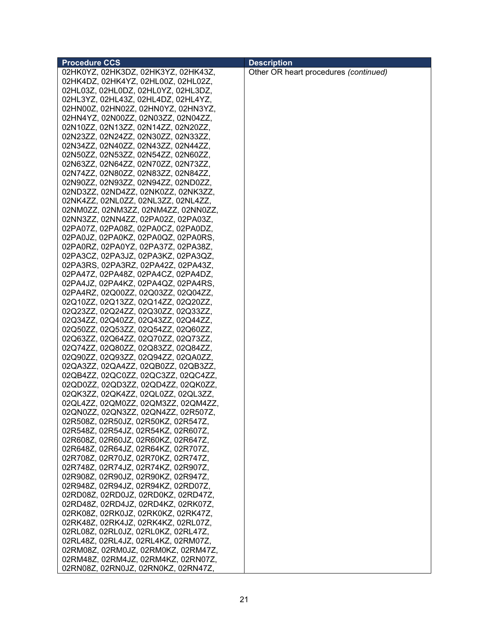| <b>Procedure CCS</b>                | <b>Description</b>                    |
|-------------------------------------|---------------------------------------|
| 02HK0YZ, 02HK3DZ, 02HK3YZ, 02HK43Z, | Other OR heart procedures (continued) |
| 02HK4DZ, 02HK4YZ, 02HL00Z, 02HL02Z, |                                       |
| 02HL03Z, 02HL0DZ, 02HL0YZ, 02HL3DZ, |                                       |
| 02HL3YZ, 02HL43Z, 02HL4DZ, 02HL4YZ, |                                       |
| 02HN00Z, 02HN02Z, 02HN0YZ, 02HN3YZ, |                                       |
| 02HN4YZ, 02N00ZZ, 02N03ZZ, 02N04ZZ, |                                       |
| 02N10ZZ, 02N13ZZ, 02N14ZZ, 02N20ZZ, |                                       |
| 02N23ZZ, 02N24ZZ, 02N30ZZ, 02N33ZZ, |                                       |
| 02N34ZZ, 02N40ZZ, 02N43ZZ, 02N44ZZ, |                                       |
| 02N50ZZ, 02N53ZZ, 02N54ZZ, 02N60ZZ, |                                       |
| 02N63ZZ, 02N64ZZ, 02N70ZZ, 02N73ZZ, |                                       |
| 02N74ZZ, 02N80ZZ, 02N83ZZ, 02N84ZZ, |                                       |
|                                     |                                       |
| 02N90ZZ, 02N93ZZ, 02N94ZZ, 02ND0ZZ, |                                       |
| 02ND3ZZ, 02ND4ZZ, 02NK0ZZ, 02NK3ZZ, |                                       |
| 02NK4ZZ, 02NL0ZZ, 02NL3ZZ, 02NL4ZZ, |                                       |
| 02NM0ZZ, 02NM3ZZ, 02NM4ZZ, 02NN0ZZ, |                                       |
| 02NN3ZZ, 02NN4ZZ, 02PA02Z, 02PA03Z, |                                       |
| 02PA07Z, 02PA08Z, 02PA0CZ, 02PA0DZ, |                                       |
| 02PA0JZ, 02PA0KZ, 02PA0QZ, 02PA0RS, |                                       |
| 02PA0RZ, 02PA0YZ, 02PA37Z, 02PA38Z, |                                       |
| 02PA3CZ, 02PA3JZ, 02PA3KZ, 02PA3QZ, |                                       |
| 02PA3RS, 02PA3RZ, 02PA42Z, 02PA43Z, |                                       |
| 02PA47Z, 02PA48Z, 02PA4CZ, 02PA4DZ, |                                       |
| 02PA4JZ, 02PA4KZ, 02PA4QZ, 02PA4RS, |                                       |
| 02PA4RZ, 02Q00ZZ, 02Q03ZZ, 02Q04ZZ, |                                       |
| 02Q10ZZ, 02Q13ZZ, 02Q14ZZ, 02Q20ZZ, |                                       |
| 02Q23ZZ, 02Q24ZZ, 02Q30ZZ, 02Q33ZZ, |                                       |
| 02Q34ZZ, 02Q40ZZ, 02Q43ZZ, 02Q44ZZ, |                                       |
| 02Q50ZZ, 02Q53ZZ, 02Q54ZZ, 02Q60ZZ, |                                       |
| 02Q63ZZ, 02Q64ZZ, 02Q70ZZ, 02Q73ZZ, |                                       |
| 02Q74ZZ, 02Q80ZZ, 02Q83ZZ, 02Q84ZZ, |                                       |
| 02Q90ZZ, 02Q93ZZ, 02Q94ZZ, 02QA0ZZ, |                                       |
| 02QA3ZZ, 02QA4ZZ, 02QB0ZZ, 02QB3ZZ, |                                       |
| 02QB4ZZ, 02QC0ZZ, 02QC3ZZ, 02QC4ZZ, |                                       |
| 02QD0ZZ, 02QD3ZZ, 02QD4ZZ, 02QK0ZZ, |                                       |
| 02QK3ZZ, 02QK4ZZ, 02QL0ZZ, 02QL3ZZ, |                                       |
| 02QL4ZZ, 02QM0ZZ, 02QM3ZZ, 02QM4ZZ, |                                       |
| 02QN0ZZ, 02QN3ZZ, 02QN4ZZ, 02R507Z, |                                       |
| 02R508Z, 02R50JZ, 02R50KZ, 02R547Z, |                                       |
| 02R548Z, 02R54JZ, 02R54KZ, 02R607Z, |                                       |
| 02R608Z, 02R60JZ, 02R60KZ, 02R647Z, |                                       |
| 02R648Z, 02R64JZ, 02R64KZ, 02R707Z, |                                       |
| 02R708Z, 02R70JZ, 02R70KZ, 02R747Z, |                                       |
| 02R748Z, 02R74JZ, 02R74KZ, 02R907Z, |                                       |
|                                     |                                       |
| 02R908Z, 02R90JZ, 02R90KZ, 02R947Z, |                                       |
| 02R948Z, 02R94JZ, 02R94KZ, 02RD07Z, |                                       |
| 02RD08Z, 02RD0JZ, 02RD0KZ, 02RD47Z, |                                       |
| 02RD48Z, 02RD4JZ, 02RD4KZ, 02RK07Z, |                                       |
| 02RK08Z, 02RK0JZ, 02RK0KZ, 02RK47Z, |                                       |
| 02RK48Z, 02RK4JZ, 02RK4KZ, 02RL07Z, |                                       |
| 02RL08Z, 02RL0JZ, 02RL0KZ, 02RL47Z, |                                       |
| 02RL48Z, 02RL4JZ, 02RL4KZ, 02RM07Z, |                                       |
| 02RM08Z, 02RM0JZ, 02RM0KZ, 02RM47Z, |                                       |
| 02RM48Z, 02RM4JZ, 02RM4KZ, 02RN07Z, |                                       |
| 02RN08Z, 02RN0JZ, 02RN0KZ, 02RN47Z, |                                       |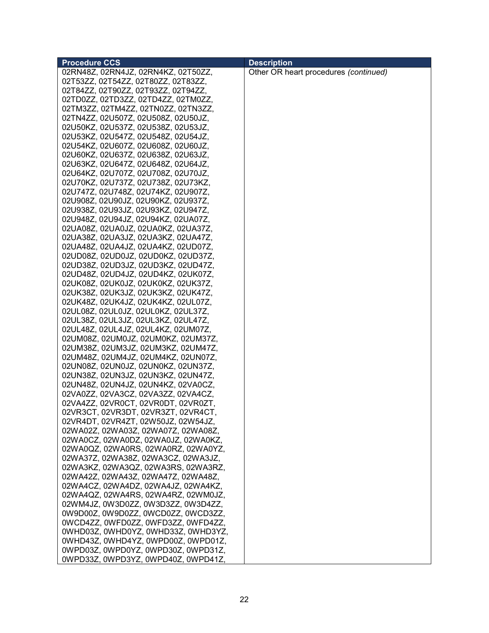| <b>Procedure CCS</b>                | <b>Description</b>                    |
|-------------------------------------|---------------------------------------|
| 02RN48Z, 02RN4JZ, 02RN4KZ, 02T50ZZ, | Other OR heart procedures (continued) |
| 02T53ZZ, 02T54ZZ, 02T80ZZ, 02T83ZZ, |                                       |
| 02T84ZZ, 02T90ZZ, 02T93ZZ, 02T94ZZ, |                                       |
| 02TD0ZZ, 02TD3ZZ, 02TD4ZZ, 02TM0ZZ, |                                       |
| 02TM3ZZ, 02TM4ZZ, 02TN0ZZ, 02TN3ZZ, |                                       |
| 02TN4ZZ, 02U507Z, 02U508Z, 02U50JZ, |                                       |
| 02U50KZ, 02U537Z, 02U538Z, 02U53JZ, |                                       |
| 02U53KZ, 02U547Z, 02U548Z, 02U54JZ, |                                       |
| 02U54KZ, 02U607Z, 02U608Z, 02U60JZ, |                                       |
| 02U60KZ, 02U637Z, 02U638Z, 02U63JZ, |                                       |
| 02U63KZ, 02U647Z, 02U648Z, 02U64JZ, |                                       |
| 02U64KZ, 02U707Z, 02U708Z, 02U70JZ, |                                       |
| 02U70KZ, 02U737Z, 02U738Z, 02U73KZ, |                                       |
| 02U747Z, 02U748Z, 02U74KZ, 02U907Z, |                                       |
| 02U908Z, 02U90JZ, 02U90KZ, 02U937Z, |                                       |
| 02U938Z, 02U93JZ, 02U93KZ, 02U947Z, |                                       |
| 02U948Z, 02U94JZ, 02U94KZ, 02UA07Z, |                                       |
| 02UA08Z, 02UA0JZ, 02UA0KZ, 02UA37Z, |                                       |
| 02UA38Z, 02UA3JZ, 02UA3KZ, 02UA47Z, |                                       |
| 02UA48Z, 02UA4JZ, 02UA4KZ, 02UD07Z, |                                       |
| 02UD08Z, 02UD0JZ, 02UD0KZ, 02UD37Z, |                                       |
| 02UD38Z, 02UD3JZ, 02UD3KZ, 02UD47Z, |                                       |
| 02UD48Z, 02UD4JZ, 02UD4KZ, 02UK07Z, |                                       |
|                                     |                                       |
| 02UK08Z, 02UK0JZ, 02UK0KZ, 02UK37Z, |                                       |
| 02UK38Z, 02UK3JZ, 02UK3KZ, 02UK47Z, |                                       |
| 02UK48Z, 02UK4JZ, 02UK4KZ, 02UL07Z, |                                       |
| 02UL08Z, 02UL0JZ, 02UL0KZ, 02UL37Z, |                                       |
| 02UL38Z, 02UL3JZ, 02UL3KZ, 02UL47Z, |                                       |
| 02UL48Z, 02UL4JZ, 02UL4KZ, 02UM07Z, |                                       |
| 02UM08Z, 02UM0JZ, 02UM0KZ, 02UM37Z, |                                       |
| 02UM38Z, 02UM3JZ, 02UM3KZ, 02UM47Z, |                                       |
| 02UM48Z, 02UM4JZ, 02UM4KZ, 02UN07Z, |                                       |
| 02UN08Z, 02UN0JZ, 02UN0KZ, 02UN37Z, |                                       |
| 02UN38Z, 02UN3JZ, 02UN3KZ, 02UN47Z, |                                       |
| 02UN48Z, 02UN4JZ, 02UN4KZ, 02VA0CZ, |                                       |
| 02VA0ZZ, 02VA3CZ, 02VA3ZZ, 02VA4CZ, |                                       |
| 02VA4ZZ, 02VR0CT, 02VR0DT, 02VR0ZT, |                                       |
| 02VR3CT, 02VR3DT, 02VR3ZT, 02VR4CT, |                                       |
| 02VR4DT, 02VR4ZT, 02W50JZ, 02W54JZ, |                                       |
| 02WA02Z, 02WA03Z, 02WA07Z, 02WA08Z, |                                       |
| 02WA0CZ, 02WA0DZ, 02WA0JZ, 02WA0KZ, |                                       |
| 02WA0QZ, 02WA0RS, 02WA0RZ, 02WA0YZ, |                                       |
| 02WA37Z, 02WA38Z, 02WA3CZ, 02WA3JZ, |                                       |
| 02WA3KZ, 02WA3QZ, 02WA3RS, 02WA3RZ, |                                       |
| 02WA42Z, 02WA43Z, 02WA47Z, 02WA48Z, |                                       |
| 02WA4CZ, 02WA4DZ, 02WA4JZ, 02WA4KZ, |                                       |
| 02WA4QZ, 02WA4RS, 02WA4RZ, 02WM0JZ, |                                       |
| 02WM4JZ, 0W3D0ZZ, 0W3D3ZZ, 0W3D4ZZ, |                                       |
| 0W9D00Z, 0W9D0ZZ, 0WCD0ZZ, 0WCD3ZZ, |                                       |
| 0WCD4ZZ, 0WFD0ZZ, 0WFD3ZZ, 0WFD4ZZ, |                                       |
| 0WHD03Z, 0WHD0YZ, 0WHD33Z, 0WHD3YZ, |                                       |
| 0WHD43Z, 0WHD4YZ, 0WPD00Z, 0WPD01Z, |                                       |
| 0WPD03Z, 0WPD0YZ, 0WPD30Z, 0WPD31Z, |                                       |
| 0WPD33Z, 0WPD3YZ, 0WPD40Z, 0WPD41Z, |                                       |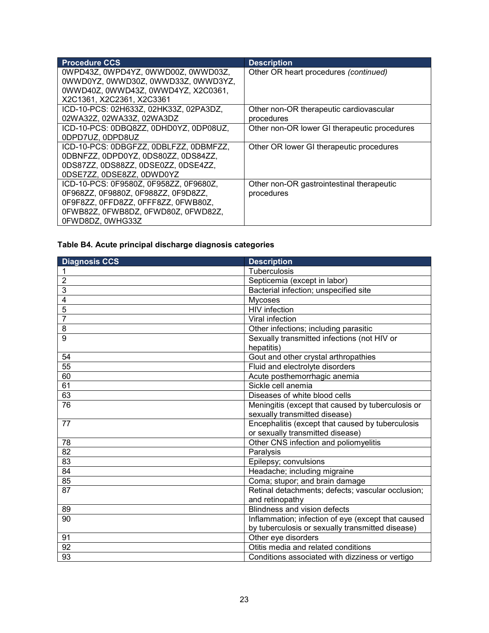| <b>Procedure CCS</b>                   | <b>Description</b>                           |
|----------------------------------------|----------------------------------------------|
| 0WPD43Z, 0WPD4YZ, 0WWD00Z, 0WWD03Z,    | Other OR heart procedures (continued)        |
| 0WWD0YZ, 0WWD30Z, 0WWD33Z, 0WWD3YZ,    |                                              |
| 0WWD40Z, 0WWD43Z, 0WWD4YZ, X2C0361,    |                                              |
| X2C1361, X2C2361, X2C3361              |                                              |
| ICD-10-PCS: 02H633Z, 02HK33Z, 02PA3DZ, | Other non-OR therapeutic cardiovascular      |
| 02WA32Z, 02WA33Z, 02WA3DZ              | procedures                                   |
| ICD-10-PCS: 0DBQ8ZZ, 0DHD0YZ, 0DP08UZ, | Other non-OR lower GI therapeutic procedures |
| 0DPD7UZ, 0DPD8UZ                       |                                              |
| ICD-10-PCS: 0DBGFZZ, 0DBLFZZ, 0DBMFZZ, | Other OR lower GI therapeutic procedures     |
| 0DBNFZZ, 0DPD0YZ, 0DS80ZZ, 0DS84ZZ,    |                                              |
| 0DS87ZZ, 0DS88ZZ, 0DSE0ZZ, 0DSE4ZZ,    |                                              |
| 0DSE7ZZ, 0DSE8ZZ, 0DWD0YZ              |                                              |
| ICD-10-PCS: 0F9580Z, 0F958ZZ, 0F9680Z, | Other non-OR gastrointestinal therapeutic    |
| 0F968ZZ, 0F9880Z, 0F988ZZ, 0F9D8ZZ,    | procedures                                   |
| 0F9F8ZZ, 0FFD8ZZ, 0FFF8ZZ, 0FWB80Z,    |                                              |
| 0FWB82Z, 0FWB8DZ, 0FWD80Z, 0FWD82Z,    |                                              |
| 0FWD8DZ, 0WHG33Z                       |                                              |

# **Table B4. Acute principal discharge diagnosis categories**

| <b>Diagnosis CCS</b> | <b>Description</b>                                        |
|----------------------|-----------------------------------------------------------|
| 1                    | <b>Tuberculosis</b>                                       |
| $\overline{2}$       | Septicemia (except in labor)                              |
| 3                    | Bacterial infection; unspecified site                     |
| $\overline{4}$       | <b>Mycoses</b>                                            |
| 5                    | <b>HIV</b> infection                                      |
| 7                    | Viral infection                                           |
| 8                    | Other infections; including parasitic                     |
| 9                    | Sexually transmitted infections (not HIV or<br>hepatitis) |
| 54                   | Gout and other crystal arthropathies                      |
| 55                   | Fluid and electrolyte disorders                           |
| 60                   | Acute posthemorrhagic anemia                              |
| 61                   | Sickle cell anemia                                        |
| 63                   | Diseases of white blood cells                             |
| 76                   | Meningitis (except that caused by tuberculosis or         |
|                      | sexually transmitted disease)                             |
| 77                   | Encephalitis (except that caused by tuberculosis          |
|                      | or sexually transmitted disease)                          |
| 78                   | Other CNS infection and poliomyelitis                     |
| 82                   | Paralysis                                                 |
| 83                   | Epilepsy; convulsions                                     |
| 84                   | Headache; including migraine                              |
| 85                   | Coma; stupor; and brain damage                            |
| 87                   | Retinal detachments; defects; vascular occlusion;         |
|                      | and retinopathy                                           |
| 89                   | <b>Blindness and vision defects</b>                       |
| 90                   | Inflammation; infection of eye (except that caused        |
|                      | by tuberculosis or sexually transmitted disease)          |
| 91                   | Other eye disorders                                       |
| 92                   | Otitis media and related conditions                       |
| 93                   | Conditions associated with dizziness or vertigo           |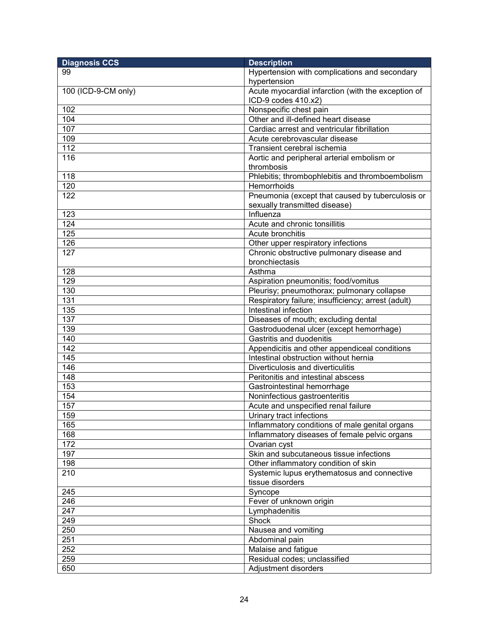| <b>Diagnosis CCS</b> | <b>Description</b>                                 |
|----------------------|----------------------------------------------------|
| 99                   | Hypertension with complications and secondary      |
|                      | hypertension                                       |
| 100 (ICD-9-CM only)  | Acute myocardial infarction (with the exception of |
|                      | ICD-9 codes 410.x2)                                |
| 102                  | Nonspecific chest pain                             |
| 104                  | Other and ill-defined heart disease                |
| 107                  | Cardiac arrest and ventricular fibrillation        |
| 109                  | Acute cerebrovascular disease                      |
| 112                  | Transient cerebral ischemia                        |
| 116                  | Aortic and peripheral arterial embolism or         |
|                      | thrombosis                                         |
| 118                  | Phlebitis; thrombophlebitis and thromboembolism    |
| 120                  | Hemorrhoids                                        |
| 122                  | Pneumonia (except that caused by tuberculosis or   |
|                      | sexually transmitted disease)                      |
| 123                  | Influenza                                          |
| 124                  | Acute and chronic tonsillitis                      |
| 125                  | Acute bronchitis                                   |
| 126                  | Other upper respiratory infections                 |
| 127                  | Chronic obstructive pulmonary disease and          |
|                      | bronchiectasis                                     |
| 128                  | Asthma                                             |
| 129                  | Aspiration pneumonitis; food/vomitus               |
| 130                  | Pleurisy; pneumothorax; pulmonary collapse         |
| 131                  | Respiratory failure; insufficiency; arrest (adult) |
| 135                  | Intestinal infection                               |
| 137                  | Diseases of mouth; excluding dental                |
| 139                  | Gastroduodenal ulcer (except hemorrhage)           |
| 140                  | Gastritis and duodenitis                           |
| 142                  | Appendicitis and other appendiceal conditions      |
| 145                  | Intestinal obstruction without hernia              |
| 146                  | Diverticulosis and diverticulitis                  |
| 148                  | Peritonitis and intestinal abscess                 |
| 153                  | Gastrointestinal hemorrhage                        |
| 154                  | Noninfectious gastroenteritis                      |
| 157                  | Acute and unspecified renal failure                |
| 159                  | Urinary tract infections                           |
| 165                  | Inflammatory conditions of male genital organs     |
| 168                  | Inflammatory diseases of female pelvic organs      |
| 172                  | Ovarian cyst                                       |
| 197                  | Skin and subcutaneous tissue infections            |
| 198                  | Other inflammatory condition of skin               |
| 210                  | Systemic lupus erythematosus and connective        |
|                      | tissue disorders                                   |
| 245                  | Syncope                                            |
| 246                  | Fever of unknown origin                            |
| 247                  | Lymphadenitis                                      |
| 249                  | Shock                                              |
| 250                  | Nausea and vomiting                                |
| 251                  | Abdominal pain                                     |
| 252                  | Malaise and fatigue                                |
| 259                  | Residual codes; unclassified                       |
| 650                  | Adjustment disorders                               |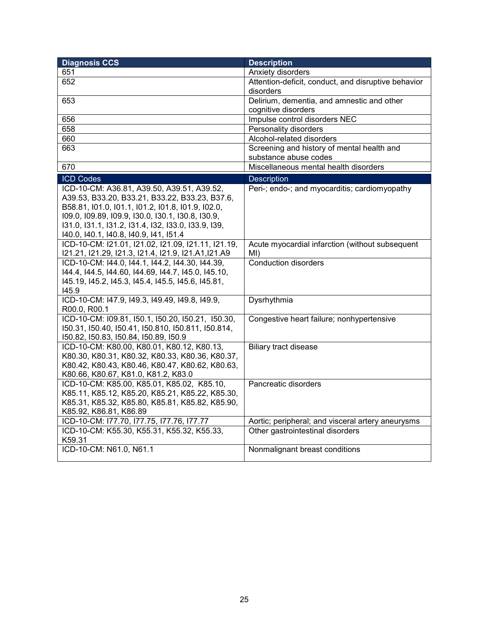| <b>Diagnosis CCS</b>                                    | <b>Description</b>                                  |
|---------------------------------------------------------|-----------------------------------------------------|
| 651                                                     | Anxiety disorders                                   |
| 652                                                     | Attention-deficit, conduct, and disruptive behavior |
|                                                         | disorders                                           |
| 653                                                     | Delirium, dementia, and amnestic and other          |
|                                                         | cognitive disorders                                 |
| 656                                                     | Impulse control disorders NEC                       |
| 658                                                     | Personality disorders                               |
| 660                                                     | Alcohol-related disorders                           |
| 663                                                     | Screening and history of mental health and          |
|                                                         | substance abuse codes                               |
| 670                                                     | Miscellaneous mental health disorders               |
| <b>ICD Codes</b>                                        | Description                                         |
| ICD-10-CM: A36.81, A39.50, A39.51, A39.52,              | Peri-; endo-; and myocarditis; cardiomyopathy       |
| A39.53, B33.20, B33.21, B33.22, B33.23, B37.6,          |                                                     |
| B58.81, I01.0, I01.1, I01.2, I01.8, I01.9, I02.0,       |                                                     |
| 109.0, 109.89, 109.9, 130.0, 130.1, 130.8, 130.9,       |                                                     |
| 131.0, 131.1, 131.2, 131.4, 132, 133.0, 133.9, 139,     |                                                     |
| 140.0, 140.1, 140.8, 140.9, 141, 151.4                  |                                                     |
| ICD-10-CM: I21.01, I21.02, I21.09, I21.11, I21.19,      | Acute myocardial infarction (without subsequent     |
| I21.21, I21.29, I21.3, I21.4, I21.9, I21.A1, I21.A9     | MI)                                                 |
| ICD-10-CM: I44.0, I44.1, I44.2, I44.30, I44.39,         | <b>Conduction disorders</b>                         |
| 144.4, 144.5, 144.60, 144.69, 144.7, 145.0, 145.10,     |                                                     |
| 145.19, 145.2, 145.3, 145.4, 145.5, 145.6, 145.81,      |                                                     |
| 145.9<br>ICD-10-CM: I47.9, I49.3, I49.49, I49.8, I49.9, |                                                     |
| R00.0, R00.1                                            | Dysrhythmia                                         |
| ICD-10-CM: I09.81, I50.1, I50.20, I50.21, I50.30,       | Congestive heart failure; nonhypertensive           |
| 150.31, 150.40, 150.41, 150.810, 150.811, 150.814,      |                                                     |
| 150.82, 150.83, 150.84, 150.89, 150.9                   |                                                     |
| ICD-10-CM: K80.00, K80.01, K80.12, K80.13,              | <b>Biliary tract disease</b>                        |
| K80.30, K80.31, K80.32, K80.33, K80.36, K80.37,         |                                                     |
| K80.42, K80.43, K80.46, K80.47, K80.62, K80.63,         |                                                     |
| K80.66, K80.67, K81.0, K81.2, K83.0                     |                                                     |
| ICD-10-CM: K85.00, K85.01, K85.02, K85.10,              | Pancreatic disorders                                |
| K85.11, K85.12, K85.20, K85.21, K85.22, K85.30,         |                                                     |
| K85.31, K85.32, K85.80, K85.81, K85.82, K85.90,         |                                                     |
| K85.92, K86.81, K86.89                                  |                                                     |
| ICD-10-CM: I77.70, I77.75, I77.76, I77.77               | Aortic; peripheral; and visceral artery aneurysms   |
| ICD-10-CM: K55.30, K55.31, K55.32, K55.33,              | Other gastrointestinal disorders                    |
| K59.31                                                  |                                                     |
| ICD-10-CM: N61.0, N61.1                                 | Nonmalignant breast conditions                      |
|                                                         |                                                     |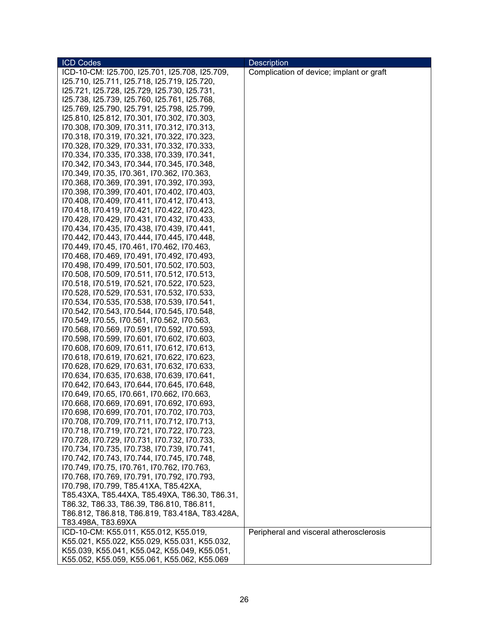| <b>ICD Codes</b>                                                                            | <b>Description</b>                       |
|---------------------------------------------------------------------------------------------|------------------------------------------|
| ICD-10-CM: I25.700, I25.701, I25.708, I25.709,                                              | Complication of device; implant or graft |
| 125.710, 125.711, 125.718, 125.719, 125.720,                                                |                                          |
| 125.721, 125.728, 125.729, 125.730, 125.731,                                                |                                          |
| 125.738, 125.739, 125.760, 125.761, 125.768,                                                |                                          |
| 125.769, 125.790, 125.791, 125.798, 125.799,                                                |                                          |
| 125.810, 125.812, 170.301, 170.302, 170.303,                                                |                                          |
| 170.308, 170.309, 170.311, 170.312, 170.313,                                                |                                          |
| 170.318, 170.319, 170.321, 170.322, 170.323,                                                |                                          |
| 170.328, 170.329, 170.331, 170.332, 170.333,                                                |                                          |
|                                                                                             |                                          |
| 170.334, 170.335, 170.338, 170.339, 170.341,                                                |                                          |
| 170.342, 170.343, 170.344, 170.345, 170.348,                                                |                                          |
| 170.349, 170.35, 170.361, 170.362, 170.363,                                                 |                                          |
| 170.368, 170.369, 170.391, 170.392, 170.393,                                                |                                          |
| 170.398, 170.399, 170.401, 170.402, 170.403,                                                |                                          |
| 170.408, 170.409, 170.411, 170.412, 170.413,                                                |                                          |
| 170.418, 170.419, 170.421, 170.422, 170.423,                                                |                                          |
| 170.428, 170.429, 170.431, 170.432, 170.433,                                                |                                          |
| 170.434, 170.435, 170.438, 170.439, 170.441,                                                |                                          |
| 170.442, 170.443, 170.444, 170.445, 170.448,                                                |                                          |
| 170.449, 170.45, 170.461, 170.462, 170.463,                                                 |                                          |
| 170.468, 170.469, 170.491, 170.492, 170.493,                                                |                                          |
| 170.498, 170.499, 170.501, 170.502, 170.503,                                                |                                          |
| 170.508, 170.509, 170.511, 170.512, 170.513,                                                |                                          |
| 170.518, 170.519, 170.521, 170.522, 170.523,                                                |                                          |
| 170.528, 170.529, 170.531, 170.532, 170.533,                                                |                                          |
| 170.534, 170.535, 170.538, 170.539, 170.541,                                                |                                          |
| 170.542, 170.543, 170.544, 170.545, 170.548,                                                |                                          |
| I70.549, I70.55, I70.561, I70.562, I70.563,                                                 |                                          |
| 170.568, 170.569, 170.591, 170.592, 170.593,                                                |                                          |
| 170.598, 170.599, 170.601, 170.602, 170.603,                                                |                                          |
| 170.608, 170.609, 170.611, 170.612, 170.613,                                                |                                          |
| 170.618, 170.619, 170.621, 170.622, 170.623,                                                |                                          |
| 170.628, 170.629, 170.631, 170.632, 170.633,                                                |                                          |
| 170.634, 170.635, 170.638, 170.639, 170.641,                                                |                                          |
| 170.642, 170.643, 170.644, 170.645, 170.648,                                                |                                          |
| 170.649, 170.65, 170.661, 170.662, 170.663,                                                 |                                          |
| 170.668, 170.669, 170.691, 170.692, 170.693,                                                |                                          |
| 170.698, 170.699, 170.701, 170.702, 170.703,                                                |                                          |
| 170.708, 170.709, 170.711, 170.712, 170.713,                                                |                                          |
| 170.718, 170.719, 170.721, 170.722, 170.723,                                                |                                          |
| I70.728, I70.729, I70.731, I70.732, I70.733,                                                |                                          |
| I70.734, I70.735, I70.738, I70.739, I70.741,                                                |                                          |
| 170.742, 170.743, 170.744, 170.745, 170.748,                                                |                                          |
|                                                                                             |                                          |
| 170.749, 170.75, 170.761, 170.762, 170.763,<br>170.768, 170.769, 170.791, 170.792, 170.793, |                                          |
|                                                                                             |                                          |
| I70.798, I70.799, T85.41XA, T85.42XA,                                                       |                                          |
| T85.43XA, T85.44XA, T85.49XA, T86.30, T86.31,                                               |                                          |
| T86.32, T86.33, T86.39, T86.810, T86.811,                                                   |                                          |
| T86.812, T86.818, T86.819, T83.418A, T83.428A,                                              |                                          |
| T83.498A, T83.69XA                                                                          |                                          |
| ICD-10-CM: K55.011, K55.012, K55.019,                                                       | Peripheral and visceral atherosclerosis  |
| K55.021, K55.022, K55.029, K55.031, K55.032,                                                |                                          |
| K55.039, K55.041, K55.042, K55.049, K55.051,                                                |                                          |
| K55.052, K55.059, K55.061, K55.062, K55.069                                                 |                                          |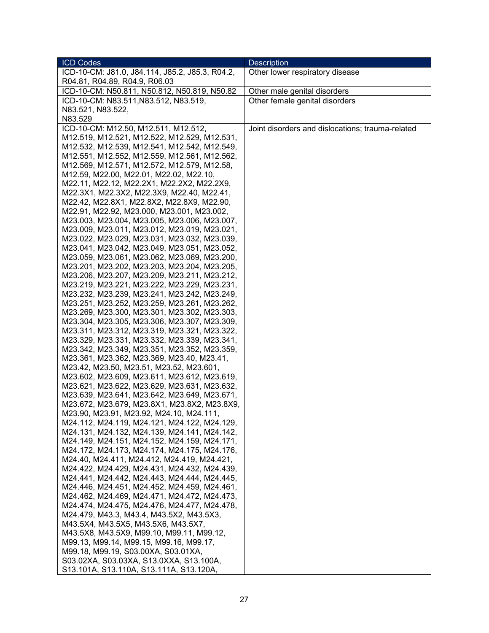| <b>ICD Codes</b>                                                                             | <b>Description</b>                               |
|----------------------------------------------------------------------------------------------|--------------------------------------------------|
| ICD-10-CM: J81.0, J84.114, J85.2, J85.3, R04.2,                                              | Other lower respiratory disease                  |
| R04.81, R04.89, R04.9, R06.03                                                                |                                                  |
| ICD-10-CM: N50.811, N50.812, N50.819, N50.82                                                 | Other male genital disorders                     |
| ICD-10-CM: N83.511, N83.512, N83.519,                                                        | Other female genital disorders                   |
| N83.521, N83.522,                                                                            |                                                  |
| N83.529                                                                                      |                                                  |
| ICD-10-CM: M12.50, M12.511, M12.512,                                                         | Joint disorders and dislocations; trauma-related |
| M12.519, M12.521, M12.522, M12.529, M12.531,                                                 |                                                  |
| M12.532, M12.539, M12.541, M12.542, M12.549,                                                 |                                                  |
| M12.551, M12.552, M12.559, M12.561, M12.562,                                                 |                                                  |
| M12.569, M12.571, M12.572, M12.579, M12.58,                                                  |                                                  |
| M12.59, M22.00, M22.01, M22.02, M22.10,                                                      |                                                  |
| M22.11, M22.12, M22.2X1, M22.2X2, M22.2X9,                                                   |                                                  |
| M22.3X1, M22.3X2, M22.3X9, M22.40, M22.41,                                                   |                                                  |
| M22.42, M22.8X1, M22.8X2, M22.8X9, M22.90,                                                   |                                                  |
| M22.91, M22.92, M23.000, M23.001, M23.002,                                                   |                                                  |
| M23.003, M23.004, M23.005, M23.006, M23.007,                                                 |                                                  |
| M23.009, M23.011, M23.012, M23.019, M23.021,                                                 |                                                  |
| M23.022, M23.029, M23.031, M23.032, M23.039,                                                 |                                                  |
| M23.041, M23.042, M23.049, M23.051, M23.052,                                                 |                                                  |
| M23.059, M23.061, M23.062, M23.069, M23.200,                                                 |                                                  |
| M23.201, M23.202, M23.203, M23.204, M23.205,                                                 |                                                  |
| M23.206, M23.207, M23.209, M23.211, M23.212,                                                 |                                                  |
| M23.219, M23.221, M23.222, M23.229, M23.231,                                                 |                                                  |
| M23.232, M23.239, M23.241, M23.242, M23.249,<br>M23.251, M23.252, M23.259, M23.261, M23.262, |                                                  |
| M23.269, M23.300, M23.301, M23.302, M23.303,                                                 |                                                  |
| M23.304, M23.305, M23.306, M23.307, M23.309,                                                 |                                                  |
| M23.311, M23.312, M23.319, M23.321, M23.322,                                                 |                                                  |
| M23.329, M23.331, M23.332, M23.339, M23.341,                                                 |                                                  |
| M23.342, M23.349, M23.351, M23.352, M23.359,                                                 |                                                  |
| M23.361, M23.362, M23.369, M23.40, M23.41,                                                   |                                                  |
| M23.42, M23.50, M23.51, M23.52, M23.601,                                                     |                                                  |
| M23.602, M23.609, M23.611, M23.612, M23.619,                                                 |                                                  |
| M23.621, M23.622, M23.629, M23.631, M23.632,                                                 |                                                  |
| M23.639, M23.641, M23.642, M23.649, M23.671,                                                 |                                                  |
| M23.672, M23.679, M23.8X1, M23.8X2, M23.8X9,                                                 |                                                  |
| M23.90, M23.91, M23.92, M24.10, M24.111,                                                     |                                                  |
| M24.112, M24.119, M24.121, M24.122, M24.129,                                                 |                                                  |
| M24.131, M24.132, M24.139, M24.141, M24.142,                                                 |                                                  |
| M24.149, M24.151, M24.152, M24.159, M24.171,                                                 |                                                  |
| M24.172, M24.173, M24.174, M24.175, M24.176,                                                 |                                                  |
| M24.40, M24.411, M24.412, M24.419, M24.421,                                                  |                                                  |
| M24.422, M24.429, M24.431, M24.432, M24.439,                                                 |                                                  |
| M24.441, M24.442, M24.443, M24.444, M24.445,                                                 |                                                  |
| M24.446, M24.451, M24.452, M24.459, M24.461,                                                 |                                                  |
| M24.462, M24.469, M24.471, M24.472, M24.473,                                                 |                                                  |
| M24.474, M24.475, M24.476, M24.477, M24.478,                                                 |                                                  |
| M24.479, M43.3, M43.4, M43.5X2, M43.5X3,                                                     |                                                  |
| M43.5X4, M43.5X5, M43.5X6, M43.5X7,                                                          |                                                  |
| M43.5X8, M43.5X9, M99.10, M99.11, M99.12,                                                    |                                                  |
| M99.13, M99.14, M99.15, M99.16, M99.17,                                                      |                                                  |
| M99.18, M99.19, S03.00XA, S03.01XA,                                                          |                                                  |
| S03.02XA, S03.03XA, S13.0XXA, S13.100A,                                                      |                                                  |
| S13.101A, S13.110A, S13.111A, S13.120A,                                                      |                                                  |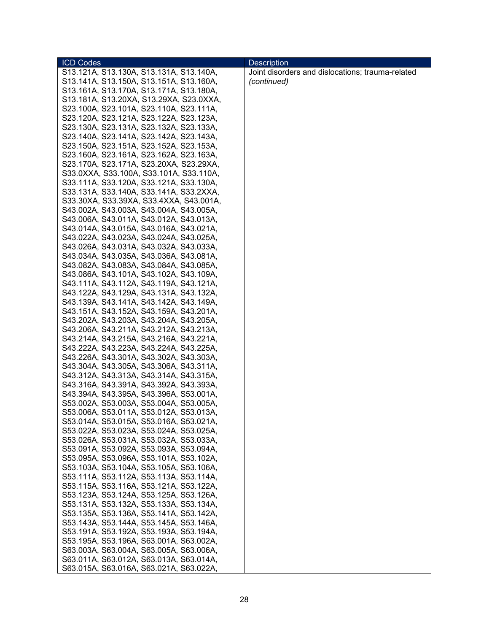| <b>ICD Codes</b>                        | <b>Description</b>                               |
|-----------------------------------------|--------------------------------------------------|
| S13.121A, S13.130A, S13.131A, S13.140A, | Joint disorders and dislocations; trauma-related |
| S13.141A, S13.150A, S13.151A, S13.160A, | (continued)                                      |
| S13.161A, S13.170A, S13.171A, S13.180A, |                                                  |
| S13.181A, S13.20XA, S13.29XA, S23.0XXA, |                                                  |
| S23.100A, S23.101A, S23.110A, S23.111A, |                                                  |
| S23.120A, S23.121A, S23.122A, S23.123A, |                                                  |
|                                         |                                                  |
| S23.130A, S23.131A, S23.132A, S23.133A, |                                                  |
| S23.140A, S23.141A, S23.142A, S23.143A, |                                                  |
| S23.150A, S23.151A, S23.152A, S23.153A, |                                                  |
| S23.160A, S23.161A, S23.162A, S23.163A, |                                                  |
| S23.170A, S23.171A, S23.20XA, S23.29XA, |                                                  |
| S33.0XXA, S33.100A, S33.101A, S33.110A, |                                                  |
| S33.111A, S33.120A, S33.121A, S33.130A, |                                                  |
| S33.131A, S33.140A, S33.141A, S33.2XXA, |                                                  |
| S33.30XA, S33.39XA, S33.4XXA, S43.001A, |                                                  |
| S43.002A, S43.003A, S43.004A, S43.005A, |                                                  |
| S43.006A, S43.011A, S43.012A, S43.013A, |                                                  |
| S43.014A, S43.015A, S43.016A, S43.021A, |                                                  |
| S43.022A, S43.023A, S43.024A, S43.025A, |                                                  |
| S43.026A, S43.031A, S43.032A, S43.033A, |                                                  |
| S43.034A, S43.035A, S43.036A, S43.081A, |                                                  |
| S43.082A, S43.083A, S43.084A, S43.085A, |                                                  |
|                                         |                                                  |
| S43.086A, S43.101A, S43.102A, S43.109A, |                                                  |
| S43.111A, S43.112A, S43.119A, S43.121A, |                                                  |
| S43.122A, S43.129A, S43.131A, S43.132A, |                                                  |
| S43.139A, S43.141A, S43.142A, S43.149A, |                                                  |
| S43.151A, S43.152A, S43.159A, S43.201A, |                                                  |
| S43.202A, S43.203A, S43.204A, S43.205A, |                                                  |
| S43.206A, S43.211A, S43.212A, S43.213A, |                                                  |
| S43.214A, S43.215A, S43.216A, S43.221A, |                                                  |
| S43.222A, S43.223A, S43.224A, S43.225A, |                                                  |
| S43.226A, S43.301A, S43.302A, S43.303A, |                                                  |
| S43.304A, S43.305A, S43.306A, S43.311A, |                                                  |
| S43.312A, S43.313A, S43.314A, S43.315A, |                                                  |
| S43.316A, S43.391A, S43.392A, S43.393A, |                                                  |
| S43.394A, S43.395A, S43.396A, S53.001A, |                                                  |
| S53.002A, S53.003A, S53.004A, S53.005A, |                                                  |
| S53.006A, S53.011A, S53.012A, S53.013A, |                                                  |
| S53.014A, S53.015A, S53.016A, S53.021A, |                                                  |
| S53.022A, S53.023A, S53.024A, S53.025A, |                                                  |
| S53.026A, S53.031A, S53.032A, S53.033A, |                                                  |
| S53.091A, S53.092A, S53.093A, S53.094A, |                                                  |
|                                         |                                                  |
| S53.095A, S53.096A, S53.101A, S53.102A, |                                                  |
| S53.103A, S53.104A, S53.105A, S53.106A, |                                                  |
| S53.111A, S53.112A, S53.113A, S53.114A, |                                                  |
| S53.115A, S53.116A, S53.121A, S53.122A, |                                                  |
| S53.123A, S53.124A, S53.125A, S53.126A, |                                                  |
| S53.131A, S53.132A, S53.133A, S53.134A, |                                                  |
| S53.135A, S53.136A, S53.141A, S53.142A, |                                                  |
| S53.143A, S53.144A, S53.145A, S53.146A, |                                                  |
| S53.191A, S53.192A, S53.193A, S53.194A, |                                                  |
| S53.195A, S53.196A, S63.001A, S63.002A, |                                                  |
| S63.003A, S63.004A, S63.005A, S63.006A, |                                                  |
| S63.011A, S63.012A, S63.013A, S63.014A, |                                                  |
| S63.015A, S63.016A, S63.021A, S63.022A, |                                                  |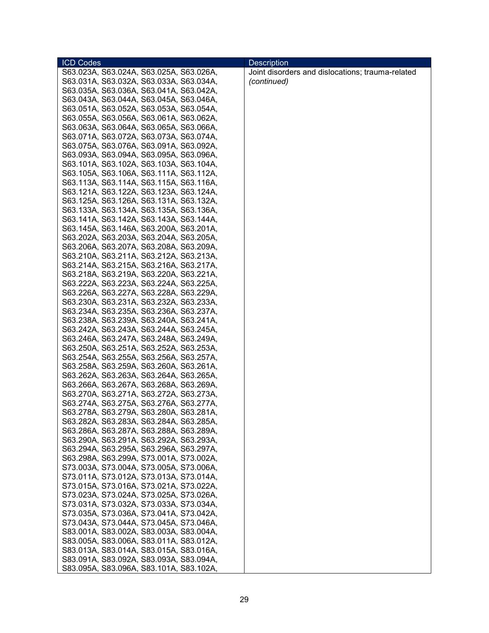| <b>ICD Codes</b>                        | <b>Description</b>                               |
|-----------------------------------------|--------------------------------------------------|
| S63.023A, S63.024A, S63.025A, S63.026A, | Joint disorders and dislocations; trauma-related |
| S63.031A, S63.032A, S63.033A, S63.034A, | (continued)                                      |
| S63.035A, S63.036A, S63.041A, S63.042A, |                                                  |
| S63.043A, S63.044A, S63.045A, S63.046A, |                                                  |
| S63.051A, S63.052A, S63.053A, S63.054A, |                                                  |
| S63.055A, S63.056A, S63.061A, S63.062A, |                                                  |
| S63.063A, S63.064A, S63.065A, S63.066A, |                                                  |
| S63.071A, S63.072A, S63.073A, S63.074A, |                                                  |
| S63.075A, S63.076A, S63.091A, S63.092A, |                                                  |
| S63.093A, S63.094A, S63.095A, S63.096A, |                                                  |
| S63.101A, S63.102A, S63.103A, S63.104A, |                                                  |
| S63.105A, S63.106A, S63.111A, S63.112A, |                                                  |
| S63.113A, S63.114A, S63.115A, S63.116A, |                                                  |
| S63.121A, S63.122A, S63.123A, S63.124A, |                                                  |
| S63.125A, S63.126A, S63.131A, S63.132A, |                                                  |
| S63.133A, S63.134A, S63.135A, S63.136A, |                                                  |
| S63.141A, S63.142A, S63.143A, S63.144A, |                                                  |
| S63.145A, S63.146A, S63.200A, S63.201A, |                                                  |
| S63.202A, S63.203A, S63.204A, S63.205A, |                                                  |
| S63.206A, S63.207A, S63.208A, S63.209A, |                                                  |
| S63.210A, S63.211A, S63.212A, S63.213A, |                                                  |
| S63.214A, S63.215A, S63.216A, S63.217A, |                                                  |
| S63.218A, S63.219A, S63.220A, S63.221A, |                                                  |
| S63.222A, S63.223A, S63.224A, S63.225A, |                                                  |
| S63.226A, S63.227A, S63.228A, S63.229A, |                                                  |
| S63.230A, S63.231A, S63.232A, S63.233A, |                                                  |
| S63.234A, S63.235A, S63.236A, S63.237A, |                                                  |
| S63.238A, S63.239A, S63.240A, S63.241A, |                                                  |
| S63.242A, S63.243A, S63.244A, S63.245A, |                                                  |
| S63.246A, S63.247A, S63.248A, S63.249A, |                                                  |
| S63.250A, S63.251A, S63.252A, S63.253A, |                                                  |
| S63.254A, S63.255A, S63.256A, S63.257A, |                                                  |
| S63.258A, S63.259A, S63.260A, S63.261A, |                                                  |
| S63.262A, S63.263A, S63.264A, S63.265A, |                                                  |
| S63.266A, S63.267A, S63.268A, S63.269A, |                                                  |
| S63.270A, S63.271A, S63.272A, S63.273A, |                                                  |
| S63.274A, S63.275A, S63.276A, S63.277A, |                                                  |
| S63.278A, S63.279A, S63.280A, S63.281A, |                                                  |
| S63.282A, S63.283A, S63.284A, S63.285A, |                                                  |
| S63.286A, S63.287A, S63.288A, S63.289A, |                                                  |
| S63.290A, S63.291A, S63.292A, S63.293A, |                                                  |
| S63.294A, S63.295A, S63.296A, S63.297A, |                                                  |
| S63.298A, S63.299A, S73.001A, S73.002A, |                                                  |
| S73.003A, S73.004A, S73.005A, S73.006A, |                                                  |
| S73.011A, S73.012A, S73.013A, S73.014A, |                                                  |
| S73.015A, S73.016A, S73.021A, S73.022A, |                                                  |
| S73.023A, S73.024A, S73.025A, S73.026A, |                                                  |
| S73.031A, S73.032A, S73.033A, S73.034A, |                                                  |
| S73.035A, S73.036A, S73.041A, S73.042A, |                                                  |
| S73.043A, S73.044A, S73.045A, S73.046A, |                                                  |
| S83.001A, S83.002A, S83.003A, S83.004A, |                                                  |
| S83.005A, S83.006A, S83.011A, S83.012A, |                                                  |
| S83.013A, S83.014A, S83.015A, S83.016A, |                                                  |
| S83.091A, S83.092A, S83.093A, S83.094A, |                                                  |
| S83.095A, S83.096A, S83.101A, S83.102A, |                                                  |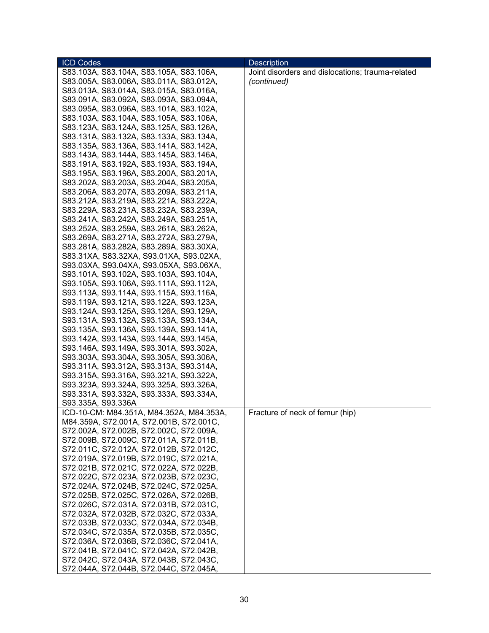| <b>ICD Codes</b>                         | <b>Description</b>                               |
|------------------------------------------|--------------------------------------------------|
| S83.103A, S83.104A, S83.105A, S83.106A,  | Joint disorders and dislocations; trauma-related |
| S83.005A, S83.006A, S83.011A, S83.012A,  | (continued)                                      |
| S83.013A, S83.014A, S83.015A, S83.016A,  |                                                  |
| S83.091A, S83.092A, S83.093A, S83.094A,  |                                                  |
| S83.095A, S83.096A, S83.101A, S83.102A,  |                                                  |
| S83.103A, S83.104A, S83.105A, S83.106A,  |                                                  |
| S83.123A, S83.124A, S83.125A, S83.126A,  |                                                  |
| S83.131A, S83.132A, S83.133A, S83.134A,  |                                                  |
| S83.135A, S83.136A, S83.141A, S83.142A,  |                                                  |
| S83.143A, S83.144A, S83.145A, S83.146A,  |                                                  |
| S83.191A, S83.192A, S83.193A, S83.194A,  |                                                  |
| S83.195A, S83.196A, S83.200A, S83.201A,  |                                                  |
| S83.202A, S83.203A, S83.204A, S83.205A,  |                                                  |
|                                          |                                                  |
| S83.206A, S83.207A, S83.209A, S83.211A,  |                                                  |
| S83.212A, S83.219A, S83.221A, S83.222A,  |                                                  |
| S83.229A, S83.231A, S83.232A, S83.239A,  |                                                  |
| S83.241A, S83.242A, S83.249A, S83.251A,  |                                                  |
| S83.252A, S83.259A, S83.261A, S83.262A,  |                                                  |
| S83.269A, S83.271A, S83.272A, S83.279A,  |                                                  |
| S83.281A, S83.282A, S83.289A, S83.30XA,  |                                                  |
| S83.31XA, S83.32XA, S93.01XA, S93.02XA,  |                                                  |
| S93.03XA, S93.04XA, S93.05XA, S93.06XA,  |                                                  |
| S93.101A, S93.102A, S93.103A, S93.104A,  |                                                  |
| S93.105A, S93.106A, S93.111A, S93.112A,  |                                                  |
| S93.113A, S93.114A, S93.115A, S93.116A,  |                                                  |
| S93.119A, S93.121A, S93.122A, S93.123A,  |                                                  |
| S93.124A, S93.125A, S93.126A, S93.129A,  |                                                  |
| S93.131A, S93.132A, S93.133A, S93.134A,  |                                                  |
| S93.135A, S93.136A, S93.139A, S93.141A,  |                                                  |
| S93.142A, S93.143A, S93.144A, S93.145A,  |                                                  |
| S93.146A, S93.149A, S93.301A, S93.302A,  |                                                  |
| S93.303A, S93.304A, S93.305A, S93.306A,  |                                                  |
| S93.311A, S93.312A, S93.313A, S93.314A,  |                                                  |
| S93.315A, S93.316A, S93.321A, S93.322A,  |                                                  |
| S93.323A, S93.324A, S93.325A, S93.326A,  |                                                  |
| S93.331A, S93.332A, S93.333A, S93.334A,  |                                                  |
| S93.335A, S93.336A                       |                                                  |
| ICD-10-CM: M84.351A, M84.352A, M84.353A, | Fracture of neck of femur (hip)                  |
| M84.359A, S72.001A, S72.001B, S72.001C,  |                                                  |
| S72.002A, S72.002B, S72.002C, S72.009A,  |                                                  |
| S72.009B, S72.009C, S72.011A, S72.011B,  |                                                  |
| S72.011C, S72.012A, S72.012B, S72.012C,  |                                                  |
| S72.019A, S72.019B, S72.019C, S72.021A,  |                                                  |
| S72.021B, S72.021C, S72.022A, S72.022B,  |                                                  |
| S72.022C, S72.023A, S72.023B, S72.023C,  |                                                  |
| S72.024A, S72.024B, S72.024C, S72.025A,  |                                                  |
| S72.025B, S72.025C, S72.026A, S72.026B,  |                                                  |
| S72.026C, S72.031A, S72.031B, S72.031C,  |                                                  |
| S72.032A, S72.032B, S72.032C, S72.033A,  |                                                  |
| S72.033B, S72.033C, S72.034A, S72.034B,  |                                                  |
| S72.034C, S72.035A, S72.035B, S72.035C,  |                                                  |
| S72.036A, S72.036B, S72.036C, S72.041A,  |                                                  |
| S72.041B, S72.041C, S72.042A, S72.042B,  |                                                  |
| S72.042C, S72.043A, S72.043B, S72.043C,  |                                                  |
| S72.044A, S72.044B, S72.044C, S72.045A,  |                                                  |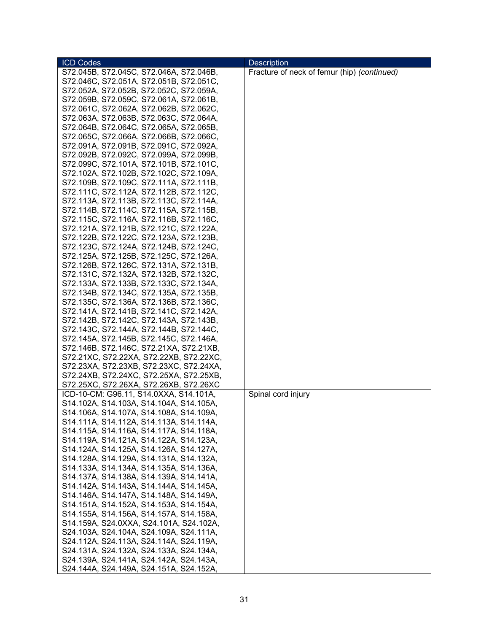| <b>ICD Codes</b>                        | <b>Description</b>                          |
|-----------------------------------------|---------------------------------------------|
| S72.045B, S72.045C, S72.046A, S72.046B, | Fracture of neck of femur (hip) (continued) |
| S72.046C, S72.051A, S72.051B, S72.051C, |                                             |
| S72.052A, S72.052B, S72.052C, S72.059A, |                                             |
| S72.059B, S72.059C, S72.061A, S72.061B, |                                             |
| S72.061C, S72.062A, S72.062B, S72.062C, |                                             |
| S72.063A, S72.063B, S72.063C, S72.064A, |                                             |
| S72.064B, S72.064C, S72.065A, S72.065B, |                                             |
| S72.065C, S72.066A, S72.066B, S72.066C, |                                             |
| S72.091A, S72.091B, S72.091C, S72.092A, |                                             |
| S72.092B, S72.092C, S72.099A, S72.099B, |                                             |
| S72.099C, S72.101A, S72.101B, S72.101C, |                                             |
| S72.102A, S72.102B, S72.102C, S72.109A, |                                             |
| S72.109B, S72.109C, S72.111A, S72.111B, |                                             |
| S72.111C, S72.112A, S72.112B, S72.112C, |                                             |
| S72.113A, S72.113B, S72.113C, S72.114A, |                                             |
| S72.114B, S72.114C, S72.115A, S72.115B, |                                             |
| S72.115C, S72.116A, S72.116B, S72.116C, |                                             |
| S72.121A, S72.121B, S72.121C, S72.122A, |                                             |
| S72.122B, S72.122C, S72.123A, S72.123B, |                                             |
| S72.123C, S72.124A, S72.124B, S72.124C, |                                             |
| S72.125A, S72.125B, S72.125C, S72.126A, |                                             |
| S72.126B, S72.126C, S72.131A, S72.131B, |                                             |
| S72.131C, S72.132A, S72.132B, S72.132C, |                                             |
| S72.133A, S72.133B, S72.133C, S72.134A, |                                             |
| S72.134B, S72.134C, S72.135A, S72.135B, |                                             |
| S72.135C, S72.136A, S72.136B, S72.136C, |                                             |
| S72.141A, S72.141B, S72.141C, S72.142A, |                                             |
| S72.142B, S72.142C, S72.143A, S72.143B, |                                             |
| S72.143C, S72.144A, S72.144B, S72.144C, |                                             |
| S72.145A, S72.145B, S72.145C, S72.146A, |                                             |
| S72.146B, S72.146C, S72.21XA, S72.21XB, |                                             |
| S72.21XC, S72.22XA, S72.22XB, S72.22XC, |                                             |
| S72.23XA, S72.23XB, S72.23XC, S72.24XA, |                                             |
| S72.24XB, S72.24XC, S72.25XA, S72.25XB, |                                             |
| S72.25XC, S72.26XA, S72.26XB, S72.26XC  |                                             |
| ICD-10-CM: G96.11, S14.0XXA, S14.101A,  | Spinal cord injury                          |
| S14.102A, S14.103A, S14.104A, S14.105A, |                                             |
| S14.106A, S14.107A, S14.108A, S14.109A, |                                             |
| S14.111A, S14.112A, S14.113A, S14.114A, |                                             |
| S14.115A, S14.116A, S14.117A, S14.118A, |                                             |
| S14.119A, S14.121A, S14.122A, S14.123A, |                                             |
| S14.124A, S14.125A, S14.126A, S14.127A, |                                             |
| S14.128A, S14.129A, S14.131A, S14.132A, |                                             |
| S14.133A, S14.134A, S14.135A, S14.136A, |                                             |
| S14.137A, S14.138A, S14.139A, S14.141A, |                                             |
| S14.142A, S14.143A, S14.144A, S14.145A, |                                             |
| S14.146A, S14.147A, S14.148A, S14.149A, |                                             |
| S14.151A, S14.152A, S14.153A, S14.154A, |                                             |
| S14.155A, S14.156A, S14.157A, S14.158A, |                                             |
| S14.159A, S24.0XXA, S24.101A, S24.102A, |                                             |
| S24.103A, S24.104A, S24.109A, S24.111A, |                                             |
| S24.112A, S24.113A, S24.114A, S24.119A, |                                             |
| S24.131A, S24.132A, S24.133A, S24.134A, |                                             |
| S24.139A, S24.141A, S24.142A, S24.143A, |                                             |
| S24.144A, S24.149A, S24.151A, S24.152A, |                                             |
|                                         |                                             |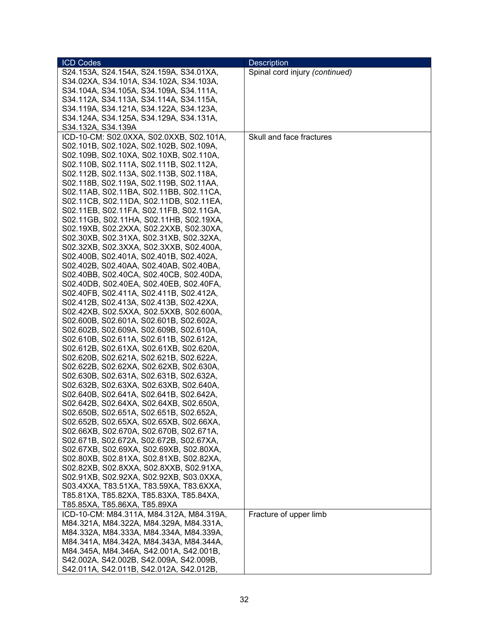| <b>ICD Codes</b>                         | <b>Description</b>             |
|------------------------------------------|--------------------------------|
| S24.153A, S24.154A, S24.159A, S34.01XA,  | Spinal cord injury (continued) |
| S34.02XA, S34.101A, S34.102A, S34.103A,  |                                |
| S34.104A, S34.105A, S34.109A, S34.111A,  |                                |
| S34.112A, S34.113A, S34.114A, S34.115A,  |                                |
| S34.119A, S34.121A, S34.122A, S34.123A,  |                                |
| S34.124A, S34.125A, S34.129A, S34.131A,  |                                |
| S34.132A, S34.139A                       |                                |
| ICD-10-CM: S02.0XXA, S02.0XXB, S02.101A, | Skull and face fractures       |
| S02.101B, S02.102A, S02.102B, S02.109A,  |                                |
| S02.109B, S02.10XA, S02.10XB, S02.110A,  |                                |
| S02.110B, S02.111A, S02.111B, S02.112A,  |                                |
| S02.112B, S02.113A, S02.113B, S02.118A,  |                                |
| S02.118B, S02.119A, S02.119B, S02.11AA,  |                                |
| S02.11AB, S02.11BA, S02.11BB, S02.11CA,  |                                |
| S02.11CB, S02.11DA, S02.11DB, S02.11EA,  |                                |
| S02.11EB, S02.11FA, S02.11FB, S02.11GA,  |                                |
| S02.11GB, S02.11HA, S02.11HB, S02.19XA,  |                                |
| S02.19XB, S02.2XXA, S02.2XXB, S02.30XA,  |                                |
| S02.30XB, S02.31XA, S02.31XB, S02.32XA,  |                                |
| S02.32XB, S02.3XXA, S02.3XXB, S02.400A,  |                                |
| S02.400B, S02.401A, S02.401B, S02.402A,  |                                |
| S02.402B, S02.40AA, S02.40AB, S02.40BA,  |                                |
| S02.40BB, S02.40CA, S02.40CB, S02.40DA,  |                                |
| S02.40DB, S02.40EA, S02.40EB, S02.40FA,  |                                |
| S02.40FB, S02.411A, S02.411B, S02.412A,  |                                |
| S02.412B, S02.413A, S02.413B, S02.42XA,  |                                |
| S02.42XB, S02.5XXA, S02.5XXB, S02.600A,  |                                |
| S02.600B, S02.601A, S02.601B, S02.602A,  |                                |
| S02.602B, S02.609A, S02.609B, S02.610A,  |                                |
| S02.610B, S02.611A, S02.611B, S02.612A,  |                                |
| S02.612B, S02.61XA, S02.61XB, S02.620A,  |                                |
| S02.620B, S02.621A, S02.621B, S02.622A,  |                                |
| S02.622B, S02.62XA, S02.62XB, S02.630A,  |                                |
| S02.630B, S02.631A, S02.631B, S02.632A,  |                                |
| S02.632B, S02.63XA, S02.63XB, S02.640A,  |                                |
| S02.640B, S02.641A, S02.641B, S02.642A,  |                                |
| S02.642B, S02.64XA, S02.64XB, S02.650A,  |                                |
| S02.650B, S02.651A, S02.651B, S02.652A,  |                                |
| S02.652B, S02.65XA, S02.65XB, S02.66XA,  |                                |
| S02.66XB, S02.670A, S02.670B, S02.671A,  |                                |
| S02.671B, S02.672A, S02.672B, S02.67XA,  |                                |
| S02.67XB, S02.69XA, S02.69XB, S02.80XA,  |                                |
| S02.80XB, S02.81XA, S02.81XB, S02.82XA,  |                                |
| S02.82XB, S02.8XXA, S02.8XXB, S02.91XA,  |                                |
| S02.91XB, S02.92XA, S02.92XB, S03.0XXA,  |                                |
| S03.4XXA, T83.51XA, T83.59XA, T83.6XXA,  |                                |
| T85.81XA, T85.82XA, T85.83XA, T85.84XA,  |                                |
| T85.85XA, T85.86XA, T85.89XA             |                                |
| ICD-10-CM: M84.311A, M84.312A, M84.319A, | Fracture of upper limb         |
| M84.321A, M84.322A, M84.329A, M84.331A,  |                                |
| M84.332A, M84.333A, M84.334A, M84.339A,  |                                |
| M84.341A, M84.342A, M84.343A, M84.344A,  |                                |
| M84.345A, M84.346A, S42.001A, S42.001B,  |                                |
| S42.002A, S42.002B, S42.009A, S42.009B,  |                                |
| S42.011A, S42.011B, S42.012A, S42.012B,  |                                |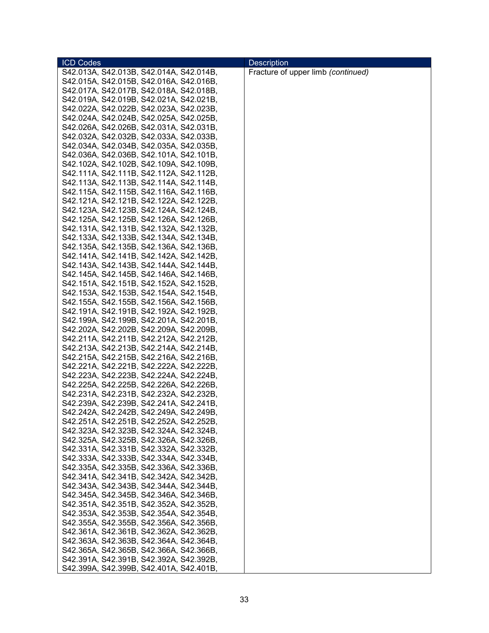| <b>ICD Codes</b>                        | <b>Description</b>                 |
|-----------------------------------------|------------------------------------|
| S42.013A, S42.013B, S42.014A, S42.014B, | Fracture of upper limb (continued) |
| S42.015A, S42.015B, S42.016A, S42.016B, |                                    |
| S42.017A, S42.017B, S42.018A, S42.018B, |                                    |
| S42.019A, S42.019B, S42.021A, S42.021B, |                                    |
| S42.022A, S42.022B, S42.023A, S42.023B, |                                    |
| S42.024A, S42.024B, S42.025A, S42.025B, |                                    |
| S42.026A, S42.026B, S42.031A, S42.031B, |                                    |
| S42.032A, S42.032B, S42.033A, S42.033B, |                                    |
| S42.034A, S42.034B, S42.035A, S42.035B, |                                    |
| S42.036A, S42.036B, S42.101A, S42.101B, |                                    |
| S42.102A, S42.102B, S42.109A, S42.109B, |                                    |
| S42.111A, S42.111B, S42.112A, S42.112B, |                                    |
| S42.113A, S42.113B, S42.114A, S42.114B, |                                    |
| S42.115A, S42.115B, S42.116A, S42.116B, |                                    |
| S42.121A, S42.121B, S42.122A, S42.122B, |                                    |
| S42.123A, S42.123B, S42.124A, S42.124B, |                                    |
| S42.125A, S42.125B, S42.126A, S42.126B, |                                    |
| S42.131A, S42.131B, S42.132A, S42.132B, |                                    |
| S42.133A, S42.133B, S42.134A, S42.134B, |                                    |
| S42.135A, S42.135B, S42.136A, S42.136B, |                                    |
| S42.141A, S42.141B, S42.142A, S42.142B, |                                    |
| S42.143A, S42.143B, S42.144A, S42.144B, |                                    |
| S42.145A, S42.145B, S42.146A, S42.146B, |                                    |
| S42.151A, S42.151B, S42.152A, S42.152B, |                                    |
| S42.153A, S42.153B, S42.154A, S42.154B, |                                    |
| S42.155A, S42.155B, S42.156A, S42.156B, |                                    |
| S42.191A, S42.191B, S42.192A, S42.192B, |                                    |
| S42.199A, S42.199B, S42.201A, S42.201B, |                                    |
| S42.202A, S42.202B, S42.209A, S42.209B, |                                    |
| S42.211A, S42.211B, S42.212A, S42.212B, |                                    |
| S42.213A, S42.213B, S42.214A, S42.214B, |                                    |
| S42.215A, S42.215B, S42.216A, S42.216B, |                                    |
| S42.221A, S42.221B, S42.222A, S42.222B, |                                    |
| S42.223A, S42.223B, S42.224A, S42.224B, |                                    |
| S42.225A, S42.225B, S42.226A, S42.226B, |                                    |
| S42.231A, S42.231B, S42.232A, S42.232B, |                                    |
| S42.239A, S42.239B, S42.241A, S42.241B, |                                    |
| S42.242A, S42.242B, S42.249A, S42.249B, |                                    |
| S42.251A, S42.251B, S42.252A, S42.252B, |                                    |
| S42.323A, S42.323B, S42.324A, S42.324B, |                                    |
| S42.325A, S42.325B, S42.326A, S42.326B, |                                    |
| S42.331A, S42.331B, S42.332A, S42.332B, |                                    |
| S42.333A, S42.333B, S42.334A, S42.334B, |                                    |
| S42.335A, S42.335B, S42.336A, S42.336B, |                                    |
| S42.341A, S42.341B, S42.342A, S42.342B, |                                    |
| S42.343A, S42.343B, S42.344A, S42.344B, |                                    |
| S42.345A, S42.345B, S42.346A, S42.346B, |                                    |
| S42.351A, S42.351B, S42.352A, S42.352B, |                                    |
| S42.353A, S42.353B, S42.354A, S42.354B, |                                    |
| S42.355A, S42.355B, S42.356A, S42.356B, |                                    |
| S42.361A, S42.361B, S42.362A, S42.362B, |                                    |
| S42.363A, S42.363B, S42.364A, S42.364B, |                                    |
| S42.365A, S42.365B, S42.366A, S42.366B, |                                    |
| S42.391A, S42.391B, S42.392A, S42.392B, |                                    |
| S42.399A, S42.399B, S42.401A, S42.401B, |                                    |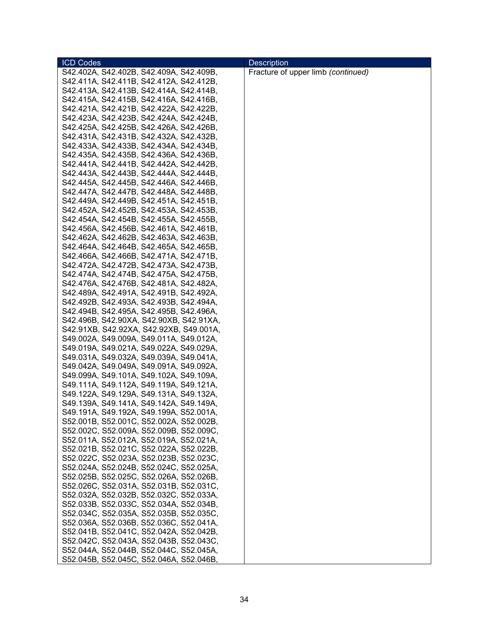| <b>ICD Codes</b>                        | <b>Description</b>                 |
|-----------------------------------------|------------------------------------|
| S42.402A, S42.402B, S42.409A, S42.409B, | Fracture of upper limb (continued) |
| S42.411A, S42.411B, S42.412A, S42.412B, |                                    |
| S42.413A, S42.413B, S42.414A, S42.414B, |                                    |
| S42.415A, S42.415B, S42.416A, S42.416B, |                                    |
| S42.421A, S42.421B, S42.422A, S42.422B, |                                    |
| S42.423A, S42.423B, S42.424A, S42.424B, |                                    |
| S42.425A, S42.425B, S42.426A, S42.426B, |                                    |
| S42.431A, S42.431B, S42.432A, S42.432B, |                                    |
| S42.433A, S42.433B, S42.434A, S42.434B, |                                    |
| S42.435A, S42.435B, S42.436A, S42.436B, |                                    |
| S42.441A, S42.441B, S42.442A, S42.442B, |                                    |
| S42.443A, S42.443B, S42.444A, S42.444B, |                                    |
| S42.445A, S42.445B, S42.446A, S42.446B, |                                    |
| S42.447A, S42.447B, S42.448A, S42.448B, |                                    |
| S42.449A, S42.449B, S42.451A, S42.451B, |                                    |
|                                         |                                    |
| S42.452A, S42.452B, S42.453A, S42.453B, |                                    |
| S42.454A, S42.454B, S42.455A, S42.455B, |                                    |
| S42.456A, S42.456B, S42.461A, S42.461B, |                                    |
| S42.462A, S42.462B, S42.463A, S42.463B, |                                    |
| S42.464A, S42.464B, S42.465A, S42.465B, |                                    |
| S42.466A, S42.466B, S42.471A, S42.471B, |                                    |
| S42.472A, S42.472B, S42.473A, S42.473B, |                                    |
| S42.474A, S42.474B, S42.475A, S42.475B, |                                    |
| S42.476A, S42.476B, S42.481A, S42.482A, |                                    |
| S42.489A, S42.491A, S42.491B, S42.492A, |                                    |
| S42.492B, S42.493A, S42.493B, S42.494A, |                                    |
| S42.494B, S42.495A, S42.495B, S42.496A, |                                    |
| S42.496B, S42.90XA, S42.90XB, S42.91XA, |                                    |
| S42.91XB, S42.92XA, S42.92XB, S49.001A, |                                    |
| S49.002A, S49.009A, S49.011A, S49.012A, |                                    |
| S49.019A, S49.021A, S49.022A, S49.029A, |                                    |
| S49.031A, S49.032A, S49.039A, S49.041A, |                                    |
| S49.042A, S49.049A, S49.091A, S49.092A, |                                    |
| S49.099A, S49.101A, S49.102A, S49.109A, |                                    |
| S49.111A, S49.112A, S49.119A, S49.121A, |                                    |
| S49.122A, S49.129A, S49.131A, S49.132A, |                                    |
| S49.139A, S49.141A, S49.142A, S49.149A, |                                    |
| S49.191A, S49.192A, S49.199A, S52.001A, |                                    |
| S52.001B, S52.001C, S52.002A, S52.002B, |                                    |
| S52.002C, S52.009A, S52.009B, S52.009C, |                                    |
| S52.011A, S52.012A, S52.019A, S52.021A, |                                    |
| S52.021B, S52.021C, S52.022A, S52.022B, |                                    |
| S52.022C, S52.023A, S52.023B, S52.023C, |                                    |
| S52.024A, S52.024B, S52.024C, S52.025A, |                                    |
| S52.025B, S52.025C, S52.026A, S52.026B, |                                    |
| S52.026C, S52.031A, S52.031B, S52.031C, |                                    |
| S52.032A, S52.032B, S52.032C, S52.033A, |                                    |
|                                         |                                    |
| S52.033B, S52.033C, S52.034A, S52.034B, |                                    |
| S52.034C, S52.035A, S52.035B, S52.035C, |                                    |
| S52.036A, S52.036B, S52.036C, S52.041A, |                                    |
| S52.041B, S52.041C, S52.042A, S52.042B, |                                    |
| S52.042C, S52.043A, S52.043B, S52.043C, |                                    |
| S52.044A, S52.044B, S52.044C, S52.045A, |                                    |
| S52.045B, S52.045C, S52.046A, S52.046B, |                                    |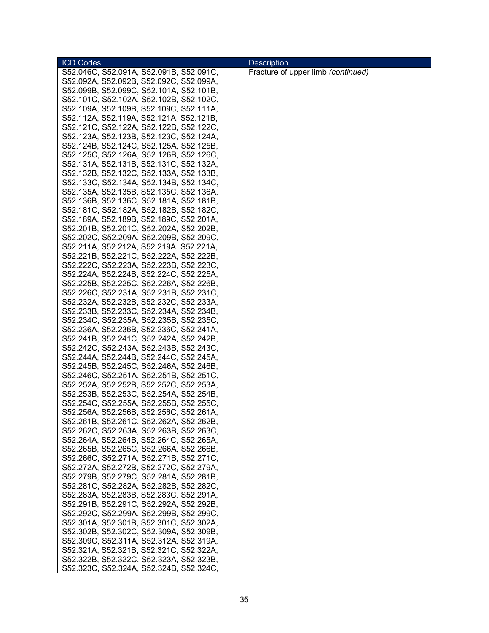| <b>ICD Codes</b>                                                                   | <b>Description</b>                 |
|------------------------------------------------------------------------------------|------------------------------------|
| S52.046C, S52.091A, S52.091B, S52.091C,                                            | Fracture of upper limb (continued) |
| S52.092A, S52.092B, S52.092C, S52.099A,                                            |                                    |
| S52.099B, S52.099C, S52.101A, S52.101B,                                            |                                    |
| S52.101C, S52.102A, S52.102B, S52.102C,                                            |                                    |
| S52.109A, S52.109B, S52.109C, S52.111A,                                            |                                    |
| S52.112A, S52.119A, S52.121A, S52.121B,                                            |                                    |
| S52.121C, S52.122A, S52.122B, S52.122C,                                            |                                    |
| S52.123A, S52.123B, S52.123C, S52.124A,                                            |                                    |
| S52.124B, S52.124C, S52.125A, S52.125B,                                            |                                    |
| S52.125C, S52.126A, S52.126B, S52.126C,                                            |                                    |
| S52.131A, S52.131B, S52.131C, S52.132A,                                            |                                    |
| S52.132B, S52.132C, S52.133A, S52.133B,                                            |                                    |
| S52.133C, S52.134A, S52.134B, S52.134C,                                            |                                    |
| S52.135A, S52.135B, S52.135C, S52.136A,                                            |                                    |
| S52.136B, S52.136C, S52.181A, S52.181B,                                            |                                    |
| S52.181C, S52.182A, S52.182B, S52.182C,                                            |                                    |
| S52.189A, S52.189B, S52.189C, S52.201A,                                            |                                    |
| S52.201B, S52.201C, S52.202A, S52.202B,                                            |                                    |
| S52.202C, S52.209A, S52.209B, S52.209C,                                            |                                    |
| S52.211A, S52.212A, S52.219A, S52.221A,                                            |                                    |
|                                                                                    |                                    |
| S52.221B, S52.221C, S52.222A, S52.222B,                                            |                                    |
| S52.222C, S52.223A, S52.223B, S52.223C,                                            |                                    |
| S52.224A, S52.224B, S52.224C, S52.225A,                                            |                                    |
| S52.225B, S52.225C, S52.226A, S52.226B,                                            |                                    |
| S52.226C, S52.231A, S52.231B, S52.231C,                                            |                                    |
| S52.232A, S52.232B, S52.232C, S52.233A,<br>S52.233B, S52.233C, S52.234A, S52.234B, |                                    |
| S52.234C, S52.235A, S52.235B, S52.235C,                                            |                                    |
| S52.236A, S52.236B, S52.236C, S52.241A,                                            |                                    |
| S52.241B, S52.241C, S52.242A, S52.242B,                                            |                                    |
| S52.242C, S52.243A, S52.243B, S52.243C,                                            |                                    |
| S52.244A, S52.244B, S52.244C, S52.245A,                                            |                                    |
| S52.245B, S52.245C, S52.246A, S52.246B,                                            |                                    |
| S52.246C, S52.251A, S52.251B, S52.251C,                                            |                                    |
| S52.252A, S52.252B, S52.252C, S52.253A,                                            |                                    |
| S52.253B, S52.253C, S52.254A, S52.254B,                                            |                                    |
| S52.254C, S52.255A, S52.255B, S52.255C,                                            |                                    |
| S52.256A, S52.256B, S52.256C, S52.261A,                                            |                                    |
| S52.261B, S52.261C, S52.262A, S52.262B,                                            |                                    |
| S52.262C, S52.263A, S52.263B, S52.263C,                                            |                                    |
| S52.264A, S52.264B, S52.264C, S52.265A,                                            |                                    |
| S52.265B, S52.265C, S52.266A, S52.266B,                                            |                                    |
| S52.266C, S52.271A, S52.271B, S52.271C,                                            |                                    |
| S52.272A, S52.272B, S52.272C, S52.279A,                                            |                                    |
| S52.279B, S52.279C, S52.281A, S52.281B,                                            |                                    |
| S52.281C, S52.282A, S52.282B, S52.282C,                                            |                                    |
| S52.283A, S52.283B, S52.283C, S52.291A,                                            |                                    |
| S52.291B, S52.291C, S52.292A, S52.292B,                                            |                                    |
| S52.292C, S52.299A, S52.299B, S52.299C,                                            |                                    |
| S52.301A, S52.301B, S52.301C, S52.302A,                                            |                                    |
| S52.302B, S52.302C, S52.309A, S52.309B,                                            |                                    |
| S52.309C, S52.311A, S52.312A, S52.319A,                                            |                                    |
| S52.321A, S52.321B, S52.321C, S52.322A,                                            |                                    |
| S52.322B, S52.322C, S52.323A, S52.323B,                                            |                                    |
| S52.323C, S52.324A, S52.324B, S52.324C,                                            |                                    |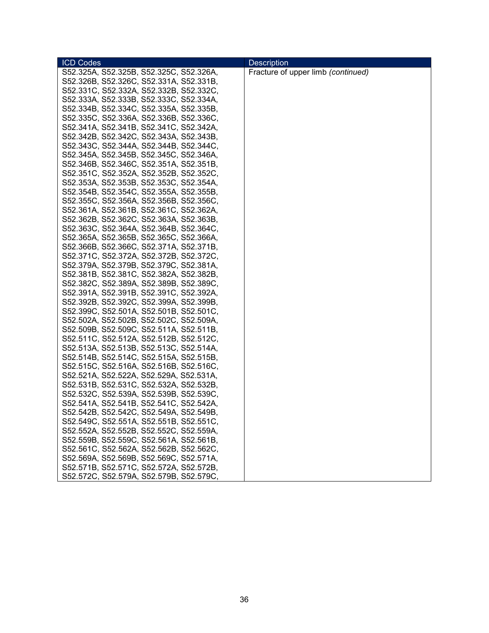| <b>ICD Codes</b>                        | <b>Description</b>                 |
|-----------------------------------------|------------------------------------|
| S52.325A, S52.325B, S52.325C, S52.326A, | Fracture of upper limb (continued) |
| S52.326B, S52.326C, S52.331A, S52.331B, |                                    |
| S52.331C, S52.332A, S52.332B, S52.332C, |                                    |
| S52.333A, S52.333B, S52.333C, S52.334A, |                                    |
| S52.334B, S52.334C, S52.335A, S52.335B, |                                    |
| S52.335C, S52.336A, S52.336B, S52.336C, |                                    |
| S52.341A, S52.341B, S52.341C, S52.342A, |                                    |
| S52.342B, S52.342C, S52.343A, S52.343B, |                                    |
| S52.343C, S52.344A, S52.344B, S52.344C, |                                    |
| S52.345A, S52.345B, S52.345C, S52.346A, |                                    |
| S52.346B, S52.346C, S52.351A, S52.351B, |                                    |
| S52.351C, S52.352A, S52.352B, S52.352C, |                                    |
| S52.353A, S52.353B, S52.353C, S52.354A, |                                    |
| S52.354B, S52.354C, S52.355A, S52.355B, |                                    |
| S52.355C, S52.356A, S52.356B, S52.356C, |                                    |
| S52.361A, S52.361B, S52.361C, S52.362A, |                                    |
| S52.362B, S52.362C, S52.363A, S52.363B, |                                    |
| S52.363C, S52.364A, S52.364B, S52.364C, |                                    |
| S52.365A, S52.365B, S52.365C, S52.366A, |                                    |
| S52.366B, S52.366C, S52.371A, S52.371B, |                                    |
| S52.371C, S52.372A, S52.372B, S52.372C, |                                    |
| S52.379A, S52.379B, S52.379C, S52.381A, |                                    |
| S52.381B, S52.381C, S52.382A, S52.382B, |                                    |
| S52.382C, S52.389A, S52.389B, S52.389C, |                                    |
| S52.391A, S52.391B, S52.391C, S52.392A, |                                    |
| S52.392B, S52.392C, S52.399A, S52.399B, |                                    |
| S52.399C, S52.501A, S52.501B, S52.501C, |                                    |
| S52.502A, S52.502B, S52.502C, S52.509A, |                                    |
| S52.509B, S52.509C, S52.511A, S52.511B, |                                    |
| S52.511C, S52.512A, S52.512B, S52.512C, |                                    |
| S52.513A, S52.513B, S52.513C, S52.514A, |                                    |
| S52.514B, S52.514C, S52.515A, S52.515B, |                                    |
| S52.515C, S52.516A, S52.516B, S52.516C, |                                    |
| S52.521A, S52.522A, S52.529A, S52.531A, |                                    |
| S52.531B, S52.531C, S52.532A, S52.532B, |                                    |
| S52.532C, S52.539A, S52.539B, S52.539C, |                                    |
| S52.541A, S52.541B, S52.541C, S52.542A, |                                    |
| S52.542B, S52.542C, S52.549A, S52.549B, |                                    |
| S52.549C, S52.551A, S52.551B, S52.551C, |                                    |
| S52.552A, S52.552B, S52.552C, S52.559A, |                                    |
| S52.559B, S52.559C, S52.561A, S52.561B, |                                    |
| S52.561C, S52.562A, S52.562B, S52.562C, |                                    |
| S52.569A, S52.569B, S52.569C, S52.571A, |                                    |
| S52.571B, S52.571C, S52.572A, S52.572B, |                                    |
| S52.572C, S52.579A, S52.579B, S52.579C, |                                    |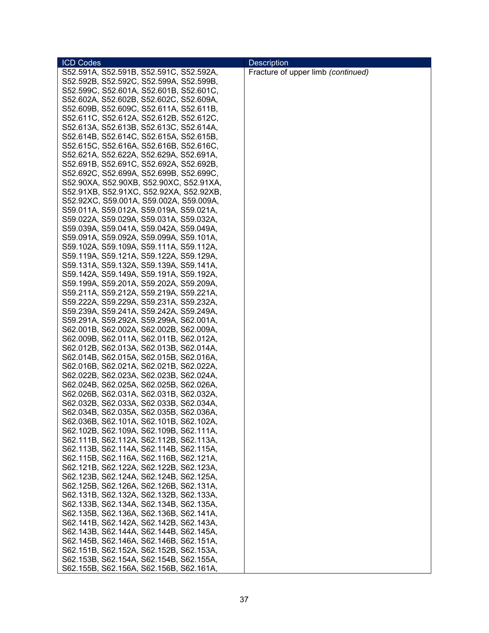| <b>ICD Codes</b>                        | <b>Description</b>                 |
|-----------------------------------------|------------------------------------|
| S52.591A, S52.591B, S52.591C, S52.592A, | Fracture of upper limb (continued) |
| S52.592B, S52.592C, S52.599A, S52.599B, |                                    |
| S52.599C, S52.601A, S52.601B, S52.601C, |                                    |
| S52.602A, S52.602B, S52.602C, S52.609A, |                                    |
| S52.609B, S52.609C, S52.611A, S52.611B, |                                    |
| S52.611C, S52.612A, S52.612B, S52.612C, |                                    |
| S52.613A, S52.613B, S52.613C, S52.614A, |                                    |
| S52.614B, S52.614C, S52.615A, S52.615B, |                                    |
| S52.615C, S52.616A, S52.616B, S52.616C, |                                    |
| S52.621A, S52.622A, S52.629A, S52.691A, |                                    |
| S52.691B, S52.691C, S52.692A, S52.692B, |                                    |
|                                         |                                    |
| S52.692C, S52.699A, S52.699B, S52.699C, |                                    |
| S52.90XA, S52.90XB, S52.90XC, S52.91XA, |                                    |
| S52.91XB, S52.91XC, S52.92XA, S52.92XB, |                                    |
| S52.92XC, S59.001A, S59.002A, S59.009A, |                                    |
| S59.011A, S59.012A, S59.019A, S59.021A, |                                    |
| S59.022A, S59.029A, S59.031A, S59.032A, |                                    |
| S59.039A, S59.041A, S59.042A, S59.049A, |                                    |
| S59.091A, S59.092A, S59.099A, S59.101A, |                                    |
| S59.102A, S59.109A, S59.111A, S59.112A, |                                    |
| S59.119A, S59.121A, S59.122A, S59.129A, |                                    |
| S59.131A, S59.132A, S59.139A, S59.141A, |                                    |
| S59.142A, S59.149A, S59.191A, S59.192A, |                                    |
| S59.199A, S59.201A, S59.202A, S59.209A, |                                    |
| S59.211A, S59.212A, S59.219A, S59.221A, |                                    |
| S59.222A, S59.229A, S59.231A, S59.232A, |                                    |
| S59.239A, S59.241A, S59.242A, S59.249A, |                                    |
| S59.291A, S59.292A, S59.299A, S62.001A, |                                    |
| S62.001B, S62.002A, S62.002B, S62.009A, |                                    |
| S62.009B, S62.011A, S62.011B, S62.012A, |                                    |
| S62.012B, S62.013A, S62.013B, S62.014A, |                                    |
| S62.014B, S62.015A, S62.015B, S62.016A, |                                    |
| S62.016B, S62.021A, S62.021B, S62.022A, |                                    |
| S62.022B, S62.023A, S62.023B, S62.024A, |                                    |
| S62.024B, S62.025A, S62.025B, S62.026A, |                                    |
| S62.026B, S62.031A, S62.031B, S62.032A, |                                    |
| S62.032B, S62.033A, S62.033B, S62.034A, |                                    |
| S62.034B, S62.035A, S62.035B, S62.036A, |                                    |
| S62.036B, S62.101A, S62.101B, S62.102A, |                                    |
| S62.102B, S62.109A, S62.109B, S62.111A, |                                    |
| S62.111B, S62.112A, S62.112B, S62.113A, |                                    |
| S62.113B, S62.114A, S62.114B, S62.115A, |                                    |
| S62.115B, S62.116A, S62.116B, S62.121A, |                                    |
| S62.121B, S62.122A, S62.122B, S62.123A, |                                    |
|                                         |                                    |
| S62.123B, S62.124A, S62.124B, S62.125A, |                                    |
| S62.125B, S62.126A, S62.126B, S62.131A, |                                    |
| S62.131B, S62.132A, S62.132B, S62.133A, |                                    |
| S62.133B, S62.134A, S62.134B, S62.135A, |                                    |
| S62.135B, S62.136A, S62.136B, S62.141A, |                                    |
| S62.141B, S62.142A, S62.142B, S62.143A, |                                    |
| S62.143B, S62.144A, S62.144B, S62.145A, |                                    |
| S62.145B, S62.146A, S62.146B, S62.151A, |                                    |
| S62.151B, S62.152A, S62.152B, S62.153A, |                                    |
| S62.153B, S62.154A, S62.154B, S62.155A, |                                    |
| S62.155B, S62.156A, S62.156B, S62.161A, |                                    |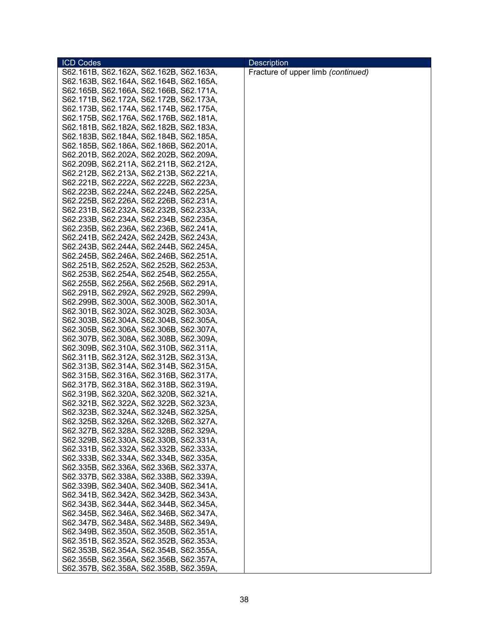| <b>ICD Codes</b>                        | <b>Description</b>                 |
|-----------------------------------------|------------------------------------|
| S62.161B, S62.162A, S62.162B, S62.163A, | Fracture of upper limb (continued) |
| S62.163B, S62.164A, S62.164B, S62.165A, |                                    |
| S62.165B, S62.166A, S62.166B, S62.171A, |                                    |
| S62.171B, S62.172A, S62.172B, S62.173A, |                                    |
| S62.173B, S62.174A, S62.174B, S62.175A, |                                    |
| S62.175B, S62.176A, S62.176B, S62.181A, |                                    |
| S62.181B, S62.182A, S62.182B, S62.183A, |                                    |
|                                         |                                    |
| S62.183B, S62.184A, S62.184B, S62.185A, |                                    |
| S62.185B, S62.186A, S62.186B, S62.201A, |                                    |
| S62.201B, S62.202A, S62.202B, S62.209A, |                                    |
| S62.209B, S62.211A, S62.211B, S62.212A, |                                    |
| S62.212B, S62.213A, S62.213B, S62.221A, |                                    |
| S62.221B, S62.222A, S62.222B, S62.223A, |                                    |
| S62.223B, S62.224A, S62.224B, S62.225A, |                                    |
| S62.225B, S62.226A, S62.226B, S62.231A, |                                    |
| S62.231B, S62.232A, S62.232B, S62.233A, |                                    |
| S62.233B, S62.234A, S62.234B, S62.235A, |                                    |
| S62.235B, S62.236A, S62.236B, S62.241A, |                                    |
| S62.241B, S62.242A, S62.242B, S62.243A, |                                    |
|                                         |                                    |
| S62.243B, S62.244A, S62.244B, S62.245A, |                                    |
| S62.245B, S62.246A, S62.246B, S62.251A, |                                    |
| S62.251B, S62.252A, S62.252B, S62.253A, |                                    |
| S62.253B, S62.254A, S62.254B, S62.255A, |                                    |
| S62.255B, S62.256A, S62.256B, S62.291A, |                                    |
| S62.291B, S62.292A, S62.292B, S62.299A, |                                    |
| S62.299B, S62.300A, S62.300B, S62.301A, |                                    |
| S62.301B, S62.302A, S62.302B, S62.303A, |                                    |
| S62.303B, S62.304A, S62.304B, S62.305A, |                                    |
| S62.305B, S62.306A, S62.306B, S62.307A, |                                    |
| S62.307B, S62.308A, S62.308B, S62.309A, |                                    |
| S62.309B, S62.310A, S62.310B, S62.311A, |                                    |
| S62.311B, S62.312A, S62.312B, S62.313A, |                                    |
| S62.313B, S62.314A, S62.314B, S62.315A, |                                    |
| S62.315B, S62.316A, S62.316B, S62.317A, |                                    |
| S62.317B, S62.318A, S62.318B, S62.319A, |                                    |
|                                         |                                    |
| S62.319B, S62.320A, S62.320B, S62.321A, |                                    |
| S62.321B, S62.322A, S62.322B, S62.323A, |                                    |
| S62.323B, S62.324A, S62.324B, S62.325A, |                                    |
| S62.325B, S62.326A, S62.326B, S62.327A, |                                    |
| S62.327B, S62.328A, S62.328B, S62.329A, |                                    |
| S62.329B, S62.330A, S62.330B, S62.331A, |                                    |
| S62.331B, S62.332A, S62.332B, S62.333A, |                                    |
| S62.333B, S62.334A, S62.334B, S62.335A, |                                    |
| S62.335B, S62.336A, S62.336B, S62.337A, |                                    |
| S62.337B, S62.338A, S62.338B, S62.339A, |                                    |
| S62.339B, S62.340A, S62.340B, S62.341A, |                                    |
| S62.341B, S62.342A, S62.342B, S62.343A, |                                    |
| S62.343B, S62.344A, S62.344B, S62.345A, |                                    |
| S62.345B, S62.346A, S62.346B, S62.347A, |                                    |
| S62.347B, S62.348A, S62.348B, S62.349A, |                                    |
| S62.349B, S62.350A, S62.350B, S62.351A, |                                    |
| S62.351B, S62.352A, S62.352B, S62.353A, |                                    |
| S62.353B, S62.354A, S62.354B, S62.355A, |                                    |
|                                         |                                    |
| S62.355B, S62.356A, S62.356B, S62.357A, |                                    |
| S62.357B, S62.358A, S62.358B, S62.359A, |                                    |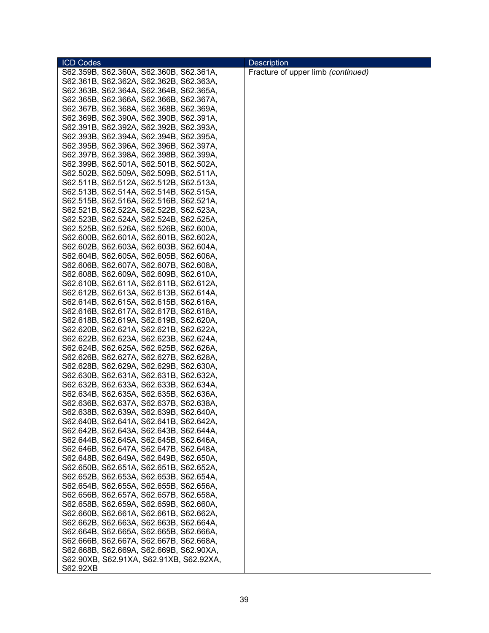| <b>ICD Codes</b>                                                                   | <b>Description</b>                 |
|------------------------------------------------------------------------------------|------------------------------------|
| S62.359B, S62.360A, S62.360B, S62.361A,                                            | Fracture of upper limb (continued) |
| S62.361B, S62.362A, S62.362B, S62.363A,                                            |                                    |
| S62.363B, S62.364A, S62.364B, S62.365A,                                            |                                    |
| S62.365B, S62.366A, S62.366B, S62.367A,                                            |                                    |
| S62.367B, S62.368A, S62.368B, S62.369A,                                            |                                    |
| S62.369B, S62.390A, S62.390B, S62.391A,                                            |                                    |
| S62.391B, S62.392A, S62.392B, S62.393A,                                            |                                    |
| S62.393B, S62.394A, S62.394B, S62.395A,                                            |                                    |
| S62.395B, S62.396A, S62.396B, S62.397A,                                            |                                    |
| S62.397B, S62.398A, S62.398B, S62.399A,                                            |                                    |
|                                                                                    |                                    |
| S62.399B, S62.501A, S62.501B, S62.502A,<br>S62.502B, S62.509A, S62.509B, S62.511A, |                                    |
|                                                                                    |                                    |
| S62.511B, S62.512A, S62.512B, S62.513A,                                            |                                    |
| S62.513B, S62.514A, S62.514B, S62.515A,                                            |                                    |
| S62.515B, S62.516A, S62.516B, S62.521A,                                            |                                    |
| S62.521B, S62.522A, S62.522B, S62.523A,                                            |                                    |
| S62.523B, S62.524A, S62.524B, S62.525A,                                            |                                    |
| S62.525B, S62.526A, S62.526B, S62.600A,                                            |                                    |
| S62.600B, S62.601A, S62.601B, S62.602A,                                            |                                    |
| S62.602B, S62.603A, S62.603B, S62.604A,                                            |                                    |
| S62.604B, S62.605A, S62.605B, S62.606A,                                            |                                    |
| S62.606B, S62.607A, S62.607B, S62.608A,                                            |                                    |
| S62.608B, S62.609A, S62.609B, S62.610A,                                            |                                    |
| S62.610B, S62.611A, S62.611B, S62.612A,                                            |                                    |
| S62.612B, S62.613A, S62.613B, S62.614A,                                            |                                    |
| S62.614B, S62.615A, S62.615B, S62.616A,                                            |                                    |
| S62.616B, S62.617A, S62.617B, S62.618A,                                            |                                    |
| S62.618B, S62.619A, S62.619B, S62.620A,                                            |                                    |
| S62.620B, S62.621A, S62.621B, S62.622A,                                            |                                    |
| S62.622B, S62.623A, S62.623B, S62.624A,                                            |                                    |
| S62.624B, S62.625A, S62.625B, S62.626A,                                            |                                    |
| S62.626B, S62.627A, S62.627B, S62.628A,                                            |                                    |
| S62.628B, S62.629A, S62.629B, S62.630A,                                            |                                    |
| S62.630B, S62.631A, S62.631B, S62.632A,                                            |                                    |
| S62.632B, S62.633A, S62.633B, S62.634A,                                            |                                    |
| S62.634B, S62.635A, S62.635B, S62.636A,                                            |                                    |
| S62.636B, S62.637A, S62.637B, S62.638A,                                            |                                    |
| S62.638B, S62.639A, S62.639B, S62.640A,                                            |                                    |
|                                                                                    |                                    |
| S62.640B, S62.641A, S62.641B, S62.642A,                                            |                                    |
| S62.642B, S62.643A, S62.643B, S62.644A,                                            |                                    |
| S62.644B, S62.645A, S62.645B, S62.646A,                                            |                                    |
| S62.646B, S62.647A, S62.647B, S62.648A,                                            |                                    |
| S62.648B, S62.649A, S62.649B, S62.650A,                                            |                                    |
| S62.650B, S62.651A, S62.651B, S62.652A,                                            |                                    |
| S62.652B, S62.653A, S62.653B, S62.654A,                                            |                                    |
| S62.654B, S62.655A, S62.655B, S62.656A,                                            |                                    |
| S62.656B, S62.657A, S62.657B, S62.658A,                                            |                                    |
| S62.658B, S62.659A, S62.659B, S62.660A,                                            |                                    |
| S62.660B, S62.661A, S62.661B, S62.662A,                                            |                                    |
| S62.662B, S62.663A, S62.663B, S62.664A,                                            |                                    |
| S62.664B, S62.665A, S62.665B, S62.666A,                                            |                                    |
| S62.666B, S62.667A, S62.667B, S62.668A,                                            |                                    |
| S62.668B, S62.669A, S62.669B, S62.90XA,                                            |                                    |
| S62.90XB, S62.91XA, S62.91XB, S62.92XA,                                            |                                    |
| S62.92XB                                                                           |                                    |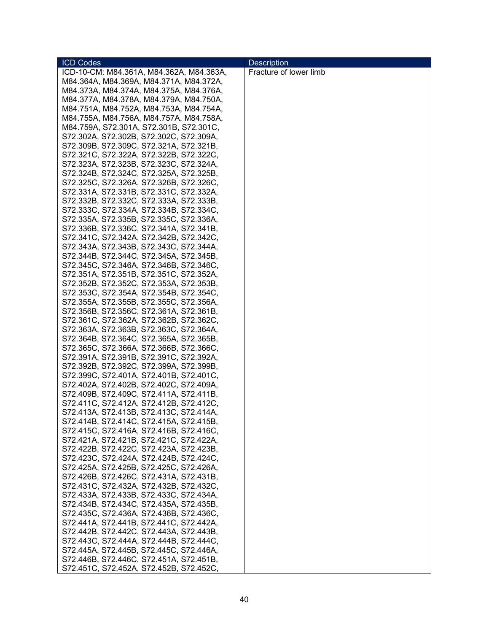| <b>ICD Codes</b>                         | <b>Description</b>     |
|------------------------------------------|------------------------|
| ICD-10-CM: M84.361A, M84.362A, M84.363A, | Fracture of lower limb |
| M84.364A, M84.369A, M84.371A, M84.372A,  |                        |
| M84.373A, M84.374A, M84.375A, M84.376A,  |                        |
| M84.377A, M84.378A, M84.379A, M84.750A,  |                        |
| M84.751A, M84.752A, M84.753A, M84.754A,  |                        |
| M84.755A, M84.756A, M84.757A, M84.758A,  |                        |
| M84.759A, S72.301A, S72.301B, S72.301C,  |                        |
| S72.302A, S72.302B, S72.302C, S72.309A,  |                        |
| S72.309B, S72.309C, S72.321A, S72.321B,  |                        |
| S72.321C, S72.322A, S72.322B, S72.322C,  |                        |
| S72.323A, S72.323B, S72.323C, S72.324A,  |                        |
| S72.324B, S72.324C, S72.325A, S72.325B,  |                        |
| S72.325C, S72.326A, S72.326B, S72.326C,  |                        |
| S72.331A, S72.331B, S72.331C, S72.332A,  |                        |
|                                          |                        |
| S72.332B, S72.332C, S72.333A, S72.333B,  |                        |
| S72.333C, S72.334A, S72.334B, S72.334C,  |                        |
| S72.335A, S72.335B, S72.335C, S72.336A,  |                        |
| S72.336B, S72.336C, S72.341A, S72.341B,  |                        |
| S72.341C, S72.342A, S72.342B, S72.342C,  |                        |
| S72.343A, S72.343B, S72.343C, S72.344A,  |                        |
| S72.344B, S72.344C, S72.345A, S72.345B,  |                        |
| S72.345C, S72.346A, S72.346B, S72.346C,  |                        |
| S72.351A, S72.351B, S72.351C, S72.352A,  |                        |
| S72.352B, S72.352C, S72.353A, S72.353B,  |                        |
| S72.353C, S72.354A, S72.354B, S72.354C,  |                        |
| S72.355A, S72.355B, S72.355C, S72.356A,  |                        |
| S72.356B, S72.356C, S72.361A, S72.361B,  |                        |
| S72.361C, S72.362A, S72.362B, S72.362C,  |                        |
| S72.363A, S72.363B, S72.363C, S72.364A,  |                        |
| S72.364B, S72.364C, S72.365A, S72.365B,  |                        |
| S72.365C, S72.366A, S72.366B, S72.366C,  |                        |
| S72.391A, S72.391B, S72.391C, S72.392A,  |                        |
| S72.392B, S72.392C, S72.399A, S72.399B,  |                        |
| S72.399C, S72.401A, S72.401B, S72.401C,  |                        |
| S72.402A, S72.402B, S72.402C, S72.409A,  |                        |
| S72.409B, S72.409C, S72.411A, S72.411B,  |                        |
| S72.411C, S72.412A, S72.412B, S72.412C,  |                        |
| S72.413A, S72.413B, S72.413C, S72.414A,  |                        |
| S72.414B, S72.414C, S72.415A, S72.415B,  |                        |
| S72.415C, S72.416A, S72.416B, S72.416C,  |                        |
| S72.421A, S72.421B, S72.421C, S72.422A,  |                        |
| S72.422B, S72.422C, S72.423A, S72.423B,  |                        |
| S72.423C, S72.424A, S72.424B, S72.424C,  |                        |
| S72.425A, S72.425B, S72.425C, S72.426A,  |                        |
| S72.426B, S72.426C, S72.431A, S72.431B,  |                        |
| S72.431C, S72.432A, S72.432B, S72.432C,  |                        |
| S72.433A, S72.433B, S72.433C, S72.434A,  |                        |
| S72.434B, S72.434C, S72.435A, S72.435B,  |                        |
| S72.435C, S72.436A, S72.436B, S72.436C,  |                        |
| S72.441A, S72.441B, S72.441C, S72.442A,  |                        |
| S72.442B, S72.442C, S72.443A, S72.443B,  |                        |
| S72.443C, S72.444A, S72.444B, S72.444C,  |                        |
| S72.445A, S72.445B, S72.445C, S72.446A,  |                        |
| S72.446B, S72.446C, S72.451A, S72.451B,  |                        |
| S72.451C, S72.452A, S72.452B, S72.452C,  |                        |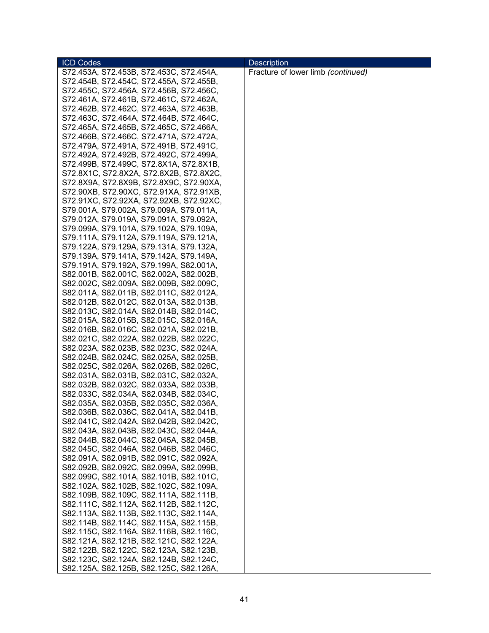| <b>ICD Codes</b>                        | <b>Description</b>                 |
|-----------------------------------------|------------------------------------|
| S72.453A, S72.453B, S72.453C, S72.454A, | Fracture of lower limb (continued) |
| S72.454B, S72.454C, S72.455A, S72.455B, |                                    |
| S72.455C, S72.456A, S72.456B, S72.456C, |                                    |
| S72.461A, S72.461B, S72.461C, S72.462A, |                                    |
| S72.462B, S72.462C, S72.463A, S72.463B, |                                    |
| S72.463C, S72.464A, S72.464B, S72.464C, |                                    |
| S72.465A, S72.465B, S72.465C, S72.466A, |                                    |
| S72.466B, S72.466C, S72.471A, S72.472A, |                                    |
| S72.479A, S72.491A, S72.491B, S72.491C, |                                    |
| S72.492A, S72.492B, S72.492C, S72.499A, |                                    |
| S72.499B, S72.499C, S72.8X1A, S72.8X1B, |                                    |
| S72.8X1C, S72.8X2A, S72.8X2B, S72.8X2C, |                                    |
|                                         |                                    |
| S72.8X9A, S72.8X9B, S72.8X9C, S72.90XA, |                                    |
| S72.90XB, S72.90XC, S72.91XA, S72.91XB, |                                    |
| S72.91XC, S72.92XA, S72.92XB, S72.92XC, |                                    |
| S79.001A, S79.002A, S79.009A, S79.011A, |                                    |
| S79.012A, S79.019A, S79.091A, S79.092A, |                                    |
| S79.099A, S79.101A, S79.102A, S79.109A, |                                    |
| S79.111A, S79.112A, S79.119A, S79.121A, |                                    |
| S79.122A, S79.129A, S79.131A, S79.132A, |                                    |
| S79.139A, S79.141A, S79.142A, S79.149A, |                                    |
| S79.191A, S79.192A, S79.199A, S82.001A, |                                    |
| S82.001B, S82.001C, S82.002A, S82.002B, |                                    |
| S82.002C, S82.009A, S82.009B, S82.009C, |                                    |
| S82.011A, S82.011B, S82.011C, S82.012A, |                                    |
| S82.012B, S82.012C, S82.013A, S82.013B, |                                    |
| S82.013C, S82.014A, S82.014B, S82.014C, |                                    |
| S82.015A, S82.015B, S82.015C, S82.016A, |                                    |
| S82.016B, S82.016C, S82.021A, S82.021B, |                                    |
| S82.021C, S82.022A, S82.022B, S82.022C, |                                    |
| S82.023A, S82.023B, S82.023C, S82.024A, |                                    |
| S82.024B, S82.024C, S82.025A, S82.025B, |                                    |
| S82.025C, S82.026A, S82.026B, S82.026C, |                                    |
| S82.031A, S82.031B, S82.031C, S82.032A, |                                    |
| S82.032B, S82.032C, S82.033A, S82.033B, |                                    |
| S82.033C, S82.034A, S82.034B, S82.034C, |                                    |
| S82.035A, S82.035B, S82.035C, S82.036A, |                                    |
| S82.036B, S82.036C, S82.041A, S82.041B, |                                    |
| S82.041C, S82.042A, S82.042B, S82.042C, |                                    |
| S82.043A, S82.043B, S82.043C, S82.044A, |                                    |
| S82.044B, S82.044C, S82.045A, S82.045B, |                                    |
| S82.045C, S82.046A, S82.046B, S82.046C, |                                    |
| S82.091A, S82.091B, S82.091C, S82.092A, |                                    |
| S82.092B, S82.092C, S82.099A, S82.099B, |                                    |
| S82.099C, S82.101A, S82.101B, S82.101C, |                                    |
| S82.102A, S82.102B, S82.102C, S82.109A, |                                    |
| S82.109B, S82.109C, S82.111A, S82.111B, |                                    |
|                                         |                                    |
| S82.111C, S82.112A, S82.112B, S82.112C, |                                    |
| S82.113A, S82.113B, S82.113C, S82.114A, |                                    |
| S82.114B, S82.114C, S82.115A, S82.115B, |                                    |
| S82.115C, S82.116A, S82.116B, S82.116C, |                                    |
| S82.121A, S82.121B, S82.121C, S82.122A, |                                    |
| S82.122B, S82.122C, S82.123A, S82.123B, |                                    |
| S82.123C, S82.124A, S82.124B, S82.124C, |                                    |
| S82.125A, S82.125B, S82.125C, S82.126A, |                                    |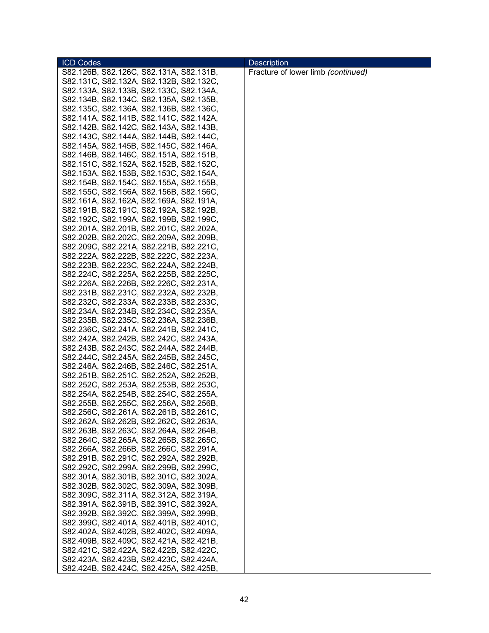| <b>ICD Codes</b>                        | <b>Description</b>                 |
|-----------------------------------------|------------------------------------|
| S82.126B, S82.126C, S82.131A, S82.131B, | Fracture of lower limb (continued) |
| S82.131C, S82.132A, S82.132B, S82.132C, |                                    |
| S82.133A, S82.133B, S82.133C, S82.134A, |                                    |
| S82.134B, S82.134C, S82.135A, S82.135B, |                                    |
| S82.135C, S82.136A, S82.136B, S82.136C, |                                    |
| S82.141A, S82.141B, S82.141C, S82.142A, |                                    |
| S82.142B, S82.142C, S82.143A, S82.143B, |                                    |
| S82.143C, S82.144A, S82.144B, S82.144C, |                                    |
| S82.145A, S82.145B, S82.145C, S82.146A, |                                    |
| S82.146B, S82.146C, S82.151A, S82.151B, |                                    |
| S82.151C, S82.152A, S82.152B, S82.152C, |                                    |
| S82.153A, S82.153B, S82.153C, S82.154A, |                                    |
| S82.154B, S82.154C, S82.155A, S82.155B, |                                    |
| S82.155C, S82.156A, S82.156B, S82.156C, |                                    |
| S82.161A, S82.162A, S82.169A, S82.191A, |                                    |
| S82.191B, S82.191C, S82.192A, S82.192B, |                                    |
| S82.192C, S82.199A, S82.199B, S82.199C, |                                    |
| S82.201A, S82.201B, S82.201C, S82.202A, |                                    |
| S82.202B, S82.202C, S82.209A, S82.209B, |                                    |
| S82.209C, S82.221A, S82.221B, S82.221C, |                                    |
| S82.222A, S82.222B, S82.222C, S82.223A, |                                    |
| S82.223B, S82.223C, S82.224A, S82.224B, |                                    |
| S82.224C, S82.225A, S82.225B, S82.225C, |                                    |
| S82.226A, S82.226B, S82.226C, S82.231A, |                                    |
| S82.231B, S82.231C, S82.232A, S82.232B, |                                    |
| S82.232C, S82.233A, S82.233B, S82.233C, |                                    |
| S82.234A, S82.234B, S82.234C, S82.235A, |                                    |
| S82.235B, S82.235C, S82.236A, S82.236B, |                                    |
| S82.236C, S82.241A, S82.241B, S82.241C, |                                    |
| S82.242A, S82.242B, S82.242C, S82.243A, |                                    |
| S82.243B, S82.243C, S82.244A, S82.244B, |                                    |
| S82.244C, S82.245A, S82.245B, S82.245C, |                                    |
| S82.246A, S82.246B, S82.246C, S82.251A, |                                    |
| S82.251B, S82.251C, S82.252A, S82.252B, |                                    |
| S82.252C, S82.253A, S82.253B, S82.253C, |                                    |
| S82.254A, S82.254B, S82.254C, S82.255A, |                                    |
| S82.255B, S82.255C, S82.256A, S82.256B, |                                    |
| S82.256C, S82.261A, S82.261B, S82.261C, |                                    |
| S82.262A, S82.262B, S82.262C, S82.263A, |                                    |
| S82.263B, S82.263C, S82.264A, S82.264B, |                                    |
| S82.264C, S82.265A, S82.265B, S82.265C, |                                    |
| S82.266A, S82.266B, S82.266C, S82.291A, |                                    |
| S82.291B, S82.291C, S82.292A, S82.292B, |                                    |
| S82.292C, S82.299A, S82.299B, S82.299C, |                                    |
| S82.301A, S82.301B, S82.301C, S82.302A, |                                    |
| S82.302B, S82.302C, S82.309A, S82.309B, |                                    |
| S82.309C, S82.311A, S82.312A, S82.319A, |                                    |
| S82.391A, S82.391B, S82.391C, S82.392A, |                                    |
| S82.392B, S82.392C, S82.399A, S82.399B, |                                    |
| S82.399C, S82.401A, S82.401B, S82.401C, |                                    |
| S82.402A, S82.402B, S82.402C, S82.409A, |                                    |
| S82.409B, S82.409C, S82.421A, S82.421B, |                                    |
| S82.421C, S82.422A, S82.422B, S82.422C, |                                    |
| S82.423A, S82.423B, S82.423C, S82.424A, |                                    |
|                                         |                                    |
| S82.424B, S82.424C, S82.425A, S82.425B, |                                    |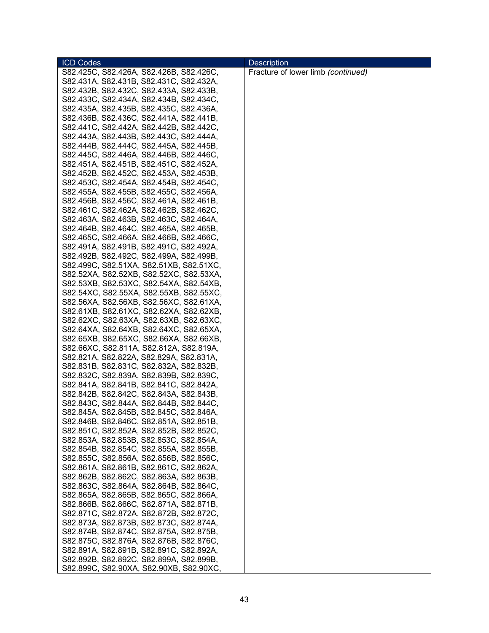| <b>ICD Codes</b>                        | <b>Description</b>                 |
|-----------------------------------------|------------------------------------|
| S82.425C, S82.426A, S82.426B, S82.426C, | Fracture of lower limb (continued) |
| S82.431A, S82.431B, S82.431C, S82.432A, |                                    |
| S82.432B, S82.432C, S82.433A, S82.433B, |                                    |
| S82.433C, S82.434A, S82.434B, S82.434C, |                                    |
| S82.435A, S82.435B, S82.435C, S82.436A, |                                    |
| S82.436B, S82.436C, S82.441A, S82.441B, |                                    |
| S82.441C, S82.442A, S82.442B, S82.442C, |                                    |
| S82.443A, S82.443B, S82.443C, S82.444A, |                                    |
| S82.444B, S82.444C, S82.445A, S82.445B, |                                    |
| S82.445C, S82.446A, S82.446B, S82.446C, |                                    |
| S82.451A, S82.451B, S82.451C, S82.452A, |                                    |
| S82.452B, S82.452C, S82.453A, S82.453B, |                                    |
| S82.453C, S82.454A, S82.454B, S82.454C, |                                    |
| S82.455A, S82.455B, S82.455C, S82.456A, |                                    |
| S82.456B, S82.456C, S82.461A, S82.461B, |                                    |
| S82.461C, S82.462A, S82.462B, S82.462C, |                                    |
| S82.463A, S82.463B, S82.463C, S82.464A, |                                    |
| S82.464B, S82.464C, S82.465A, S82.465B, |                                    |
| S82.465C, S82.466A, S82.466B, S82.466C, |                                    |
| S82.491A, S82.491B, S82.491C, S82.492A, |                                    |
| S82.492B, S82.492C, S82.499A, S82.499B, |                                    |
| S82.499C, S82.51XA, S82.51XB, S82.51XC, |                                    |
| S82.52XA, S82.52XB, S82.52XC, S82.53XA, |                                    |
| S82.53XB, S82.53XC, S82.54XA, S82.54XB, |                                    |
| S82.54XC, S82.55XA, S82.55XB, S82.55XC, |                                    |
| S82.56XA, S82.56XB, S82.56XC, S82.61XA, |                                    |
| S82.61XB, S82.61XC, S82.62XA, S82.62XB, |                                    |
| S82.62XC, S82.63XA, S82.63XB, S82.63XC, |                                    |
| S82.64XA, S82.64XB, S82.64XC, S82.65XA, |                                    |
| S82.65XB, S82.65XC, S82.66XA, S82.66XB, |                                    |
| S82.66XC, S82.811A, S82.812A, S82.819A, |                                    |
| S82.821A, S82.822A, S82.829A, S82.831A, |                                    |
| S82.831B, S82.831C, S82.832A, S82.832B, |                                    |
| S82.832C, S82.839A, S82.839B, S82.839C, |                                    |
| S82.841A, S82.841B, S82.841C, S82.842A, |                                    |
| S82.842B, S82.842C, S82.843A, S82.843B, |                                    |
| S82.843C, S82.844A, S82.844B, S82.844C, |                                    |
| S82.845A, S82.845B, S82.845C, S82.846A, |                                    |
| S82.846B, S82.846C, S82.851A, S82.851B, |                                    |
| S82.851C, S82.852A, S82.852B, S82.852C, |                                    |
| S82.853A, S82.853B, S82.853C, S82.854A, |                                    |
| S82.854B, S82.854C, S82.855A, S82.855B, |                                    |
| S82.855C, S82.856A, S82.856B, S82.856C, |                                    |
| S82.861A, S82.861B, S82.861C, S82.862A, |                                    |
| S82.862B, S82.862C, S82.863A, S82.863B, |                                    |
| S82.863C, S82.864A, S82.864B, S82.864C, |                                    |
| S82.865A, S82.865B, S82.865C, S82.866A, |                                    |
| S82.866B, S82.866C, S82.871A, S82.871B, |                                    |
| S82.871C, S82.872A, S82.872B, S82.872C, |                                    |
| S82.873A, S82.873B, S82.873C, S82.874A, |                                    |
| S82.874B, S82.874C, S82.875A, S82.875B, |                                    |
| S82.875C, S82.876A, S82.876B, S82.876C, |                                    |
| S82.891A, S82.891B, S82.891C, S82.892A, |                                    |
| S82.892B, S82.892C, S82.899A, S82.899B, |                                    |
| S82.899C, S82.90XA, S82.90XB, S82.90XC, |                                    |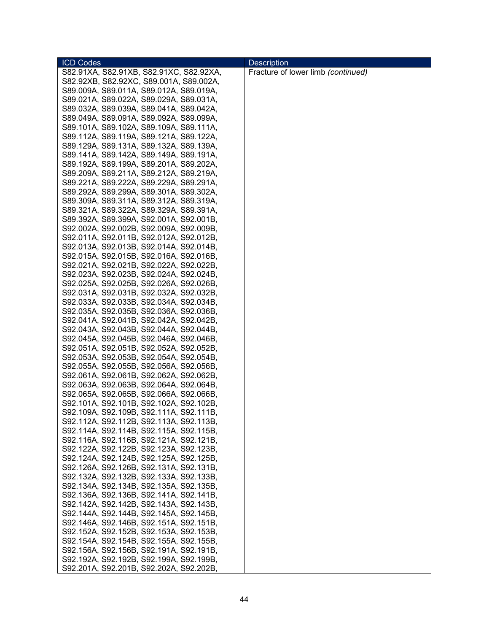| <b>ICD Codes</b>                        | <b>Description</b>                 |
|-----------------------------------------|------------------------------------|
| S82.91XA, S82.91XB, S82.91XC, S82.92XA, | Fracture of lower limb (continued) |
| S82.92XB, S82.92XC, S89.001A, S89.002A, |                                    |
| S89.009A, S89.011A, S89.012A, S89.019A, |                                    |
| S89.021A, S89.022A, S89.029A, S89.031A, |                                    |
| S89.032A, S89.039A, S89.041A, S89.042A, |                                    |
| S89.049A, S89.091A, S89.092A, S89.099A, |                                    |
| S89.101A, S89.102A, S89.109A, S89.111A, |                                    |
| S89.112A, S89.119A, S89.121A, S89.122A, |                                    |
| S89.129A, S89.131A, S89.132A, S89.139A, |                                    |
| S89.141A, S89.142A, S89.149A, S89.191A, |                                    |
|                                         |                                    |
| S89.192A, S89.199A, S89.201A, S89.202A, |                                    |
| S89.209A, S89.211A, S89.212A, S89.219A, |                                    |
| S89.221A, S89.222A, S89.229A, S89.291A, |                                    |
| S89.292A, S89.299A, S89.301A, S89.302A, |                                    |
| S89.309A, S89.311A, S89.312A, S89.319A, |                                    |
| S89.321A, S89.322A, S89.329A, S89.391A, |                                    |
| S89.392A, S89.399A, S92.001A, S92.001B, |                                    |
| S92.002A, S92.002B, S92.009A, S92.009B, |                                    |
| S92.011A, S92.011B, S92.012A, S92.012B, |                                    |
| S92.013A, S92.013B, S92.014A, S92.014B, |                                    |
| S92.015A, S92.015B, S92.016A, S92.016B, |                                    |
| S92.021A, S92.021B, S92.022A, S92.022B, |                                    |
| S92.023A, S92.023B, S92.024A, S92.024B, |                                    |
| S92.025A, S92.025B, S92.026A, S92.026B, |                                    |
| S92.031A, S92.031B, S92.032A, S92.032B, |                                    |
| S92.033A, S92.033B, S92.034A, S92.034B, |                                    |
| S92.035A, S92.035B, S92.036A, S92.036B, |                                    |
| S92.041A, S92.041B, S92.042A, S92.042B, |                                    |
| S92.043A, S92.043B, S92.044A, S92.044B, |                                    |
| S92.045A, S92.045B, S92.046A, S92.046B, |                                    |
| S92.051A, S92.051B, S92.052A, S92.052B, |                                    |
| S92.053A, S92.053B, S92.054A, S92.054B, |                                    |
| S92.055A, S92.055B, S92.056A, S92.056B, |                                    |
| S92.061A, S92.061B, S92.062A, S92.062B, |                                    |
| S92.063A, S92.063B, S92.064A, S92.064B, |                                    |
| S92.065A, S92.065B, S92.066A, S92.066B, |                                    |
| S92.101A, S92.101B, S92.102A, S92.102B, |                                    |
| S92.109A, S92.109B, S92.111A, S92.111B, |                                    |
|                                         |                                    |
| S92.112A, S92.112B, S92.113A, S92.113B, |                                    |
| S92.114A, S92.114B, S92.115A, S92.115B, |                                    |
| S92.116A, S92.116B, S92.121A, S92.121B, |                                    |
| S92.122A, S92.122B, S92.123A, S92.123B, |                                    |
| S92.124A, S92.124B, S92.125A, S92.125B, |                                    |
| S92.126A, S92.126B, S92.131A, S92.131B, |                                    |
| S92.132A, S92.132B, S92.133A, S92.133B, |                                    |
| S92.134A, S92.134B, S92.135A, S92.135B, |                                    |
| S92.136A, S92.136B, S92.141A, S92.141B, |                                    |
| S92.142A, S92.142B, S92.143A, S92.143B, |                                    |
| S92.144A, S92.144B, S92.145A, S92.145B, |                                    |
| S92.146A, S92.146B, S92.151A, S92.151B, |                                    |
| S92.152A, S92.152B, S92.153A, S92.153B, |                                    |
| S92.154A, S92.154B, S92.155A, S92.155B, |                                    |
| S92.156A, S92.156B, S92.191A, S92.191B, |                                    |
| S92.192A, S92.192B, S92.199A, S92.199B, |                                    |
| S92.201A, S92.201B, S92.202A, S92.202B, |                                    |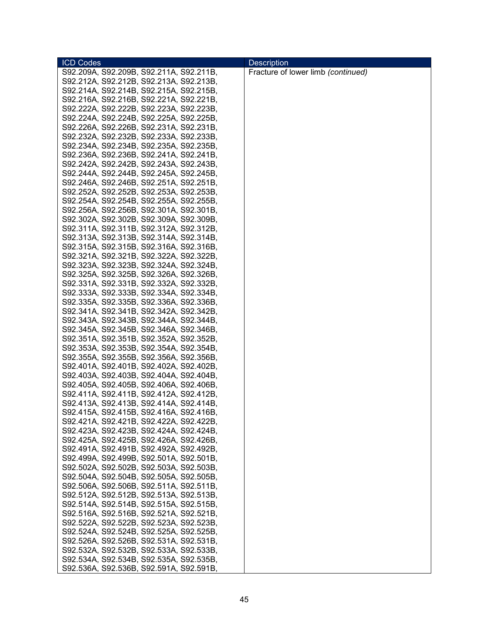| <b>ICD Codes</b>                        | <b>Description</b>                 |
|-----------------------------------------|------------------------------------|
| S92.209A, S92.209B, S92.211A, S92.211B, | Fracture of lower limb (continued) |
| S92.212A, S92.212B, S92.213A, S92.213B, |                                    |
| S92.214A, S92.214B, S92.215A, S92.215B, |                                    |
| S92.216A, S92.216B, S92.221A, S92.221B, |                                    |
| S92.222A, S92.222B, S92.223A, S92.223B, |                                    |
| S92.224A, S92.224B, S92.225A, S92.225B, |                                    |
| S92.226A, S92.226B, S92.231A, S92.231B, |                                    |
| S92.232A, S92.232B, S92.233A, S92.233B, |                                    |
| S92.234A, S92.234B, S92.235A, S92.235B, |                                    |
| S92.236A, S92.236B, S92.241A, S92.241B, |                                    |
| S92.242A, S92.242B, S92.243A, S92.243B, |                                    |
| S92.244A, S92.244B, S92.245A, S92.245B, |                                    |
| S92.246A, S92.246B, S92.251A, S92.251B, |                                    |
| S92.252A, S92.252B, S92.253A, S92.253B, |                                    |
| S92.254A, S92.254B, S92.255A, S92.255B, |                                    |
|                                         |                                    |
| S92.256A, S92.256B, S92.301A, S92.301B, |                                    |
| S92.302A, S92.302B, S92.309A, S92.309B, |                                    |
| S92.311A, S92.311B, S92.312A, S92.312B, |                                    |
| S92.313A, S92.313B, S92.314A, S92.314B, |                                    |
| S92.315A, S92.315B, S92.316A, S92.316B, |                                    |
| S92.321A, S92.321B, S92.322A, S92.322B, |                                    |
| S92.323A, S92.323B, S92.324A, S92.324B, |                                    |
| S92.325A, S92.325B, S92.326A, S92.326B, |                                    |
| S92.331A, S92.331B, S92.332A, S92.332B, |                                    |
| S92.333A, S92.333B, S92.334A, S92.334B, |                                    |
| S92.335A, S92.335B, S92.336A, S92.336B, |                                    |
| S92.341A, S92.341B, S92.342A, S92.342B, |                                    |
| S92.343A, S92.343B, S92.344A, S92.344B, |                                    |
| S92.345A, S92.345B, S92.346A, S92.346B, |                                    |
| S92.351A, S92.351B, S92.352A, S92.352B, |                                    |
| S92.353A, S92.353B, S92.354A, S92.354B, |                                    |
| S92.355A, S92.355B, S92.356A, S92.356B, |                                    |
| S92.401A, S92.401B, S92.402A, S92.402B, |                                    |
| S92.403A, S92.403B, S92.404A, S92.404B, |                                    |
| S92.405A, S92.405B, S92.406A, S92.406B, |                                    |
| S92.411A, S92.411B, S92.412A, S92.412B, |                                    |
| S92.413A, S92.413B, S92.414A, S92.414B, |                                    |
| S92.415A, S92.415B, S92.416A, S92.416B. |                                    |
| S92.421A, S92.421B, S92.422A, S92.422B, |                                    |
| S92.423A, S92.423B, S92.424A, S92.424B, |                                    |
| S92.425A, S92.425B, S92.426A, S92.426B, |                                    |
| S92.491A, S92.491B, S92.492A, S92.492B, |                                    |
| S92.499A, S92.499B, S92.501A, S92.501B, |                                    |
| S92.502A, S92.502B, S92.503A, S92.503B, |                                    |
| S92.504A, S92.504B, S92.505A, S92.505B, |                                    |
| S92.506A, S92.506B, S92.511A, S92.511B, |                                    |
| S92.512A, S92.512B, S92.513A, S92.513B, |                                    |
| S92.514A, S92.514B, S92.515A, S92.515B, |                                    |
| S92.516A, S92.516B, S92.521A, S92.521B, |                                    |
| S92.522A, S92.522B, S92.523A, S92.523B, |                                    |
| S92.524A, S92.524B, S92.525A, S92.525B, |                                    |
| S92.526A, S92.526B, S92.531A, S92.531B, |                                    |
| S92.532A, S92.532B, S92.533A, S92.533B, |                                    |
| S92.534A, S92.534B, S92.535A, S92.535B, |                                    |
| S92.536A, S92.536B, S92.591A, S92.591B, |                                    |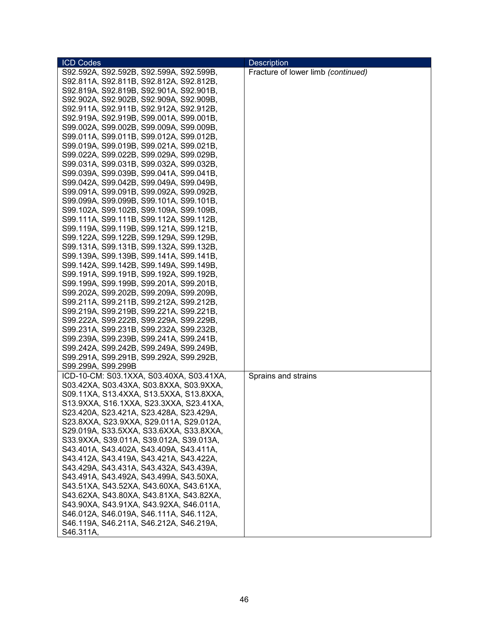| <b>ICD Codes</b>                         | <b>Description</b>                 |
|------------------------------------------|------------------------------------|
| S92.592A, S92.592B, S92.599A, S92.599B,  | Fracture of lower limb (continued) |
| S92.811A, S92.811B, S92.812A, S92.812B,  |                                    |
| S92.819A, S92.819B, S92.901A, S92.901B,  |                                    |
| S92.902A, S92.902B, S92.909A, S92.909B,  |                                    |
| S92.911A, S92.911B, S92.912A, S92.912B,  |                                    |
| S92.919A, S92.919B, S99.001A, S99.001B,  |                                    |
| S99.002A, S99.002B, S99.009A, S99.009B,  |                                    |
| S99.011A, S99.011B, S99.012A, S99.012B,  |                                    |
| S99.019A, S99.019B, S99.021A, S99.021B,  |                                    |
| S99.022A, S99.022B, S99.029A, S99.029B,  |                                    |
| S99.031A, S99.031B, S99.032A, S99.032B,  |                                    |
| S99.039A, S99.039B, S99.041A, S99.041B,  |                                    |
| S99.042A, S99.042B, S99.049A, S99.049B,  |                                    |
| S99.091A, S99.091B, S99.092A, S99.092B,  |                                    |
| S99.099A, S99.099B, S99.101A, S99.101B,  |                                    |
| S99.102A, S99.102B, S99.109A, S99.109B,  |                                    |
| S99.111A, S99.111B, S99.112A, S99.112B,  |                                    |
| S99.119A, S99.119B, S99.121A, S99.121B,  |                                    |
| S99.122A, S99.122B, S99.129A, S99.129B,  |                                    |
| S99.131A, S99.131B, S99.132A, S99.132B,  |                                    |
| S99.139A, S99.139B, S99.141A, S99.141B,  |                                    |
| S99.142A, S99.142B, S99.149A, S99.149B,  |                                    |
| S99.191A, S99.191B, S99.192A, S99.192B,  |                                    |
| S99.199A, S99.199B, S99.201A, S99.201B,  |                                    |
| S99.202A, S99.202B, S99.209A, S99.209B,  |                                    |
| S99.211A, S99.211B, S99.212A, S99.212B,  |                                    |
| S99.219A, S99.219B, S99.221A, S99.221B,  |                                    |
| S99.222A, S99.222B, S99.229A, S99.229B,  |                                    |
| S99.231A, S99.231B, S99.232A, S99.232B,  |                                    |
| S99.239A, S99.239B, S99.241A, S99.241B,  |                                    |
| S99.242A, S99.242B, S99.249A, S99.249B,  |                                    |
| S99.291A, S99.291B, S99.292A, S99.292B,  |                                    |
| S99.299A, S99.299B                       |                                    |
| ICD-10-CM: S03.1XXA, S03.40XA, S03.41XA, | Sprains and strains                |
| S03.42XA, S03.43XA, S03.8XXA, S03.9XXA,  |                                    |
| S09.11XA, S13.4XXA, S13.5XXA, S13.8XXA,  |                                    |
| S13.9XXA, S16.1XXA, S23.3XXA, S23.41XA,  |                                    |
| S23.420A, S23.421A, S23.428A, S23.429A,  |                                    |
| S23.8XXA, S23.9XXA, S29.011A, S29.012A,  |                                    |
| S29.019A, S33.5XXA, S33.6XXA, S33.8XXA,  |                                    |
| S33.9XXA, S39.011A, S39.012A, S39.013A,  |                                    |
| S43.401A, S43.402A, S43.409A, S43.411A,  |                                    |
| S43.412A, S43.419A, S43.421A, S43.422A,  |                                    |
| S43.429A, S43.431A, S43.432A, S43.439A,  |                                    |
| S43.491A, S43.492A, S43.499A, S43.50XA,  |                                    |
| S43.51XA, S43.52XA, S43.60XA, S43.61XA,  |                                    |
| S43.62XA, S43.80XA, S43.81XA, S43.82XA,  |                                    |
| S43.90XA, S43.91XA, S43.92XA, S46.011A,  |                                    |
| S46.012A, S46.019A, S46.111A, S46.112A,  |                                    |
| S46.119A, S46.211A, S46.212A, S46.219A,  |                                    |
| S46.311A,                                |                                    |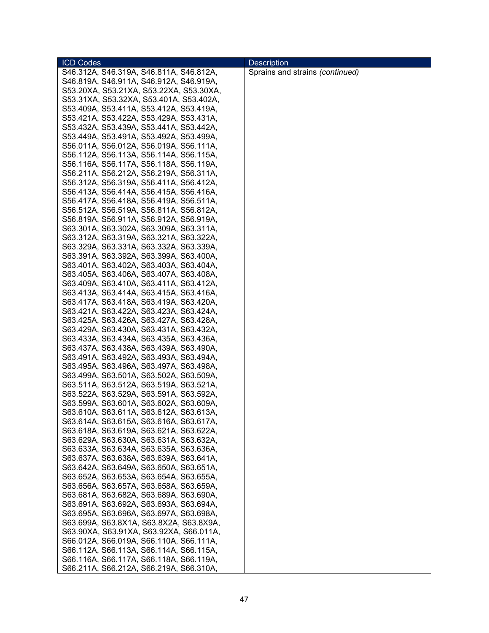| <b>ICD Codes</b>                                                                   | <b>Description</b>              |
|------------------------------------------------------------------------------------|---------------------------------|
| S46.312A, S46.319A, S46.811A, S46.812A,                                            | Sprains and strains (continued) |
| S46.819A, S46.911A, S46.912A, S46.919A,                                            |                                 |
| S53.20XA, S53.21XA, S53.22XA, S53.30XA,                                            |                                 |
| S53.31XA, S53.32XA, S53.401A, S53.402A,                                            |                                 |
| S53.409A, S53.411A, S53.412A, S53.419A,                                            |                                 |
| S53.421A, S53.422A, S53.429A, S53.431A,                                            |                                 |
| S53.432A, S53.439A, S53.441A, S53.442A,                                            |                                 |
| S53.449A, S53.491A, S53.492A, S53.499A,                                            |                                 |
| S56.011A, S56.012A, S56.019A, S56.111A,                                            |                                 |
| S56.112A, S56.113A, S56.114A, S56.115A,                                            |                                 |
| S56.116A, S56.117A, S56.118A, S56.119A,                                            |                                 |
| S56.211A, S56.212A, S56.219A, S56.311A,                                            |                                 |
| S56.312A, S56.319A, S56.411A, S56.412A,                                            |                                 |
| S56.413A, S56.414A, S56.415A, S56.416A,                                            |                                 |
| S56.417A, S56.418A, S56.419A, S56.511A,                                            |                                 |
| S56.512A, S56.519A, S56.811A, S56.812A,                                            |                                 |
| S56.819A, S56.911A, S56.912A, S56.919A,                                            |                                 |
| S63.301A, S63.302A, S63.309A, S63.311A,                                            |                                 |
| S63.312A, S63.319A, S63.321A, S63.322A,                                            |                                 |
|                                                                                    |                                 |
| S63.329A, S63.331A, S63.332A, S63.339A,                                            |                                 |
| S63.391A, S63.392A, S63.399A, S63.400A,                                            |                                 |
| S63.401A, S63.402A, S63.403A, S63.404A,                                            |                                 |
| S63.405A, S63.406A, S63.407A, S63.408A,                                            |                                 |
| S63.409A, S63.410A, S63.411A, S63.412A,                                            |                                 |
| S63.413A, S63.414A, S63.415A, S63.416A,                                            |                                 |
| S63.417A, S63.418A, S63.419A, S63.420A,                                            |                                 |
| S63.421A, S63.422A, S63.423A, S63.424A,                                            |                                 |
| S63.425A, S63.426A, S63.427A, S63.428A,                                            |                                 |
| S63.429A, S63.430A, S63.431A, S63.432A,                                            |                                 |
| S63.433A, S63.434A, S63.435A, S63.436A,                                            |                                 |
| S63.437A, S63.438A, S63.439A, S63.490A,                                            |                                 |
| S63.491A, S63.492A, S63.493A, S63.494A,                                            |                                 |
| S63.495A, S63.496A, S63.497A, S63.498A,                                            |                                 |
| S63.499A, S63.501A, S63.502A, S63.509A,                                            |                                 |
| S63.511A, S63.512A, S63.519A, S63.521A,                                            |                                 |
| S63.522A, S63.529A, S63.591A, S63.592A,                                            |                                 |
| S63.599A, S63.601A, S63.602A, S63.609A,                                            |                                 |
| S63.610A, S63.611A, S63.612A, S63.613A,                                            |                                 |
| S63.614A, S63.615A, S63.616A, S63.617A,<br>S63.618A, S63.619A, S63.621A, S63.622A, |                                 |
| S63.629A, S63.630A, S63.631A, S63.632A,                                            |                                 |
|                                                                                    |                                 |
| S63.633A, S63.634A, S63.635A, S63.636A,                                            |                                 |
| S63.637A, S63.638A, S63.639A, S63.641A,<br>S63.642A, S63.649A, S63.650A, S63.651A, |                                 |
| S63.652A, S63.653A, S63.654A, S63.655A,                                            |                                 |
| S63.656A, S63.657A, S63.658A, S63.659A,                                            |                                 |
|                                                                                    |                                 |
| S63.681A, S63.682A, S63.689A, S63.690A,                                            |                                 |
| S63.691A, S63.692A, S63.693A, S63.694A,                                            |                                 |
| S63.695A, S63.696A, S63.697A, S63.698A,<br>S63.699A, S63.8X1A, S63.8X2A, S63.8X9A, |                                 |
| S63.90XA, S63.91XA, S63.92XA, S66.011A,                                            |                                 |
| S66.012A, S66.019A, S66.110A, S66.111A,                                            |                                 |
| S66.112A, S66.113A, S66.114A, S66.115A,                                            |                                 |
| S66.116A, S66.117A, S66.118A, S66.119A,                                            |                                 |
| S66.211A, S66.212A, S66.219A, S66.310A,                                            |                                 |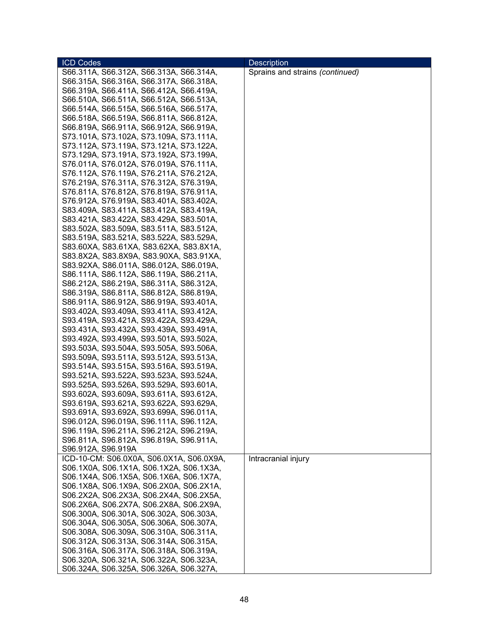| <b>ICD Codes</b>                                                                   | <b>Description</b>              |
|------------------------------------------------------------------------------------|---------------------------------|
| S66.311A, S66.312A, S66.313A, S66.314A,                                            | Sprains and strains (continued) |
| S66.315A, S66.316A, S66.317A, S66.318A,                                            |                                 |
| S66.319A, S66.411A, S66.412A, S66.419A,                                            |                                 |
| S66.510A, S66.511A, S66.512A, S66.513A,                                            |                                 |
| S66.514A, S66.515A, S66.516A, S66.517A,                                            |                                 |
| S66.518A, S66.519A, S66.811A, S66.812A,                                            |                                 |
| S66.819A, S66.911A, S66.912A, S66.919A,                                            |                                 |
| S73.101A, S73.102A, S73.109A, S73.111A,                                            |                                 |
| S73.112A, S73.119A, S73.121A, S73.122A,                                            |                                 |
| S73.129A, S73.191A, S73.192A, S73.199A,                                            |                                 |
| S76.011A, S76.012A, S76.019A, S76.111A,                                            |                                 |
| S76.112A, S76.119A, S76.211A, S76.212A,                                            |                                 |
| S76.219A, S76.311A, S76.312A, S76.319A,                                            |                                 |
| S76.811A, S76.812A, S76.819A, S76.911A,                                            |                                 |
| S76.912A, S76.919A, S83.401A, S83.402A,                                            |                                 |
| S83.409A, S83.411A, S83.412A, S83.419A,                                            |                                 |
| S83.421A, S83.422A, S83.429A, S83.501A,                                            |                                 |
| S83.502A, S83.509A, S83.511A, S83.512A,                                            |                                 |
| S83.519A, S83.521A, S83.522A, S83.529A,                                            |                                 |
| S83.60XA, S83.61XA, S83.62XA, S83.8X1A,                                            |                                 |
| S83.8X2A, S83.8X9A, S83.90XA, S83.91XA,                                            |                                 |
| S83.92XA, S86.011A, S86.012A, S86.019A,                                            |                                 |
| S86.111A, S86.112A, S86.119A, S86.211A,                                            |                                 |
| S86.212A, S86.219A, S86.311A, S86.312A,                                            |                                 |
| S86.319A, S86.811A, S86.812A, S86.819A,                                            |                                 |
| S86.911A, S86.912A, S86.919A, S93.401A,                                            |                                 |
| S93.402A, S93.409A, S93.411A, S93.412A,                                            |                                 |
| S93.419A, S93.421A, S93.422A, S93.429A,                                            |                                 |
| S93.431A, S93.432A, S93.439A, S93.491A,                                            |                                 |
| S93.492A, S93.499A, S93.501A, S93.502A,                                            |                                 |
| S93.503A, S93.504A, S93.505A, S93.506A,                                            |                                 |
| S93.509A, S93.511A, S93.512A, S93.513A,<br>S93.514A, S93.515A, S93.516A, S93.519A, |                                 |
| S93.521A, S93.522A, S93.523A, S93.524A,                                            |                                 |
| S93.525A, S93.526A, S93.529A, S93.601A,                                            |                                 |
| S93.602A, S93.609A, S93.611A, S93.612A,                                            |                                 |
| S93.619A, S93.621A, S93.622A, S93.629A,                                            |                                 |
| S93.691A, S93.692A, S93.699A, S96.011A,                                            |                                 |
| S96.012A, S96.019A, S96.111A, S96.112A,                                            |                                 |
| S96.119A, S96.211A, S96.212A, S96.219A,                                            |                                 |
| S96.811A, S96.812A, S96.819A, S96.911A,                                            |                                 |
| S96.912A, S96.919A                                                                 |                                 |
| ICD-10-CM: S06.0X0A, S06.0X1A, S06.0X9A,                                           | Intracranial injury             |
| S06.1X0A, S06.1X1A, S06.1X2A, S06.1X3A,                                            |                                 |
| S06.1X4A, S06.1X5A, S06.1X6A, S06.1X7A,                                            |                                 |
| S06.1X8A, S06.1X9A, S06.2X0A, S06.2X1A,                                            |                                 |
| S06.2X2A, S06.2X3A, S06.2X4A, S06.2X5A,                                            |                                 |
| S06.2X6A, S06.2X7A, S06.2X8A, S06.2X9A,                                            |                                 |
| S06.300A, S06.301A, S06.302A, S06.303A,                                            |                                 |
| S06.304A, S06.305A, S06.306A, S06.307A,                                            |                                 |
| S06.308A, S06.309A, S06.310A, S06.311A,                                            |                                 |
| S06.312A, S06.313A, S06.314A, S06.315A,                                            |                                 |
| S06.316A, S06.317A, S06.318A, S06.319A,                                            |                                 |
| S06.320A, S06.321A, S06.322A, S06.323A,                                            |                                 |
| S06.324A, S06.325A, S06.326A, S06.327A,                                            |                                 |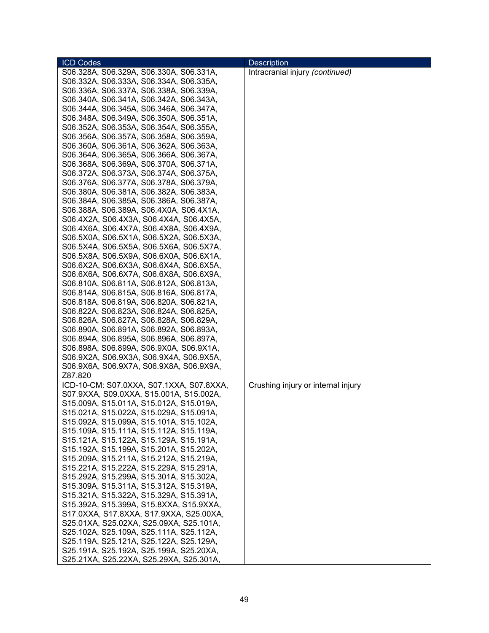| <b>ICD Codes</b>                         | <b>Description</b>                 |
|------------------------------------------|------------------------------------|
| S06.328A, S06.329A, S06.330A, S06.331A,  | Intracranial injury (continued)    |
| S06.332A, S06.333A, S06.334A, S06.335A,  |                                    |
| S06.336A, S06.337A, S06.338A, S06.339A,  |                                    |
| S06.340A, S06.341A, S06.342A, S06.343A,  |                                    |
| S06.344A, S06.345A, S06.346A, S06.347A,  |                                    |
| S06.348A, S06.349A, S06.350A, S06.351A,  |                                    |
| S06.352A, S06.353A, S06.354A, S06.355A,  |                                    |
| S06.356A, S06.357A, S06.358A, S06.359A,  |                                    |
| S06.360A, S06.361A, S06.362A, S06.363A,  |                                    |
| S06.364A, S06.365A, S06.366A, S06.367A,  |                                    |
| S06.368A, S06.369A, S06.370A, S06.371A,  |                                    |
| S06.372A, S06.373A, S06.374A, S06.375A,  |                                    |
| S06.376A, S06.377A, S06.378A, S06.379A,  |                                    |
| S06.380A, S06.381A, S06.382A, S06.383A,  |                                    |
| S06.384A, S06.385A, S06.386A, S06.387A,  |                                    |
| S06.388A, S06.389A, S06.4X0A, S06.4X1A,  |                                    |
| S06.4X2A, S06.4X3A, S06.4X4A, S06.4X5A,  |                                    |
| S06.4X6A, S06.4X7A, S06.4X8A, S06.4X9A,  |                                    |
| S06.5X0A, S06.5X1A, S06.5X2A, S06.5X3A,  |                                    |
| S06.5X4A, S06.5X5A, S06.5X6A, S06.5X7A,  |                                    |
| S06.5X8A, S06.5X9A, S06.6X0A, S06.6X1A,  |                                    |
| S06.6X2A, S06.6X3A, S06.6X4A, S06.6X5A,  |                                    |
| S06.6X6A, S06.6X7A, S06.6X8A, S06.6X9A,  |                                    |
| S06.810A, S06.811A, S06.812A, S06.813A,  |                                    |
| S06.814A, S06.815A, S06.816A, S06.817A,  |                                    |
| S06.818A, S06.819A, S06.820A, S06.821A,  |                                    |
| S06.822A, S06.823A, S06.824A, S06.825A,  |                                    |
| S06.826A, S06.827A, S06.828A, S06.829A,  |                                    |
| S06.890A, S06.891A, S06.892A, S06.893A,  |                                    |
| S06.894A, S06.895A, S06.896A, S06.897A,  |                                    |
| S06.898A, S06.899A, S06.9X0A, S06.9X1A,  |                                    |
| S06.9X2A, S06.9X3A, S06.9X4A, S06.9X5A,  |                                    |
| S06.9X6A, S06.9X7A, S06.9X8A, S06.9X9A,  |                                    |
| Z87.820                                  |                                    |
| ICD-10-CM: S07.0XXA, S07.1XXA, S07.8XXA, | Crushing injury or internal injury |
| S07.9XXA, S09.0XXA, S15.001A, S15.002A,  |                                    |
| S15.009A, S15.011A, S15.012A, S15.019A,  |                                    |
| S15.021A, S15.022A, S15.029A, S15.091A,  |                                    |
| S15.092A, S15.099A, S15.101A, S15.102A,  |                                    |
| S15.109A, S15.111A, S15.112A, S15.119A,  |                                    |
| S15.121A, S15.122A, S15.129A, S15.191A,  |                                    |
| S15.192A, S15.199A, S15.201A, S15.202A,  |                                    |
| S15.209A, S15.211A, S15.212A, S15.219A,  |                                    |
| S15.221A, S15.222A, S15.229A, S15.291A,  |                                    |
| S15.292A, S15.299A, S15.301A, S15.302A,  |                                    |
| S15.309A, S15.311A, S15.312A, S15.319A,  |                                    |
| S15.321A, S15.322A, S15.329A, S15.391A,  |                                    |
| S15.392A, S15.399A, S15.8XXA, S15.9XXA,  |                                    |
| S17.0XXA, S17.8XXA, S17.9XXA, S25.00XA,  |                                    |
| S25.01XA, S25.02XA, S25.09XA, S25.101A,  |                                    |
| S25.102A, S25.109A, S25.111A, S25.112A,  |                                    |
| S25.119A, S25.121A, S25.122A, S25.129A,  |                                    |
| S25.191A, S25.192A, S25.199A, S25.20XA,  |                                    |
| S25.21XA, S25.22XA, S25.29XA, S25.301A,  |                                    |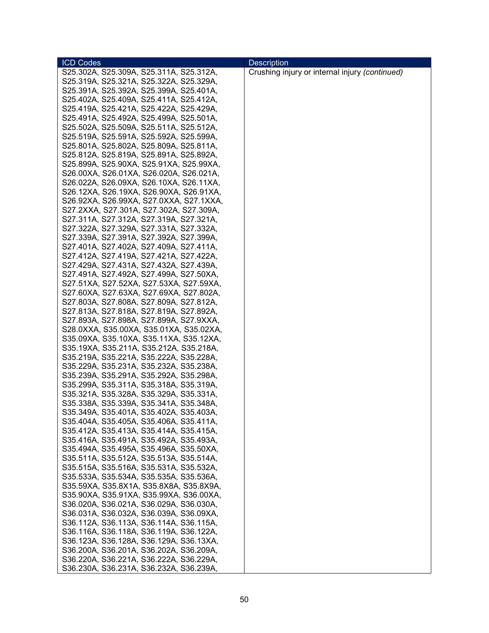| <b>ICD Codes</b>                        | <b>Description</b>                             |
|-----------------------------------------|------------------------------------------------|
| S25.302A, S25.309A, S25.311A, S25.312A, | Crushing injury or internal injury (continued) |
| S25.319A, S25.321A, S25.322A, S25.329A, |                                                |
| S25.391A, S25.392A, S25.399A, S25.401A, |                                                |
| S25.402A, S25.409A, S25.411A, S25.412A, |                                                |
| S25.419A, S25.421A, S25.422A, S25.429A, |                                                |
| S25.491A, S25.492A, S25.499A, S25.501A, |                                                |
| S25.502A, S25.509A, S25.511A, S25.512A, |                                                |
| S25.519A, S25.591A, S25.592A, S25.599A, |                                                |
| S25.801A, S25.802A, S25.809A, S25.811A, |                                                |
| S25.812A, S25.819A, S25.891A, S25.892A, |                                                |
| S25.899A, S25.90XA, S25.91XA, S25.99XA, |                                                |
| S26.00XA, S26.01XA, S26.020A, S26.021A, |                                                |
| S26.022A, S26.09XA, S26.10XA, S26.11XA, |                                                |
| S26.12XA, S26.19XA, S26.90XA, S26.91XA, |                                                |
| S26.92XA, S26.99XA, S27.0XXA, S27.1XXA, |                                                |
| S27.2XXA, S27.301A, S27.302A, S27.309A, |                                                |
| S27.311A, S27.312A, S27.319A, S27.321A, |                                                |
| S27.322A, S27.329A, S27.331A, S27.332A, |                                                |
| S27.339A, S27.391A, S27.392A, S27.399A, |                                                |
| S27.401A, S27.402A, S27.409A, S27.411A, |                                                |
| S27.412A, S27.419A, S27.421A, S27.422A, |                                                |
| S27.429A, S27.431A, S27.432A, S27.439A, |                                                |
| S27.491A, S27.492A, S27.499A, S27.50XA, |                                                |
| S27.51XA, S27.52XA, S27.53XA, S27.59XA, |                                                |
| S27.60XA, S27.63XA, S27.69XA, S27.802A, |                                                |
| S27.803A, S27.808A, S27.809A, S27.812A, |                                                |
| S27.813A, S27.818A, S27.819A, S27.892A, |                                                |
| S27.893A, S27.898A, S27.899A, S27.9XXA, |                                                |
| S28.0XXA, S35.00XA, S35.01XA, S35.02XA, |                                                |
| S35.09XA, S35.10XA, S35.11XA, S35.12XA, |                                                |
| S35.19XA, S35.211A, S35.212A, S35.218A, |                                                |
| S35.219A, S35.221A, S35.222A, S35.228A, |                                                |
| S35.229A, S35.231A, S35.232A, S35.238A, |                                                |
| S35.239A, S35.291A, S35.292A, S35.298A, |                                                |
| S35.299A, S35.311A, S35.318A, S35.319A, |                                                |
| S35.321A, S35.328A, S35.329A, S35.331A, |                                                |
| S35.338A, S35.339A, S35.341A, S35.348A, |                                                |
| S35.349A, S35.401A, S35.402A, S35.403A, |                                                |
| S35.404A, S35.405A, S35.406A, S35.411A, |                                                |
| S35.412A, S35.413A, S35.414A, S35.415A, |                                                |
| S35.416A, S35.491A, S35.492A, S35.493A, |                                                |
| S35.494A, S35.495A, S35.496A, S35.50XA, |                                                |
| S35.511A, S35.512A, S35.513A, S35.514A, |                                                |
| S35.515A, S35.516A, S35.531A, S35.532A, |                                                |
| S35.533A, S35.534A, S35.535A, S35.536A, |                                                |
| S35.59XA, S35.8X1A, S35.8X8A, S35.8X9A, |                                                |
| S35.90XA, S35.91XA, S35.99XA, S36.00XA, |                                                |
| S36.020A, S36.021A, S36.029A, S36.030A, |                                                |
| S36.031A, S36.032A, S36.039A, S36.09XA, |                                                |
| S36.112A, S36.113A, S36.114A, S36.115A, |                                                |
| S36.116A, S36.118A, S36.119A, S36.122A, |                                                |
| S36.123A, S36.128A, S36.129A, S36.13XA, |                                                |
| S36.200A, S36.201A, S36.202A, S36.209A, |                                                |
| S36.220A, S36.221A, S36.222A, S36.229A, |                                                |
| S36.230A, S36.231A, S36.232A, S36.239A, |                                                |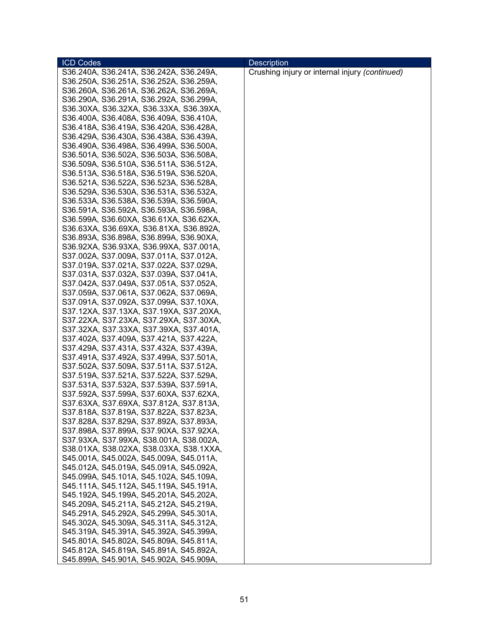| <b>ICD Codes</b>                        | <b>Description</b>                             |
|-----------------------------------------|------------------------------------------------|
| S36.240A, S36.241A, S36.242A, S36.249A, | Crushing injury or internal injury (continued) |
| S36.250A, S36.251A, S36.252A, S36.259A, |                                                |
| S36.260A, S36.261A, S36.262A, S36.269A, |                                                |
| S36.290A, S36.291A, S36.292A, S36.299A, |                                                |
| S36.30XA, S36.32XA, S36.33XA, S36.39XA, |                                                |
| S36.400A, S36.408A, S36.409A, S36.410A, |                                                |
| S36.418A, S36.419A, S36.420A, S36.428A, |                                                |
| S36.429A, S36.430A, S36.438A, S36.439A, |                                                |
| S36.490A, S36.498A, S36.499A, S36.500A, |                                                |
| S36.501A, S36.502A, S36.503A, S36.508A, |                                                |
| S36.509A, S36.510A, S36.511A, S36.512A, |                                                |
| S36.513A, S36.518A, S36.519A, S36.520A, |                                                |
| S36.521A, S36.522A, S36.523A, S36.528A, |                                                |
| S36.529A, S36.530A, S36.531A, S36.532A, |                                                |
| S36.533A, S36.538A, S36.539A, S36.590A, |                                                |
| S36.591A, S36.592A, S36.593A, S36.598A, |                                                |
| S36.599A, S36.60XA, S36.61XA, S36.62XA, |                                                |
| S36.63XA, S36.69XA, S36.81XA, S36.892A, |                                                |
| S36.893A, S36.898A, S36.899A, S36.90XA, |                                                |
| S36.92XA, S36.93XA, S36.99XA, S37.001A, |                                                |
| S37.002A, S37.009A, S37.011A, S37.012A, |                                                |
| S37.019A, S37.021A, S37.022A, S37.029A, |                                                |
| S37.031A, S37.032A, S37.039A, S37.041A, |                                                |
| S37.042A, S37.049A, S37.051A, S37.052A, |                                                |
| S37.059A, S37.061A, S37.062A, S37.069A, |                                                |
| S37.091A, S37.092A, S37.099A, S37.10XA, |                                                |
| S37.12XA, S37.13XA, S37.19XA, S37.20XA, |                                                |
| S37.22XA, S37.23XA, S37.29XA, S37.30XA, |                                                |
| S37.32XA, S37.33XA, S37.39XA, S37.401A, |                                                |
| S37.402A, S37.409A, S37.421A, S37.422A, |                                                |
| S37.429A, S37.431A, S37.432A, S37.439A, |                                                |
| S37.491A, S37.492A, S37.499A, S37.501A, |                                                |
| S37.502A, S37.509A, S37.511A, S37.512A, |                                                |
| S37.519A, S37.521A, S37.522A, S37.529A, |                                                |
| S37.531A, S37.532A, S37.539A, S37.591A, |                                                |
| S37.592A, S37.599A, S37.60XA, S37.62XA, |                                                |
| S37.63XA, S37.69XA, S37.812A, S37.813A, |                                                |
| S37.818A, S37.819A, S37.822A, S37.823A, |                                                |
| S37.828A, S37.829A, S37.892A, S37.893A, |                                                |
| S37.898A, S37.899A, S37.90XA, S37.92XA, |                                                |
| S37.93XA, S37.99XA, S38.001A, S38.002A, |                                                |
| S38.01XA, S38.02XA, S38.03XA, S38.1XXA, |                                                |
| S45.001A, S45.002A, S45.009A, S45.011A, |                                                |
| S45.012A, S45.019A, S45.091A, S45.092A, |                                                |
| S45.099A, S45.101A, S45.102A, S45.109A, |                                                |
| S45.111A, S45.112A, S45.119A, S45.191A, |                                                |
| S45.192A, S45.199A, S45.201A, S45.202A, |                                                |
| S45.209A, S45.211A, S45.212A, S45.219A, |                                                |
| S45.291A, S45.292A, S45.299A, S45.301A, |                                                |
| S45.302A, S45.309A, S45.311A, S45.312A, |                                                |
| S45.319A, S45.391A, S45.392A, S45.399A, |                                                |
| S45.801A, S45.802A, S45.809A, S45.811A, |                                                |
| S45.812A, S45.819A, S45.891A, S45.892A, |                                                |
| S45.899A, S45.901A, S45.902A, S45.909A, |                                                |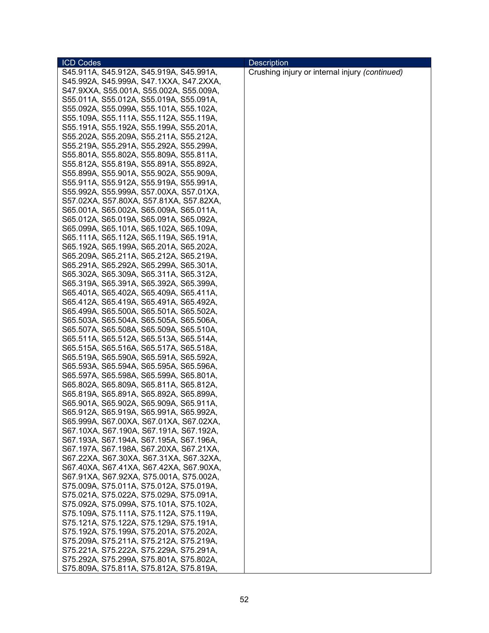| <b>ICD Codes</b>                        | <b>Description</b>                             |
|-----------------------------------------|------------------------------------------------|
| S45.911A, S45.912A, S45.919A, S45.991A, | Crushing injury or internal injury (continued) |
| S45.992A, S45.999A, S47.1XXA, S47.2XXA, |                                                |
| S47.9XXA, S55.001A, S55.002A, S55.009A, |                                                |
| S55.011A, S55.012A, S55.019A, S55.091A, |                                                |
| S55.092A, S55.099A, S55.101A, S55.102A, |                                                |
| S55.109A, S55.111A, S55.112A, S55.119A, |                                                |
| S55.191A, S55.192A, S55.199A, S55.201A, |                                                |
| S55.202A, S55.209A, S55.211A, S55.212A, |                                                |
| S55.219A, S55.291A, S55.292A, S55.299A, |                                                |
| S55.801A, S55.802A, S55.809A, S55.811A, |                                                |
| S55.812A, S55.819A, S55.891A, S55.892A, |                                                |
| S55.899A, S55.901A, S55.902A, S55.909A, |                                                |
| S55.911A, S55.912A, S55.919A, S55.991A, |                                                |
|                                         |                                                |
| S55.992A, S55.999A, S57.00XA, S57.01XA, |                                                |
| S57.02XA, S57.80XA, S57.81XA, S57.82XA, |                                                |
| S65.001A, S65.002A, S65.009A, S65.011A, |                                                |
| S65.012A, S65.019A, S65.091A, S65.092A, |                                                |
| S65.099A, S65.101A, S65.102A, S65.109A, |                                                |
| S65.111A, S65.112A, S65.119A, S65.191A, |                                                |
| S65.192A, S65.199A, S65.201A, S65.202A, |                                                |
| S65.209A, S65.211A, S65.212A, S65.219A, |                                                |
| S65.291A, S65.292A, S65.299A, S65.301A, |                                                |
| S65.302A, S65.309A, S65.311A, S65.312A, |                                                |
| S65.319A, S65.391A, S65.392A, S65.399A, |                                                |
| S65.401A, S65.402A, S65.409A, S65.411A, |                                                |
| S65.412A, S65.419A, S65.491A, S65.492A, |                                                |
| S65.499A, S65.500A, S65.501A, S65.502A, |                                                |
| S65.503A, S65.504A, S65.505A, S65.506A, |                                                |
| S65.507A, S65.508A, S65.509A, S65.510A, |                                                |
| S65.511A, S65.512A, S65.513A, S65.514A, |                                                |
| S65.515A, S65.516A, S65.517A, S65.518A, |                                                |
| S65.519A, S65.590A, S65.591A, S65.592A, |                                                |
| S65.593A, S65.594A, S65.595A, S65.596A, |                                                |
| S65.597A, S65.598A, S65.599A, S65.801A, |                                                |
| S65.802A, S65.809A, S65.811A, S65.812A, |                                                |
| S65.819A, S65.891A, S65.892A, S65.899A, |                                                |
| S65.901A, S65.902A, S65.909A, S65.911A, |                                                |
| S65.912A, S65.919A, S65.991A, S65.992A, |                                                |
| S65.999A, S67.00XA, S67.01XA, S67.02XA, |                                                |
| S67.10XA, S67.190A, S67.191A, S67.192A, |                                                |
| S67.193A, S67.194A, S67.195A, S67.196A, |                                                |
| S67.197A, S67.198A, S67.20XA, S67.21XA, |                                                |
| S67.22XA, S67.30XA, S67.31XA, S67.32XA, |                                                |
| S67.40XA, S67.41XA, S67.42XA, S67.90XA, |                                                |
| S67.91XA, S67.92XA, S75.001A, S75.002A, |                                                |
| S75.009A, S75.011A, S75.012A, S75.019A, |                                                |
| S75.021A, S75.022A, S75.029A, S75.091A, |                                                |
| S75.092A, S75.099A, S75.101A, S75.102A, |                                                |
| S75.109A, S75.111A, S75.112A, S75.119A, |                                                |
| S75.121A, S75.122A, S75.129A, S75.191A, |                                                |
| S75.192A, S75.199A, S75.201A, S75.202A, |                                                |
| S75.209A, S75.211A, S75.212A, S75.219A, |                                                |
| S75.221A, S75.222A, S75.229A, S75.291A, |                                                |
| S75.292A, S75.299A, S75.801A, S75.802A, |                                                |
| S75.809A, S75.811A, S75.812A, S75.819A, |                                                |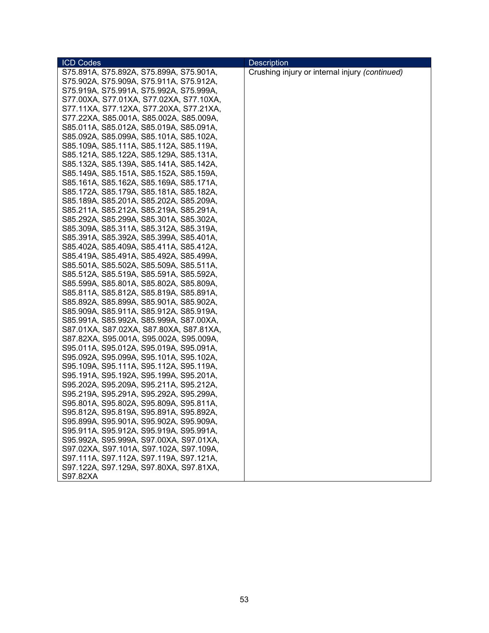| <b>ICD Codes</b>                        | <b>Description</b>                             |
|-----------------------------------------|------------------------------------------------|
| S75.891A, S75.892A, S75.899A, S75.901A, | Crushing injury or internal injury (continued) |
| S75.902A, S75.909A, S75.911A, S75.912A, |                                                |
| S75.919A, S75.991A, S75.992A, S75.999A, |                                                |
| S77.00XA, S77.01XA, S77.02XA, S77.10XA, |                                                |
| S77.11XA, S77.12XA, S77.20XA, S77.21XA, |                                                |
| S77.22XA, S85.001A, S85.002A, S85.009A, |                                                |
| S85.011A, S85.012A, S85.019A, S85.091A, |                                                |
| S85.092A, S85.099A, S85.101A, S85.102A, |                                                |
| S85.109A, S85.111A, S85.112A, S85.119A, |                                                |
| S85.121A, S85.122A, S85.129A, S85.131A, |                                                |
| S85.132A, S85.139A, S85.141A, S85.142A, |                                                |
| S85.149A, S85.151A, S85.152A, S85.159A, |                                                |
| S85.161A, S85.162A, S85.169A, S85.171A, |                                                |
| S85.172A, S85.179A, S85.181A, S85.182A, |                                                |
| S85.189A, S85.201A, S85.202A, S85.209A, |                                                |
| S85.211A, S85.212A, S85.219A, S85.291A, |                                                |
| S85.292A, S85.299A, S85.301A, S85.302A, |                                                |
| S85.309A, S85.311A, S85.312A, S85.319A, |                                                |
| S85.391A, S85.392A, S85.399A, S85.401A, |                                                |
| S85.402A, S85.409A, S85.411A, S85.412A, |                                                |
| S85.419A, S85.491A, S85.492A, S85.499A, |                                                |
| S85.501A, S85.502A, S85.509A, S85.511A, |                                                |
| S85.512A, S85.519A, S85.591A, S85.592A, |                                                |
| S85.599A, S85.801A, S85.802A, S85.809A, |                                                |
| S85.811A, S85.812A, S85.819A, S85.891A, |                                                |
| S85.892A, S85.899A, S85.901A, S85.902A, |                                                |
| S85.909A, S85.911A, S85.912A, S85.919A, |                                                |
| S85.991A, S85.992A, S85.999A, S87.00XA, |                                                |
| S87.01XA, S87.02XA, S87.80XA, S87.81XA, |                                                |
| S87.82XA, S95.001A, S95.002A, S95.009A, |                                                |
| S95.011A, S95.012A, S95.019A, S95.091A, |                                                |
| S95.092A, S95.099A, S95.101A, S95.102A, |                                                |
| S95.109A, S95.111A, S95.112A, S95.119A, |                                                |
| S95.191A, S95.192A, S95.199A, S95.201A, |                                                |
| S95.202A, S95.209A, S95.211A, S95.212A, |                                                |
| S95.219A, S95.291A, S95.292A, S95.299A, |                                                |
| S95.801A, S95.802A, S95.809A, S95.811A, |                                                |
| S95.812A, S95.819A, S95.891A, S95.892A, |                                                |
| S95.899A, S95.901A, S95.902A, S95.909A, |                                                |
| S95.911A, S95.912A, S95.919A, S95.991A, |                                                |
| S95.992A, S95.999A, S97.00XA, S97.01XA, |                                                |
| S97.02XA, S97.101A, S97.102A, S97.109A, |                                                |
| S97.111A, S97.112A, S97.119A, S97.121A, |                                                |
| S97.122A, S97.129A, S97.80XA, S97.81XA, |                                                |
| S97.82XA                                |                                                |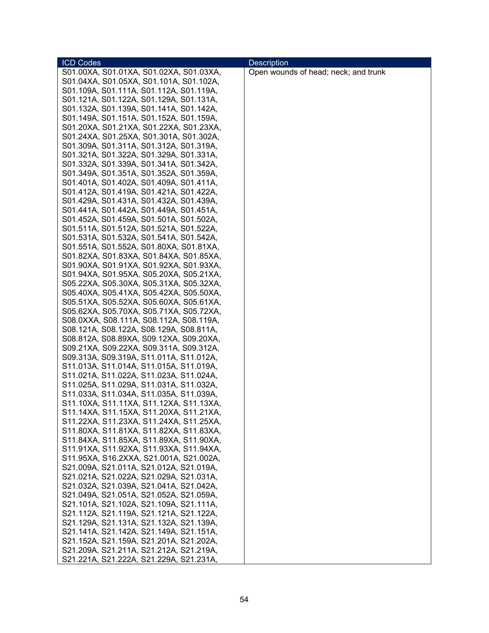| Open wounds of head; neck; and trunk<br>S01.00XA, S01.01XA, S01.02XA, S01.03XA,<br>S01.04XA, S01.05XA, S01.101A, S01.102A,<br>S01.109A, S01.111A, S01.112A, S01.119A,<br>S01.121A, S01.122A, S01.129A, S01.131A,<br>S01.132A, S01.139A, S01.141A, S01.142A,<br>S01.149A, S01.151A, S01.152A, S01.159A,<br>S01.20XA, S01.21XA, S01.22XA, S01.23XA,<br>S01.24XA, S01.25XA, S01.301A, S01.302A,<br>S01.309A, S01.311A, S01.312A, S01.319A,<br>S01.321A, S01.322A, S01.329A, S01.331A,<br>S01.332A, S01.339A, S01.341A, S01.342A,<br>S01.349A, S01.351A, S01.352A, S01.359A,<br>S01.401A, S01.402A, S01.409A, S01.411A,<br>S01.412A, S01.419A, S01.421A, S01.422A,<br>S01.429A, S01.431A, S01.432A, S01.439A,<br>S01.441A, S01.442A, S01.449A, S01.451A,<br>S01.452A, S01.459A, S01.501A, S01.502A,<br>S01.511A, S01.512A, S01.521A, S01.522A,<br>S01.531A, S01.532A, S01.541A, S01.542A,<br>S01.551A, S01.552A, S01.80XA, S01.81XA,<br>S01.82XA, S01.83XA, S01.84XA, S01.85XA,<br>S01.90XA, S01.91XA, S01.92XA, S01.93XA,<br>S01.94XA, S01.95XA, S05.20XA, S05.21XA,<br>S05.22XA, S05.30XA, S05.31XA, S05.32XA,<br>S05.40XA, S05.41XA, S05.42XA, S05.50XA,<br>S05.51XA, S05.52XA, S05.60XA, S05.61XA,<br>S05.62XA, S05.70XA, S05.71XA, S05.72XA,<br>S08.0XXA, S08.111A, S08.112A, S08.119A,<br>S08.121A, S08.122A, S08.129A, S08.811A,<br>S08.812A, S08.89XA, S09.12XA, S09.20XA,<br>S09.21XA, S09.22XA, S09.311A, S09.312A,<br>S09.313A, S09.319A, S11.011A, S11.012A,<br>S11.013A, S11.014A, S11.015A, S11.019A,<br>S11.021A, S11.022A, S11.023A, S11.024A,<br>S11.025A, S11.029A, S11.031A, S11.032A,<br>S11.033A, S11.034A, S11.035A, S11.039A, | <b>ICD Codes</b>                        | <b>Description</b> |
|--------------------------------------------------------------------------------------------------------------------------------------------------------------------------------------------------------------------------------------------------------------------------------------------------------------------------------------------------------------------------------------------------------------------------------------------------------------------------------------------------------------------------------------------------------------------------------------------------------------------------------------------------------------------------------------------------------------------------------------------------------------------------------------------------------------------------------------------------------------------------------------------------------------------------------------------------------------------------------------------------------------------------------------------------------------------------------------------------------------------------------------------------------------------------------------------------------------------------------------------------------------------------------------------------------------------------------------------------------------------------------------------------------------------------------------------------------------------------------------------------------------------------------------------------------------------------------------------------------------------------------------------------|-----------------------------------------|--------------------|
|                                                                                                                                                                                                                                                                                                                                                                                                                                                                                                                                                                                                                                                                                                                                                                                                                                                                                                                                                                                                                                                                                                                                                                                                                                                                                                                                                                                                                                                                                                                                                                                                                                                  |                                         |                    |
|                                                                                                                                                                                                                                                                                                                                                                                                                                                                                                                                                                                                                                                                                                                                                                                                                                                                                                                                                                                                                                                                                                                                                                                                                                                                                                                                                                                                                                                                                                                                                                                                                                                  |                                         |                    |
|                                                                                                                                                                                                                                                                                                                                                                                                                                                                                                                                                                                                                                                                                                                                                                                                                                                                                                                                                                                                                                                                                                                                                                                                                                                                                                                                                                                                                                                                                                                                                                                                                                                  |                                         |                    |
|                                                                                                                                                                                                                                                                                                                                                                                                                                                                                                                                                                                                                                                                                                                                                                                                                                                                                                                                                                                                                                                                                                                                                                                                                                                                                                                                                                                                                                                                                                                                                                                                                                                  |                                         |                    |
|                                                                                                                                                                                                                                                                                                                                                                                                                                                                                                                                                                                                                                                                                                                                                                                                                                                                                                                                                                                                                                                                                                                                                                                                                                                                                                                                                                                                                                                                                                                                                                                                                                                  |                                         |                    |
|                                                                                                                                                                                                                                                                                                                                                                                                                                                                                                                                                                                                                                                                                                                                                                                                                                                                                                                                                                                                                                                                                                                                                                                                                                                                                                                                                                                                                                                                                                                                                                                                                                                  |                                         |                    |
|                                                                                                                                                                                                                                                                                                                                                                                                                                                                                                                                                                                                                                                                                                                                                                                                                                                                                                                                                                                                                                                                                                                                                                                                                                                                                                                                                                                                                                                                                                                                                                                                                                                  |                                         |                    |
|                                                                                                                                                                                                                                                                                                                                                                                                                                                                                                                                                                                                                                                                                                                                                                                                                                                                                                                                                                                                                                                                                                                                                                                                                                                                                                                                                                                                                                                                                                                                                                                                                                                  |                                         |                    |
|                                                                                                                                                                                                                                                                                                                                                                                                                                                                                                                                                                                                                                                                                                                                                                                                                                                                                                                                                                                                                                                                                                                                                                                                                                                                                                                                                                                                                                                                                                                                                                                                                                                  |                                         |                    |
|                                                                                                                                                                                                                                                                                                                                                                                                                                                                                                                                                                                                                                                                                                                                                                                                                                                                                                                                                                                                                                                                                                                                                                                                                                                                                                                                                                                                                                                                                                                                                                                                                                                  |                                         |                    |
|                                                                                                                                                                                                                                                                                                                                                                                                                                                                                                                                                                                                                                                                                                                                                                                                                                                                                                                                                                                                                                                                                                                                                                                                                                                                                                                                                                                                                                                                                                                                                                                                                                                  |                                         |                    |
|                                                                                                                                                                                                                                                                                                                                                                                                                                                                                                                                                                                                                                                                                                                                                                                                                                                                                                                                                                                                                                                                                                                                                                                                                                                                                                                                                                                                                                                                                                                                                                                                                                                  |                                         |                    |
|                                                                                                                                                                                                                                                                                                                                                                                                                                                                                                                                                                                                                                                                                                                                                                                                                                                                                                                                                                                                                                                                                                                                                                                                                                                                                                                                                                                                                                                                                                                                                                                                                                                  |                                         |                    |
|                                                                                                                                                                                                                                                                                                                                                                                                                                                                                                                                                                                                                                                                                                                                                                                                                                                                                                                                                                                                                                                                                                                                                                                                                                                                                                                                                                                                                                                                                                                                                                                                                                                  |                                         |                    |
|                                                                                                                                                                                                                                                                                                                                                                                                                                                                                                                                                                                                                                                                                                                                                                                                                                                                                                                                                                                                                                                                                                                                                                                                                                                                                                                                                                                                                                                                                                                                                                                                                                                  |                                         |                    |
|                                                                                                                                                                                                                                                                                                                                                                                                                                                                                                                                                                                                                                                                                                                                                                                                                                                                                                                                                                                                                                                                                                                                                                                                                                                                                                                                                                                                                                                                                                                                                                                                                                                  |                                         |                    |
|                                                                                                                                                                                                                                                                                                                                                                                                                                                                                                                                                                                                                                                                                                                                                                                                                                                                                                                                                                                                                                                                                                                                                                                                                                                                                                                                                                                                                                                                                                                                                                                                                                                  |                                         |                    |
|                                                                                                                                                                                                                                                                                                                                                                                                                                                                                                                                                                                                                                                                                                                                                                                                                                                                                                                                                                                                                                                                                                                                                                                                                                                                                                                                                                                                                                                                                                                                                                                                                                                  |                                         |                    |
|                                                                                                                                                                                                                                                                                                                                                                                                                                                                                                                                                                                                                                                                                                                                                                                                                                                                                                                                                                                                                                                                                                                                                                                                                                                                                                                                                                                                                                                                                                                                                                                                                                                  |                                         |                    |
|                                                                                                                                                                                                                                                                                                                                                                                                                                                                                                                                                                                                                                                                                                                                                                                                                                                                                                                                                                                                                                                                                                                                                                                                                                                                                                                                                                                                                                                                                                                                                                                                                                                  |                                         |                    |
|                                                                                                                                                                                                                                                                                                                                                                                                                                                                                                                                                                                                                                                                                                                                                                                                                                                                                                                                                                                                                                                                                                                                                                                                                                                                                                                                                                                                                                                                                                                                                                                                                                                  |                                         |                    |
|                                                                                                                                                                                                                                                                                                                                                                                                                                                                                                                                                                                                                                                                                                                                                                                                                                                                                                                                                                                                                                                                                                                                                                                                                                                                                                                                                                                                                                                                                                                                                                                                                                                  |                                         |                    |
|                                                                                                                                                                                                                                                                                                                                                                                                                                                                                                                                                                                                                                                                                                                                                                                                                                                                                                                                                                                                                                                                                                                                                                                                                                                                                                                                                                                                                                                                                                                                                                                                                                                  |                                         |                    |
|                                                                                                                                                                                                                                                                                                                                                                                                                                                                                                                                                                                                                                                                                                                                                                                                                                                                                                                                                                                                                                                                                                                                                                                                                                                                                                                                                                                                                                                                                                                                                                                                                                                  |                                         |                    |
|                                                                                                                                                                                                                                                                                                                                                                                                                                                                                                                                                                                                                                                                                                                                                                                                                                                                                                                                                                                                                                                                                                                                                                                                                                                                                                                                                                                                                                                                                                                                                                                                                                                  |                                         |                    |
|                                                                                                                                                                                                                                                                                                                                                                                                                                                                                                                                                                                                                                                                                                                                                                                                                                                                                                                                                                                                                                                                                                                                                                                                                                                                                                                                                                                                                                                                                                                                                                                                                                                  |                                         |                    |
|                                                                                                                                                                                                                                                                                                                                                                                                                                                                                                                                                                                                                                                                                                                                                                                                                                                                                                                                                                                                                                                                                                                                                                                                                                                                                                                                                                                                                                                                                                                                                                                                                                                  |                                         |                    |
|                                                                                                                                                                                                                                                                                                                                                                                                                                                                                                                                                                                                                                                                                                                                                                                                                                                                                                                                                                                                                                                                                                                                                                                                                                                                                                                                                                                                                                                                                                                                                                                                                                                  |                                         |                    |
|                                                                                                                                                                                                                                                                                                                                                                                                                                                                                                                                                                                                                                                                                                                                                                                                                                                                                                                                                                                                                                                                                                                                                                                                                                                                                                                                                                                                                                                                                                                                                                                                                                                  |                                         |                    |
|                                                                                                                                                                                                                                                                                                                                                                                                                                                                                                                                                                                                                                                                                                                                                                                                                                                                                                                                                                                                                                                                                                                                                                                                                                                                                                                                                                                                                                                                                                                                                                                                                                                  |                                         |                    |
|                                                                                                                                                                                                                                                                                                                                                                                                                                                                                                                                                                                                                                                                                                                                                                                                                                                                                                                                                                                                                                                                                                                                                                                                                                                                                                                                                                                                                                                                                                                                                                                                                                                  |                                         |                    |
|                                                                                                                                                                                                                                                                                                                                                                                                                                                                                                                                                                                                                                                                                                                                                                                                                                                                                                                                                                                                                                                                                                                                                                                                                                                                                                                                                                                                                                                                                                                                                                                                                                                  |                                         |                    |
|                                                                                                                                                                                                                                                                                                                                                                                                                                                                                                                                                                                                                                                                                                                                                                                                                                                                                                                                                                                                                                                                                                                                                                                                                                                                                                                                                                                                                                                                                                                                                                                                                                                  |                                         |                    |
|                                                                                                                                                                                                                                                                                                                                                                                                                                                                                                                                                                                                                                                                                                                                                                                                                                                                                                                                                                                                                                                                                                                                                                                                                                                                                                                                                                                                                                                                                                                                                                                                                                                  |                                         |                    |
|                                                                                                                                                                                                                                                                                                                                                                                                                                                                                                                                                                                                                                                                                                                                                                                                                                                                                                                                                                                                                                                                                                                                                                                                                                                                                                                                                                                                                                                                                                                                                                                                                                                  |                                         |                    |
|                                                                                                                                                                                                                                                                                                                                                                                                                                                                                                                                                                                                                                                                                                                                                                                                                                                                                                                                                                                                                                                                                                                                                                                                                                                                                                                                                                                                                                                                                                                                                                                                                                                  |                                         |                    |
|                                                                                                                                                                                                                                                                                                                                                                                                                                                                                                                                                                                                                                                                                                                                                                                                                                                                                                                                                                                                                                                                                                                                                                                                                                                                                                                                                                                                                                                                                                                                                                                                                                                  |                                         |                    |
|                                                                                                                                                                                                                                                                                                                                                                                                                                                                                                                                                                                                                                                                                                                                                                                                                                                                                                                                                                                                                                                                                                                                                                                                                                                                                                                                                                                                                                                                                                                                                                                                                                                  | S11.10XA, S11.11XA, S11.12XA, S11.13XA, |                    |
| S11.14XA, S11.15XA, S11.20XA, S11.21XA,                                                                                                                                                                                                                                                                                                                                                                                                                                                                                                                                                                                                                                                                                                                                                                                                                                                                                                                                                                                                                                                                                                                                                                                                                                                                                                                                                                                                                                                                                                                                                                                                          |                                         |                    |
| S11.22XA, S11.23XA, S11.24XA, S11.25XA,                                                                                                                                                                                                                                                                                                                                                                                                                                                                                                                                                                                                                                                                                                                                                                                                                                                                                                                                                                                                                                                                                                                                                                                                                                                                                                                                                                                                                                                                                                                                                                                                          |                                         |                    |
| S11.80XA, S11.81XA, S11.82XA, S11.83XA,                                                                                                                                                                                                                                                                                                                                                                                                                                                                                                                                                                                                                                                                                                                                                                                                                                                                                                                                                                                                                                                                                                                                                                                                                                                                                                                                                                                                                                                                                                                                                                                                          |                                         |                    |
| S11.84XA, S11.85XA, S11.89XA, S11.90XA,                                                                                                                                                                                                                                                                                                                                                                                                                                                                                                                                                                                                                                                                                                                                                                                                                                                                                                                                                                                                                                                                                                                                                                                                                                                                                                                                                                                                                                                                                                                                                                                                          |                                         |                    |
| S11.91XA, S11.92XA, S11.93XA, S11.94XA,                                                                                                                                                                                                                                                                                                                                                                                                                                                                                                                                                                                                                                                                                                                                                                                                                                                                                                                                                                                                                                                                                                                                                                                                                                                                                                                                                                                                                                                                                                                                                                                                          |                                         |                    |
| S11.95XA, S16.2XXA, S21.001A, S21.002A,                                                                                                                                                                                                                                                                                                                                                                                                                                                                                                                                                                                                                                                                                                                                                                                                                                                                                                                                                                                                                                                                                                                                                                                                                                                                                                                                                                                                                                                                                                                                                                                                          |                                         |                    |
| S21.009A, S21.011A, S21.012A, S21.019A,                                                                                                                                                                                                                                                                                                                                                                                                                                                                                                                                                                                                                                                                                                                                                                                                                                                                                                                                                                                                                                                                                                                                                                                                                                                                                                                                                                                                                                                                                                                                                                                                          |                                         |                    |
| S21.021A, S21.022A, S21.029A, S21.031A,                                                                                                                                                                                                                                                                                                                                                                                                                                                                                                                                                                                                                                                                                                                                                                                                                                                                                                                                                                                                                                                                                                                                                                                                                                                                                                                                                                                                                                                                                                                                                                                                          |                                         |                    |
| S21.032A, S21.039A, S21.041A, S21.042A,                                                                                                                                                                                                                                                                                                                                                                                                                                                                                                                                                                                                                                                                                                                                                                                                                                                                                                                                                                                                                                                                                                                                                                                                                                                                                                                                                                                                                                                                                                                                                                                                          |                                         |                    |
| S21.049A, S21.051A, S21.052A, S21.059A,                                                                                                                                                                                                                                                                                                                                                                                                                                                                                                                                                                                                                                                                                                                                                                                                                                                                                                                                                                                                                                                                                                                                                                                                                                                                                                                                                                                                                                                                                                                                                                                                          |                                         |                    |
| S21.101A, S21.102A, S21.109A, S21.111A,                                                                                                                                                                                                                                                                                                                                                                                                                                                                                                                                                                                                                                                                                                                                                                                                                                                                                                                                                                                                                                                                                                                                                                                                                                                                                                                                                                                                                                                                                                                                                                                                          |                                         |                    |
| S21.112A, S21.119A, S21.121A, S21.122A,                                                                                                                                                                                                                                                                                                                                                                                                                                                                                                                                                                                                                                                                                                                                                                                                                                                                                                                                                                                                                                                                                                                                                                                                                                                                                                                                                                                                                                                                                                                                                                                                          |                                         |                    |
| S21.129A, S21.131A, S21.132A, S21.139A,                                                                                                                                                                                                                                                                                                                                                                                                                                                                                                                                                                                                                                                                                                                                                                                                                                                                                                                                                                                                                                                                                                                                                                                                                                                                                                                                                                                                                                                                                                                                                                                                          |                                         |                    |
| S21.141A, S21.142A, S21.149A, S21.151A,                                                                                                                                                                                                                                                                                                                                                                                                                                                                                                                                                                                                                                                                                                                                                                                                                                                                                                                                                                                                                                                                                                                                                                                                                                                                                                                                                                                                                                                                                                                                                                                                          |                                         |                    |
| S21.152A, S21.159A, S21.201A, S21.202A,                                                                                                                                                                                                                                                                                                                                                                                                                                                                                                                                                                                                                                                                                                                                                                                                                                                                                                                                                                                                                                                                                                                                                                                                                                                                                                                                                                                                                                                                                                                                                                                                          |                                         |                    |
| S21.209A, S21.211A, S21.212A, S21.219A,                                                                                                                                                                                                                                                                                                                                                                                                                                                                                                                                                                                                                                                                                                                                                                                                                                                                                                                                                                                                                                                                                                                                                                                                                                                                                                                                                                                                                                                                                                                                                                                                          |                                         |                    |
| S21.221A, S21.222A, S21.229A, S21.231A,                                                                                                                                                                                                                                                                                                                                                                                                                                                                                                                                                                                                                                                                                                                                                                                                                                                                                                                                                                                                                                                                                                                                                                                                                                                                                                                                                                                                                                                                                                                                                                                                          |                                         |                    |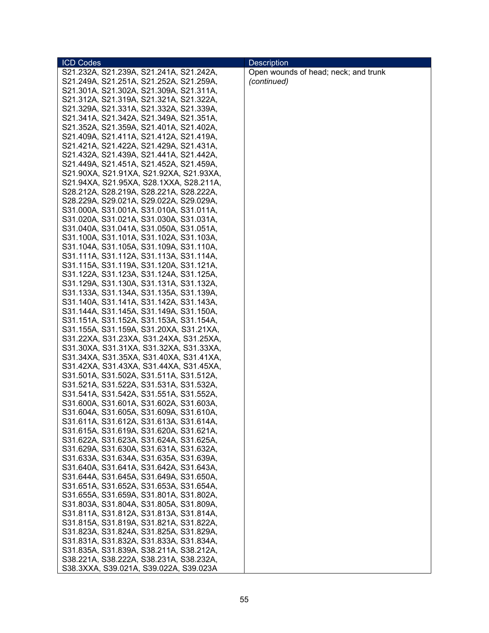| S21.232A, S21.239A, S21.241A, S21.242A,<br>Open wounds of head; neck; and trunk<br>(continued)<br>S21.249A, S21.251A, S21.252A, S21.259A,<br>S21.301A, S21.302A, S21.309A, S21.311A,<br>S21.312A, S21.319A, S21.321A, S21.322A, |
|---------------------------------------------------------------------------------------------------------------------------------------------------------------------------------------------------------------------------------|
|                                                                                                                                                                                                                                 |
|                                                                                                                                                                                                                                 |
|                                                                                                                                                                                                                                 |
|                                                                                                                                                                                                                                 |
| S21.329A, S21.331A, S21.332A, S21.339A,                                                                                                                                                                                         |
| S21.341A, S21.342A, S21.349A, S21.351A,                                                                                                                                                                                         |
| S21.352A, S21.359A, S21.401A, S21.402A,                                                                                                                                                                                         |
| S21.409A, S21.411A, S21.412A, S21.419A,                                                                                                                                                                                         |
| S21.421A, S21.422A, S21.429A, S21.431A,                                                                                                                                                                                         |
| S21.432A, S21.439A, S21.441A, S21.442A,                                                                                                                                                                                         |
| S21.449A, S21.451A, S21.452A, S21.459A,                                                                                                                                                                                         |
| S21.90XA, S21.91XA, S21.92XA, S21.93XA,                                                                                                                                                                                         |
| S21.94XA, S21.95XA, S28.1XXA, S28.211A,                                                                                                                                                                                         |
| S28.212A, S28.219A, S28.221A, S28.222A,                                                                                                                                                                                         |
| S28.229A, S29.021A, S29.022A, S29.029A,                                                                                                                                                                                         |
| S31.000A, S31.001A, S31.010A, S31.011A,                                                                                                                                                                                         |
| S31.020A, S31.021A, S31.030A, S31.031A,                                                                                                                                                                                         |
| S31.040A, S31.041A, S31.050A, S31.051A,                                                                                                                                                                                         |
| S31.100A, S31.101A, S31.102A, S31.103A,                                                                                                                                                                                         |
| S31.104A, S31.105A, S31.109A, S31.110A,                                                                                                                                                                                         |
| S31.111A, S31.112A, S31.113A, S31.114A,                                                                                                                                                                                         |
| S31.115A, S31.119A, S31.120A, S31.121A,                                                                                                                                                                                         |
| S31.122A, S31.123A, S31.124A, S31.125A,                                                                                                                                                                                         |
| S31.129A, S31.130A, S31.131A, S31.132A,                                                                                                                                                                                         |
| S31.133A, S31.134A, S31.135A, S31.139A,                                                                                                                                                                                         |
| S31.140A, S31.141A, S31.142A, S31.143A,                                                                                                                                                                                         |
| S31.144A, S31.145A, S31.149A, S31.150A,                                                                                                                                                                                         |
| S31.151A, S31.152A, S31.153A, S31.154A,                                                                                                                                                                                         |
| S31.155A, S31.159A, S31.20XA, S31.21XA,                                                                                                                                                                                         |
| S31.22XA, S31.23XA, S31.24XA, S31.25XA,                                                                                                                                                                                         |
| S31.30XA, S31.31XA, S31.32XA, S31.33XA,                                                                                                                                                                                         |
| S31.34XA, S31.35XA, S31.40XA, S31.41XA,                                                                                                                                                                                         |
| S31.42XA, S31.43XA, S31.44XA, S31.45XA,                                                                                                                                                                                         |
| S31.501A, S31.502A, S31.511A, S31.512A,                                                                                                                                                                                         |
| S31.521A, S31.522A, S31.531A, S31.532A,                                                                                                                                                                                         |
| S31.541A, S31.542A, S31.551A, S31.552A,                                                                                                                                                                                         |
| S31.600A, S31.601A, S31.602A, S31.603A,                                                                                                                                                                                         |
| S31.604A, S31.605A, S31.609A, S31.610A,                                                                                                                                                                                         |
| S31.611A, S31.612A, S31.613A, S31.614A,                                                                                                                                                                                         |
| S31.615A, S31.619A, S31.620A, S31.621A,                                                                                                                                                                                         |
| S31.622A, S31.623A, S31.624A, S31.625A,                                                                                                                                                                                         |
| S31.629A, S31.630A, S31.631A, S31.632A,                                                                                                                                                                                         |
| S31.633A, S31.634A, S31.635A, S31.639A,                                                                                                                                                                                         |
| S31.640A, S31.641A, S31.642A, S31.643A,                                                                                                                                                                                         |
| S31.644A, S31.645A, S31.649A, S31.650A,                                                                                                                                                                                         |
| S31.651A, S31.652A, S31.653A, S31.654A,                                                                                                                                                                                         |
| S31.655A, S31.659A, S31.801A, S31.802A,                                                                                                                                                                                         |
| S31.803A, S31.804A, S31.805A, S31.809A,                                                                                                                                                                                         |
| S31.811A, S31.812A, S31.813A, S31.814A,                                                                                                                                                                                         |
| S31.815A, S31.819A, S31.821A, S31.822A,                                                                                                                                                                                         |
| S31.823A, S31.824A, S31.825A, S31.829A,                                                                                                                                                                                         |
| S31.831A, S31.832A, S31.833A, S31.834A,                                                                                                                                                                                         |
|                                                                                                                                                                                                                                 |
| S31.835A, S31.839A, S38.211A, S38.212A,<br>S38.221A, S38.222A, S38.231A, S38.232A,                                                                                                                                              |
| S38.3XXA, S39.021A, S39.022A, S39.023A                                                                                                                                                                                          |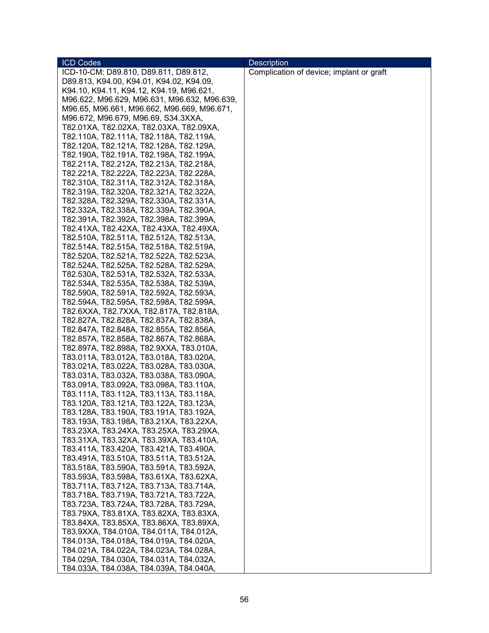| <b>ICD Codes</b>                             | <b>Description</b>                       |
|----------------------------------------------|------------------------------------------|
| ICD-10-CM: D89.810, D89.811, D89.812,        | Complication of device; implant or graft |
| D89.813, K94.00, K94.01, K94.02, K94.09,     |                                          |
| K94.10, K94.11, K94.12, K94.19, M96.621,     |                                          |
| M96.622, M96.629, M96.631, M96.632, M96.639, |                                          |
| M96.65, M96.661, M96.662, M96.669, M96.671,  |                                          |
| M96.672, M96.679, M96.69, S34.3XXA,          |                                          |
| T82.01XA, T82.02XA, T82.03XA, T82.09XA,      |                                          |
| T82.110A, T82.111A, T82.118A, T82.119A,      |                                          |
| T82.120A, T82.121A, T82.128A, T82.129A,      |                                          |
| T82.190A, T82.191A, T82.198A, T82.199A,      |                                          |
| T82.211A, T82.212A, T82.213A, T82.218A,      |                                          |
| T82.221A, T82.222A, T82.223A, T82.228A,      |                                          |
| T82.310A, T82.311A, T82.312A, T82.318A,      |                                          |
| T82.319A, T82.320A, T82.321A, T82.322A,      |                                          |
| T82.328A, T82.329A, T82.330A, T82.331A,      |                                          |
| T82.332A, T82.338A, T82.339A, T82.390A,      |                                          |
| T82.391A, T82.392A, T82.398A, T82.399A,      |                                          |
| T82.41XA, T82.42XA, T82.43XA, T82.49XA,      |                                          |
| T82.510A, T82.511A, T82.512A, T82.513A,      |                                          |
| T82.514A, T82.515A, T82.518A, T82.519A,      |                                          |
| T82.520A, T82.521A, T82.522A, T82.523A,      |                                          |
| T82.524A, T82.525A, T82.528A, T82.529A,      |                                          |
| T82.530A, T82.531A, T82.532A, T82.533A,      |                                          |
| T82.534A, T82.535A, T82.538A, T82.539A,      |                                          |
| T82.590A, T82.591A, T82.592A, T82.593A,      |                                          |
| T82.594A, T82.595A, T82.598A, T82.599A,      |                                          |
| T82.6XXA, T82.7XXA, T82.817A, T82.818A,      |                                          |
| T82.827A, T82.828A, T82.837A, T82.838A,      |                                          |
| T82.847A, T82.848A, T82.855A, T82.856A,      |                                          |
| T82.857A, T82.858A, T82.867A, T82.868A,      |                                          |
| T82.897A, T82.898A, T82.9XXA, T83.010A,      |                                          |
| T83.011A, T83.012A, T83.018A, T83.020A,      |                                          |
| T83.021A, T83.022A, T83.028A, T83.030A,      |                                          |
| T83.031A, T83.032A, T83.038A, T83.090A,      |                                          |
| T83.091A, T83.092A, T83.098A, T83.110A,      |                                          |
| T83.111A, T83.112A, T83.113A, T83.118A,      |                                          |
| T83.120A, T83.121A, T83.122A, T83.123A,      |                                          |
| T83.128A, T83.190A, T83.191A, T83.192A,      |                                          |
| T83.193A, T83.198A, T83.21XA, T83.22XA,      |                                          |
| T83.23XA, T83.24XA, T83.25XA, T83.29XA,      |                                          |
| T83.31XA, T83.32XA, T83.39XA, T83.410A,      |                                          |
| T83.411A, T83.420A, T83.421A, T83.490A,      |                                          |
| T83.491A, T83.510A, T83.511A, T83.512A,      |                                          |
| T83.518A, T83.590A, T83.591A, T83.592A,      |                                          |
| T83.593A, T83.598A, T83.61XA, T83.62XA,      |                                          |
| T83.711A, T83.712A, T83.713A, T83.714A,      |                                          |
| T83.718A, T83.719A, T83.721A, T83.722A,      |                                          |
| T83.723A, T83.724A, T83.728A, T83.729A,      |                                          |
| T83.79XA, T83.81XA, T83.82XA, T83.83XA,      |                                          |
| T83.84XA, T83.85XA, T83.86XA, T83.89XA,      |                                          |
| T83.9XXA, T84.010A, T84.011A, T84.012A,      |                                          |
| T84.013A, T84.018A, T84.019A, T84.020A,      |                                          |
| T84.021A, T84.022A, T84.023A, T84.028A,      |                                          |
| T84.029A, T84.030A, T84.031A, T84.032A,      |                                          |
| T84.033A, T84.038A, T84.039A, T84.040A,      |                                          |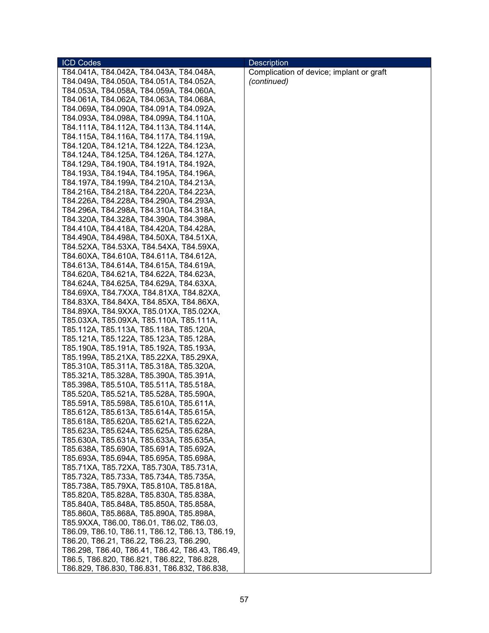| <b>ICD Codes</b>                                 | <b>Description</b>                       |
|--------------------------------------------------|------------------------------------------|
| T84.041A, T84.042A, T84.043A, T84.048A,          | Complication of device; implant or graft |
| T84.049A, T84.050A, T84.051A, T84.052A,          | (continued)                              |
| T84.053A, T84.058A, T84.059A, T84.060A,          |                                          |
| T84.061A, T84.062A, T84.063A, T84.068A,          |                                          |
| T84.069A, T84.090A, T84.091A, T84.092A,          |                                          |
| T84.093A, T84.098A, T84.099A, T84.110A,          |                                          |
| T84.111A, T84.112A, T84.113A, T84.114A,          |                                          |
| T84.115A, T84.116A, T84.117A, T84.119A,          |                                          |
| T84.120A, T84.121A, T84.122A, T84.123A,          |                                          |
| T84.124A, T84.125A, T84.126A, T84.127A,          |                                          |
|                                                  |                                          |
| T84.129A, T84.190A, T84.191A, T84.192A,          |                                          |
| T84.193A, T84.194A, T84.195A, T84.196A,          |                                          |
| T84.197A, T84.199A, T84.210A, T84.213A,          |                                          |
| T84.216A, T84.218A, T84.220A, T84.223A,          |                                          |
| T84.226A, T84.228A, T84.290A, T84.293A,          |                                          |
| T84.296A, T84.298A, T84.310A, T84.318A,          |                                          |
| T84.320A, T84.328A, T84.390A, T84.398A,          |                                          |
| T84.410A, T84.418A, T84.420A, T84.428A,          |                                          |
| T84.490A, T84.498A, T84.50XA, T84.51XA,          |                                          |
| T84.52XA, T84.53XA, T84.54XA, T84.59XA,          |                                          |
| T84.60XA, T84.610A, T84.611A, T84.612A,          |                                          |
| T84.613A, T84.614A, T84.615A, T84.619A,          |                                          |
| T84.620A, T84.621A, T84.622A, T84.623A,          |                                          |
| T84.624A, T84.625A, T84.629A, T84.63XA,          |                                          |
| T84.69XA, T84.7XXA, T84.81XA, T84.82XA,          |                                          |
| T84.83XA, T84.84XA, T84.85XA, T84.86XA,          |                                          |
| T84.89XA, T84.9XXA, T85.01XA, T85.02XA,          |                                          |
| T85.03XA, T85.09XA, T85.110A, T85.111A,          |                                          |
| T85.112A, T85.113A, T85.118A, T85.120A,          |                                          |
| T85.121A, T85.122A, T85.123A, T85.128A,          |                                          |
| T85.190A, T85.191A, T85.192A, T85.193A,          |                                          |
| T85.199A, T85.21XA, T85.22XA, T85.29XA,          |                                          |
| T85.310A, T85.311A, T85.318A, T85.320A,          |                                          |
| T85.321A, T85.328A, T85.390A, T85.391A,          |                                          |
| T85.398A, T85.510A, T85.511A, T85.518A,          |                                          |
| T85.520A, T85.521A, T85.528A, T85.590A,          |                                          |
| T85.591A, T85.598A, T85.610A, T85.611A,          |                                          |
| T85.612A, T85.613A, T85.614A, T85.615A,          |                                          |
| T85.618A, T85.620A, T85.621A, T85.622A,          |                                          |
| T85.623A, T85.624A, T85.625A, T85.628A,          |                                          |
| T85.630A, T85.631A, T85.633A, T85.635A,          |                                          |
| T85.638A, T85.690A, T85.691A, T85.692A,          |                                          |
| T85.693A, T85.694A, T85.695A, T85.698A,          |                                          |
| T85.71XA, T85.72XA, T85.730A, T85.731A,          |                                          |
| T85.732A, T85.733A, T85.734A, T85.735A,          |                                          |
| T85.738A, T85.79XA, T85.810A, T85.818A,          |                                          |
| T85.820A, T85.828A, T85.830A, T85.838A,          |                                          |
| T85.840A, T85.848A, T85.850A, T85.858A,          |                                          |
| T85.860A, T85.868A, T85.890A, T85.898A,          |                                          |
| T85.9XXA, T86.00, T86.01, T86.02, T86.03,        |                                          |
| T86.09, T86.10, T86.11, T86.12, T86.13, T86.19,  |                                          |
| T86.20, T86.21, T86.22, T86.23, T86.290,         |                                          |
| T86.298, T86.40, T86.41, T86.42, T86.43, T86.49, |                                          |
| T86.5, T86.820, T86.821, T86.822, T86.828,       |                                          |
| T86.829, T86.830, T86.831, T86.832, T86.838,     |                                          |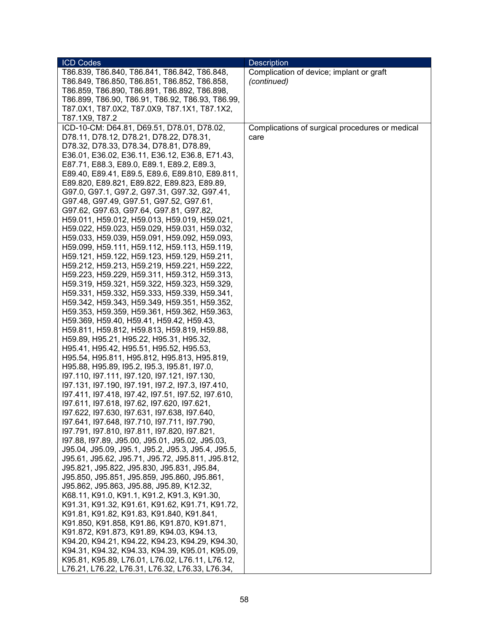| <b>ICD Codes</b>                                                                             | <b>Description</b>                              |
|----------------------------------------------------------------------------------------------|-------------------------------------------------|
| T86.839, T86.840, T86.841, T86.842, T86.848,                                                 | Complication of device; implant or graft        |
| T86.849, T86.850, T86.851, T86.852, T86.858,                                                 | (continued)                                     |
| T86.859, T86.890, T86.891, T86.892, T86.898,                                                 |                                                 |
| T86.899, T86.90, T86.91, T86.92, T86.93, T86.99,                                             |                                                 |
| T87.0X1, T87.0X2, T87.0X9, T87.1X1, T87.1X2,                                                 |                                                 |
| T87.1X9, T87.2                                                                               |                                                 |
| ICD-10-CM: D64.81, D69.51, D78.01, D78.02,                                                   | Complications of surgical procedures or medical |
| D78.11, D78.12, D78.21, D78.22, D78.31,                                                      | care                                            |
| D78.32, D78.33, D78.34, D78.81, D78.89,                                                      |                                                 |
| E36.01, E36.02, E36.11, E36.12, E36.8, E71.43,                                               |                                                 |
| E87.71, E88.3, E89.0, E89.1, E89.2, E89.3,                                                   |                                                 |
| E89.40, E89.41, E89.5, E89.6, E89.810, E89.811,                                              |                                                 |
| E89.820, E89.821, E89.822, E89.823, E89.89,                                                  |                                                 |
| G97.0, G97.1, G97.2, G97.31, G97.32, G97.41,                                                 |                                                 |
| G97.48, G97.49, G97.51, G97.52, G97.61,                                                      |                                                 |
| G97.62, G97.63, G97.64, G97.81, G97.82,                                                      |                                                 |
| H59.011, H59.012, H59.013, H59.019, H59.021,                                                 |                                                 |
| H59.022, H59.023, H59.029, H59.031, H59.032,                                                 |                                                 |
| H59.033, H59.039, H59.091, H59.092, H59.093,                                                 |                                                 |
| H59.099, H59.111, H59.112, H59.113, H59.119,                                                 |                                                 |
| H59.121, H59.122, H59.123, H59.129, H59.211,                                                 |                                                 |
|                                                                                              |                                                 |
| H59.212, H59.213, H59.219, H59.221, H59.222,                                                 |                                                 |
| H59.223, H59.229, H59.311, H59.312, H59.313,<br>H59.319, H59.321, H59.322, H59.323, H59.329, |                                                 |
|                                                                                              |                                                 |
| H59.331, H59.332, H59.333, H59.339, H59.341,                                                 |                                                 |
| H59.342, H59.343, H59.349, H59.351, H59.352,<br>H59.353, H59.359, H59.361, H59.362, H59.363, |                                                 |
|                                                                                              |                                                 |
| H59.369, H59.40, H59.41, H59.42, H59.43,                                                     |                                                 |
| H59.811, H59.812, H59.813, H59.819, H59.88,                                                  |                                                 |
| H59.89, H95.21, H95.22, H95.31, H95.32,                                                      |                                                 |
| H95.41, H95.42, H95.51, H95.52, H95.53,<br>H95.54, H95.811, H95.812, H95.813, H95.819,       |                                                 |
| H95.88, H95.89, I95.2, I95.3, I95.81, I97.0,                                                 |                                                 |
| 197.110, 197.111, 197.120, 197.121, 197.130,                                                 |                                                 |
| 197.131, 197.190, 197.191, 197.2, 197.3, 197.410,                                            |                                                 |
| 197.411, 197.418, 197.42, 197.51, 197.52, 197.610,                                           |                                                 |
| 197.611, 197.618, 197.62, 197.620, 197.621,                                                  |                                                 |
| 197.622, 197.630, 197.631, 197.638, 197.640,                                                 |                                                 |
| 197.641, 197.648, 197.710, 197.711, 197.790,                                                 |                                                 |
| 197.791, 197.810, 197.811, 197.820, 197.821,                                                 |                                                 |
| 197.88, 197.89, J95.00, J95.01, J95.02, J95.03,                                              |                                                 |
| J95.04, J95.09, J95.1, J95.2, J95.3, J95.4, J95.5,                                           |                                                 |
| J95.61, J95.62, J95.71, J95.72, J95.811, J95.812,                                            |                                                 |
| J95.821, J95.822, J95.830, J95.831, J95.84,                                                  |                                                 |
| J95.850, J95.851, J95.859, J95.860, J95.861,                                                 |                                                 |
| J95.862, J95.863, J95.88, J95.89, K12.32,                                                    |                                                 |
| K68.11, K91.0, K91.1, K91.2, K91.3, K91.30,                                                  |                                                 |
| K91.31, K91.32, K91.61, K91.62, K91.71, K91.72,                                              |                                                 |
| K91.81, K91.82, K91.83, K91.840, K91.841,                                                    |                                                 |
| K91.850, K91.858, K91.86, K91.870, K91.871,                                                  |                                                 |
| K91.872, K91.873, K91.89, K94.03, K94.13,                                                    |                                                 |
| K94.20, K94.21, K94.22, K94.23, K94.29, K94.30,                                              |                                                 |
| K94.31, K94.32, K94.33, K94.39, K95.01, K95.09,                                              |                                                 |
| K95.81, K95.89, L76.01, L76.02, L76.11, L76.12,                                              |                                                 |
| L76.21, L76.22, L76.31, L76.32, L76.33, L76.34,                                              |                                                 |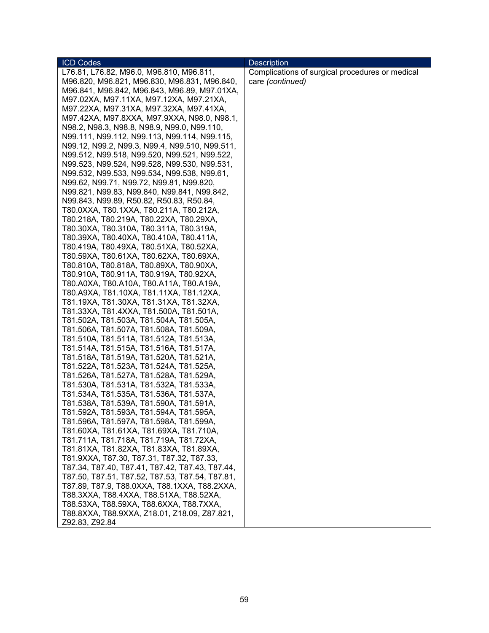| <b>ICD Codes</b>                                | <b>Description</b>                              |
|-------------------------------------------------|-------------------------------------------------|
| L76.81, L76.82, M96.0, M96.810, M96.811,        | Complications of surgical procedures or medical |
| M96.820, M96.821, M96.830, M96.831, M96.840,    | care (continued)                                |
| M96.841, M96.842, M96.843, M96.89, M97.01XA,    |                                                 |
| M97.02XA, M97.11XA, M97.12XA, M97.21XA,         |                                                 |
| M97.22XA, M97.31XA, M97.32XA, M97.41XA,         |                                                 |
| M97.42XA, M97.8XXA, M97.9XXA, N98.0, N98.1,     |                                                 |
| N98.2, N98.3, N98.8, N98.9, N99.0, N99.110,     |                                                 |
| N99.111, N99.112, N99.113, N99.114, N99.115,    |                                                 |
| N99.12, N99.2, N99.3, N99.4, N99.510, N99.511,  |                                                 |
| N99.512, N99.518, N99.520, N99.521, N99.522,    |                                                 |
| N99.523, N99.524, N99.528, N99.530, N99.531,    |                                                 |
| N99.532, N99.533, N99.534, N99.538, N99.61,     |                                                 |
| N99.62, N99.71, N99.72, N99.81, N99.820,        |                                                 |
| N99.821, N99.83, N99.840, N99.841, N99.842,     |                                                 |
| N99.843, N99.89, R50.82, R50.83, R50.84,        |                                                 |
| T80.0XXA, T80.1XXA, T80.211A, T80.212A,         |                                                 |
| T80.218A, T80.219A, T80.22XA, T80.29XA,         |                                                 |
| T80.30XA, T80.310A, T80.311A, T80.319A,         |                                                 |
| T80.39XA, T80.40XA, T80.410A, T80.411A,         |                                                 |
| T80.419A, T80.49XA, T80.51XA, T80.52XA,         |                                                 |
| T80.59XA, T80.61XA, T80.62XA, T80.69XA,         |                                                 |
| T80.810A, T80.818A, T80.89XA, T80.90XA,         |                                                 |
| T80.910A, T80.911A, T80.919A, T80.92XA,         |                                                 |
| T80.A0XA, T80.A10A, T80.A11A, T80.A19A,         |                                                 |
| T80.A9XA, T81.10XA, T81.11XA, T81.12XA,         |                                                 |
| T81.19XA, T81.30XA, T81.31XA, T81.32XA,         |                                                 |
| T81.33XA, T81.4XXA, T81.500A, T81.501A,         |                                                 |
| T81.502A, T81.503A, T81.504A, T81.505A,         |                                                 |
| T81.506A, T81.507A, T81.508A, T81.509A,         |                                                 |
| T81.510A, T81.511A, T81.512A, T81.513A,         |                                                 |
| T81.514A, T81.515A, T81.516A, T81.517A,         |                                                 |
| T81.518A, T81.519A, T81.520A, T81.521A,         |                                                 |
| T81.522A, T81.523A, T81.524A, T81.525A,         |                                                 |
| T81.526A, T81.527A, T81.528A, T81.529A,         |                                                 |
| T81.530A, T81.531A, T81.532A, T81.533A,         |                                                 |
| T81.534A, T81.535A, T81.536A, T81.537A,         |                                                 |
| T81.538A, T81.539A, T81.590A, T81.591A,         |                                                 |
| T81.592A, T81.593A, T81.594A, T81.595A,         |                                                 |
| T81.596A, T81.597A, T81.598A, T81.599A,         |                                                 |
| T81.60XA, T81.61XA, T81.69XA, T81.710A,         |                                                 |
| T81.711A, T81.718A, T81.719A, T81.72XA,         |                                                 |
| T81.81XA, T81.82XA, T81.83XA, T81.89XA,         |                                                 |
| T81.9XXA, T87.30, T87.31, T87.32, T87.33,       |                                                 |
| T87.34, T87.40, T87.41, T87.42, T87.43, T87.44, |                                                 |
| T87.50, T87.51, T87.52, T87.53, T87.54, T87.81, |                                                 |
| T87.89, T87.9, T88.0XXA, T88.1XXA, T88.2XXA,    |                                                 |
| T88.3XXA, T88.4XXA, T88.51XA, T88.52XA,         |                                                 |
| T88.53XA, T88.59XA, T88.6XXA, T88.7XXA,         |                                                 |
| T88.8XXA, T88.9XXA, Z18.01, Z18.09, Z87.821,    |                                                 |
| Z92.83, Z92.84                                  |                                                 |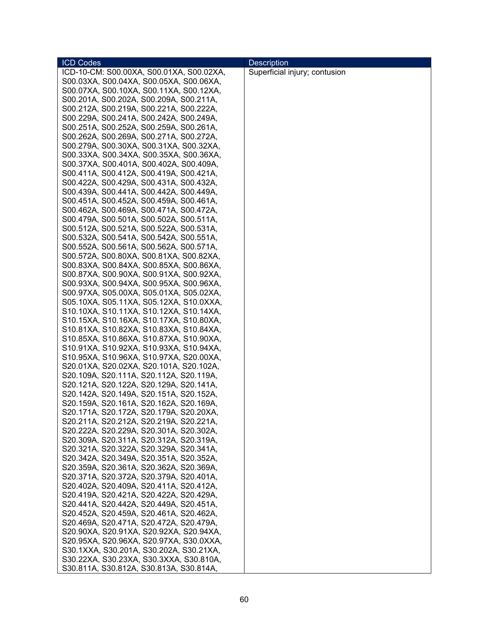| <b>ICD Codes</b>                         | <b>Description</b>            |
|------------------------------------------|-------------------------------|
| ICD-10-CM: S00.00XA, S00.01XA, S00.02XA, | Superficial injury; contusion |
| S00.03XA, S00.04XA, S00.05XA, S00.06XA,  |                               |
| S00.07XA, S00.10XA, S00.11XA, S00.12XA,  |                               |
| S00.201A, S00.202A, S00.209A, S00.211A,  |                               |
| S00.212A, S00.219A, S00.221A, S00.222A,  |                               |
| S00.229A, S00.241A, S00.242A, S00.249A,  |                               |
| S00.251A, S00.252A, S00.259A, S00.261A,  |                               |
| S00.262A, S00.269A, S00.271A, S00.272A,  |                               |
| S00.279A, S00.30XA, S00.31XA, S00.32XA,  |                               |
| S00.33XA, S00.34XA, S00.35XA, S00.36XA,  |                               |
| S00.37XA, S00.401A, S00.402A, S00.409A,  |                               |
| S00.411A, S00.412A, S00.419A, S00.421A,  |                               |
| S00.422A, S00.429A, S00.431A, S00.432A,  |                               |
|                                          |                               |
| S00.439A, S00.441A, S00.442A, S00.449A,  |                               |
| S00.451A, S00.452A, S00.459A, S00.461A,  |                               |
| S00.462A, S00.469A, S00.471A, S00.472A,  |                               |
| S00.479A, S00.501A, S00.502A, S00.511A,  |                               |
| S00.512A, S00.521A, S00.522A, S00.531A,  |                               |
| S00.532A, S00.541A, S00.542A, S00.551A,  |                               |
| S00.552A, S00.561A, S00.562A, S00.571A,  |                               |
| S00.572A, S00.80XA, S00.81XA, S00.82XA,  |                               |
| S00.83XA, S00.84XA, S00.85XA, S00.86XA,  |                               |
| S00.87XA, S00.90XA, S00.91XA, S00.92XA,  |                               |
| S00.93XA, S00.94XA, S00.95XA, S00.96XA,  |                               |
| S00.97XA, S05.00XA, S05.01XA, S05.02XA,  |                               |
| S05.10XA, S05.11XA, S05.12XA, S10.0XXA,  |                               |
| S10.10XA, S10.11XA, S10.12XA, S10.14XA,  |                               |
| S10.15XA, S10.16XA, S10.17XA, S10.80XA,  |                               |
| S10.81XA, S10.82XA, S10.83XA, S10.84XA,  |                               |
| S10.85XA, S10.86XA, S10.87XA, S10.90XA,  |                               |
| S10.91XA, S10.92XA, S10.93XA, S10.94XA,  |                               |
| S10.95XA, S10.96XA, S10.97XA, S20.00XA,  |                               |
| S20.01XA, S20.02XA, S20.101A, S20.102A,  |                               |
| S20.109A, S20.111A, S20.112A, S20.119A,  |                               |
| S20.121A, S20.122A, S20.129A, S20.141A,  |                               |
| S20.142A, S20.149A, S20.151A, S20.152A,  |                               |
| S20.159A, S20.161A, S20.162A, S20.169A,  |                               |
| S20.171A, S20.172A, S20.179A, S20.20XA,  |                               |
| S20.211A, S20.212A, S20.219A, S20.221A,  |                               |
| S20.222A, S20.229A, S20.301A, S20.302A,  |                               |
| S20.309A, S20.311A, S20.312A, S20.319A,  |                               |
| S20.321A, S20.322A, S20.329A, S20.341A,  |                               |
| S20.342A, S20.349A, S20.351A, S20.352A,  |                               |
| S20.359A, S20.361A, S20.362A, S20.369A,  |                               |
| S20.371A, S20.372A, S20.379A, S20.401A,  |                               |
| S20.402A, S20.409A, S20.411A, S20.412A,  |                               |
| S20.419A, S20.421A, S20.422A, S20.429A,  |                               |
| S20.441A, S20.442A, S20.449A, S20.451A,  |                               |
| S20.452A, S20.459A, S20.461A, S20.462A,  |                               |
| S20.469A, S20.471A, S20.472A, S20.479A,  |                               |
| S20.90XA, S20.91XA, S20.92XA, S20.94XA,  |                               |
| S20.95XA, S20.96XA, S20.97XA, S30.0XXA,  |                               |
| S30.1XXA, S30.201A, S30.202A, S30.21XA,  |                               |
| S30.22XA, S30.23XA, S30.3XXA, S30.810A,  |                               |
| S30.811A, S30.812A, S30.813A, S30.814A,  |                               |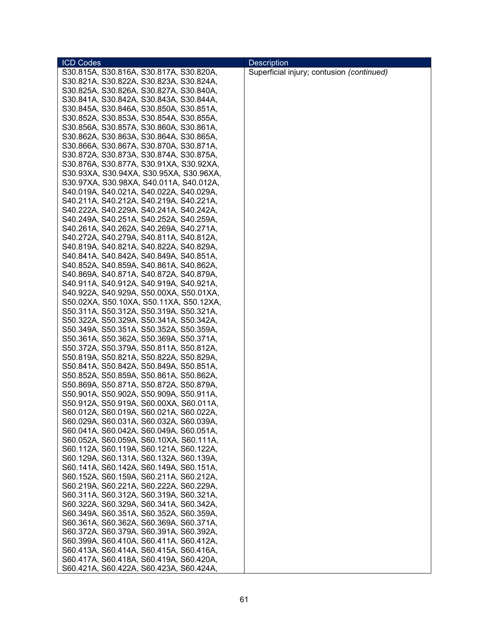| <b>ICD Codes</b>                        | <b>Description</b>                        |
|-----------------------------------------|-------------------------------------------|
| S30.815A, S30.816A, S30.817A, S30.820A, | Superficial injury; contusion (continued) |
| S30.821A, S30.822A, S30.823A, S30.824A, |                                           |
| S30.825A, S30.826A, S30.827A, S30.840A, |                                           |
| S30.841A, S30.842A, S30.843A, S30.844A, |                                           |
| S30.845A, S30.846A, S30.850A, S30.851A, |                                           |
| S30.852A, S30.853A, S30.854A, S30.855A, |                                           |
| S30.856A, S30.857A, S30.860A, S30.861A, |                                           |
| S30.862A, S30.863A, S30.864A, S30.865A, |                                           |
| S30.866A, S30.867A, S30.870A, S30.871A, |                                           |
| S30.872A, S30.873A, S30.874A, S30.875A, |                                           |
| S30.876A, S30.877A, S30.91XA, S30.92XA, |                                           |
| S30.93XA, S30.94XA, S30.95XA, S30.96XA, |                                           |
| S30.97XA, S30.98XA, S40.011A, S40.012A, |                                           |
| S40.019A, S40.021A, S40.022A, S40.029A, |                                           |
| S40.211A, S40.212A, S40.219A, S40.221A, |                                           |
| S40.222A, S40.229A, S40.241A, S40.242A, |                                           |
| S40.249A, S40.251A, S40.252A, S40.259A, |                                           |
| S40.261A, S40.262A, S40.269A, S40.271A, |                                           |
| S40.272A, S40.279A, S40.811A, S40.812A, |                                           |
| S40.819A, S40.821A, S40.822A, S40.829A, |                                           |
| S40.841A, S40.842A, S40.849A, S40.851A, |                                           |
| S40.852A, S40.859A, S40.861A, S40.862A, |                                           |
| S40.869A, S40.871A, S40.872A, S40.879A, |                                           |
| S40.911A, S40.912A, S40.919A, S40.921A, |                                           |
| S40.922A, S40.929A, S50.00XA, S50.01XA, |                                           |
| S50.02XA, S50.10XA, S50.11XA, S50.12XA, |                                           |
| S50.311A, S50.312A, S50.319A, S50.321A, |                                           |
| S50.322A, S50.329A, S50.341A, S50.342A, |                                           |
| S50.349A, S50.351A, S50.352A, S50.359A, |                                           |
| S50.361A, S50.362A, S50.369A, S50.371A, |                                           |
| S50.372A, S50.379A, S50.811A, S50.812A, |                                           |
| S50.819A, S50.821A, S50.822A, S50.829A, |                                           |
| S50.841A, S50.842A, S50.849A, S50.851A, |                                           |
| S50.852A, S50.859A, S50.861A, S50.862A, |                                           |
| S50.869A, S50.871A, S50.872A, S50.879A, |                                           |
| S50.901A, S50.902A, S50.909A, S50.911A, |                                           |
| S50.912A, S50.919A, S60.00XA, S60.011A, |                                           |
| S60.012A, S60.019A, S60.021A, S60.022A, |                                           |
| S60.029A, S60.031A, S60.032A, S60.039A, |                                           |
| S60.041A, S60.042A, S60.049A, S60.051A, |                                           |
| S60.052A, S60.059A, S60.10XA, S60.111A, |                                           |
| S60.112A, S60.119A, S60.121A, S60.122A, |                                           |
| S60.129A, S60.131A, S60.132A, S60.139A, |                                           |
| S60.141A, S60.142A, S60.149A, S60.151A, |                                           |
| S60.152A, S60.159A, S60.211A, S60.212A, |                                           |
| S60.219A, S60.221A, S60.222A, S60.229A, |                                           |
| S60.311A, S60.312A, S60.319A, S60.321A, |                                           |
| S60.322A, S60.329A, S60.341A, S60.342A, |                                           |
| S60.349A, S60.351A, S60.352A, S60.359A, |                                           |
| S60.361A, S60.362A, S60.369A, S60.371A, |                                           |
| S60.372A, S60.379A, S60.391A, S60.392A, |                                           |
| S60.399A, S60.410A, S60.411A, S60.412A, |                                           |
| S60.413A, S60.414A, S60.415A, S60.416A, |                                           |
| S60.417A, S60.418A, S60.419A, S60.420A, |                                           |
| S60.421A, S60.422A, S60.423A, S60.424A, |                                           |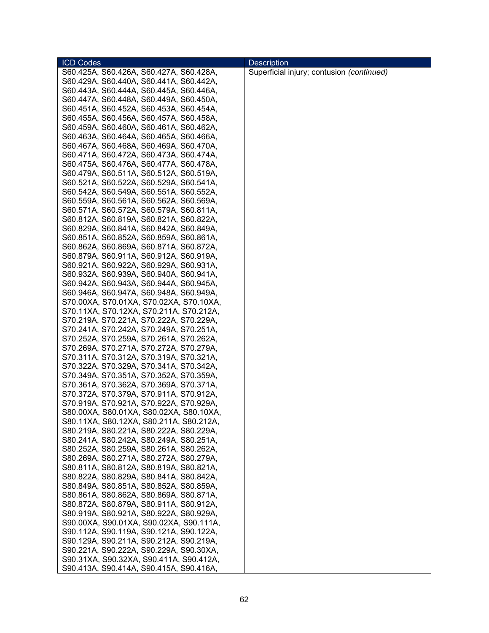| <b>ICD Codes</b>                        | <b>Description</b>                        |
|-----------------------------------------|-------------------------------------------|
| S60.425A, S60.426A, S60.427A, S60.428A, | Superficial injury; contusion (continued) |
| S60.429A, S60.440A, S60.441A, S60.442A, |                                           |
| S60.443A, S60.444A, S60.445A, S60.446A, |                                           |
| S60.447A, S60.448A, S60.449A, S60.450A, |                                           |
| S60.451A, S60.452A, S60.453A, S60.454A, |                                           |
| S60.455A, S60.456A, S60.457A, S60.458A, |                                           |
| S60.459A, S60.460A, S60.461A, S60.462A, |                                           |
| S60.463A, S60.464A, S60.465A, S60.466A, |                                           |
| S60.467A, S60.468A, S60.469A, S60.470A, |                                           |
| S60.471A, S60.472A, S60.473A, S60.474A, |                                           |
| S60.475A, S60.476A, S60.477A, S60.478A, |                                           |
|                                         |                                           |
| S60.479A, S60.511A, S60.512A, S60.519A, |                                           |
| S60.521A, S60.522A, S60.529A, S60.541A, |                                           |
| S60.542A, S60.549A, S60.551A, S60.552A, |                                           |
| S60.559A, S60.561A, S60.562A, S60.569A, |                                           |
| S60.571A, S60.572A, S60.579A, S60.811A, |                                           |
| S60.812A, S60.819A, S60.821A, S60.822A, |                                           |
| S60.829A, S60.841A, S60.842A, S60.849A, |                                           |
| S60.851A, S60.852A, S60.859A, S60.861A, |                                           |
| S60.862A, S60.869A, S60.871A, S60.872A, |                                           |
| S60.879A, S60.911A, S60.912A, S60.919A, |                                           |
| S60.921A, S60.922A, S60.929A, S60.931A, |                                           |
| S60.932A, S60.939A, S60.940A, S60.941A, |                                           |
| S60.942A, S60.943A, S60.944A, S60.945A, |                                           |
| S60.946A, S60.947A, S60.948A, S60.949A, |                                           |
| S70.00XA, S70.01XA, S70.02XA, S70.10XA, |                                           |
| S70.11XA, S70.12XA, S70.211A, S70.212A, |                                           |
| S70.219A, S70.221A, S70.222A, S70.229A, |                                           |
| S70.241A, S70.242A, S70.249A, S70.251A, |                                           |
| S70.252A, S70.259A, S70.261A, S70.262A, |                                           |
| S70.269A, S70.271A, S70.272A, S70.279A, |                                           |
| S70.311A, S70.312A, S70.319A, S70.321A, |                                           |
| S70.322A, S70.329A, S70.341A, S70.342A, |                                           |
| S70.349A, S70.351A, S70.352A, S70.359A, |                                           |
| S70.361A, S70.362A, S70.369A, S70.371A, |                                           |
| S70.372A, S70.379A, S70.911A, S70.912A, |                                           |
| S70.919A, S70.921A, S70.922A, S70.929A, |                                           |
| S80.00XA, S80.01XA, S80.02XA, S80.10XA, |                                           |
| S80.11XA, S80.12XA, S80.211A, S80.212A, |                                           |
| S80.219A, S80.221A, S80.222A, S80.229A, |                                           |
| S80.241A, S80.242A, S80.249A, S80.251A, |                                           |
| S80.252A, S80.259A, S80.261A, S80.262A, |                                           |
|                                         |                                           |
| S80.269A, S80.271A, S80.272A, S80.279A, |                                           |
| S80.811A, S80.812A, S80.819A, S80.821A, |                                           |
| S80.822A, S80.829A, S80.841A, S80.842A, |                                           |
| S80.849A, S80.851A, S80.852A, S80.859A, |                                           |
| S80.861A, S80.862A, S80.869A, S80.871A, |                                           |
| S80.872A, S80.879A, S80.911A, S80.912A, |                                           |
| S80.919A, S80.921A, S80.922A, S80.929A, |                                           |
| S90.00XA, S90.01XA, S90.02XA, S90.111A, |                                           |
| S90.112A, S90.119A, S90.121A, S90.122A, |                                           |
| S90.129A, S90.211A, S90.212A, S90.219A, |                                           |
| S90.221A, S90.222A, S90.229A, S90.30XA, |                                           |
| S90.31XA, S90.32XA, S90.411A, S90.412A, |                                           |
| S90.413A, S90.414A, S90.415A, S90.416A, |                                           |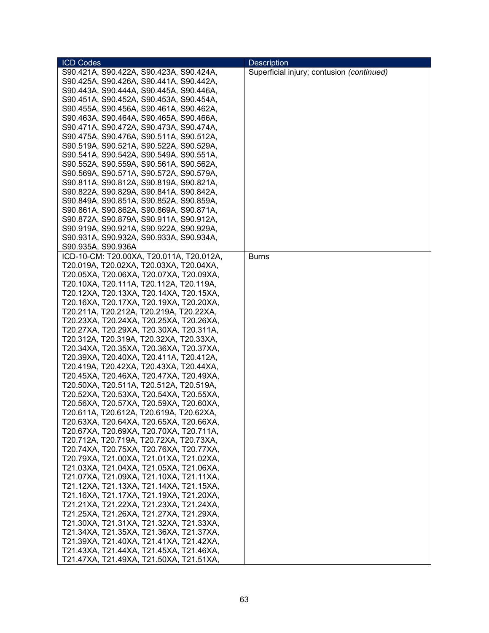| <b>ICD Codes</b>                                                                   | <b>Description</b>                        |
|------------------------------------------------------------------------------------|-------------------------------------------|
| S90.421A, S90.422A, S90.423A, S90.424A,                                            | Superficial injury; contusion (continued) |
| S90.425A, S90.426A, S90.441A, S90.442A,                                            |                                           |
| S90.443A, S90.444A, S90.445A, S90.446A,                                            |                                           |
| S90.451A, S90.452A, S90.453A, S90.454A,                                            |                                           |
| S90.455A, S90.456A, S90.461A, S90.462A,                                            |                                           |
| S90.463A, S90.464A, S90.465A, S90.466A,                                            |                                           |
| S90.471A, S90.472A, S90.473A, S90.474A,                                            |                                           |
| S90.475A, S90.476A, S90.511A, S90.512A,                                            |                                           |
| S90.519A, S90.521A, S90.522A, S90.529A,                                            |                                           |
| S90.541A, S90.542A, S90.549A, S90.551A,                                            |                                           |
| S90.552A, S90.559A, S90.561A, S90.562A,                                            |                                           |
| S90.569A, S90.571A, S90.572A, S90.579A,                                            |                                           |
| S90.811A, S90.812A, S90.819A, S90.821A,                                            |                                           |
| S90.822A, S90.829A, S90.841A, S90.842A,                                            |                                           |
| S90.849A, S90.851A, S90.852A, S90.859A,                                            |                                           |
| S90.861A, S90.862A, S90.869A, S90.871A,                                            |                                           |
| S90.872A, S90.879A, S90.911A, S90.912A,                                            |                                           |
| S90.919A, S90.921A, S90.922A, S90.929A,                                            |                                           |
| S90.931A, S90.932A, S90.933A, S90.934A,                                            |                                           |
| S90.935A, S90.936A                                                                 |                                           |
| ICD-10-CM: T20.00XA, T20.011A, T20.012A,                                           | <b>Burns</b>                              |
| T20.019A, T20.02XA, T20.03XA, T20.04XA,                                            |                                           |
| T20.05XA, T20.06XA, T20.07XA, T20.09XA,                                            |                                           |
| T20.10XA, T20.111A, T20.112A, T20.119A,                                            |                                           |
| T20.12XA, T20.13XA, T20.14XA, T20.15XA,                                            |                                           |
| T20.16XA, T20.17XA, T20.19XA, T20.20XA,                                            |                                           |
| T20.211A, T20.212A, T20.219A, T20.22XA,                                            |                                           |
| T20.23XA, T20.24XA, T20.25XA, T20.26XA,                                            |                                           |
| T20.27XA, T20.29XA, T20.30XA, T20.311A,                                            |                                           |
| T20.312A, T20.319A, T20.32XA, T20.33XA,                                            |                                           |
| T20.34XA, T20.35XA, T20.36XA, T20.37XA,                                            |                                           |
| T20.39XA, T20.40XA, T20.411A, T20.412A,                                            |                                           |
| T20.419A, T20.42XA, T20.43XA, T20.44XA,                                            |                                           |
| T20.45XA, T20.46XA, T20.47XA, T20.49XA,                                            |                                           |
| T20.50XA, T20.511A, T20.512A, T20.519A,                                            |                                           |
| T20.52XA, T20.53XA, T20.54XA, T20.55XA,                                            |                                           |
| T20.56XA, T20.57XA, T20.59XA, T20.60XA,                                            |                                           |
| T20.611A, T20.612A, T20.619A, T20.62XA,                                            |                                           |
| T20.63XA, T20.64XA, T20.65XA, T20.66XA,                                            |                                           |
| T20.67XA, T20.69XA, T20.70XA, T20.711A,                                            |                                           |
| T20.712A, T20.719A, T20.72XA, T20.73XA,                                            |                                           |
| T20.74XA, T20.75XA, T20.76XA, T20.77XA,                                            |                                           |
| T20.79XA, T21.00XA, T21.01XA, T21.02XA,                                            |                                           |
| T21.03XA, T21.04XA, T21.05XA, T21.06XA,                                            |                                           |
| T21.07XA, T21.09XA, T21.10XA, T21.11XA,                                            |                                           |
| T21.12XA, T21.13XA, T21.14XA, T21.15XA,                                            |                                           |
| T21.16XA, T21.17XA, T21.19XA, T21.20XA,                                            |                                           |
| T21.21XA, T21.22XA, T21.23XA, T21.24XA,                                            |                                           |
| T21.25XA, T21.26XA, T21.27XA, T21.29XA,                                            |                                           |
| T21.30XA, T21.31XA, T21.32XA, T21.33XA,                                            |                                           |
|                                                                                    |                                           |
| T21.34XA, T21.35XA, T21.36XA, T21.37XA,                                            |                                           |
| T21.39XA, T21.40XA, T21.41XA, T21.42XA,<br>T21.43XA, T21.44XA, T21.45XA, T21.46XA, |                                           |
| T21.47XA, T21.49XA, T21.50XA, T21.51XA,                                            |                                           |
|                                                                                    |                                           |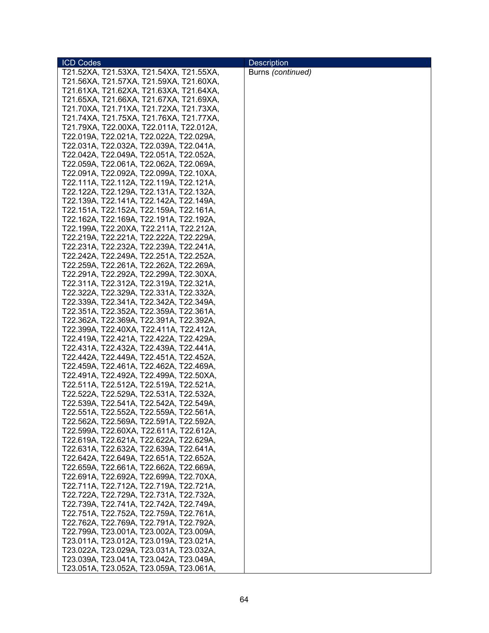| Burns (continued)<br>T21.52XA, T21.53XA, T21.54XA, T21.55XA,<br>T21.56XA, T21.57XA, T21.59XA, T21.60XA,<br>T21.61XA, T21.62XA, T21.63XA, T21.64XA,<br>T21.65XA, T21.66XA, T21.67XA, T21.69XA,<br>T21.70XA, T21.71XA, T21.72XA, T21.73XA, | <b>ICD Codes</b> | <b>Description</b> |
|------------------------------------------------------------------------------------------------------------------------------------------------------------------------------------------------------------------------------------------|------------------|--------------------|
|                                                                                                                                                                                                                                          |                  |                    |
|                                                                                                                                                                                                                                          |                  |                    |
|                                                                                                                                                                                                                                          |                  |                    |
|                                                                                                                                                                                                                                          |                  |                    |
|                                                                                                                                                                                                                                          |                  |                    |
| T21.74XA, T21.75XA, T21.76XA, T21.77XA,                                                                                                                                                                                                  |                  |                    |
| T21.79XA, T22.00XA, T22.011A, T22.012A,                                                                                                                                                                                                  |                  |                    |
| T22.019A, T22.021A, T22.022A, T22.029A,                                                                                                                                                                                                  |                  |                    |
| T22.031A, T22.032A, T22.039A, T22.041A,                                                                                                                                                                                                  |                  |                    |
| T22.042A, T22.049A, T22.051A, T22.052A,                                                                                                                                                                                                  |                  |                    |
| T22.059A, T22.061A, T22.062A, T22.069A,                                                                                                                                                                                                  |                  |                    |
| T22.091A, T22.092A, T22.099A, T22.10XA,                                                                                                                                                                                                  |                  |                    |
| T22.111A, T22.112A, T22.119A, T22.121A,                                                                                                                                                                                                  |                  |                    |
| T22.122A, T22.129A, T22.131A, T22.132A,                                                                                                                                                                                                  |                  |                    |
| T22.139A, T22.141A, T22.142A, T22.149A,                                                                                                                                                                                                  |                  |                    |
| T22.151A, T22.152A, T22.159A, T22.161A,                                                                                                                                                                                                  |                  |                    |
| T22.162A, T22.169A, T22.191A, T22.192A,                                                                                                                                                                                                  |                  |                    |
|                                                                                                                                                                                                                                          |                  |                    |
| T22.199A, T22.20XA, T22.211A, T22.212A,<br>T22.219A, T22.221A, T22.222A, T22.229A,                                                                                                                                                       |                  |                    |
|                                                                                                                                                                                                                                          |                  |                    |
| T22.231A, T22.232A, T22.239A, T22.241A,                                                                                                                                                                                                  |                  |                    |
| T22.242A, T22.249A, T22.251A, T22.252A,                                                                                                                                                                                                  |                  |                    |
| T22.259A, T22.261A, T22.262A, T22.269A,                                                                                                                                                                                                  |                  |                    |
| T22.291A, T22.292A, T22.299A, T22.30XA,                                                                                                                                                                                                  |                  |                    |
| T22.311A, T22.312A, T22.319A, T22.321A,                                                                                                                                                                                                  |                  |                    |
| T22.322A, T22.329A, T22.331A, T22.332A,                                                                                                                                                                                                  |                  |                    |
| T22.339A, T22.341A, T22.342A, T22.349A,                                                                                                                                                                                                  |                  |                    |
| T22.351A, T22.352A, T22.359A, T22.361A,                                                                                                                                                                                                  |                  |                    |
| T22.362A, T22.369A, T22.391A, T22.392A,                                                                                                                                                                                                  |                  |                    |
| T22.399A, T22.40XA, T22.411A, T22.412A,                                                                                                                                                                                                  |                  |                    |
| T22.419A, T22.421A, T22.422A, T22.429A,                                                                                                                                                                                                  |                  |                    |
| T22.431A, T22.432A, T22.439A, T22.441A,                                                                                                                                                                                                  |                  |                    |
| T22.442A, T22.449A, T22.451A, T22.452A,                                                                                                                                                                                                  |                  |                    |
| T22.459A, T22.461A, T22.462A, T22.469A,                                                                                                                                                                                                  |                  |                    |
| T22.491A, T22.492A, T22.499A, T22.50XA,                                                                                                                                                                                                  |                  |                    |
| T22.511A, T22.512A, T22.519A, T22.521A,                                                                                                                                                                                                  |                  |                    |
| T22.522A, T22.529A, T22.531A, T22.532A,                                                                                                                                                                                                  |                  |                    |
| T22.539A, T22.541A, T22.542A, T22.549A,                                                                                                                                                                                                  |                  |                    |
| T22.551A, T22.552A, T22.559A, T22.561A,                                                                                                                                                                                                  |                  |                    |
| T22.562A, T22.569A, T22.591A, T22.592A,                                                                                                                                                                                                  |                  |                    |
| T22.599A, T22.60XA, T22.611A, T22.612A,                                                                                                                                                                                                  |                  |                    |
| T22.619A, T22.621A, T22.622A, T22.629A,                                                                                                                                                                                                  |                  |                    |
| T22.631A, T22.632A, T22.639A, T22.641A,                                                                                                                                                                                                  |                  |                    |
| T22.642A, T22.649A, T22.651A, T22.652A,                                                                                                                                                                                                  |                  |                    |
| T22.659A, T22.661A, T22.662A, T22.669A,                                                                                                                                                                                                  |                  |                    |
| T22.691A, T22.692A, T22.699A, T22.70XA,                                                                                                                                                                                                  |                  |                    |
| T22.711A, T22.712A, T22.719A, T22.721A,<br>T22.722A, T22.729A, T22.731A, T22.732A,                                                                                                                                                       |                  |                    |
|                                                                                                                                                                                                                                          |                  |                    |
| T22.739A, T22.741A, T22.742A, T22.749A,                                                                                                                                                                                                  |                  |                    |
| T22.751A, T22.752A, T22.759A, T22.761A,                                                                                                                                                                                                  |                  |                    |
| T22.762A, T22.769A, T22.791A, T22.792A,<br>T22.799A, T23.001A, T23.002A, T23.009A,                                                                                                                                                       |                  |                    |
| T23.011A, T23.012A, T23.019A, T23.021A,                                                                                                                                                                                                  |                  |                    |
| T23.022A, T23.029A, T23.031A, T23.032A,                                                                                                                                                                                                  |                  |                    |
| T23.039A, T23.041A, T23.042A, T23.049A,                                                                                                                                                                                                  |                  |                    |
| T23.051A, T23.052A, T23.059A, T23.061A,                                                                                                                                                                                                  |                  |                    |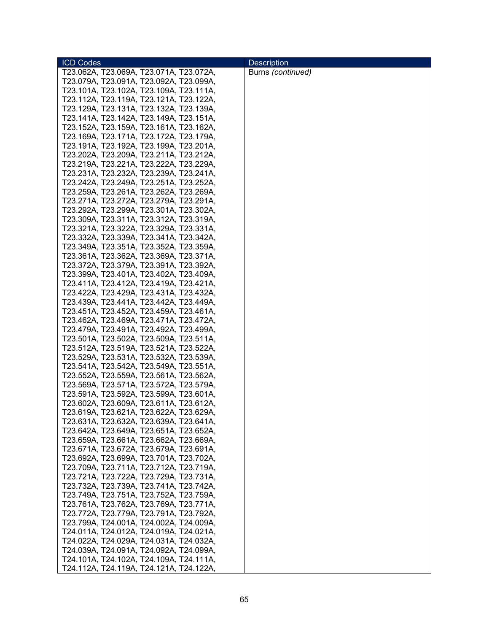| <b>ICD Codes</b>                        | <b>Description</b> |
|-----------------------------------------|--------------------|
| T23.062A, T23.069A, T23.071A, T23.072A, | Burns (continued)  |
| T23.079A, T23.091A, T23.092A, T23.099A, |                    |
| T23.101A, T23.102A, T23.109A, T23.111A, |                    |
| T23.112A, T23.119A, T23.121A, T23.122A, |                    |
| T23.129A, T23.131A, T23.132A, T23.139A, |                    |
| T23.141A, T23.142A, T23.149A, T23.151A, |                    |
| T23.152A, T23.159A, T23.161A, T23.162A, |                    |
| T23.169A, T23.171A, T23.172A, T23.179A, |                    |
| T23.191A, T23.192A, T23.199A, T23.201A, |                    |
| T23.202A, T23.209A, T23.211A, T23.212A, |                    |
| T23.219A, T23.221A, T23.222A, T23.229A, |                    |
| T23.231A, T23.232A, T23.239A, T23.241A, |                    |
| T23.242A, T23.249A, T23.251A, T23.252A, |                    |
| T23.259A, T23.261A, T23.262A, T23.269A, |                    |
| T23.271A, T23.272A, T23.279A, T23.291A, |                    |
| T23.292A, T23.299A, T23.301A, T23.302A, |                    |
| T23.309A, T23.311A, T23.312A, T23.319A, |                    |
| T23.321A, T23.322A, T23.329A, T23.331A, |                    |
| T23.332A, T23.339A, T23.341A, T23.342A, |                    |
| T23.349A, T23.351A, T23.352A, T23.359A, |                    |
| T23.361A, T23.362A, T23.369A, T23.371A, |                    |
| T23.372A, T23.379A, T23.391A, T23.392A, |                    |
| T23.399A, T23.401A, T23.402A, T23.409A, |                    |
| T23.411A, T23.412A, T23.419A, T23.421A, |                    |
| T23.422A, T23.429A, T23.431A, T23.432A, |                    |
| T23.439A, T23.441A, T23.442A, T23.449A, |                    |
| T23.451A, T23.452A, T23.459A, T23.461A, |                    |
| T23.462A, T23.469A, T23.471A, T23.472A, |                    |
| T23.479A, T23.491A, T23.492A, T23.499A, |                    |
| T23.501A, T23.502A, T23.509A, T23.511A, |                    |
| T23.512A, T23.519A, T23.521A, T23.522A, |                    |
| T23.529A, T23.531A, T23.532A, T23.539A, |                    |
| T23.541A, T23.542A, T23.549A, T23.551A, |                    |
| T23.552A, T23.559A, T23.561A, T23.562A, |                    |
| T23.569A, T23.571A, T23.572A, T23.579A, |                    |
| T23.591A, T23.592A, T23.599A, T23.601A, |                    |
| T23.602A, T23.609A, T23.611A, T23.612A, |                    |
| T23.619A, T23.621A, T23.622A, T23.629A, |                    |
| T23.631A, T23.632A, T23.639A, T23.641A, |                    |
| T23.642A, T23.649A, T23.651A, T23.652A, |                    |
| T23.659A, T23.661A, T23.662A, T23.669A, |                    |
| T23.671A, T23.672A, T23.679A, T23.691A, |                    |
| T23.692A, T23.699A, T23.701A, T23.702A, |                    |
| T23.709A, T23.711A, T23.712A, T23.719A, |                    |
| T23.721A, T23.722A, T23.729A, T23.731A, |                    |
| T23.732A, T23.739A, T23.741A, T23.742A, |                    |
| T23.749A, T23.751A, T23.752A, T23.759A, |                    |
| T23.761A, T23.762A, T23.769A, T23.771A, |                    |
| T23.772A, T23.779A, T23.791A, T23.792A, |                    |
| T23.799A, T24.001A, T24.002A, T24.009A, |                    |
| T24.011A, T24.012A, T24.019A, T24.021A, |                    |
| T24.022A, T24.029A, T24.031A, T24.032A, |                    |
| T24.039A, T24.091A, T24.092A, T24.099A, |                    |
| T24.101A, T24.102A, T24.109A, T24.111A, |                    |
| T24.112A, T24.119A, T24.121A, T24.122A, |                    |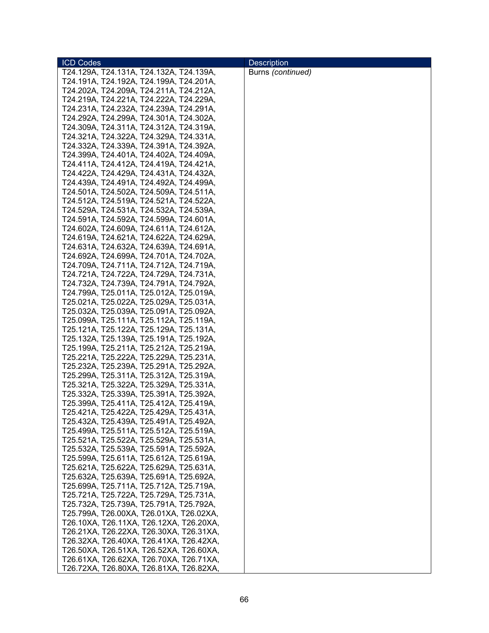| <b>ICD Codes</b>                        | <b>Description</b> |
|-----------------------------------------|--------------------|
| T24.129A, T24.131A, T24.132A, T24.139A, | Burns (continued)  |
| T24.191A, T24.192A, T24.199A, T24.201A, |                    |
| T24.202A, T24.209A, T24.211A, T24.212A, |                    |
| T24.219A, T24.221A, T24.222A, T24.229A, |                    |
| T24.231A, T24.232A, T24.239A, T24.291A, |                    |
| T24.292A, T24.299A, T24.301A, T24.302A, |                    |
| T24.309A, T24.311A, T24.312A, T24.319A, |                    |
| T24.321A, T24.322A, T24.329A, T24.331A, |                    |
| T24.332A, T24.339A, T24.391A, T24.392A, |                    |
| T24.399A, T24.401A, T24.402A, T24.409A, |                    |
| T24.411A, T24.412A, T24.419A, T24.421A, |                    |
| T24.422A, T24.429A, T24.431A, T24.432A, |                    |
| T24.439A, T24.491A, T24.492A, T24.499A, |                    |
| T24.501A, T24.502A, T24.509A, T24.511A, |                    |
| T24.512A, T24.519A, T24.521A, T24.522A, |                    |
| T24.529A, T24.531A, T24.532A, T24.539A, |                    |
| T24.591A, T24.592A, T24.599A, T24.601A, |                    |
| T24.602A, T24.609A, T24.611A, T24.612A, |                    |
| T24.619A, T24.621A, T24.622A, T24.629A, |                    |
| T24.631A, T24.632A, T24.639A, T24.691A, |                    |
| T24.692A, T24.699A, T24.701A, T24.702A, |                    |
| T24.709A, T24.711A, T24.712A, T24.719A, |                    |
| T24.721A, T24.722A, T24.729A, T24.731A, |                    |
| T24.732A, T24.739A, T24.791A, T24.792A, |                    |
| T24.799A, T25.011A, T25.012A, T25.019A, |                    |
| T25.021A, T25.022A, T25.029A, T25.031A, |                    |
| T25.032A, T25.039A, T25.091A, T25.092A, |                    |
| T25.099A, T25.111A, T25.112A, T25.119A, |                    |
| T25.121A, T25.122A, T25.129A, T25.131A, |                    |
| T25.132A, T25.139A, T25.191A, T25.192A, |                    |
| T25.199A, T25.211A, T25.212A, T25.219A, |                    |
| T25.221A, T25.222A, T25.229A, T25.231A, |                    |
| T25.232A, T25.239A, T25.291A, T25.292A, |                    |
| T25.299A, T25.311A, T25.312A, T25.319A, |                    |
| T25.321A, T25.322A, T25.329A, T25.331A, |                    |
| T25.332A, T25.339A, T25.391A, T25.392A, |                    |
| T25.399A, T25.411A, T25.412A, T25.419A, |                    |
| T25.421A, T25.422A, T25.429A, T25.431A, |                    |
| T25.432A, T25.439A, T25.491A, T25.492A, |                    |
| T25.499A, T25.511A, T25.512A, T25.519A, |                    |
| T25.521A, T25.522A, T25.529A, T25.531A, |                    |
| T25.532A, T25.539A, T25.591A, T25.592A, |                    |
| T25.599A, T25.611A, T25.612A, T25.619A, |                    |
| T25.621A, T25.622A, T25.629A, T25.631A, |                    |
| T25.632A, T25.639A, T25.691A, T25.692A, |                    |
| T25.699A, T25.711A, T25.712A, T25.719A, |                    |
| T25.721A, T25.722A, T25.729A, T25.731A, |                    |
| T25.732A, T25.739A, T25.791A, T25.792A, |                    |
| T25.799A, T26.00XA, T26.01XA, T26.02XA, |                    |
| T26.10XA, T26.11XA, T26.12XA, T26.20XA, |                    |
| T26.21XA, T26.22XA, T26.30XA, T26.31XA, |                    |
| T26.32XA, T26.40XA, T26.41XA, T26.42XA, |                    |
| T26.50XA, T26.51XA, T26.52XA, T26.60XA, |                    |
| T26.61XA, T26.62XA, T26.70XA, T26.71XA, |                    |
| T26.72XA, T26.80XA, T26.81XA, T26.82XA, |                    |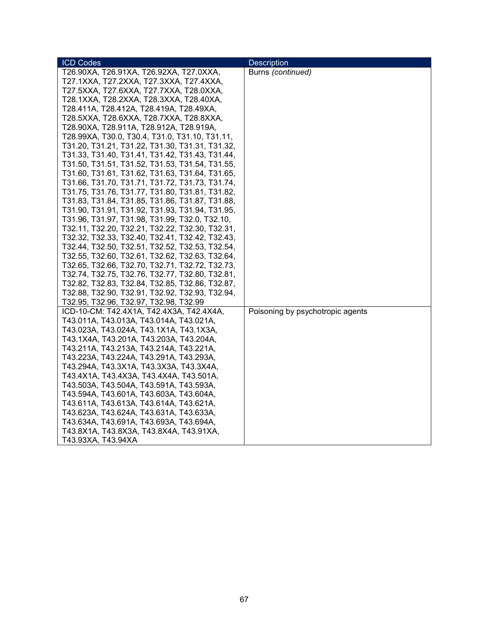| <b>ICD Codes</b>                                                                   | Description                      |
|------------------------------------------------------------------------------------|----------------------------------|
| T26.90XA, T26.91XA, T26.92XA, T27.0XXA,                                            | Burns (continued)                |
| T27.1XXA, T27.2XXA, T27.3XXA, T27.4XXA,                                            |                                  |
| T27.5XXA, T27.6XXA, T27.7XXA, T28.0XXA,                                            |                                  |
| T28.1XXA, T28.2XXA, T28.3XXA, T28.40XA,                                            |                                  |
| T28.411A, T28.412A, T28.419A, T28.49XA,                                            |                                  |
| T28.5XXA, T28.6XXA, T28.7XXA, T28.8XXA,                                            |                                  |
| T28.90XA, T28.911A, T28.912A, T28.919A,                                            |                                  |
| T28.99XA, T30.0, T30.4, T31.0, T31.10, T31.11,                                     |                                  |
| T31.20, T31.21, T31.22, T31.30, T31.31, T31.32,                                    |                                  |
| T31.33, T31.40, T31.41, T31.42, T31.43, T31.44,                                    |                                  |
| T31.50, T31.51, T31.52, T31.53, T31.54, T31.55,                                    |                                  |
| T31.60, T31.61, T31.62, T31.63, T31.64, T31.65,                                    |                                  |
| T31.66, T31.70, T31.71, T31.72, T31.73, T31.74,                                    |                                  |
| T31.75, T31.76, T31.77, T31.80, T31.81, T31.82,                                    |                                  |
| T31.83, T31.84, T31.85, T31.86, T31.87, T31.88,                                    |                                  |
| T31.90, T31.91, T31.92, T31.93, T31.94, T31.95,                                    |                                  |
| T31.96, T31.97, T31.98, T31.99, T32.0, T32.10,                                     |                                  |
| T32.11, T32.20, T32.21, T32.22, T32.30, T32.31,                                    |                                  |
| T32.32, T32.33, T32.40, T32.41, T32.42, T32.43,                                    |                                  |
| T32.44, T32.50, T32.51, T32.52, T32.53, T32.54,                                    |                                  |
| T32.55, T32.60, T32.61, T32.62, T32.63, T32.64,                                    |                                  |
| T32.65, T32.66, T32.70, T32.71, T32.72, T32.73,                                    |                                  |
| T32.74, T32.75, T32.76, T32.77, T32.80, T32.81,                                    |                                  |
| T32.82, T32.83, T32.84, T32.85, T32.86, T32.87,                                    |                                  |
| T32.88, T32.90, T32.91, T32.92, T32.93, T32.94,                                    |                                  |
| T32.95, T32.96, T32.97, T32.98, T32.99                                             |                                  |
| ICD-10-CM: T42.4X1A, T42.4X3A, T42.4X4A,                                           | Poisoning by psychotropic agents |
| T43.011A, T43.013A, T43.014A, T43.021A,                                            |                                  |
| T43.023A, T43.024A, T43.1X1A, T43.1X3A,                                            |                                  |
| T43.1X4A, T43.201A, T43.203A, T43.204A,                                            |                                  |
| T43.211A, T43.213A, T43.214A, T43.221A,<br>T43.223A, T43.224A, T43.291A, T43.293A, |                                  |
| T43.294A, T43.3X1A, T43.3X3A, T43.3X4A,                                            |                                  |
| T43.4X1A, T43.4X3A, T43.4X4A, T43.501A,                                            |                                  |
| T43.503A, T43.504A, T43.591A, T43.593A,                                            |                                  |
| T43.594A, T43.601A, T43.603A, T43.604A,                                            |                                  |
| T43.611A, T43.613A, T43.614A, T43.621A,                                            |                                  |
| T43.623A, T43.624A, T43.631A, T43.633A,                                            |                                  |
| T43.634A, T43.691A, T43.693A, T43.694A,                                            |                                  |
| T43.8X1A, T43.8X3A, T43.8X4A, T43.91XA,                                            |                                  |
| T43.93XA, T43.94XA                                                                 |                                  |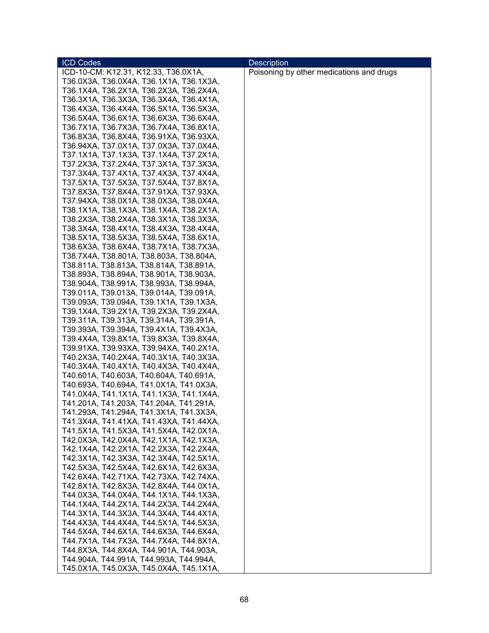| <b>ICD Codes</b>                        | <b>Description</b>                       |
|-----------------------------------------|------------------------------------------|
| ICD-10-CM: K12.31, K12.33, T36.0X1A,    | Poisoning by other medications and drugs |
| T36.0X3A, T36.0X4A, T36.1X1A, T36.1X3A, |                                          |
| T36.1X4A, T36.2X1A, T36.2X3A, T36.2X4A, |                                          |
| T36.3X1A, T36.3X3A, T36.3X4A, T36.4X1A, |                                          |
| T36.4X3A, T36.4X4A, T36.5X1A, T36.5X3A, |                                          |
| T36.5X4A, T36.6X1A, T36.6X3A, T36.6X4A, |                                          |
| T36.7X1A, T36.7X3A, T36.7X4A, T36.8X1A, |                                          |
| T36.8X3A, T36.8X4A, T36.91XA, T36.93XA, |                                          |
|                                         |                                          |
| T36.94XA, T37.0X1A, T37.0X3A, T37.0X4A, |                                          |
| T37.1X1A, T37.1X3A, T37.1X4A, T37.2X1A, |                                          |
| T37.2X3A, T37.2X4A, T37.3X1A, T37.3X3A, |                                          |
| T37.3X4A, T37.4X1A, T37.4X3A, T37.4X4A, |                                          |
| T37.5X1A, T37.5X3A, T37.5X4A, T37.8X1A, |                                          |
| T37.8X3A, T37.8X4A, T37.91XA, T37.93XA, |                                          |
| T37.94XA, T38.0X1A, T38.0X3A, T38.0X4A, |                                          |
| T38.1X1A, T38.1X3A, T38.1X4A, T38.2X1A, |                                          |
| T38.2X3A, T38.2X4A, T38.3X1A, T38.3X3A, |                                          |
| T38.3X4A, T38.4X1A, T38.4X3A, T38.4X4A, |                                          |
| T38.5X1A, T38.5X3A, T38.5X4A, T38.6X1A, |                                          |
| T38.6X3A, T38.6X4A, T38.7X1A, T38.7X3A, |                                          |
| T38.7X4A, T38.801A, T38.803A, T38.804A, |                                          |
| T38.811A, T38.813A, T38.814A, T38.891A, |                                          |
| T38.893A, T38.894A, T38.901A, T38.903A, |                                          |
| T38.904A, T38.991A, T38.993A, T38.994A, |                                          |
| T39.011A, T39.013A, T39.014A, T39.091A, |                                          |
| T39.093A, T39.094A, T39.1X1A, T39.1X3A, |                                          |
| T39.1X4A, T39.2X1A, T39.2X3A, T39.2X4A, |                                          |
| T39.311A, T39.313A, T39.314A, T39.391A, |                                          |
| T39.393A, T39.394A, T39.4X1A, T39.4X3A, |                                          |
| T39.4X4A, T39.8X1A, T39.8X3A, T39.8X4A, |                                          |
| T39.91XA, T39.93XA, T39.94XA, T40.2X1A, |                                          |
| T40.2X3A, T40.2X4A, T40.3X1A, T40.3X3A, |                                          |
| T40.3X4A, T40.4X1A, T40.4X3A, T40.4X4A, |                                          |
| T40.601A, T40.603A, T40.604A, T40.691A, |                                          |
| T40.693A, T40.694A, T41.0X1A, T41.0X3A, |                                          |
| T41.0X4A, T41.1X1A, T41.1X3A, T41.1X4A, |                                          |
| T41.201A, T41.203A, T41.204A, T41.291A, |                                          |
| T41.293A, T41.294A, T41.3X1A, T41.3X3A, |                                          |
| T41.3X4A, T41.41XA, T41.43XA, T41.44XA, |                                          |
| T41.5X1A, T41.5X3A, T41.5X4A, T42.0X1A, |                                          |
| T42.0X3A, T42.0X4A, T42.1X1A, T42.1X3A, |                                          |
|                                         |                                          |
| T42.1X4A, T42.2X1A, T42.2X3A, T42.2X4A, |                                          |
| T42.3X1A, T42.3X3A, T42.3X4A, T42.5X1A, |                                          |
| T42.5X3A, T42.5X4A, T42.6X1A, T42.6X3A, |                                          |
| T42.6X4A, T42.71XA, T42.73XA, T42.74XA, |                                          |
| T42.8X1A, T42.8X3A, T42.8X4A, T44.0X1A, |                                          |
| T44.0X3A, T44.0X4A, T44.1X1A, T44.1X3A, |                                          |
| T44.1X4A, T44.2X1A, T44.2X3A, T44.2X4A, |                                          |
| T44.3X1A, T44.3X3A, T44.3X4A, T44.4X1A, |                                          |
| T44.4X3A, T44.4X4A, T44.5X1A, T44.5X3A, |                                          |
| T44.5X4A, T44.6X1A, T44.6X3A, T44.6X4A, |                                          |
| T44.7X1A, T44.7X3A, T44.7X4A, T44.8X1A, |                                          |
| T44.8X3A, T44.8X4A, T44.901A, T44.903A, |                                          |
| T44.904A, T44.991A, T44.993A, T44.994A, |                                          |
| T45.0X1A, T45.0X3A, T45.0X4A, T45.1X1A, |                                          |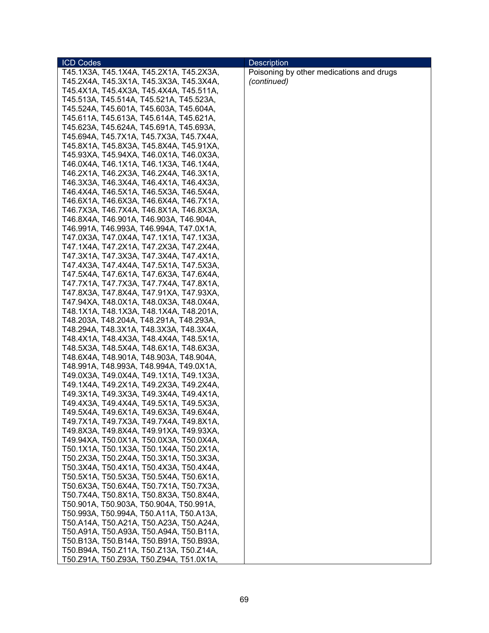| <b>ICD Codes</b>                        | <b>Description</b>                       |
|-----------------------------------------|------------------------------------------|
| T45.1X3A, T45.1X4A, T45.2X1A, T45.2X3A, | Poisoning by other medications and drugs |
| T45.2X4A, T45.3X1A, T45.3X3A, T45.3X4A, | (continued)                              |
| T45.4X1A, T45.4X3A, T45.4X4A, T45.511A, |                                          |
| T45.513A, T45.514A, T45.521A, T45.523A, |                                          |
| T45.524A, T45.601A, T45.603A, T45.604A, |                                          |
| T45.611A, T45.613A, T45.614A, T45.621A, |                                          |
| T45.623A, T45.624A, T45.691A, T45.693A, |                                          |
| T45.694A, T45.7X1A, T45.7X3A, T45.7X4A, |                                          |
| T45.8X1A, T45.8X3A, T45.8X4A, T45.91XA, |                                          |
| T45.93XA, T45.94XA, T46.0X1A, T46.0X3A, |                                          |
| T46.0X4A, T46.1X1A, T46.1X3A, T46.1X4A, |                                          |
| T46.2X1A, T46.2X3A, T46.2X4A, T46.3X1A, |                                          |
| T46.3X3A, T46.3X4A, T46.4X1A, T46.4X3A, |                                          |
| T46.4X4A, T46.5X1A, T46.5X3A, T46.5X4A, |                                          |
| T46.6X1A, T46.6X3A, T46.6X4A, T46.7X1A, |                                          |
| T46.7X3A, T46.7X4A, T46.8X1A, T46.8X3A, |                                          |
| T46.8X4A, T46.901A, T46.903A, T46.904A, |                                          |
| T46.991A, T46.993A, T46.994A, T47.0X1A, |                                          |
| T47.0X3A, T47.0X4A, T47.1X1A, T47.1X3A, |                                          |
| T47.1X4A, T47.2X1A, T47.2X3A, T47.2X4A, |                                          |
| T47.3X1A, T47.3X3A, T47.3X4A, T47.4X1A, |                                          |
| T47.4X3A, T47.4X4A, T47.5X1A, T47.5X3A, |                                          |
| T47.5X4A, T47.6X1A, T47.6X3A, T47.6X4A, |                                          |
| T47.7X1A, T47.7X3A, T47.7X4A, T47.8X1A, |                                          |
| T47.8X3A, T47.8X4A, T47.91XA, T47.93XA, |                                          |
| T47.94XA, T48.0X1A, T48.0X3A, T48.0X4A, |                                          |
| T48.1X1A, T48.1X3A, T48.1X4A, T48.201A, |                                          |
| T48.203A, T48.204A, T48.291A, T48.293A, |                                          |
| T48.294A, T48.3X1A, T48.3X3A, T48.3X4A, |                                          |
| T48.4X1A, T48.4X3A, T48.4X4A, T48.5X1A, |                                          |
| T48.5X3A, T48.5X4A, T48.6X1A, T48.6X3A, |                                          |
| T48.6X4A, T48.901A, T48.903A, T48.904A, |                                          |
| T48.991A, T48.993A, T48.994A, T49.0X1A, |                                          |
| T49.0X3A, T49.0X4A, T49.1X1A, T49.1X3A, |                                          |
| T49.1X4A, T49.2X1A, T49.2X3A, T49.2X4A, |                                          |
| T49.3X1A, T49.3X3A, T49.3X4A, T49.4X1A, |                                          |
| T49.4X3A, T49.4X4A, T49.5X1A, T49.5X3A, |                                          |
| T49.5X4A, T49.6X1A, T49.6X3A, T49.6X4A, |                                          |
| T49.7X1A, T49.7X3A, T49.7X4A, T49.8X1A, |                                          |
| T49.8X3A, T49.8X4A, T49.91XA, T49.93XA, |                                          |
| T49.94XA, T50.0X1A, T50.0X3A, T50.0X4A, |                                          |
| T50.1X1A, T50.1X3A, T50.1X4A, T50.2X1A, |                                          |
| T50.2X3A, T50.2X4A, T50.3X1A, T50.3X3A, |                                          |
| T50.3X4A, T50.4X1A, T50.4X3A, T50.4X4A, |                                          |
| T50.5X1A, T50.5X3A, T50.5X4A, T50.6X1A, |                                          |
| T50.6X3A, T50.6X4A, T50.7X1A, T50.7X3A, |                                          |
| T50.7X4A, T50.8X1A, T50.8X3A, T50.8X4A, |                                          |
| T50.901A, T50.903A, T50.904A, T50.991A, |                                          |
| T50.993A, T50.994A, T50.A11A, T50.A13A, |                                          |
| T50.A14A, T50.A21A, T50.A23A, T50.A24A, |                                          |
| T50.A91A, T50.A93A, T50.A94A, T50.B11A, |                                          |
| T50.B13A, T50.B14A, T50.B91A, T50.B93A, |                                          |
| T50.B94A, T50.Z11A, T50.Z13A, T50.Z14A, |                                          |
| T50.Z91A, T50.Z93A, T50.Z94A, T51.0X1A, |                                          |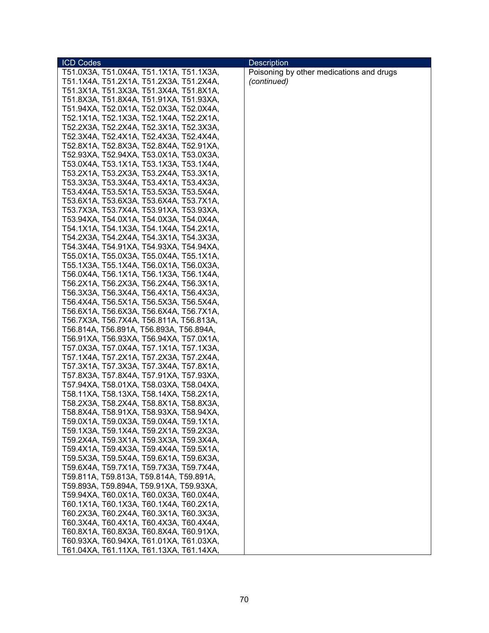| <b>ICD Codes</b>                                                                   | <b>Description</b>                       |
|------------------------------------------------------------------------------------|------------------------------------------|
| T51.0X3A, T51.0X4A, T51.1X1A, T51.1X3A,                                            | Poisoning by other medications and drugs |
| T51.1X4A, T51.2X1A, T51.2X3A, T51.2X4A,                                            | (continued)                              |
| T51.3X1A, T51.3X3A, T51.3X4A, T51.8X1A,                                            |                                          |
| T51.8X3A, T51.8X4A, T51.91XA, T51.93XA,                                            |                                          |
| T51.94XA, T52.0X1A, T52.0X3A, T52.0X4A,                                            |                                          |
| T52.1X1A, T52.1X3A, T52.1X4A, T52.2X1A,                                            |                                          |
| T52.2X3A, T52.2X4A, T52.3X1A, T52.3X3A,                                            |                                          |
| T52.3X4A, T52.4X1A, T52.4X3A, T52.4X4A,                                            |                                          |
| T52.8X1A, T52.8X3A, T52.8X4A, T52.91XA,                                            |                                          |
| T52.93XA, T52.94XA, T53.0X1A, T53.0X3A,                                            |                                          |
| T53.0X4A, T53.1X1A, T53.1X3A, T53.1X4A,                                            |                                          |
| T53.2X1A, T53.2X3A, T53.2X4A, T53.3X1A,                                            |                                          |
| T53.3X3A, T53.3X4A, T53.4X1A, T53.4X3A,                                            |                                          |
| T53.4X4A, T53.5X1A, T53.5X3A, T53.5X4A,                                            |                                          |
| T53.6X1A, T53.6X3A, T53.6X4A, T53.7X1A,                                            |                                          |
| T53.7X3A, T53.7X4A, T53.91XA, T53.93XA,                                            |                                          |
| T53.94XA, T54.0X1A, T54.0X3A, T54.0X4A,                                            |                                          |
| T54.1X1A, T54.1X3A, T54.1X4A, T54.2X1A,                                            |                                          |
| T54.2X3A, T54.2X4A, T54.3X1A, T54.3X3A,                                            |                                          |
| T54.3X4A, T54.91XA, T54.93XA, T54.94XA,                                            |                                          |
| T55.0X1A, T55.0X3A, T55.0X4A, T55.1X1A,                                            |                                          |
| T55.1X3A, T55.1X4A, T56.0X1A, T56.0X3A,                                            |                                          |
| T56.0X4A, T56.1X1A, T56.1X3A, T56.1X4A,                                            |                                          |
| T56.2X1A, T56.2X3A, T56.2X4A, T56.3X1A,                                            |                                          |
| T56.3X3A, T56.3X4A, T56.4X1A, T56.4X3A,                                            |                                          |
| T56.4X4A, T56.5X1A, T56.5X3A, T56.5X4A,                                            |                                          |
| T56.6X1A, T56.6X3A, T56.6X4A, T56.7X1A,                                            |                                          |
| T56.7X3A, T56.7X4A, T56.811A, T56.813A,                                            |                                          |
| T56.814A, T56.891A, T56.893A, T56.894A,                                            |                                          |
| T56.91XA, T56.93XA, T56.94XA, T57.0X1A,                                            |                                          |
| T57.0X3A, T57.0X4A, T57.1X1A, T57.1X3A,                                            |                                          |
| T57.1X4A, T57.2X1A, T57.2X3A, T57.2X4A,                                            |                                          |
| T57.3X1A, T57.3X3A, T57.3X4A, T57.8X1A,                                            |                                          |
| T57.8X3A, T57.8X4A, T57.91XA, T57.93XA,                                            |                                          |
| T57.94XA, T58.01XA, T58.03XA, T58.04XA,                                            |                                          |
| T58.11XA, T58.13XA, T58.14XA, T58.2X1A,                                            |                                          |
| T58.2X3A, T58.2X4A, T58.8X1A, T58.8X3A,                                            |                                          |
| T58.8X4A, T58.91XA, T58.93XA, T58.94XA,                                            |                                          |
| T59.0X1A, T59.0X3A, T59.0X4A, T59.1X1A,                                            |                                          |
| T59.1X3A, T59.1X4A, T59.2X1A, T59.2X3A,<br>T59.2X4A, T59.3X1A, T59.3X3A, T59.3X4A, |                                          |
| T59.4X1A, T59.4X3A, T59.4X4A, T59.5X1A,                                            |                                          |
| T59.5X3A, T59.5X4A, T59.6X1A, T59.6X3A,                                            |                                          |
| T59.6X4A, T59.7X1A, T59.7X3A, T59.7X4A,                                            |                                          |
| T59.811A, T59.813A, T59.814A, T59.891A,                                            |                                          |
| T59.893A, T59.894A, T59.91XA, T59.93XA,                                            |                                          |
| T59.94XA, T60.0X1A, T60.0X3A, T60.0X4A,                                            |                                          |
| T60.1X1A, T60.1X3A, T60.1X4A, T60.2X1A,                                            |                                          |
| T60.2X3A, T60.2X4A, T60.3X1A, T60.3X3A,                                            |                                          |
| T60.3X4A, T60.4X1A, T60.4X3A, T60.4X4A,                                            |                                          |
| T60.8X1A, T60.8X3A, T60.8X4A, T60.91XA,                                            |                                          |
| T60.93XA, T60.94XA, T61.01XA, T61.03XA,                                            |                                          |
| T61.04XA, T61.11XA, T61.13XA, T61.14XA,                                            |                                          |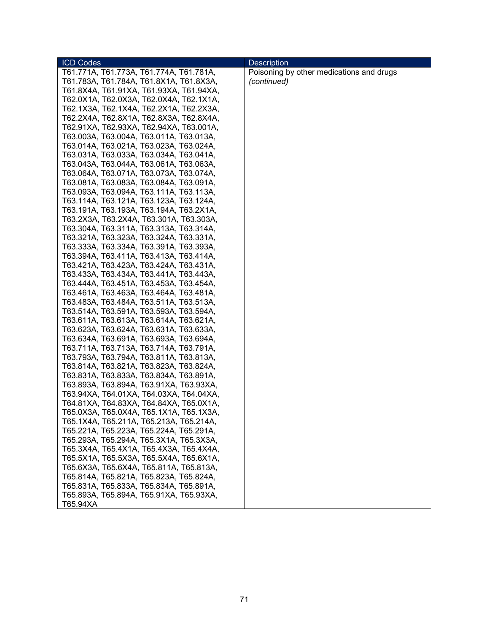| <b>ICD Codes</b>                        | <b>Description</b>                       |
|-----------------------------------------|------------------------------------------|
| T61.771A, T61.773A, T61.774A, T61.781A, | Poisoning by other medications and drugs |
| T61.783A, T61.784A, T61.8X1A, T61.8X3A, | (continued)                              |
| T61.8X4A, T61.91XA, T61.93XA, T61.94XA, |                                          |
| T62.0X1A, T62.0X3A, T62.0X4A, T62.1X1A, |                                          |
| T62.1X3A, T62.1X4A, T62.2X1A, T62.2X3A, |                                          |
| T62.2X4A, T62.8X1A, T62.8X3A, T62.8X4A, |                                          |
| T62.91XA, T62.93XA, T62.94XA, T63.001A, |                                          |
| T63.003A, T63.004A, T63.011A, T63.013A, |                                          |
| T63.014A, T63.021A, T63.023A, T63.024A, |                                          |
| T63.031A, T63.033A, T63.034A, T63.041A, |                                          |
| T63.043A, T63.044A, T63.061A, T63.063A, |                                          |
| T63.064A, T63.071A, T63.073A, T63.074A, |                                          |
| T63.081A, T63.083A, T63.084A, T63.091A, |                                          |
| T63.093A, T63.094A, T63.111A, T63.113A, |                                          |
| T63.114A, T63.121A, T63.123A, T63.124A, |                                          |
| T63.191A, T63.193A, T63.194A, T63.2X1A, |                                          |
| T63.2X3A, T63.2X4A, T63.301A, T63.303A, |                                          |
| T63.304A, T63.311A, T63.313A, T63.314A, |                                          |
| T63.321A, T63.323A, T63.324A, T63.331A, |                                          |
| T63.333A, T63.334A, T63.391A, T63.393A, |                                          |
| T63.394A, T63.411A, T63.413A, T63.414A, |                                          |
| T63.421A, T63.423A, T63.424A, T63.431A, |                                          |
| T63.433A, T63.434A, T63.441A, T63.443A, |                                          |
| T63.444A, T63.451A, T63.453A, T63.454A, |                                          |
| T63.461A, T63.463A, T63.464A, T63.481A, |                                          |
| T63.483A, T63.484A, T63.511A, T63.513A, |                                          |
| T63.514A, T63.591A, T63.593A, T63.594A, |                                          |
| T63.611A, T63.613A, T63.614A, T63.621A, |                                          |
| T63.623A, T63.624A, T63.631A, T63.633A, |                                          |
| T63.634A, T63.691A, T63.693A, T63.694A, |                                          |
| T63.711A, T63.713A, T63.714A, T63.791A, |                                          |
| T63.793A, T63.794A, T63.811A, T63.813A, |                                          |
| T63.814A, T63.821A, T63.823A, T63.824A, |                                          |
| T63.831A, T63.833A, T63.834A, T63.891A, |                                          |
| T63.893A, T63.894A, T63.91XA, T63.93XA, |                                          |
| T63.94XA, T64.01XA, T64.03XA, T64.04XA, |                                          |
| T64.81XA, T64.83XA, T64.84XA, T65.0X1A, |                                          |
| T65.0X3A, T65.0X4A, T65.1X1A, T65.1X3A, |                                          |
| T65.1X4A, T65.211A, T65.213A, T65.214A, |                                          |
| T65.221A, T65.223A, T65.224A, T65.291A, |                                          |
| T65.293A, T65.294A, T65.3X1A, T65.3X3A, |                                          |
| T65.3X4A, T65.4X1A, T65.4X3A, T65.4X4A, |                                          |
| T65.5X1A, T65.5X3A, T65.5X4A, T65.6X1A, |                                          |
| T65.6X3A, T65.6X4A, T65.811A, T65.813A, |                                          |
| T65.814A, T65.821A, T65.823A, T65.824A, |                                          |
| T65.831A, T65.833A, T65.834A, T65.891A, |                                          |
| T65.893A, T65.894A, T65.91XA, T65.93XA, |                                          |
| T65.94XA                                |                                          |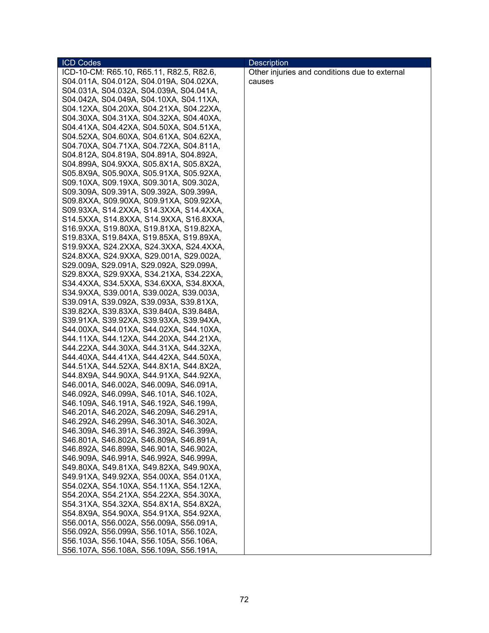| <b>ICD Codes</b>                                                                   | <b>Description</b>                            |
|------------------------------------------------------------------------------------|-----------------------------------------------|
| ICD-10-CM: R65.10, R65.11, R82.5, R82.6,                                           | Other injuries and conditions due to external |
| S04.011A, S04.012A, S04.019A, S04.02XA,                                            | causes                                        |
| S04.031A, S04.032A, S04.039A, S04.041A,                                            |                                               |
| S04.042A, S04.049A, S04.10XA, S04.11XA,                                            |                                               |
| S04.12XA, S04.20XA, S04.21XA, S04.22XA,                                            |                                               |
| S04.30XA, S04.31XA, S04.32XA, S04.40XA,                                            |                                               |
| S04.41XA, S04.42XA, S04.50XA, S04.51XA,                                            |                                               |
| S04.52XA, S04.60XA, S04.61XA, S04.62XA,                                            |                                               |
| S04.70XA, S04.71XA, S04.72XA, S04.811A,                                            |                                               |
| S04.812A, S04.819A, S04.891A, S04.892A,                                            |                                               |
| S04.899A, S04.9XXA, S05.8X1A, S05.8X2A,                                            |                                               |
| S05.8X9A, S05.90XA, S05.91XA, S05.92XA,                                            |                                               |
| S09.10XA, S09.19XA, S09.301A, S09.302A,                                            |                                               |
| S09.309A, S09.391A, S09.392A, S09.399A,                                            |                                               |
| S09.8XXA, S09.90XA, S09.91XA, S09.92XA,                                            |                                               |
| S09.93XA, S14.2XXA, S14.3XXA, S14.4XXA,                                            |                                               |
| S14.5XXA, S14.8XXA, S14.9XXA, S16.8XXA,                                            |                                               |
| S16.9XXA, S19.80XA, S19.81XA, S19.82XA,                                            |                                               |
| S19.83XA, S19.84XA, S19.85XA, S19.89XA,                                            |                                               |
| S19.9XXA, S24.2XXA, S24.3XXA, S24.4XXA,                                            |                                               |
| S24.8XXA, S24.9XXA, S29.001A, S29.002A,                                            |                                               |
| S29.009A, S29.091A, S29.092A, S29.099A,                                            |                                               |
| S29.8XXA, S29.9XXA, S34.21XA, S34.22XA,                                            |                                               |
| S34.4XXA, S34.5XXA, S34.6XXA, S34.8XXA,                                            |                                               |
| S34.9XXA, S39.001A, S39.002A, S39.003A,                                            |                                               |
| S39.091A, S39.092A, S39.093A, S39.81XA,                                            |                                               |
| S39.82XA, S39.83XA, S39.840A, S39.848A,                                            |                                               |
| S39.91XA, S39.92XA, S39.93XA, S39.94XA,                                            |                                               |
| S44.00XA, S44.01XA, S44.02XA, S44.10XA,                                            |                                               |
| S44.11XA, S44.12XA, S44.20XA, S44.21XA,                                            |                                               |
| S44.22XA, S44.30XA, S44.31XA, S44.32XA,                                            |                                               |
| S44.40XA, S44.41XA, S44.42XA, S44.50XA,                                            |                                               |
| S44.51XA, S44.52XA, S44.8X1A, S44.8X2A,                                            |                                               |
| S44.8X9A, S44.90XA, S44.91XA, S44.92XA,                                            |                                               |
| S46.001A, S46.002A, S46.009A, S46.091A,                                            |                                               |
| S46.092A, S46.099A, S46.101A, S46.102A,<br>S46.109A, S46.191A, S46.192A, S46.199A, |                                               |
| S46.201A, S46.202A, S46.209A, S46.291A,                                            |                                               |
| S46.292A, S46.299A, S46.301A, S46.302A,                                            |                                               |
| S46.309A, S46.391A, S46.392A, S46.399A,                                            |                                               |
| S46.801A, S46.802A, S46.809A, S46.891A,                                            |                                               |
| S46.892A, S46.899A, S46.901A, S46.902A,                                            |                                               |
| S46.909A, S46.991A, S46.992A, S46.999A,                                            |                                               |
| S49.80XA, S49.81XA, S49.82XA, S49.90XA,                                            |                                               |
| S49.91XA, S49.92XA, S54.00XA, S54.01XA,                                            |                                               |
| S54.02XA, S54.10XA, S54.11XA, S54.12XA,                                            |                                               |
| S54.20XA, S54.21XA, S54.22XA, S54.30XA,                                            |                                               |
| S54.31XA, S54.32XA, S54.8X1A, S54.8X2A,                                            |                                               |
| S54.8X9A, S54.90XA, S54.91XA, S54.92XA,                                            |                                               |
| S56.001A, S56.002A, S56.009A, S56.091A,                                            |                                               |
| S56.092A, S56.099A, S56.101A, S56.102A,                                            |                                               |
| S56.103A, S56.104A, S56.105A, S56.106A,                                            |                                               |
| S56.107A, S56.108A, S56.109A, S56.191A,                                            |                                               |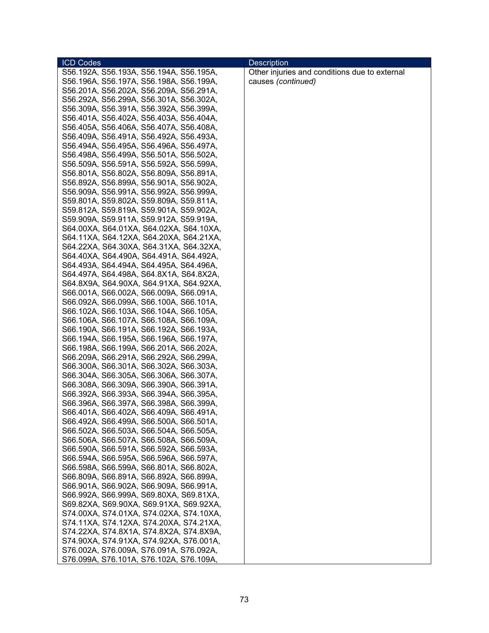| <b>ICD Codes</b>                        | <b>Description</b>                            |
|-----------------------------------------|-----------------------------------------------|
| S56.192A, S56.193A, S56.194A, S56.195A, | Other injuries and conditions due to external |
| S56.196A, S56.197A, S56.198A, S56.199A, | causes (continued)                            |
| S56.201A, S56.202A, S56.209A, S56.291A, |                                               |
| S56.292A, S56.299A, S56.301A, S56.302A, |                                               |
| S56.309A, S56.391A, S56.392A, S56.399A, |                                               |
| S56.401A, S56.402A, S56.403A, S56.404A, |                                               |
| S56.405A, S56.406A, S56.407A, S56.408A, |                                               |
| S56.409A, S56.491A, S56.492A, S56.493A, |                                               |
| S56.494A, S56.495A, S56.496A, S56.497A, |                                               |
| S56.498A, S56.499A, S56.501A, S56.502A, |                                               |
| S56.509A, S56.591A, S56.592A, S56.599A, |                                               |
| S56.801A, S56.802A, S56.809A, S56.891A, |                                               |
| S56.892A, S56.899A, S56.901A, S56.902A, |                                               |
| S56.909A, S56.991A, S56.992A, S56.999A, |                                               |
| S59.801A, S59.802A, S59.809A, S59.811A, |                                               |
| S59.812A, S59.819A, S59.901A, S59.902A, |                                               |
| S59.909A, S59.911A, S59.912A, S59.919A, |                                               |
| S64.00XA, S64.01XA, S64.02XA, S64.10XA, |                                               |
| S64.11XA, S64.12XA, S64.20XA, S64.21XA, |                                               |
| S64.22XA, S64.30XA, S64.31XA, S64.32XA, |                                               |
|                                         |                                               |
| S64.40XA, S64.490A, S64.491A, S64.492A, |                                               |
| S64.493A, S64.494A, S64.495A, S64.496A, |                                               |
| S64.497A, S64.498A, S64.8X1A, S64.8X2A, |                                               |
| S64.8X9A, S64.90XA, S64.91XA, S64.92XA, |                                               |
| S66.001A, S66.002A, S66.009A, S66.091A, |                                               |
| S66.092A, S66.099A, S66.100A, S66.101A, |                                               |
| S66.102A, S66.103A, S66.104A, S66.105A, |                                               |
| S66.106A, S66.107A, S66.108A, S66.109A, |                                               |
| S66.190A, S66.191A, S66.192A, S66.193A, |                                               |
| S66.194A, S66.195A, S66.196A, S66.197A, |                                               |
| S66.198A, S66.199A, S66.201A, S66.202A, |                                               |
| S66.209A, S66.291A, S66.292A, S66.299A, |                                               |
| S66.300A, S66.301A, S66.302A, S66.303A, |                                               |
| S66.304A, S66.305A, S66.306A, S66.307A, |                                               |
| S66.308A, S66.309A, S66.390A, S66.391A, |                                               |
| S66.392A, S66.393A, S66.394A, S66.395A, |                                               |
| S66.396A, S66.397A, S66.398A, S66.399A, |                                               |
| S66.401A, S66.402A, S66.409A, S66.491A, |                                               |
| S66.492A, S66.499A, S66.500A, S66.501A, |                                               |
| S66.502A, S66.503A, S66.504A, S66.505A, |                                               |
| S66.506A, S66.507A, S66.508A, S66.509A, |                                               |
| S66.590A, S66.591A, S66.592A, S66.593A, |                                               |
| S66.594A, S66.595A, S66.596A, S66.597A, |                                               |
| S66.598A, S66.599A, S66.801A, S66.802A, |                                               |
| S66.809A, S66.891A, S66.892A, S66.899A, |                                               |
| S66.901A, S66.902A, S66.909A, S66.991A, |                                               |
| S66.992A, S66.999A, S69.80XA, S69.81XA, |                                               |
| S69.82XA, S69.90XA, S69.91XA, S69.92XA, |                                               |
| S74.00XA, S74.01XA, S74.02XA, S74.10XA, |                                               |
| S74.11XA, S74.12XA, S74.20XA, S74.21XA, |                                               |
| S74.22XA, S74.8X1A, S74.8X2A, S74.8X9A, |                                               |
| S74.90XA, S74.91XA, S74.92XA, S76.001A, |                                               |
| S76.002A, S76.009A, S76.091A, S76.092A, |                                               |
| S76.099A, S76.101A, S76.102A, S76.109A, |                                               |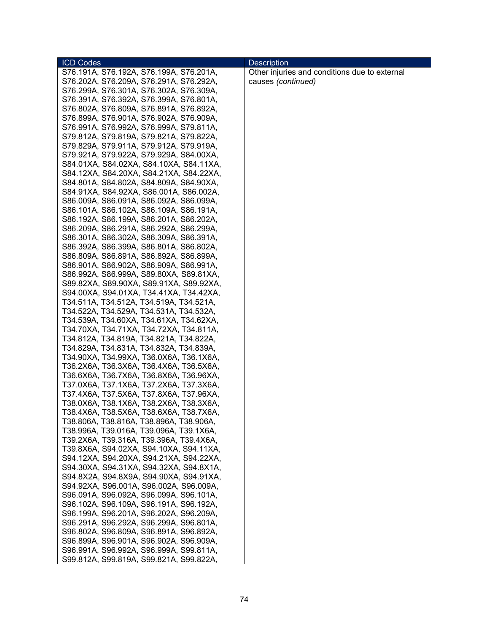| <b>ICD Codes</b>                        | <b>Description</b>                            |
|-----------------------------------------|-----------------------------------------------|
| S76.191A, S76.192A, S76.199A, S76.201A, | Other injuries and conditions due to external |
| S76.202A, S76.209A, S76.291A, S76.292A, | causes (continued)                            |
| S76.299A, S76.301A, S76.302A, S76.309A, |                                               |
| S76.391A, S76.392A, S76.399A, S76.801A, |                                               |
| S76.802A, S76.809A, S76.891A, S76.892A, |                                               |
| S76.899A, S76.901A, S76.902A, S76.909A, |                                               |
| S76.991A, S76.992A, S76.999A, S79.811A, |                                               |
| S79.812A, S79.819A, S79.821A, S79.822A, |                                               |
| S79.829A, S79.911A, S79.912A, S79.919A, |                                               |
| S79.921A, S79.922A, S79.929A, S84.00XA, |                                               |
| S84.01XA, S84.02XA, S84.10XA, S84.11XA, |                                               |
| S84.12XA, S84.20XA, S84.21XA, S84.22XA, |                                               |
| S84.801A, S84.802A, S84.809A, S84.90XA, |                                               |
| S84.91XA, S84.92XA, S86.001A, S86.002A, |                                               |
| S86.009A, S86.091A, S86.092A, S86.099A, |                                               |
| S86.101A, S86.102A, S86.109A, S86.191A, |                                               |
| S86.192A, S86.199A, S86.201A, S86.202A, |                                               |
| S86.209A, S86.291A, S86.292A, S86.299A, |                                               |
| S86.301A, S86.302A, S86.309A, S86.391A, |                                               |
| S86.392A, S86.399A, S86.801A, S86.802A, |                                               |
|                                         |                                               |
| S86.809A, S86.891A, S86.892A, S86.899A, |                                               |
| S86.901A, S86.902A, S86.909A, S86.991A, |                                               |
| S86.992A, S86.999A, S89.80XA, S89.81XA, |                                               |
| S89.82XA, S89.90XA, S89.91XA, S89.92XA, |                                               |
| S94.00XA, S94.01XA, T34.41XA, T34.42XA, |                                               |
| T34.511A, T34.512A, T34.519A, T34.521A, |                                               |
| T34.522A, T34.529A, T34.531A, T34.532A, |                                               |
| T34.539A, T34.60XA, T34.61XA, T34.62XA, |                                               |
| T34.70XA, T34.71XA, T34.72XA, T34.811A, |                                               |
| T34.812A, T34.819A, T34.821A, T34.822A, |                                               |
| T34.829A, T34.831A, T34.832A, T34.839A, |                                               |
| T34.90XA, T34.99XA, T36.0X6A, T36.1X6A, |                                               |
| T36.2X6A, T36.3X6A, T36.4X6A, T36.5X6A, |                                               |
| T36.6X6A, T36.7X6A, T36.8X6A, T36.96XA, |                                               |
| T37.0X6A, T37.1X6A, T37.2X6A, T37.3X6A, |                                               |
| T37.4X6A, T37.5X6A, T37.8X6A, T37.96XA, |                                               |
| T38.0X6A, T38.1X6A, T38.2X6A, T38.3X6A, |                                               |
| T38.4X6A, T38.5X6A, T38.6X6A, T38.7X6A, |                                               |
| T38.806A, T38.816A, T38.896A, T38.906A, |                                               |
| T38.996A, T39.016A, T39.096A, T39.1X6A, |                                               |
| T39.2X6A, T39.316A, T39.396A, T39.4X6A, |                                               |
| T39.8X6A, S94.02XA, S94.10XA, S94.11XA, |                                               |
| S94.12XA, S94.20XA, S94.21XA, S94.22XA, |                                               |
| S94.30XA, S94.31XA, S94.32XA, S94.8X1A, |                                               |
| S94.8X2A, S94.8X9A, S94.90XA, S94.91XA, |                                               |
| S94.92XA, S96.001A, S96.002A, S96.009A, |                                               |
| S96.091A, S96.092A, S96.099A, S96.101A, |                                               |
| S96.102A, S96.109A, S96.191A, S96.192A, |                                               |
| S96.199A, S96.201A, S96.202A, S96.209A, |                                               |
| S96.291A, S96.292A, S96.299A, S96.801A, |                                               |
| S96.802A, S96.809A, S96.891A, S96.892A, |                                               |
| S96.899A, S96.901A, S96.902A, S96.909A, |                                               |
| S96.991A, S96.992A, S96.999A, S99.811A, |                                               |
| S99.812A, S99.819A, S99.821A, S99.822A, |                                               |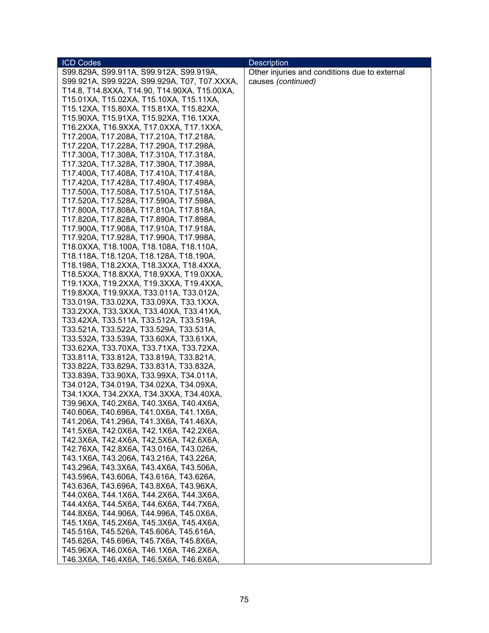| <b>ICD Codes</b>                             | <b>Description</b>                            |
|----------------------------------------------|-----------------------------------------------|
| S99.829A, S99.911A, S99.912A, S99.919A,      | Other injuries and conditions due to external |
| S99.921A, S99.922A, S99.929A, T07, T07.XXXA, | causes (continued)                            |
| T14.8, T14.8XXA, T14.90, T14.90XA, T15.00XA, |                                               |
| T15.01XA, T15.02XA, T15.10XA, T15.11XA,      |                                               |
| T15.12XA, T15.80XA, T15.81XA, T15.82XA,      |                                               |
| T15.90XA, T15.91XA, T15.92XA, T16.1XXA,      |                                               |
| T16.2XXA, T16.9XXA, T17.0XXA, T17.1XXA,      |                                               |
| T17.200A, T17.208A, T17.210A, T17.218A,      |                                               |
| T17.220A, T17.228A, T17.290A, T17.298A,      |                                               |
| T17.300A, T17.308A, T17.310A, T17.318A,      |                                               |
| T17.320A, T17.328A, T17.390A, T17.398A,      |                                               |
| T17.400A, T17.408A, T17.410A, T17.418A,      |                                               |
| T17.420A, T17.428A, T17.490A, T17.498A,      |                                               |
| T17.500A, T17.508A, T17.510A, T17.518A,      |                                               |
| T17.520A, T17.528A, T17.590A, T17.598A,      |                                               |
| T17.800A, T17.808A, T17.810A, T17.818A,      |                                               |
| T17.820A, T17.828A, T17.890A, T17.898A,      |                                               |
| T17.900A, T17.908A, T17.910A, T17.918A,      |                                               |
| T17.920A, T17.928A, T17.990A, T17.998A,      |                                               |
| T18.0XXA, T18.100A, T18.108A, T18.110A,      |                                               |
| T18.118A, T18.120A, T18.128A, T18.190A,      |                                               |
| T18.198A, T18.2XXA, T18.3XXA, T18.4XXA,      |                                               |
| T18.5XXA, T18.8XXA, T18.9XXA, T19.0XXA,      |                                               |
| T19.1XXA, T19.2XXA, T19.3XXA, T19.4XXA,      |                                               |
| T19.8XXA, T19.9XXA, T33.011A, T33.012A,      |                                               |
| T33.019A, T33.02XA, T33.09XA, T33.1XXA,      |                                               |
| T33.2XXA, T33.3XXA, T33.40XA, T33.41XA,      |                                               |
| T33.42XA, T33.511A, T33.512A, T33.519A,      |                                               |
| T33.521A, T33.522A, T33.529A, T33.531A,      |                                               |
| T33.532A, T33.539A, T33.60XA, T33.61XA,      |                                               |
| T33.62XA, T33.70XA, T33.71XA, T33.72XA,      |                                               |
| T33.811A, T33.812A, T33.819A, T33.821A,      |                                               |
| T33.822A, T33.829A, T33.831A, T33.832A,      |                                               |
| T33.839A, T33.90XA, T33.99XA, T34.011A,      |                                               |
| T34.012A, T34.019A, T34.02XA, T34.09XA,      |                                               |
| T34.1XXA, T34.2XXA, T34.3XXA, T34.40XA,      |                                               |
| T39.96XA, T40.2X6A, T40.3X6A, T40.4X6A,      |                                               |
| T40.606A, T40.696A, T41.0X6A, T41.1X6A,      |                                               |
| T41.206A, T41.296A, T41.3X6A, T41.46XA,      |                                               |
| T41.5X6A, T42.0X6A, T42.1X6A, T42.2X6A,      |                                               |
| T42.3X6A, T42.4X6A, T42.5X6A, T42.6X6A,      |                                               |
| T42.76XA, T42.8X6A, T43.016A, T43.026A,      |                                               |
| T43.1X6A, T43.206A, T43.216A, T43.226A,      |                                               |
| T43.296A, T43.3X6A, T43.4X6A, T43.506A,      |                                               |
| T43.596A, T43.606A, T43.616A, T43.626A,      |                                               |
| T43.636A, T43.696A, T43.8X6A, T43.96XA,      |                                               |
| T44.0X6A, T44.1X6A, T44.2X6A, T44.3X6A,      |                                               |
| T44.4X6A, T44.5X6A, T44.6X6A, T44.7X6A,      |                                               |
| T44.8X6A, T44.906A, T44.996A, T45.0X6A,      |                                               |
| T45.1X6A, T45.2X6A, T45.3X6A, T45.4X6A,      |                                               |
| T45.516A, T45.526A, T45.606A, T45.616A,      |                                               |
| T45.626A, T45.696A, T45.7X6A, T45.8X6A,      |                                               |
| T45.96XA, T46.0X6A, T46.1X6A, T46.2X6A,      |                                               |
| T46.3X6A, T46.4X6A, T46.5X6A, T46.6X6A,      |                                               |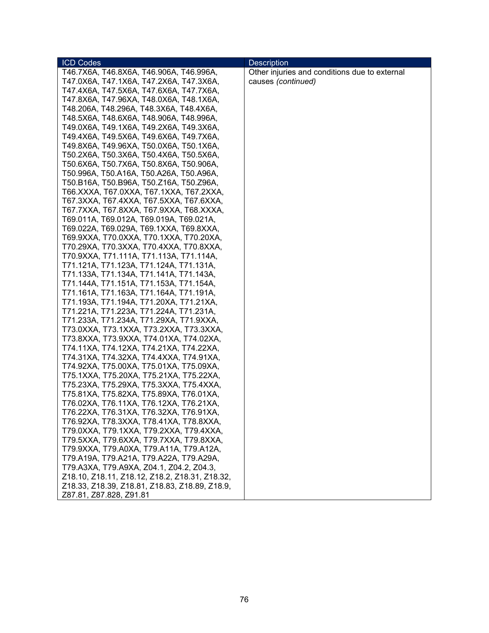| <b>ICD Codes</b>                               | <b>Description</b>                            |
|------------------------------------------------|-----------------------------------------------|
| T46.7X6A, T46.8X6A, T46.906A, T46.996A,        | Other injuries and conditions due to external |
| T47.0X6A, T47.1X6A, T47.2X6A, T47.3X6A,        | causes (continued)                            |
| T47.4X6A, T47.5X6A, T47.6X6A, T47.7X6A,        |                                               |
| T47.8X6A, T47.96XA, T48.0X6A, T48.1X6A,        |                                               |
| T48.206A, T48.296A, T48.3X6A, T48.4X6A,        |                                               |
| T48.5X6A, T48.6X6A, T48.906A, T48.996A,        |                                               |
| T49.0X6A, T49.1X6A, T49.2X6A, T49.3X6A,        |                                               |
| T49.4X6A, T49.5X6A, T49.6X6A, T49.7X6A,        |                                               |
| T49.8X6A, T49.96XA, T50.0X6A, T50.1X6A,        |                                               |
| T50.2X6A, T50.3X6A, T50.4X6A, T50.5X6A,        |                                               |
| T50.6X6A, T50.7X6A, T50.8X6A, T50.906A,        |                                               |
| T50.996A, T50.A16A, T50.A26A, T50.A96A,        |                                               |
| T50.B16A, T50.B96A, T50.Z16A, T50.Z96A,        |                                               |
| T66.XXXA, T67.0XXA, T67.1XXA, T67.2XXA,        |                                               |
| T67.3XXA, T67.4XXA, T67.5XXA, T67.6XXA,        |                                               |
| T67.7XXA, T67.8XXA, T67.9XXA, T68.XXXA,        |                                               |
| T69.011A, T69.012A, T69.019A, T69.021A,        |                                               |
| T69.022A, T69.029A, T69.1XXA, T69.8XXA,        |                                               |
| T69.9XXA, T70.0XXA, T70.1XXA, T70.20XA,        |                                               |
| T70.29XA, T70.3XXA, T70.4XXA, T70.8XXA,        |                                               |
| T70.9XXA, T71.111A, T71.113A, T71.114A,        |                                               |
| T71.121A, T71.123A, T71.124A, T71.131A,        |                                               |
| T71.133A, T71.134A, T71.141A, T71.143A,        |                                               |
| T71.144A, T71.151A, T71.153A, T71.154A,        |                                               |
| T71.161A, T71.163A, T71.164A, T71.191A,        |                                               |
| T71.193A, T71.194A, T71.20XA, T71.21XA,        |                                               |
| T71.221A, T71.223A, T71.224A, T71.231A,        |                                               |
| T71.233A, T71.234A, T71.29XA, T71.9XXA,        |                                               |
| T73.0XXA, T73.1XXA, T73.2XXA, T73.3XXA,        |                                               |
| T73.8XXA, T73.9XXA, T74.01XA, T74.02XA,        |                                               |
| T74.11XA, T74.12XA, T74.21XA, T74.22XA,        |                                               |
| T74.31XA, T74.32XA, T74.4XXA, T74.91XA,        |                                               |
| T74.92XA, T75.00XA, T75.01XA, T75.09XA,        |                                               |
| T75.1XXA, T75.20XA, T75.21XA, T75.22XA,        |                                               |
| T75.23XA, T75.29XA, T75.3XXA, T75.4XXA,        |                                               |
| T75.81XA, T75.82XA, T75.89XA, T76.01XA,        |                                               |
| T76.02XA, T76.11XA, T76.12XA, T76.21XA,        |                                               |
| T76.22XA, T76.31XA, T76.32XA, T76.91XA,        |                                               |
| T76.92XA, T78.3XXA, T78.41XA, T78.8XXA,        |                                               |
| T79.0XXA, T79.1XXA, T79.2XXA, T79.4XXA,        |                                               |
| T79.5XXA, T79.6XXA, T79.7XXA, T79.8XXA,        |                                               |
| T79.9XXA, T79.A0XA, T79.A11A, T79.A12A,        |                                               |
| T79.A19A, T79.A21A, T79.A22A, T79.A29A,        |                                               |
| T79.A3XA, T79.A9XA, Z04.1, Z04.2, Z04.3,       |                                               |
| Z18.10, Z18.11, Z18.12, Z18.2, Z18.31, Z18.32, |                                               |
| Z18.33, Z18.39, Z18.81, Z18.83, Z18.89, Z18.9, |                                               |
| Z87.81, Z87.828, Z91.81                        |                                               |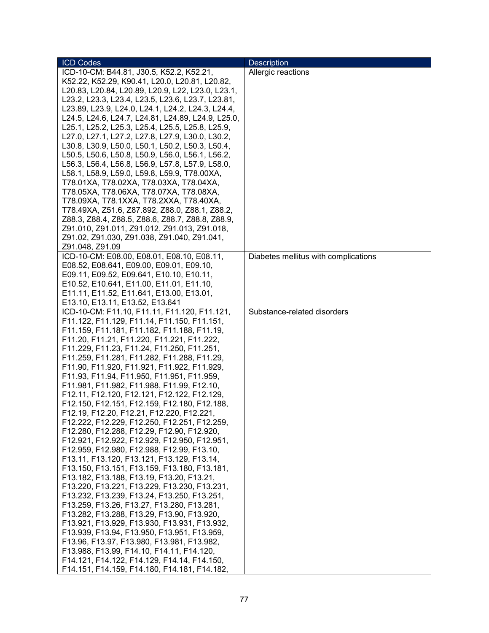| <b>ICD Codes</b>                                   | <b>Description</b>                   |
|----------------------------------------------------|--------------------------------------|
| ICD-10-CM: B44.81, J30.5, K52.2, K52.21,           | Allergic reactions                   |
| K52.22, K52.29, K90.41, L20.0, L20.81, L20.82,     |                                      |
| L20.83, L20.84, L20.89, L20.9, L22, L23.0, L23.1,  |                                      |
| L23.2, L23.3, L23.4, L23.5, L23.6, L23.7, L23.81,  |                                      |
| L23.89, L23.9, L24.0, L24.1, L24.2, L24.3, L24.4,  |                                      |
| L24.5, L24.6, L24.7, L24.81, L24.89, L24.9, L25.0, |                                      |
| L25.1, L25.2, L25.3, L25.4, L25.5, L25.8, L25.9,   |                                      |
| L27.0, L27.1, L27.2, L27.8, L27.9, L30.0, L30.2,   |                                      |
| L30.8, L30.9, L50.0, L50.1, L50.2, L50.3, L50.4,   |                                      |
| L50.5, L50.6, L50.8, L50.9, L56.0, L56.1, L56.2,   |                                      |
| L56.3, L56.4, L56.8, L56.9, L57.8, L57.9, L58.0,   |                                      |
| L58.1, L58.9, L59.0, L59.8, L59.9, T78.00XA,       |                                      |
| T78.01XA, T78.02XA, T78.03XA, T78.04XA,            |                                      |
|                                                    |                                      |
| T78.05XA, T78.06XA, T78.07XA, T78.08XA,            |                                      |
| T78.09XA, T78.1XXA, T78.2XXA, T78.40XA,            |                                      |
| T78.49XA, Z51.6, Z87.892, Z88.0, Z88.1, Z88.2,     |                                      |
| Z88.3, Z88.4, Z88.5, Z88.6, Z88.7, Z88.8, Z88.9,   |                                      |
| Z91.010, Z91.011, Z91.012, Z91.013, Z91.018,       |                                      |
| Z91.02, Z91.030, Z91.038, Z91.040, Z91.041,        |                                      |
| Z91.048, Z91.09                                    |                                      |
| ICD-10-CM: E08.00, E08.01, E08.10, E08.11,         | Diabetes mellitus with complications |
| E08.52, E08.641, E09.00, E09.01, E09.10,           |                                      |
| E09.11, E09.52, E09.641, E10.10, E10.11,           |                                      |
| E10.52, E10.641, E11.00, E11.01, E11.10,           |                                      |
| E11.11, E11.52, E11.641, E13.00, E13.01,           |                                      |
| E13.10, E13.11, E13.52, E13.641                    |                                      |
| ICD-10-CM: F11.10, F11.11, F11.120, F11.121,       | Substance-related disorders          |
| F11.122, F11.129, F11.14, F11.150, F11.151,        |                                      |
| F11.159, F11.181, F11.182, F11.188, F11.19,        |                                      |
| F11.20, F11.21, F11.220, F11.221, F11.222,         |                                      |
| F11.229, F11.23, F11.24, F11.250, F11.251,         |                                      |
| F11.259, F11.281, F11.282, F11.288, F11.29,        |                                      |
| F11.90, F11.920, F11.921, F11.922, F11.929,        |                                      |
| F11.93, F11.94, F11.950, F11.951, F11.959,         |                                      |
| F11.981, F11.982, F11.988, F11.99, F12.10,         |                                      |
| F12.11, F12.120, F12.121, F12.122, F12.129,        |                                      |
| F12.150, F12.151, F12.159, F12.180, F12.188,       |                                      |
| F12.19, F12.20, F12.21, F12.220, F12.221,          |                                      |
| F12.222, F12.229, F12.250, F12.251, F12.259,       |                                      |
| F12.280, F12.288, F12.29, F12.90, F12.920,         |                                      |
| F12.921, F12.922, F12.929, F12.950, F12.951,       |                                      |
| F12.959, F12.980, F12.988, F12.99, F13.10,         |                                      |
| F13.11, F13.120, F13.121, F13.129, F13.14,         |                                      |
| F13.150, F13.151, F13.159, F13.180, F13.181,       |                                      |
|                                                    |                                      |
| F13.182, F13.188, F13.19, F13.20, F13.21,          |                                      |
| F13.220, F13.221, F13.229, F13.230, F13.231,       |                                      |
| F13.232, F13.239, F13.24, F13.250, F13.251,        |                                      |
| F13.259, F13.26, F13.27, F13.280, F13.281,         |                                      |
| F13.282, F13.288, F13.29, F13.90, F13.920,         |                                      |
| F13.921, F13.929, F13.930, F13.931, F13.932,       |                                      |
| F13.939, F13.94, F13.950, F13.951, F13.959,        |                                      |
| F13.96, F13.97, F13.980, F13.981, F13.982,         |                                      |
| F13.988, F13.99, F14.10, F14.11, F14.120,          |                                      |
| F14.121, F14.122, F14.129, F14.14, F14.150,        |                                      |
| F14.151, F14.159, F14.180, F14.181, F14.182,       |                                      |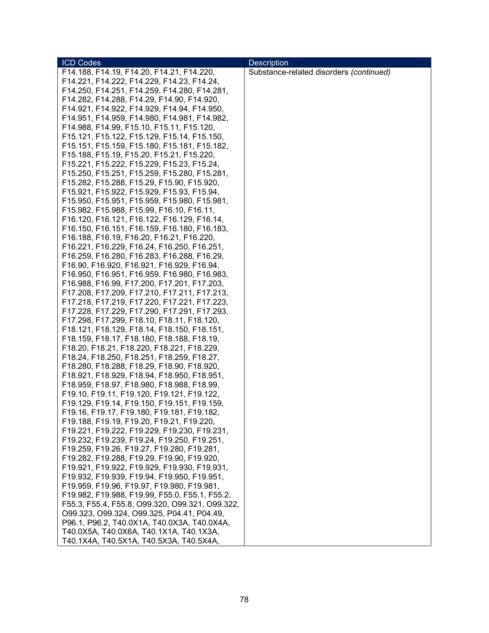| <b>ICD Codes</b>                                                                         | <b>Description</b>                      |
|------------------------------------------------------------------------------------------|-----------------------------------------|
| F14.188, F14.19, F14.20, F14.21, F14.220,                                                | Substance-related disorders (continued) |
| F14.221, F14.222, F14.229, F14.23, F14.24,                                               |                                         |
| F14.250, F14.251, F14.259, F14.280, F14.281,                                             |                                         |
| F14.282, F14.288, F14.29, F14.90, F14.920,                                               |                                         |
| F14.921, F14.922, F14.929, F14.94, F14.950,                                              |                                         |
| F14.951, F14.959, F14.980, F14.981, F14.982,                                             |                                         |
| F14.988, F14.99, F15.10, F15.11, F15.120,                                                |                                         |
| F15.121, F15.122, F15.129, F15.14, F15.150,                                              |                                         |
| F15.151, F15.159, F15.180, F15.181, F15.182,                                             |                                         |
| F15.188, F15.19, F15.20, F15.21, F15.220,                                                |                                         |
| F15.221, F15.222, F15.229, F15.23, F15.24,                                               |                                         |
| F15.250, F15.251, F15.259, F15.280, F15.281,                                             |                                         |
| F15.282, F15.288, F15.29, F15.90, F15.920,                                               |                                         |
| F15.921, F15.922, F15.929, F15.93, F15.94,                                               |                                         |
| F15.950, F15.951, F15.959, F15.980, F15.981,                                             |                                         |
| F15.982, F15.988, F15.99, F16.10, F16.11,                                                |                                         |
| F16.120, F16.121, F16.122, F16.129, F16.14,                                              |                                         |
| F16.150, F16.151, F16.159, F16.180, F16.183,                                             |                                         |
| F16.188, F16.19, F16.20, F16.21, F16.220,                                                |                                         |
| F16.221, F16.229, F16.24, F16.250, F16.251,                                              |                                         |
| F16.259, F16.280, F16.283, F16.288, F16.29,                                              |                                         |
| F16.90, F16.920, F16.921, F16.929, F16.94,                                               |                                         |
| F16.950, F16.951, F16.959, F16.980, F16.983,                                             |                                         |
| F16.988, F16.99, F17.200, F17.201, F17.203,                                              |                                         |
| F17.208, F17.209, F17.210, F17.211, F17.213,                                             |                                         |
| F17.218, F17.219, F17.220, F17.221, F17.223,                                             |                                         |
| F17.228, F17.229, F17.290, F17.291, F17.293,                                             |                                         |
| F17.298, F17.299, F18.10, F18.11, F18.120,                                               |                                         |
| F18.121, F18.129, F18.14, F18.150, F18.151,                                              |                                         |
| F18.159, F18.17, F18.180, F18.188, F18.19,<br>F18.20, F18.21, F18.220, F18.221, F18.229, |                                         |
| F18.24, F18.250, F18.251, F18.259, F18.27,                                               |                                         |
| F18.280, F18.288, F18.29, F18.90, F18.920,                                               |                                         |
| F18.921, F18.929, F18.94, F18.950, F18.951,                                              |                                         |
| F18.959, F18.97, F18.980, F18.988, F18.99,                                               |                                         |
| F19.10, F19.11, F19.120, F19.121, F19.122,                                               |                                         |
| F19.129, F19.14, F19.150, F19.151, F19.159,                                              |                                         |
| F19.16, F19.17, F19.180, F19.181, F19.182,                                               |                                         |
| F19.188, F19.19, F19.20, F19.21, F19.220,                                                |                                         |
| F19.221, F19.222, F19.229, F19.230, F19.231,                                             |                                         |
| F19.232, F19.239, F19.24, F19.250, F19.251,                                              |                                         |
| F19.259, F19.26, F19.27, F19.280, F19.281,                                               |                                         |
| F19.282, F19.288, F19.29, F19.90, F19.920,                                               |                                         |
| F19.921, F19.922, F19.929, F19.930, F19.931,                                             |                                         |
| F19.932, F19.939, F19.94, F19.950, F19.951,                                              |                                         |
| F19.959, F19.96, F19.97, F19.980, F19.981,                                               |                                         |
| F19.982, F19.988, F19.99, F55.0, F55.1, F55.2,                                           |                                         |
| F55.3, F55.4, F55.8, O99.320, O99.321, O99.322,                                          |                                         |
| O99.323, O99.324, O99.325, P04.41, P04.49,                                               |                                         |
| P96.1, P96.2, T40.0X1A, T40.0X3A, T40.0X4A,                                              |                                         |
| T40.0X5A, T40.0X6A, T40.1X1A, T40.1X3A,                                                  |                                         |
| T40.1X4A, T40.5X1A, T40.5X3A, T40.5X4A,                                                  |                                         |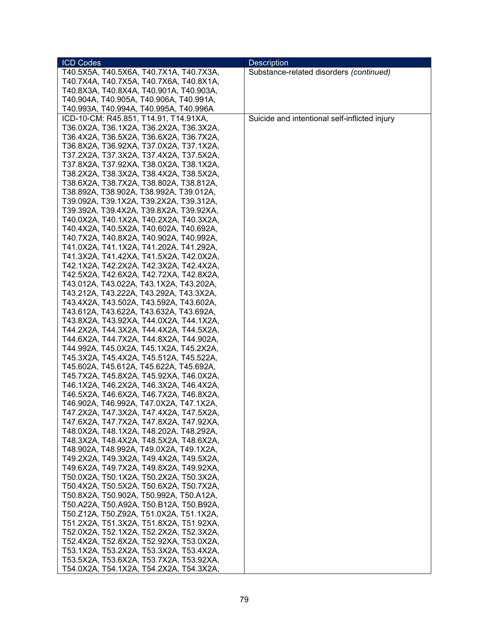| <b>ICD Codes</b>                        | <b>Description</b>                            |
|-----------------------------------------|-----------------------------------------------|
| T40.5X5A, T40.5X6A, T40.7X1A, T40.7X3A, | Substance-related disorders (continued)       |
| T40.7X4A, T40.7X5A, T40.7X6A, T40.8X1A, |                                               |
| T40.8X3A, T40.8X4A, T40.901A, T40.903A, |                                               |
| T40.904A, T40.905A, T40.906A, T40.991A, |                                               |
| T40.993A, T40.994A, T40.995A, T40.996A  |                                               |
| ICD-10-CM: R45.851, T14.91, T14.91XA,   | Suicide and intentional self-inflicted injury |
| T36.0X2A, T36.1X2A, T36.2X2A, T36.3X2A, |                                               |
| T36.4X2A, T36.5X2A, T36.6X2A, T36.7X2A, |                                               |
| T36.8X2A, T36.92XA, T37.0X2A, T37.1X2A, |                                               |
| T37.2X2A, T37.3X2A, T37.4X2A, T37.5X2A, |                                               |
|                                         |                                               |
| T37.8X2A, T37.92XA, T38.0X2A, T38.1X2A, |                                               |
| T38.2X2A, T38.3X2A, T38.4X2A, T38.5X2A, |                                               |
| T38.6X2A, T38.7X2A, T38.802A, T38.812A, |                                               |
| T38.892A, T38.902A, T38.992A, T39.012A, |                                               |
| T39.092A, T39.1X2A, T39.2X2A, T39.312A, |                                               |
| T39.392A, T39.4X2A, T39.8X2A, T39.92XA, |                                               |
| T40.0X2A, T40.1X2A, T40.2X2A, T40.3X2A, |                                               |
| T40.4X2A, T40.5X2A, T40.602A, T40.692A, |                                               |
| T40.7X2A, T40.8X2A, T40.902A, T40.992A, |                                               |
| T41.0X2A, T41.1X2A, T41.202A, T41.292A, |                                               |
| T41.3X2A, T41.42XA, T41.5X2A, T42.0X2A, |                                               |
| T42.1X2A, T42.2X2A, T42.3X2A, T42.4X2A, |                                               |
| T42.5X2A, T42.6X2A, T42.72XA, T42.8X2A, |                                               |
| T43.012A, T43.022A, T43.1X2A, T43.202A, |                                               |
| T43.212A, T43.222A, T43.292A, T43.3X2A, |                                               |
| T43.4X2A, T43.502A, T43.592A, T43.602A, |                                               |
| T43.612A, T43.622A, T43.632A, T43.692A, |                                               |
| T43.8X2A, T43.92XA, T44.0X2A, T44.1X2A, |                                               |
| T44.2X2A, T44.3X2A, T44.4X2A, T44.5X2A, |                                               |
| T44.6X2A, T44.7X2A, T44.8X2A, T44.902A, |                                               |
| T44.992A, T45.0X2A, T45.1X2A, T45.2X2A, |                                               |
| T45.3X2A, T45.4X2A, T45.512A, T45.522A, |                                               |
| T45.602A, T45.612A, T45.622A, T45.692A, |                                               |
| T45.7X2A, T45.8X2A, T45.92XA, T46.0X2A, |                                               |
| T46.1X2A, T46.2X2A, T46.3X2A, T46.4X2A, |                                               |
| T46.5X2A, T46.6X2A, T46.7X2A, T46.8X2A, |                                               |
| T46.902A, T46.992A, T47.0X2A, T47.1X2A, |                                               |
| T47.2X2A, T47.3X2A, T47.4X2A, T47.5X2A, |                                               |
| T47.6X2A, T47.7X2A, T47.8X2A, T47.92XA, |                                               |
| T48.0X2A, T48.1X2A, T48.202A, T48.292A, |                                               |
| T48.3X2A, T48.4X2A, T48.5X2A, T48.6X2A, |                                               |
|                                         |                                               |
| T48.902A, T48.992A, T49.0X2A, T49.1X2A, |                                               |
| T49.2X2A, T49.3X2A, T49.4X2A, T49.5X2A, |                                               |
| T49.6X2A, T49.7X2A, T49.8X2A, T49.92XA, |                                               |
| T50.0X2A, T50.1X2A, T50.2X2A, T50.3X2A, |                                               |
| T50.4X2A, T50.5X2A, T50.6X2A, T50.7X2A, |                                               |
| T50.8X2A, T50.902A, T50.992A, T50.A12A, |                                               |
| T50.A22A, T50.A92A, T50.B12A, T50.B92A, |                                               |
| T50.Z12A, T50.Z92A, T51.0X2A, T51.1X2A, |                                               |
| T51.2X2A, T51.3X2A, T51.8X2A, T51.92XA, |                                               |
| T52.0X2A, T52.1X2A, T52.2X2A, T52.3X2A, |                                               |
| T52.4X2A, T52.8X2A, T52.92XA, T53.0X2A, |                                               |
| T53.1X2A, T53.2X2A, T53.3X2A, T53.4X2A, |                                               |
| T53.5X2A, T53.6X2A, T53.7X2A, T53.92XA, |                                               |
| T54.0X2A, T54.1X2A, T54.2X2A, T54.3X2A, |                                               |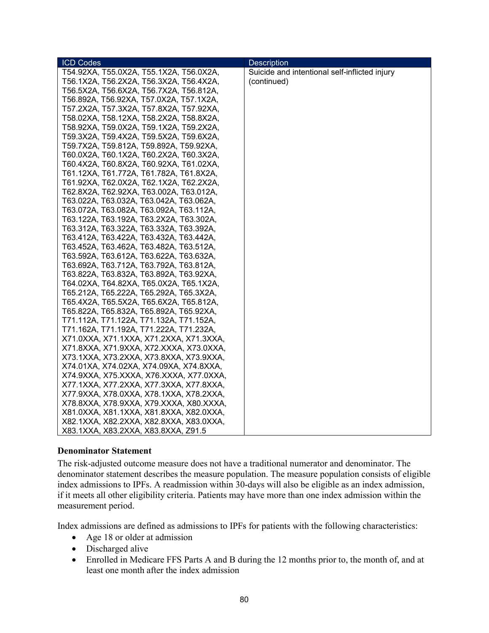| <b>ICD Codes</b>                        | <b>Description</b>                            |
|-----------------------------------------|-----------------------------------------------|
| T54.92XA, T55.0X2A, T55.1X2A, T56.0X2A, | Suicide and intentional self-inflicted injury |
| T56.1X2A, T56.2X2A, T56.3X2A, T56.4X2A, | (continued)                                   |
| T56.5X2A, T56.6X2A, T56.7X2A, T56.812A, |                                               |
| T56.892A, T56.92XA, T57.0X2A, T57.1X2A, |                                               |
| T57.2X2A, T57.3X2A, T57.8X2A, T57.92XA, |                                               |
| T58.02XA, T58.12XA, T58.2X2A, T58.8X2A, |                                               |
| T58.92XA, T59.0X2A, T59.1X2A, T59.2X2A, |                                               |
| T59.3X2A, T59.4X2A, T59.5X2A, T59.6X2A, |                                               |
| T59.7X2A, T59.812A, T59.892A, T59.92XA, |                                               |
| T60.0X2A, T60.1X2A, T60.2X2A, T60.3X2A, |                                               |
| T60.4X2A, T60.8X2A, T60.92XA, T61.02XA, |                                               |
| T61.12XA, T61.772A, T61.782A, T61.8X2A, |                                               |
| T61.92XA, T62.0X2A, T62.1X2A, T62.2X2A, |                                               |
| T62.8X2A, T62.92XA, T63.002A, T63.012A, |                                               |
| T63.022A, T63.032A, T63.042A, T63.062A, |                                               |
| T63.072A, T63.082A, T63.092A, T63.112A, |                                               |
| T63.122A, T63.192A, T63.2X2A, T63.302A, |                                               |
| T63.312A, T63.322A, T63.332A, T63.392A, |                                               |
| T63.412A, T63.422A, T63.432A, T63.442A, |                                               |
| T63.452A, T63.462A, T63.482A, T63.512A, |                                               |
| T63.592A, T63.612A, T63.622A, T63.632A, |                                               |
| T63.692A, T63.712A, T63.792A, T63.812A, |                                               |
| T63.822A, T63.832A, T63.892A, T63.92XA, |                                               |
| T64.02XA, T64.82XA, T65.0X2A, T65.1X2A, |                                               |
| T65.212A, T65.222A, T65.292A, T65.3X2A, |                                               |
| T65.4X2A, T65.5X2A, T65.6X2A, T65.812A, |                                               |
| T65.822A, T65.832A, T65.892A, T65.92XA, |                                               |
| T71.112A, T71.122A, T71.132A, T71.152A, |                                               |
| T71.162A, T71.192A, T71.222A, T71.232A, |                                               |
| X71.0XXA, X71.1XXA, X71.2XXA, X71.3XXA, |                                               |
| X71.8XXA, X71.9XXA, X72.XXXA, X73.0XXA, |                                               |
| X73.1XXA, X73.2XXA, X73.8XXA, X73.9XXA, |                                               |
| X74.01XA, X74.02XA, X74.09XA, X74.8XXA, |                                               |
| X74.9XXA, X75.XXXA, X76.XXXA, X77.0XXA, |                                               |
| X77.1XXA, X77.2XXA, X77.3XXA, X77.8XXA, |                                               |
| X77.9XXA, X78.0XXA, X78.1XXA, X78.2XXA, |                                               |
| X78.8XXA, X78.9XXA, X79.XXXA, X80.XXXA, |                                               |
| X81.0XXA, X81.1XXA, X81.8XXA, X82.0XXA, |                                               |
| X82.1XXA, X82.2XXA, X82.8XXA, X83.0XXA, |                                               |
| X83.1XXA, X83.2XXA, X83.8XXA, Z91.5     |                                               |

## **Denominator Statement**

The risk-adjusted outcome measure does not have a traditional numerator and denominator. The denominator statement describes the measure population. The measure population consists of eligible index admissions to IPFs. A readmission within 30-days will also be eligible as an index admission, if it meets all other eligibility criteria. Patients may have more than one index admission within the measurement period.

Index admissions are defined as admissions to IPFs for patients with the following characteristics:

- Age 18 or older at admission
- Discharged alive
- Enrolled in Medicare FFS Parts A and B during the 12 months prior to, the month of, and at least one month after the index admission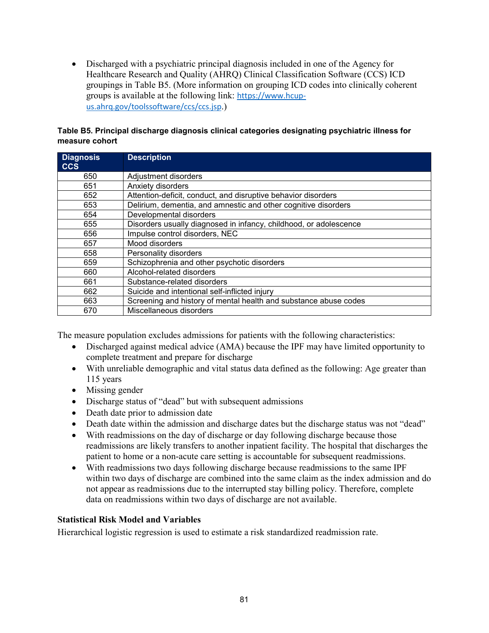• Discharged with a psychiatric principal diagnosis included in one of the Agency for Healthcare Research and Quality (AHRQ) Clinical Classification Software (CCS) ICD groupings in Table B5. (More information on grouping ICD codes into clinically coherent groups is available at the following link: [https://www.hcup](https://www.hcup-us.ahrq.gov/toolssoftware/ccs/ccs.jsp)[us.ahrq.gov/toolssoftware/ccs/ccs.jsp](https://www.hcup-us.ahrq.gov/toolssoftware/ccs/ccs.jsp).)

#### **Table B5. Principal discharge diagnosis clinical categories designating psychiatric illness for measure cohort**

| <b>Diagnosis</b><br><b>CCS</b> | <b>Description</b>                                                |
|--------------------------------|-------------------------------------------------------------------|
| 650                            | Adjustment disorders                                              |
| 651                            | Anxiety disorders                                                 |
| 652                            | Attention-deficit, conduct, and disruptive behavior disorders     |
| 653                            | Delirium, dementia, and amnestic and other cognitive disorders    |
| 654                            | Developmental disorders                                           |
| 655                            | Disorders usually diagnosed in infancy, childhood, or adolescence |
| 656                            | Impulse control disorders, NEC                                    |
| 657                            | Mood disorders                                                    |
| 658                            | Personality disorders                                             |
| 659                            | Schizophrenia and other psychotic disorders                       |
| 660                            | Alcohol-related disorders                                         |
| 661                            | Substance-related disorders                                       |
| 662                            | Suicide and intentional self-inflicted injury                     |
| 663                            | Screening and history of mental health and substance abuse codes  |
| 670                            | Miscellaneous disorders                                           |

The measure population excludes admissions for patients with the following characteristics:

- Discharged against medical advice (AMA) because the IPF may have limited opportunity to complete treatment and prepare for discharge
- With unreliable demographic and vital status data defined as the following: Age greater than 115 years
- Missing gender
- Discharge status of "dead" but with subsequent admissions
- Death date prior to admission date
- Death date within the admission and discharge dates but the discharge status was not "dead"
- With readmissions on the day of discharge or day following discharge because those readmissions are likely transfers to another inpatient facility. The hospital that discharges the patient to home or a non-acute care setting is accountable for subsequent readmissions.
- With readmissions two days following discharge because readmissions to the same IPF within two days of discharge are combined into the same claim as the index admission and do not appear as readmissions due to the interrupted stay billing policy. Therefore, complete data on readmissions within two days of discharge are not available.

## **Statistical Risk Model and Variables**

Hierarchical logistic regression is used to estimate a risk standardized readmission rate.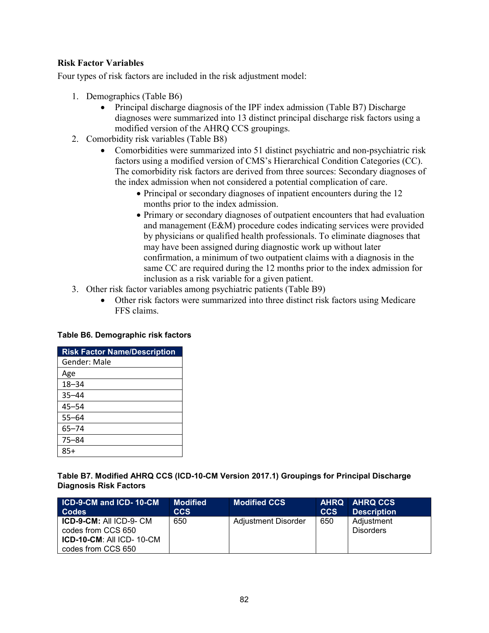## **Risk Factor Variables**

Four types of risk factors are included in the risk adjustment model:

- 1. Demographics (Table B6)
	- Principal discharge diagnosis of the IPF index admission (Table B7) Discharge diagnoses were summarized into 13 distinct principal discharge risk factors using a modified version of the AHRQ CCS groupings.
- 2. Comorbidity risk variables (Table B8)
	- Comorbidities were summarized into 51 distinct psychiatric and non-psychiatric risk factors using a modified version of CMS's Hierarchical Condition Categories (CC). The comorbidity risk factors are derived from three sources: Secondary diagnoses of the index admission when not considered a potential complication of care.
		- Principal or secondary diagnoses of inpatient encounters during the 12 months prior to the index admission.
		- Primary or secondary diagnoses of outpatient encounters that had evaluation and management (E&M) procedure codes indicating services were provided by physicians or qualified health professionals. To eliminate diagnoses that may have been assigned during diagnostic work up without later confirmation, a minimum of two outpatient claims with a diagnosis in the same CC are required during the 12 months prior to the index admission for inclusion as a risk variable for a given patient.
- 3. Other risk factor variables among psychiatric patients (Table B9)
	- Other risk factors were summarized into three distinct risk factors using Medicare FFS claims.

#### **Table B6. Demographic risk factors**

| <b>Risk Factor Name/Description</b> |
|-------------------------------------|
| Gender: Male                        |
| Age                                 |
| $18 - 34$                           |
| $35 - 44$                           |
| $45 - 54$                           |
| $55 - 64$                           |
| $65 - 74$                           |
| $75 - 84$                           |
| 85+                                 |

**Table B7. Modified AHRQ CCS (ICD-10-CM Version 2017.1) Groupings for Principal Discharge Diagnosis Risk Factors** 

| <b>ICD-9-CM and ICD-10-CM</b><br><b>Codes</b>                                                               | <b>Modified</b><br>ccs | <b>Modified CCS</b> | <b>CCS</b> | AHRQ AHRQ CCS<br><b>Description</b> |
|-------------------------------------------------------------------------------------------------------------|------------------------|---------------------|------------|-------------------------------------|
| <b>ICD-9-CM: All ICD-9- CM</b><br>codes from CCS 650<br>$ICD-10-CM$ : All $ICD-10-CM$<br>codes from CCS 650 | 650                    | Adjustment Disorder | 650        | Adjustment<br><b>Disorders</b>      |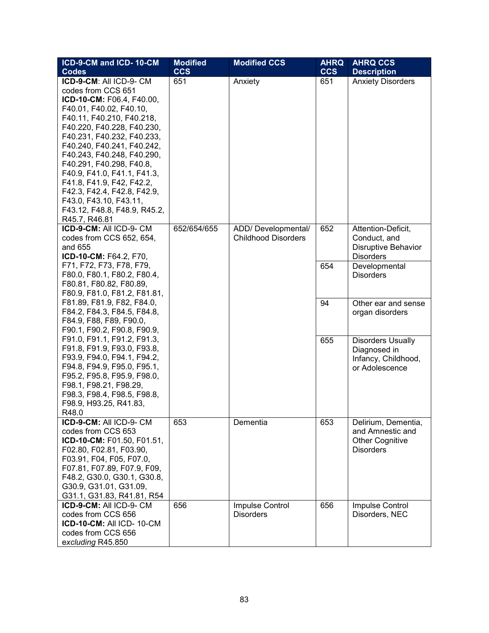| ICD-9-CM and ICD-10-CM                         | <b>Modified</b> | <b>Modified CCS</b>                 | <b>AHRQ</b> | <b>AHRQ CCS</b>                            |
|------------------------------------------------|-----------------|-------------------------------------|-------------|--------------------------------------------|
| <b>Codes</b>                                   | <b>CCS</b>      |                                     | <b>CCS</b>  | <b>Description</b>                         |
| ICD-9-CM: All ICD-9- CM                        | 651             | Anxiety                             | 651         | <b>Anxiety Disorders</b>                   |
| codes from CCS 651                             |                 |                                     |             |                                            |
| ICD-10-CM: F06.4, F40.00,                      |                 |                                     |             |                                            |
| F40.01, F40.02, F40.10,                        |                 |                                     |             |                                            |
| F40.11, F40.210, F40.218,                      |                 |                                     |             |                                            |
| F40.220, F40.228, F40.230,                     |                 |                                     |             |                                            |
| F40.231, F40.232, F40.233,                     |                 |                                     |             |                                            |
| F40.240, F40.241, F40.242,                     |                 |                                     |             |                                            |
| F40.243, F40.248, F40.290,                     |                 |                                     |             |                                            |
| F40.291, F40.298, F40.8,                       |                 |                                     |             |                                            |
| F40.9, F41.0, F41.1, F41.3,                    |                 |                                     |             |                                            |
| F41.8, F41.9, F42, F42.2,                      |                 |                                     |             |                                            |
| F42.3, F42.4, F42.8, F42.9,                    |                 |                                     |             |                                            |
| F43.0, F43.10, F43.11,                         |                 |                                     |             |                                            |
| F43.12, F48.8, F48.9, R45.2,                   |                 |                                     |             |                                            |
| R45.7, R46.81                                  |                 |                                     |             |                                            |
| ICD-9-CM: All ICD-9- CM                        | 652/654/655     | ADD/ Developmental/                 | 652         | Attention-Deficit,                         |
| codes from CCS 652, 654,<br>and 655            |                 | <b>Childhood Disorders</b>          |             | Conduct, and<br><b>Disruptive Behavior</b> |
| ICD-10-CM: F64.2, F70,                         |                 |                                     |             | <b>Disorders</b>                           |
| F71, F72, F73, F78, F79,                       |                 |                                     | 654         | Developmental                              |
| F80.0, F80.1, F80.2, F80.4,                    |                 |                                     |             | <b>Disorders</b>                           |
| F80.81, F80.82, F80.89,                        |                 |                                     |             |                                            |
| F80.9, F81.0, F81.2, F81.81,                   |                 |                                     |             |                                            |
| F81.89, F81.9, F82, F84.0,                     |                 |                                     | 94          | Other ear and sense                        |
| F84.2, F84.3, F84.5, F84.8,                    |                 |                                     |             | organ disorders                            |
| F84.9, F88, F89, F90.0,                        |                 |                                     |             |                                            |
| F90.1, F90.2, F90.8, F90.9,                    |                 |                                     |             |                                            |
| F91.0, F91.1, F91.2, F91.3,                    |                 |                                     | 655         | <b>Disorders Usually</b>                   |
| F91.8, F91.9, F93.0, F93.8,                    |                 |                                     |             | Diagnosed in                               |
| F93.9, F94.0, F94.1, F94.2,                    |                 |                                     |             | Infancy, Childhood,                        |
| F94.8, F94.9, F95.0, F95.1,                    |                 |                                     |             | or Adolescence                             |
| F95.2, F95.8, F95.9, F98.0,                    |                 |                                     |             |                                            |
| F98.1, F98.21, F98.29,                         |                 |                                     |             |                                            |
| F98.3, F98.4, F98.5, F98.8,                    |                 |                                     |             |                                            |
| F98.9, H93.25, R41.83,                         |                 |                                     |             |                                            |
| R48.0                                          |                 |                                     |             |                                            |
| ICD-9-CM: All ICD-9- CM                        | 653             | Dementia                            | 653         | Delirium, Dementia,                        |
| codes from CCS 653                             |                 |                                     |             | and Amnestic and                           |
| ICD-10-CM: F01.50, F01.51,                     |                 |                                     |             | <b>Other Cognitive</b>                     |
| F02.80, F02.81, F03.90,                        |                 |                                     |             | <b>Disorders</b>                           |
| F03.91, F04, F05, F07.0,                       |                 |                                     |             |                                            |
| F07.81, F07.89, F07.9, F09,                    |                 |                                     |             |                                            |
| F48.2, G30.0, G30.1, G30.8,                    |                 |                                     |             |                                            |
| G30.9, G31.01, G31.09,                         |                 |                                     |             |                                            |
| G31.1, G31.83, R41.81, R54                     |                 |                                     |             |                                            |
| ICD-9-CM: All ICD-9- CM                        | 656             | Impulse Control<br><b>Disorders</b> | 656         | Impulse Control                            |
| codes from CCS 656<br>ICD-10-CM: All ICD-10-CM |                 |                                     |             | Disorders, NEC                             |
| codes from CCS 656                             |                 |                                     |             |                                            |
| excluding R45.850                              |                 |                                     |             |                                            |
|                                                |                 |                                     |             |                                            |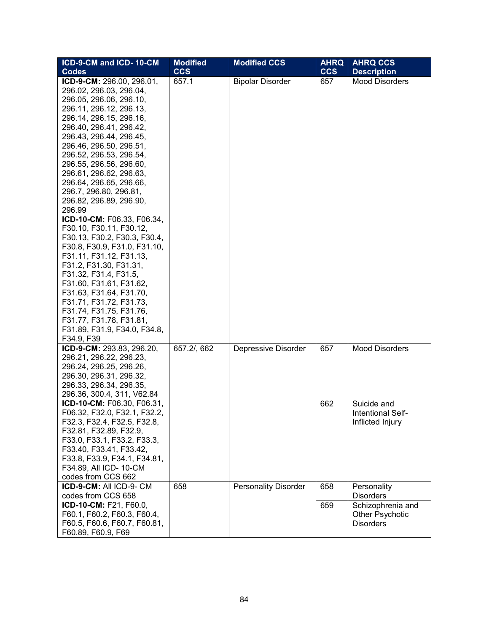| ICD-9-CM and ICD-10-CM       | <b>Modified</b> | <b>Modified CCS</b>         | <b>AHRQ</b> | <b>AHRQ CCS</b>       |
|------------------------------|-----------------|-----------------------------|-------------|-----------------------|
| <b>Codes</b>                 | <b>CCS</b>      |                             | <b>CCS</b>  | <b>Description</b>    |
| ICD-9-CM: 296.00, 296.01,    | 657.1           | <b>Bipolar Disorder</b>     | 657         | <b>Mood Disorders</b> |
| 296.02, 296.03, 296.04,      |                 |                             |             |                       |
| 296.05, 296.06, 296.10,      |                 |                             |             |                       |
| 296.11, 296.12, 296.13,      |                 |                             |             |                       |
| 296.14, 296.15, 296.16,      |                 |                             |             |                       |
| 296.40, 296.41, 296.42,      |                 |                             |             |                       |
| 296.43, 296.44, 296.45,      |                 |                             |             |                       |
| 296.46, 296.50, 296.51,      |                 |                             |             |                       |
| 296.52, 296.53, 296.54,      |                 |                             |             |                       |
| 296.55, 296.56, 296.60,      |                 |                             |             |                       |
| 296.61, 296.62, 296.63,      |                 |                             |             |                       |
| 296.64, 296.65, 296.66,      |                 |                             |             |                       |
| 296.7, 296.80, 296.81,       |                 |                             |             |                       |
| 296.82, 296.89, 296.90,      |                 |                             |             |                       |
| 296.99                       |                 |                             |             |                       |
| ICD-10-CM: F06.33, F06.34,   |                 |                             |             |                       |
| F30.10, F30.11, F30.12,      |                 |                             |             |                       |
| F30.13, F30.2, F30.3, F30.4, |                 |                             |             |                       |
| F30.8, F30.9, F31.0, F31.10, |                 |                             |             |                       |
| F31.11, F31.12, F31.13,      |                 |                             |             |                       |
| F31.2, F31.30, F31.31,       |                 |                             |             |                       |
| F31.32, F31.4, F31.5,        |                 |                             |             |                       |
| F31.60, F31.61, F31.62,      |                 |                             |             |                       |
| F31.63, F31.64, F31.70,      |                 |                             |             |                       |
| F31.71, F31.72, F31.73,      |                 |                             |             |                       |
| F31.74, F31.75, F31.76,      |                 |                             |             |                       |
| F31.77, F31.78, F31.81,      |                 |                             |             |                       |
| F31.89, F31.9, F34.0, F34.8, |                 |                             |             |                       |
| F34.9, F39                   |                 |                             |             |                       |
| ICD-9-CM: 293.83, 296.20,    | 657.2/, 662     | Depressive Disorder         | 657         | <b>Mood Disorders</b> |
| 296.21, 296.22, 296.23,      |                 |                             |             |                       |
| 296.24, 296.25, 296.26,      |                 |                             |             |                       |
| 296.30, 296.31, 296.32,      |                 |                             |             |                       |
| 296.33, 296.34, 296.35,      |                 |                             |             |                       |
| 296.36, 300.4, 311, V62.84   |                 |                             |             |                       |
| ICD-10-CM: F06.30, F06.31,   |                 |                             | 662         | Suicide and           |
| F06.32, F32.0, F32.1, F32.2, |                 |                             |             | Intentional Self-     |
| F32.3, F32.4, F32.5, F32.8,  |                 |                             |             | Inflicted Injury      |
| F32.81, F32.89, F32.9,       |                 |                             |             |                       |
| F33.0, F33.1, F33.2, F33.3,  |                 |                             |             |                       |
| F33.40, F33.41, F33.42,      |                 |                             |             |                       |
| F33.8, F33.9, F34.1, F34.81, |                 |                             |             |                       |
| F34.89, All ICD- 10-CM       |                 |                             |             |                       |
| codes from CCS 662           |                 |                             |             |                       |
| ICD-9-CM: All ICD-9- CM      | 658             | <b>Personality Disorder</b> | 658         | Personality           |
| codes from CCS 658           |                 |                             |             | <b>Disorders</b>      |
| ICD-10-CM: F21, F60.0,       |                 |                             | 659         | Schizophrenia and     |
| F60.1, F60.2, F60.3, F60.4,  |                 |                             |             | Other Psychotic       |
| F60.5, F60.6, F60.7, F60.81, |                 |                             |             | <b>Disorders</b>      |
| F60.89, F60.9, F69           |                 |                             |             |                       |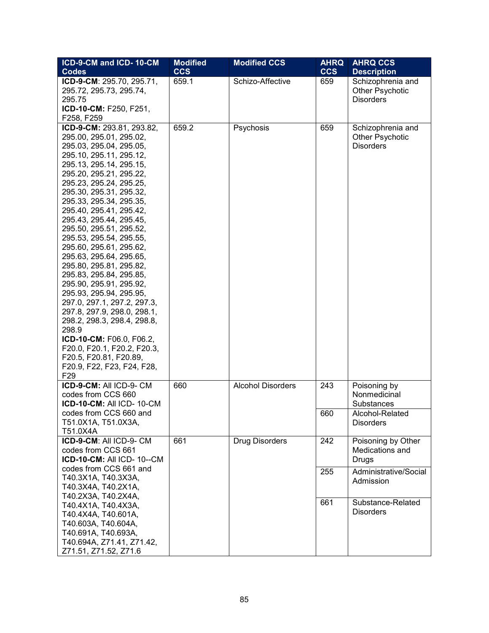| ICD-9-CM and ICD-10-CM                             | <b>Modified</b> | <b>Modified CCS</b>      | <b>AHRQ</b> | <b>AHRQ CCS</b>                     |
|----------------------------------------------------|-----------------|--------------------------|-------------|-------------------------------------|
| Codes                                              | <b>CCS</b>      |                          | <b>CCS</b>  | <b>Description</b>                  |
| ICD-9-CM: 295.70, 295.71,                          | 659.1           | Schizo-Affective         | 659         | Schizophrenia and                   |
| 295.72, 295.73, 295.74,                            |                 |                          |             | Other Psychotic                     |
| 295.75                                             |                 |                          |             | <b>Disorders</b>                    |
| ICD-10-CM: F250, F251,                             |                 |                          |             |                                     |
| F258, F259                                         |                 |                          |             |                                     |
| ICD-9-CM: 293.81, 293.82,                          | 659.2           | Psychosis                | 659         | Schizophrenia and                   |
| 295.00, 295.01, 295.02,                            |                 |                          |             | Other Psychotic                     |
| 295.03, 295.04, 295.05,                            |                 |                          |             | <b>Disorders</b>                    |
| 295.10, 295.11, 295.12,                            |                 |                          |             |                                     |
| 295.13, 295.14, 295.15,                            |                 |                          |             |                                     |
| 295.20, 295.21, 295.22,                            |                 |                          |             |                                     |
| 295.23, 295.24, 295.25,                            |                 |                          |             |                                     |
| 295.30, 295.31, 295.32,                            |                 |                          |             |                                     |
| 295.33, 295.34, 295.35,<br>295.40, 295.41, 295.42, |                 |                          |             |                                     |
| 295.43, 295.44, 295.45,                            |                 |                          |             |                                     |
| 295.50, 295.51, 295.52,                            |                 |                          |             |                                     |
| 295.53, 295.54, 295.55,                            |                 |                          |             |                                     |
| 295.60, 295.61, 295.62,                            |                 |                          |             |                                     |
| 295.63, 295.64, 295.65,                            |                 |                          |             |                                     |
| 295.80, 295.81, 295.82,                            |                 |                          |             |                                     |
| 295.83, 295.84, 295.85,                            |                 |                          |             |                                     |
| 295.90, 295.91, 295.92,                            |                 |                          |             |                                     |
| 295.93, 295.94, 295.95,                            |                 |                          |             |                                     |
| 297.0, 297.1, 297.2, 297.3,                        |                 |                          |             |                                     |
| 297.8, 297.9, 298.0, 298.1,                        |                 |                          |             |                                     |
| 298.2, 298.3, 298.4, 298.8,                        |                 |                          |             |                                     |
| 298.9                                              |                 |                          |             |                                     |
| ICD-10-CM: F06.0, F06.2,                           |                 |                          |             |                                     |
| F20.0, F20.1, F20.2, F20.3,                        |                 |                          |             |                                     |
| F20.5, F20.81, F20.89,                             |                 |                          |             |                                     |
| F20.9, F22, F23, F24, F28,                         |                 |                          |             |                                     |
| F <sub>29</sub>                                    |                 |                          |             |                                     |
| ICD-9-CM: All ICD-9- CM                            | 660             | <b>Alcohol Disorders</b> | 243         | Poisoning by                        |
| codes from CCS 660                                 |                 |                          |             | Nonmedicinal                        |
| ICD-10-CM: All ICD-10-CM                           |                 |                          |             | Substances                          |
| codes from CCS 660 and<br>T51.0X1A, T51.0X3A,      |                 |                          | 660         | Alcohol-Related<br><b>Disorders</b> |
| T51.0X4A                                           |                 |                          |             |                                     |
| ICD-9-CM: All ICD-9-CM                             | 661             | <b>Drug Disorders</b>    | 242         | Poisoning by Other                  |
| codes from CCS 661                                 |                 |                          |             | Medications and                     |
| <b>ICD-10-CM: All ICD-10--CM</b>                   |                 |                          |             | Drugs                               |
| codes from CCS 661 and                             |                 |                          | 255         | Administrative/Social               |
| T40.3X1A, T40.3X3A,                                |                 |                          |             | Admission                           |
| T40.3X4A, T40.2X1A,                                |                 |                          |             |                                     |
| T40.2X3A, T40.2X4A,                                |                 |                          |             |                                     |
| T40.4X1A, T40.4X3A,                                |                 |                          | 661         | Substance-Related                   |
| T40.4X4A, T40.601A,                                |                 |                          |             | <b>Disorders</b>                    |
| T40.603A, T40.604A,                                |                 |                          |             |                                     |
| T40.691A, T40.693A,                                |                 |                          |             |                                     |
| T40.694A, Z71.41, Z71.42,                          |                 |                          |             |                                     |
| Z71.51, Z71.52, Z71.6                              |                 |                          |             |                                     |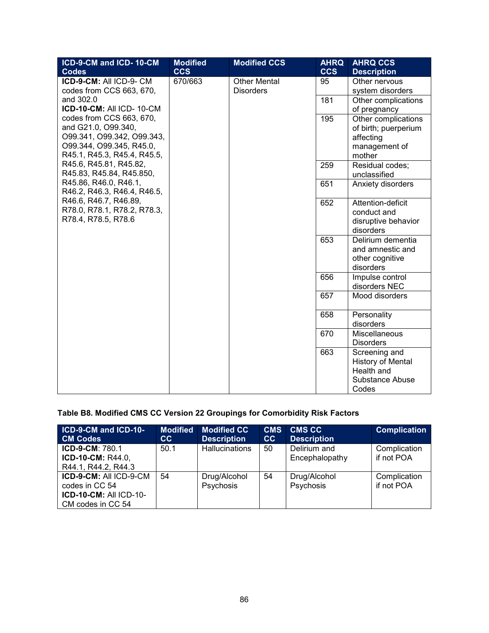| ICD-9-CM and ICD-10-CM      | <b>Modified</b> | <b>Modified CCS</b> | <b>AHRQ</b> | <b>AHRQ CCS</b>          |
|-----------------------------|-----------------|---------------------|-------------|--------------------------|
| <b>Codes</b>                | <b>CCS</b>      |                     | <b>CCS</b>  | <b>Description</b>       |
| ICD-9-CM: All ICD-9-CM      | 670/663         | <b>Other Mental</b> | 95          | Other nervous            |
| codes from CCS 663, 670,    |                 | <b>Disorders</b>    |             | system disorders         |
| and 302.0                   |                 |                     | 181         | Other complications      |
| ICD-10-CM: All ICD-10-CM    |                 |                     |             | of pregnancy             |
| codes from CCS 663, 670,    |                 |                     | 195         | Other complications      |
| and G21.0, O99.340,         |                 |                     |             | of birth; puerperium     |
| O99.341, O99.342, O99.343,  |                 |                     |             | affecting                |
| O99.344, O99.345, R45.0,    |                 |                     |             | management of            |
| R45.1, R45.3, R45.4, R45.5, |                 |                     |             | mother                   |
| R45.6, R45.81, R45.82,      |                 |                     | 259         | Residual codes;          |
| R45.83, R45.84, R45.850,    |                 |                     |             | unclassified             |
| R45.86, R46.0, R46.1,       |                 |                     | 651         | Anxiety disorders        |
| R46.2, R46.3, R46.4, R46.5, |                 |                     |             |                          |
| R46.6, R46.7, R46.89,       |                 |                     | 652         | Attention-deficit        |
| R78.0, R78.1, R78.2, R78.3, |                 |                     |             | conduct and              |
| R78.4, R78.5, R78.6         |                 |                     |             | disruptive behavior      |
|                             |                 |                     |             | disorders                |
|                             |                 |                     | 653         | Delirium dementia        |
|                             |                 |                     |             | and amnestic and         |
|                             |                 |                     |             | other cognitive          |
|                             |                 |                     |             | disorders                |
|                             |                 |                     | 656         | Impulse control          |
|                             |                 |                     |             | disorders NEC            |
|                             |                 |                     | 657         | Mood disorders           |
|                             |                 |                     | 658         | Personality              |
|                             |                 |                     |             | disorders                |
|                             |                 |                     | 670         | Miscellaneous            |
|                             |                 |                     |             | <b>Disorders</b>         |
|                             |                 |                     | 663         | Screening and            |
|                             |                 |                     |             | <b>History of Mental</b> |
|                             |                 |                     |             | Health and               |
|                             |                 |                     |             | Substance Abuse          |
|                             |                 |                     |             | Codes                    |

# **Table B8. Modified CMS CC Version 22 Groupings for Comorbidity Risk Factors**

| ICD-9-CM and ICD-10-          | <b>Modified</b> | <b>Modified CC</b>    | <b>CMS</b> | <b>CMS CC</b>      | <b>Complication</b> |
|-------------------------------|-----------------|-----------------------|------------|--------------------|---------------------|
| <b>CM Codes</b>               | cc              | <b>Description</b>    | cc         | <b>Description</b> |                     |
| <b>ICD-9-CM: 780.1</b>        | 50.1            | <b>Hallucinations</b> | 50         | Delirium and       | Complication        |
| <b>ICD-10-CM: R44.0,</b>      |                 |                       |            | Encephalopathy     | if not POA          |
| R44.1, R44.2, R44.3           |                 |                       |            |                    |                     |
| ICD-9-CM: All ICD-9-CM        | 54              | Drug/Alcohol          | 54         | Drug/Alcohol       | Complication        |
| codes in CC 54                |                 | Psychosis             |            | Psychosis          | if not POA          |
| <b>ICD-10-CM: All ICD-10-</b> |                 |                       |            |                    |                     |
| CM codes in CC 54             |                 |                       |            |                    |                     |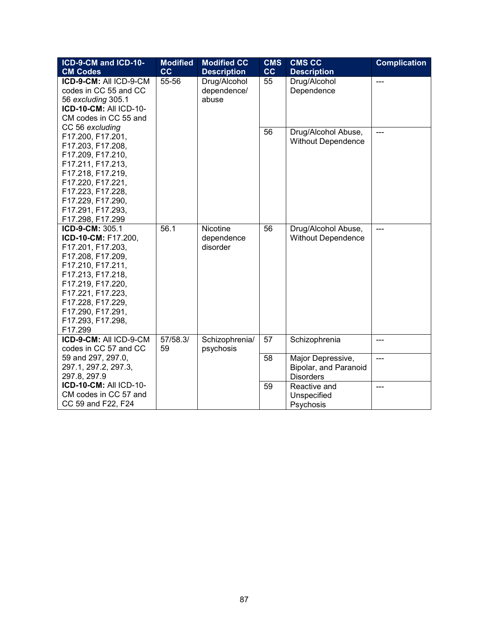| ICD-9-CM and ICD-10-          | <b>Modified</b> | <b>Modified CC</b> | <b>CMS</b> | <b>CMS CC</b>             | <b>Complication</b> |
|-------------------------------|-----------------|--------------------|------------|---------------------------|---------------------|
| <b>CM Codes</b>               | cc              | <b>Description</b> | cc         | <b>Description</b>        |                     |
| ICD-9-CM: All ICD-9-CM        | 55-56           | Drug/Alcohol       | 55         | Drug/Alcohol              | $\overline{a}$      |
| codes in CC 55 and CC         |                 | dependence/        |            | Dependence                |                     |
| 56 excluding 305.1            |                 | abuse              |            |                           |                     |
| <b>ICD-10-CM: All ICD-10-</b> |                 |                    |            |                           |                     |
| CM codes in CC 55 and         |                 |                    |            |                           |                     |
| CC 56 excluding               |                 |                    | 56         | Drug/Alcohol Abuse,       | ---                 |
| F17.200, F17.201,             |                 |                    |            |                           |                     |
| F17.203, F17.208,             |                 |                    |            | <b>Without Dependence</b> |                     |
| F17.209, F17.210,             |                 |                    |            |                           |                     |
| F17.211, F17.213,             |                 |                    |            |                           |                     |
| F17.218, F17.219,             |                 |                    |            |                           |                     |
| F17.220, F17.221,             |                 |                    |            |                           |                     |
| F17.223, F17.228,             |                 |                    |            |                           |                     |
| F17.229, F17.290,             |                 |                    |            |                           |                     |
| F17.291, F17.293,             |                 |                    |            |                           |                     |
| F17.298, F17.299              |                 |                    |            |                           |                     |
| ICD-9-CM: 305.1               | 56.1            | Nicotine           | 56         | Drug/Alcohol Abuse,       |                     |
| ICD-10-CM: F17.200,           |                 | dependence         |            | <b>Without Dependence</b> |                     |
| F17.201, F17.203,             |                 | disorder           |            |                           |                     |
| F17.208, F17.209,             |                 |                    |            |                           |                     |
| F17.210, F17.211,             |                 |                    |            |                           |                     |
| F17.213, F17.218,             |                 |                    |            |                           |                     |
| F17.219, F17.220,             |                 |                    |            |                           |                     |
| F17.221, F17.223,             |                 |                    |            |                           |                     |
| F17.228, F17.229,             |                 |                    |            |                           |                     |
| F17.290, F17.291,             |                 |                    |            |                           |                     |
| F17.293, F17.298,             |                 |                    |            |                           |                     |
| F17.299                       |                 |                    |            |                           |                     |
| ICD-9-CM: All ICD-9-CM        | 57/58.3/        | Schizophrenia/     | 57         | Schizophrenia             | ---                 |
| codes in CC 57 and CC         | 59              | psychosis          |            |                           |                     |
| 59 and 297, 297.0,            |                 |                    | 58         | Major Depressive,         | ---                 |
| 297.1, 297.2, 297.3,          |                 |                    |            | Bipolar, and Paranoid     |                     |
| 297.8, 297.9                  |                 |                    |            | <b>Disorders</b>          |                     |
| <b>ICD-10-CM: All ICD-10-</b> |                 |                    | 59         | Reactive and              | ---                 |
| CM codes in CC 57 and         |                 |                    |            | Unspecified               |                     |
| CC 59 and F22, F24            |                 |                    |            | Psychosis                 |                     |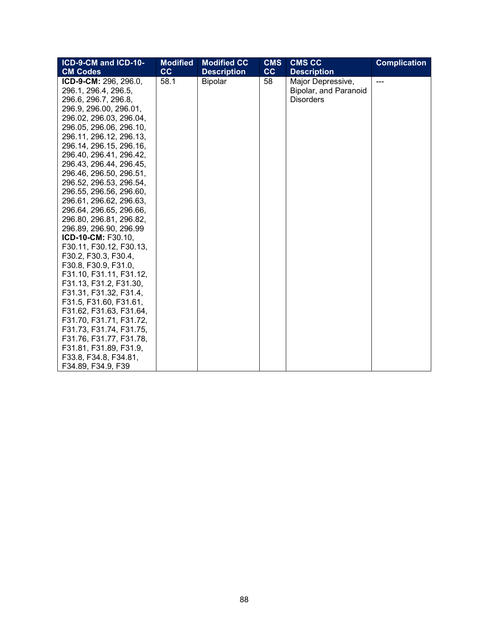| ICD-9-CM and ICD-10-    | <b>Modified</b> | <b>Modified CC</b> | <b>CMS</b> | <b>CMS CC</b>         | <b>Complication</b> |
|-------------------------|-----------------|--------------------|------------|-----------------------|---------------------|
| <b>CM Codes</b>         | cc              | <b>Description</b> | cc         | <b>Description</b>    |                     |
| ICD-9-CM: 296, 296.0,   | 58.1            | <b>Bipolar</b>     | 58         | Major Depressive,     |                     |
| 296.1, 296.4, 296.5,    |                 |                    |            | Bipolar, and Paranoid |                     |
| 296.6, 296.7, 296.8,    |                 |                    |            | <b>Disorders</b>      |                     |
| 296.9, 296.00, 296.01,  |                 |                    |            |                       |                     |
| 296.02, 296.03, 296.04, |                 |                    |            |                       |                     |
| 296.05, 296.06, 296.10, |                 |                    |            |                       |                     |
| 296.11, 296.12, 296.13, |                 |                    |            |                       |                     |
| 296.14, 296.15, 296.16, |                 |                    |            |                       |                     |
| 296.40, 296.41, 296.42, |                 |                    |            |                       |                     |
| 296.43, 296.44, 296.45, |                 |                    |            |                       |                     |
| 296.46, 296.50, 296.51, |                 |                    |            |                       |                     |
| 296.52, 296.53, 296.54, |                 |                    |            |                       |                     |
| 296.55, 296.56, 296.60, |                 |                    |            |                       |                     |
| 296.61, 296.62, 296.63, |                 |                    |            |                       |                     |
| 296.64, 296.65, 296.66, |                 |                    |            |                       |                     |
| 296.80, 296.81, 296.82, |                 |                    |            |                       |                     |
| 296.89, 296.90, 296.99  |                 |                    |            |                       |                     |
| ICD-10-CM: F30.10,      |                 |                    |            |                       |                     |
| F30.11, F30.12, F30.13, |                 |                    |            |                       |                     |
| F30.2, F30.3, F30.4,    |                 |                    |            |                       |                     |
| F30.8, F30.9, F31.0,    |                 |                    |            |                       |                     |
| F31.10, F31.11, F31.12, |                 |                    |            |                       |                     |
| F31.13, F31.2, F31.30,  |                 |                    |            |                       |                     |
| F31.31, F31.32, F31.4,  |                 |                    |            |                       |                     |
| F31.5, F31.60, F31.61,  |                 |                    |            |                       |                     |
| F31.62, F31.63, F31.64, |                 |                    |            |                       |                     |
| F31.70, F31.71, F31.72, |                 |                    |            |                       |                     |
| F31.73, F31.74, F31.75, |                 |                    |            |                       |                     |
| F31.76, F31.77, F31.78, |                 |                    |            |                       |                     |
| F31.81, F31.89, F31.9,  |                 |                    |            |                       |                     |
| F33.8, F34.8, F34.81,   |                 |                    |            |                       |                     |
| F34.89, F34.9, F39      |                 |                    |            |                       |                     |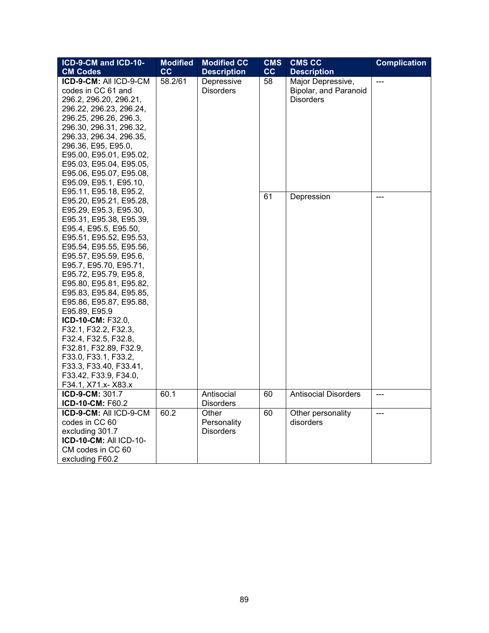| ICD-9-CM and ICD-10-                                                                                                                                                                                                                                                                                                                                                                                                                                                                                                                                                   | <b>Modified</b> | <b>Modified CC</b>                       | <b>CMS</b>             | <b>CMS CC</b>                                                  | <b>Complication</b> |
|------------------------------------------------------------------------------------------------------------------------------------------------------------------------------------------------------------------------------------------------------------------------------------------------------------------------------------------------------------------------------------------------------------------------------------------------------------------------------------------------------------------------------------------------------------------------|-----------------|------------------------------------------|------------------------|----------------------------------------------------------------|---------------------|
| <b>CM Codes</b>                                                                                                                                                                                                                                                                                                                                                                                                                                                                                                                                                        | cc              | <b>Description</b>                       | $\overline{\text{cc}}$ | <b>Description</b>                                             |                     |
| ICD-9-CM: All ICD-9-CM<br>codes in CC 61 and<br>296.2, 296.20, 296.21,<br>296.22, 296.23, 296.24,<br>296.25, 296.26, 296.3,<br>296.30, 296.31, 296.32,<br>296.33, 296.34, 296.35,<br>296.36, E95, E95.0,<br>E95.00, E95.01, E95.02,<br>E95.03, E95.04, E95.05,<br>E95.06, E95.07, E95.08,<br>E95.09, E95.1, E95.10,                                                                                                                                                                                                                                                    | 58.2/61         | Depressive<br><b>Disorders</b>           | 58                     | Major Depressive,<br>Bipolar, and Paranoid<br><b>Disorders</b> | ---                 |
| E95.11, E95.18, E95.2,<br>E95.20, E95.21, E95.28,<br>E95.29, E95.3, E95.30,<br>E95.31, E95.38, E95.39,<br>E95.4, E95.5, E95.50,<br>E95.51, E95.52, E95.53,<br>E95.54, E95.55, E95.56,<br>E95.57, E95.59, E95.6,<br>E95.7, E95.70, E95.71,<br>E95.72, E95.79, E95.8,<br>E95.80, E95.81, E95.82,<br>E95.83, E95.84, E95.85,<br>E95.86, E95.87, E95.88,<br>E95.89, E95.9<br>ICD-10-CM: F32.0,<br>F32.1, F32.2, F32.3,<br>F32.4, F32.5, F32.8,<br>F32.81, F32.89, F32.9,<br>F33.0, F33.1, F33.2,<br>F33.3, F33.40, F33.41,<br>F33.42, F33.9, F34.0,<br>F34.1, X71.x- X83.x |                 |                                          | 61                     | Depression                                                     |                     |
| ICD-9-CM: 301.7<br>ICD-10-CM: F60.2                                                                                                                                                                                                                                                                                                                                                                                                                                                                                                                                    | 60.1            | Antisocial<br><b>Disorders</b>           | 60                     | <b>Antisocial Disorders</b>                                    |                     |
| ICD-9-CM: All ICD-9-CM<br>codes in CC 60<br>excluding 301.7<br><b>ICD-10-CM: All ICD-10-</b><br>CM codes in CC 60<br>excluding F60.2                                                                                                                                                                                                                                                                                                                                                                                                                                   | 60.2            | Other<br>Personality<br><b>Disorders</b> | 60                     | Other personality<br>disorders                                 | $\overline{a}$      |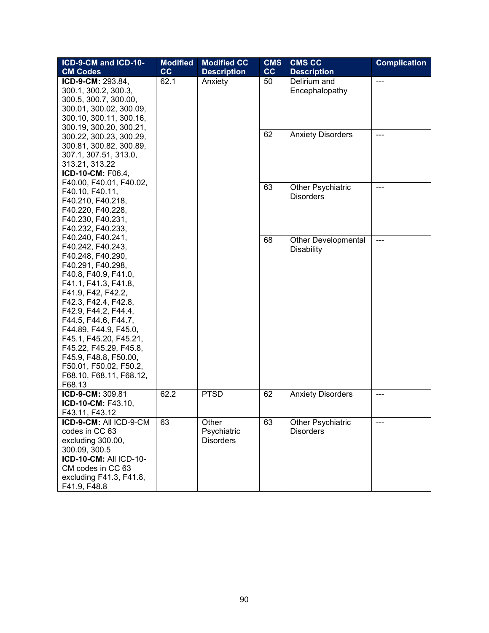| ICD-9-CM and ICD-10-                         | <b>Modified</b> | <b>Modified CC</b> | <b>CMS</b> | <b>CMS CC</b>                            | <b>Complication</b> |
|----------------------------------------------|-----------------|--------------------|------------|------------------------------------------|---------------------|
| <b>CM Codes</b>                              | cc              | <b>Description</b> | cc         | <b>Description</b>                       |                     |
| ICD-9-CM: 293.84,                            | 62.1            | Anxiety            | 50         | Delirium and                             | $\overline{a}$      |
| 300.1, 300.2, 300.3,                         |                 |                    |            | Encephalopathy                           |                     |
| 300.5, 300.7, 300.00,                        |                 |                    |            |                                          |                     |
| 300.01, 300.02, 300.09,                      |                 |                    |            |                                          |                     |
| 300.10, 300.11, 300.16,                      |                 |                    |            |                                          |                     |
| 300.19, 300.20, 300.21,                      |                 |                    | 62         | <b>Anxiety Disorders</b>                 | ---                 |
| 300.22, 300.23, 300.29,                      |                 |                    |            |                                          |                     |
| 300.81, 300.82, 300.89,                      |                 |                    |            |                                          |                     |
| 307.1, 307.51, 313.0,                        |                 |                    |            |                                          |                     |
| 313.21, 313.22                               |                 |                    |            |                                          |                     |
| ICD-10-CM: F06.4,<br>F40.00, F40.01, F40.02, |                 |                    |            |                                          |                     |
| F40.10, F40.11,                              |                 |                    | 63         | Other Psychiatric                        |                     |
| F40.210, F40.218,                            |                 |                    |            | <b>Disorders</b>                         |                     |
| F40.220, F40.228,                            |                 |                    |            |                                          |                     |
| F40.230, F40.231,                            |                 |                    |            |                                          |                     |
| F40.232, F40.233,                            |                 |                    |            |                                          |                     |
| F40.240, F40.241,                            |                 |                    | 68         |                                          |                     |
| F40.242, F40.243,                            |                 |                    |            | <b>Other Developmental</b><br>Disability |                     |
| F40.248, F40.290,                            |                 |                    |            |                                          |                     |
| F40.291, F40.298,                            |                 |                    |            |                                          |                     |
| F40.8, F40.9, F41.0,                         |                 |                    |            |                                          |                     |
| F41.1, F41.3, F41.8,                         |                 |                    |            |                                          |                     |
| F41.9, F42, F42.2,                           |                 |                    |            |                                          |                     |
| F42.3, F42.4, F42.8,                         |                 |                    |            |                                          |                     |
| F42.9, F44.2, F44.4,                         |                 |                    |            |                                          |                     |
| F44.5, F44.6, F44.7,                         |                 |                    |            |                                          |                     |
| F44.89, F44.9, F45.0,                        |                 |                    |            |                                          |                     |
| F45.1, F45.20, F45.21,                       |                 |                    |            |                                          |                     |
| F45.22, F45.29, F45.8,                       |                 |                    |            |                                          |                     |
| F45.9, F48.8, F50.00,                        |                 |                    |            |                                          |                     |
| F50.01, F50.02, F50.2,                       |                 |                    |            |                                          |                     |
| F68.10, F68.11, F68.12,                      |                 |                    |            |                                          |                     |
| F68.13<br>ICD-9-CM: 309.81                   | 62.2            | <b>PTSD</b>        | 62         | <b>Anxiety Disorders</b>                 | ---                 |
| ICD-10-CM: F43.10,                           |                 |                    |            |                                          |                     |
| F43.11, F43.12                               |                 |                    |            |                                          |                     |
| ICD-9-CM: All ICD-9-CM                       | 63              | Other              | 63         | Other Psychiatric                        |                     |
| codes in CC 63                               |                 | Psychiatric        |            | <b>Disorders</b>                         |                     |
| excluding 300.00,                            |                 | <b>Disorders</b>   |            |                                          |                     |
| 300.09, 300.5                                |                 |                    |            |                                          |                     |
| <b>ICD-10-CM: All ICD-10-</b>                |                 |                    |            |                                          |                     |
| CM codes in CC 63                            |                 |                    |            |                                          |                     |
| excluding F41.3, F41.8,                      |                 |                    |            |                                          |                     |
| F41.9, F48.8                                 |                 |                    |            |                                          |                     |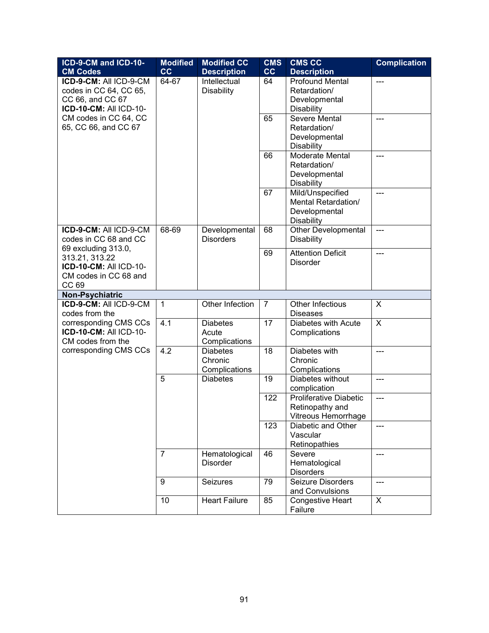| ICD-9-CM and ICD-10-           | <b>Modified</b> | <b>Modified CC</b>   | <b>CMS</b> | <b>CMS CC</b>                               | <b>Complication</b> |
|--------------------------------|-----------------|----------------------|------------|---------------------------------------------|---------------------|
| <b>CM Codes</b>                | cc              | <b>Description</b>   | cc         | <b>Description</b>                          |                     |
| ICD-9-CM: All ICD-9-CM         | 64-67           | Intellectual         | 64         | <b>Profound Mental</b>                      | ---                 |
| codes in CC 64, CC 65,         |                 | <b>Disability</b>    |            | Retardation/                                |                     |
| CC 66, and CC 67               |                 |                      |            | Developmental                               |                     |
| <b>ICD-10-CM: All ICD-10-</b>  |                 |                      |            | <b>Disability</b>                           |                     |
| CM codes in CC 64, CC          |                 |                      | 65         | <b>Severe Mental</b>                        | ---                 |
| 65, CC 66, and CC 67           |                 |                      |            | Retardation/                                |                     |
|                                |                 |                      |            | Developmental                               |                     |
|                                |                 |                      | 66         | <b>Disability</b><br><b>Moderate Mental</b> |                     |
|                                |                 |                      |            | Retardation/                                |                     |
|                                |                 |                      |            | Developmental                               |                     |
|                                |                 |                      |            | <b>Disability</b>                           |                     |
|                                |                 |                      | 67         | Mild/Unspecified                            | ---                 |
|                                |                 |                      |            | Mental Retardation/                         |                     |
|                                |                 |                      |            | Developmental                               |                     |
|                                |                 |                      |            | <b>Disability</b>                           |                     |
| ICD-9-CM: All ICD-9-CM         | 68-69           | Developmental        | 68         | <b>Other Developmental</b>                  | ---                 |
| codes in CC 68 and CC          |                 | <b>Disorders</b>     |            | <b>Disability</b>                           |                     |
| 69 excluding 313.0,            |                 |                      | 69         | <b>Attention Deficit</b>                    | $---$               |
| 313.21, 313.22                 |                 |                      |            | <b>Disorder</b>                             |                     |
| <b>ICD-10-CM: All ICD-10-</b>  |                 |                      |            |                                             |                     |
| CM codes in CC 68 and<br>CC 69 |                 |                      |            |                                             |                     |
| Non-Psychiatric                |                 |                      |            |                                             |                     |
| ICD-9-CM: All ICD-9-CM         | 1               | Other Infection      | 7          | Other Infectious                            | X                   |
| codes from the                 |                 |                      |            | <b>Diseases</b>                             |                     |
| corresponding CMS CCs          | 4.1             | <b>Diabetes</b>      | 17         | Diabetes with Acute                         | X                   |
| <b>ICD-10-CM: All ICD-10-</b>  |                 | Acute                |            | Complications                               |                     |
| CM codes from the              |                 | Complications        |            |                                             |                     |
| corresponding CMS CCs          | 4.2             | <b>Diabetes</b>      | 18         | Diabetes with                               | ---                 |
|                                |                 | Chronic              |            | Chronic                                     |                     |
|                                |                 | Complications        |            | Complications                               |                     |
|                                | 5               | <b>Diabetes</b>      | 19         | Diabetes without                            | ---                 |
|                                |                 |                      |            | complication                                |                     |
|                                |                 |                      | 122        | Proliferative Diabetic                      | ---                 |
|                                |                 |                      |            | Retinopathy and<br>Vitreous Hemorrhage      |                     |
|                                |                 |                      | 123        | Diabetic and Other                          | ---                 |
|                                |                 |                      |            | Vascular                                    |                     |
|                                |                 |                      |            | Retinopathies                               |                     |
|                                | $\overline{7}$  | Hematological        | 46         | Severe                                      | $---$               |
|                                |                 | <b>Disorder</b>      |            | Hematological                               |                     |
|                                |                 |                      |            | <b>Disorders</b>                            |                     |
|                                | 9               | Seizures             | 79         | Seizure Disorders                           | $---$               |
|                                |                 |                      |            | and Convulsions                             |                     |
|                                | 10              | <b>Heart Failure</b> | 85         | Congestive Heart                            | X                   |
|                                |                 |                      |            | Failure                                     |                     |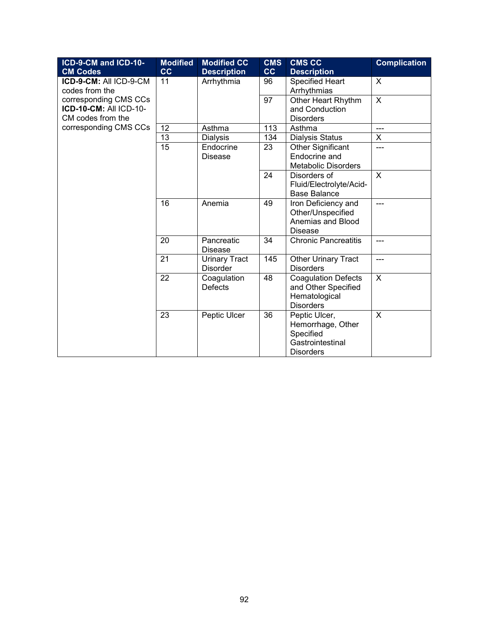| ICD-9-CM and ICD-10-<br><b>CM Codes</b>                                     | <b>Modified</b><br>cc | <b>Modified CC</b><br><b>Description</b> | <b>CMS</b><br>cc | <b>CMS CC</b><br><b>Description</b>                                                     | <b>Complication</b> |
|-----------------------------------------------------------------------------|-----------------------|------------------------------------------|------------------|-----------------------------------------------------------------------------------------|---------------------|
| ICD-9-CM: All ICD-9-CM<br>codes from the                                    | 11                    | Arrhythmia                               | 96               | <b>Specified Heart</b><br>Arrhythmias                                                   | $\sf X$             |
| corresponding CMS CCs<br><b>ICD-10-CM: All ICD-10-</b><br>CM codes from the |                       |                                          | 97               | Other Heart Rhythm<br>and Conduction<br><b>Disorders</b>                                | $\mathsf{X}$        |
| corresponding CMS CCs                                                       | 12                    | Asthma                                   | 113              | Asthma                                                                                  | ---                 |
|                                                                             | 13                    | <b>Dialysis</b>                          | 134              | <b>Dialysis Status</b>                                                                  | X                   |
|                                                                             | 15                    | Endocrine<br><b>Disease</b>              | 23               | Other Significant<br>Endocrine and<br><b>Metabolic Disorders</b>                        | ---                 |
|                                                                             |                       |                                          | 24               | Disorders of<br>Fluid/Electrolyte/Acid-<br><b>Base Balance</b>                          | X                   |
|                                                                             | 16                    | Anemia                                   | 49               | Iron Deficiency and<br>Other/Unspecified<br>Anemias and Blood<br><b>Disease</b>         | ---                 |
|                                                                             | 20                    | Pancreatic<br><b>Disease</b>             | 34               | <b>Chronic Pancreatitis</b>                                                             | ---                 |
|                                                                             | 21                    | <b>Urinary Tract</b><br><b>Disorder</b>  | 145              | Other Urinary Tract<br><b>Disorders</b>                                                 | $---$               |
|                                                                             | 22                    | Coagulation<br><b>Defects</b>            | 48               | <b>Coagulation Defects</b><br>and Other Specified<br>Hematological<br><b>Disorders</b>  | X                   |
|                                                                             | 23                    | Peptic Ulcer                             | 36               | Peptic Ulcer,<br>Hemorrhage, Other<br>Specified<br>Gastrointestinal<br><b>Disorders</b> | X                   |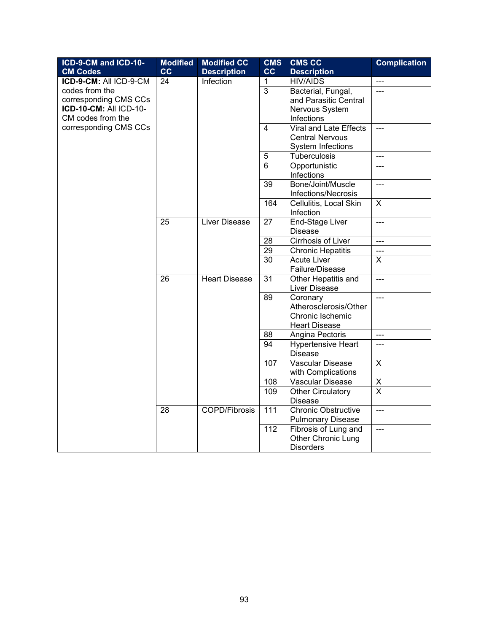| ICD-9-CM and ICD-10-   | <b>Modified</b> | <b>Modified CC</b>   | <b>CMS</b>     | <b>CMS CC</b>              | <b>Complication</b> |
|------------------------|-----------------|----------------------|----------------|----------------------------|---------------------|
| <b>CM Codes</b>        | cc              | <b>Description</b>   | cc             | <b>Description</b>         |                     |
| ICD-9-CM: All ICD-9-CM | 24              | Infection            | 1              | <b>HIV/AIDS</b>            | $\overline{a}$      |
| codes from the         |                 |                      | $\overline{3}$ | Bacterial, Fungal,         | $---$               |
| corresponding CMS CCs  |                 |                      |                | and Parasitic Central      |                     |
| ICD-10-CM: All ICD-10- |                 |                      |                | Nervous System             |                     |
| CM codes from the      |                 |                      |                | Infections                 |                     |
| corresponding CMS CCs  |                 |                      | 4              | Viral and Late Effects     | $\overline{a}$      |
|                        |                 |                      |                | <b>Central Nervous</b>     |                     |
|                        |                 |                      |                | System Infections          |                     |
|                        |                 |                      | 5              | Tuberculosis               | ---                 |
|                        |                 |                      | 6              | Opportunistic              | $---$               |
|                        |                 |                      |                | Infections                 |                     |
|                        |                 |                      | 39             | Bone/Joint/Muscle          | $\overline{a}$      |
|                        |                 |                      |                | Infections/Necrosis        |                     |
|                        |                 |                      | 164            | Cellulitis, Local Skin     | $\mathsf{X}$        |
|                        |                 |                      |                | Infection                  |                     |
|                        | 25              | Liver Disease        | 27             | End-Stage Liver            | $\overline{a}$      |
|                        |                 |                      |                | <b>Disease</b>             |                     |
|                        |                 |                      | 28             | Cirrhosis of Liver         | ---                 |
|                        |                 |                      | 29             | <b>Chronic Hepatitis</b>   | ---                 |
|                        |                 |                      | 30             | <b>Acute Liver</b>         | $\mathsf{X}$        |
|                        |                 |                      |                | Failure/Disease            |                     |
|                        | 26              | <b>Heart Disease</b> | 31             | Other Hepatitis and        | $\frac{1}{2}$       |
|                        |                 |                      |                | Liver Disease              |                     |
|                        |                 |                      | 89             | Coronary                   | $\overline{a}$      |
|                        |                 |                      |                | Atherosclerosis/Other      |                     |
|                        |                 |                      |                | Chronic Ischemic           |                     |
|                        |                 |                      |                | <b>Heart Disease</b>       |                     |
|                        |                 |                      | 88             | Angina Pectoris            | $\overline{a}$      |
|                        |                 |                      | 94             | <b>Hypertensive Heart</b>  | ---                 |
|                        |                 |                      |                | <b>Disease</b>             |                     |
|                        |                 |                      | 107            | <b>Vascular Disease</b>    | $\mathsf{X}$        |
|                        |                 |                      |                | with Complications         |                     |
|                        |                 |                      | 108            | Vascular Disease           | X                   |
|                        |                 |                      | 109            | Other Circulatory          | $\overline{X}$      |
|                        |                 |                      |                | <b>Disease</b>             |                     |
|                        | 28              | <b>COPD/Fibrosis</b> | 111            | <b>Chronic Obstructive</b> | ---                 |
|                        |                 |                      |                | <b>Pulmonary Disease</b>   |                     |
|                        |                 |                      | 112            | Fibrosis of Lung and       | $\overline{a}$      |
|                        |                 |                      |                | Other Chronic Lung         |                     |
|                        |                 |                      |                | <b>Disorders</b>           |                     |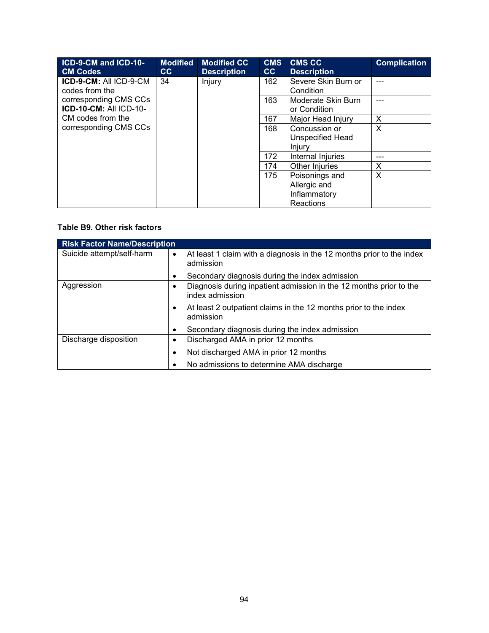| ICD-9-CM and ICD-10-          | <b>Modified</b> | <b>Modified CC</b> | <b>CMS</b> | <b>CMS CC</b>       | <b>Complication</b> |
|-------------------------------|-----------------|--------------------|------------|---------------------|---------------------|
| <b>CM Codes</b>               | cc              | <b>Description</b> | cc         | <b>Description</b>  |                     |
| ICD-9-CM: All ICD-9-CM        | 34              | Injury             | 162        | Severe Skin Burn or |                     |
| codes from the                |                 |                    |            | Condition           |                     |
| corresponding CMS CCs         |                 |                    | 163        | Moderate Skin Burn  |                     |
| <b>ICD-10-CM: All ICD-10-</b> |                 |                    |            | or Condition        |                     |
| CM codes from the             |                 |                    | 167        | Major Head Injury   | $\times$            |
| corresponding CMS CCs         |                 |                    | 168        | Concussion or       | $\times$            |
|                               |                 |                    |            | Unspecified Head    |                     |
|                               |                 |                    |            | <b>Injury</b>       |                     |
|                               |                 |                    | 172        | Internal Injuries   |                     |
|                               |                 |                    | 174        | Other Injuries      | X                   |
|                               |                 |                    | 175        | Poisonings and      | $\times$            |
|                               |                 |                    |            | Allergic and        |                     |
|                               |                 |                    |            | Inflammatory        |                     |
|                               |                 |                    |            | Reactions           |                     |

#### **Table B9. Other risk factors**

| <b>Risk Factor Name/Description</b> |                                                                                                 |
|-------------------------------------|-------------------------------------------------------------------------------------------------|
| Suicide attempt/self-harm           | At least 1 claim with a diagnosis in the 12 months prior to the index<br>$\bullet$<br>admission |
|                                     | Secondary diagnosis during the index admission<br>٠                                             |
| Aggression                          | Diagnosis during inpatient admission in the 12 months prior to the<br>٠<br>index admission      |
|                                     | At least 2 outpatient claims in the 12 months prior to the index<br>٠<br>admission              |
|                                     | Secondary diagnosis during the index admission<br>٠                                             |
| Discharge disposition               | Discharged AMA in prior 12 months<br>$\bullet$                                                  |
|                                     | Not discharged AMA in prior 12 months<br>٠                                                      |
|                                     | No admissions to determine AMA discharge                                                        |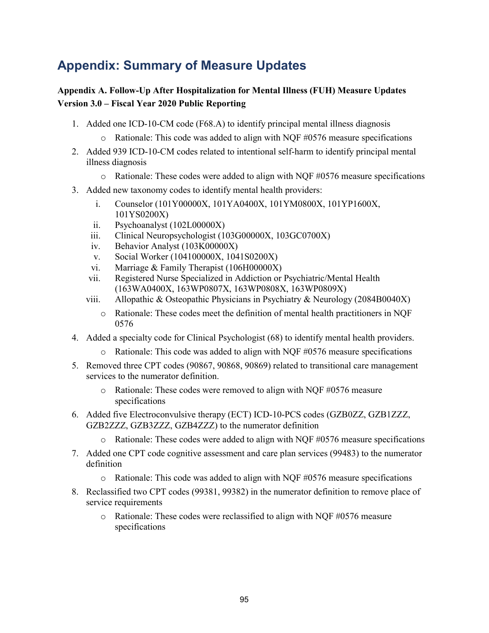# **Appendix: Summary of Measure Updates**

# **Appendix A. Follow-Up After Hospitalization for Mental Illness (FUH) Measure Updates Version 3.0 – Fiscal Year 2020 Public Reporting**

- 1. Added one ICD-10-CM code (F68.A) to identify principal mental illness diagnosis
	- $\circ$  Rationale: This code was added to align with NQF #0576 measure specifications
- 2. Added 939 ICD-10-CM codes related to intentional self-harm to identify principal mental illness diagnosis
	- $\circ$  Rationale: These codes were added to align with NQF #0576 measure specifications
- 3. Added new taxonomy codes to identify mental health providers:
	- i. Counselor (101Y00000X, 101YA0400X, 101YM0800X, 101YP1600X, 101YS0200X)
	- ii. Psychoanalyst (102L00000X)
	- iii. Clinical Neuropsychologist (103G00000X, 103GC0700X)
	- iv. Behavior Analyst (103K00000X)
	- v. Social Worker (104100000X, 1041S0200X)
	- vi. Marriage & Family Therapist (106H00000X)
	- vii. Registered Nurse Specialized in Addiction or Psychiatric/Mental Health (163WA0400X, 163WP0807X, 163WP0808X, 163WP0809X)
	- viii. Allopathic & Osteopathic Physicians in Psychiatry & Neurology (2084B0040X)
		- o Rationale: These codes meet the definition of mental health practitioners in NQF 0576
- 4. Added a specialty code for Clinical Psychologist (68) to identify mental health providers.
	- o Rationale: This code was added to align with NQF #0576 measure specifications
- 5. Removed three CPT codes (90867, 90868, 90869) related to transitional care management services to the numerator definition.
	- o Rationale: These codes were removed to align with NQF #0576 measure specifications
- 6. Added five Electroconvulsive therapy (ECT) ICD-10-PCS codes (GZB0ZZ, GZB1ZZZ, GZB2ZZZ, GZB3ZZZ, GZB4ZZZ) to the numerator definition
	- o Rationale: These codes were added to align with NQF #0576 measure specifications
- 7. Added one CPT code cognitive assessment and care plan services (99483) to the numerator definition
	- $\circ$  Rationale: This code was added to align with NQF #0576 measure specifications
- 8. Reclassified two CPT codes (99381, 99382) in the numerator definition to remove place of service requirements
	- o Rationale: These codes were reclassified to align with NQF #0576 measure specifications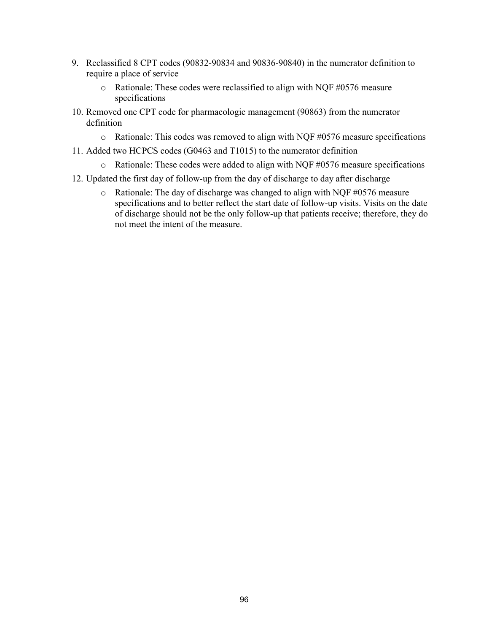- 9. Reclassified 8 CPT codes (90832-90834 and 90836-90840) in the numerator definition to require a place of service
	- o Rationale: These codes were reclassified to align with NQF #0576 measure specifications
- 10. Removed one CPT code for pharmacologic management (90863) from the numerator definition
	- o Rationale: This codes was removed to align with NQF #0576 measure specifications
- 11. Added two HCPCS codes (G0463 and T1015) to the numerator definition
	- o Rationale: These codes were added to align with NQF #0576 measure specifications
- 12. Updated the first day of follow-up from the day of discharge to day after discharge
	- o Rationale: The day of discharge was changed to align with NQF #0576 measure specifications and to better reflect the start date of follow-up visits. Visits on the date of discharge should not be the only follow-up that patients receive; therefore, they do not meet the intent of the measure.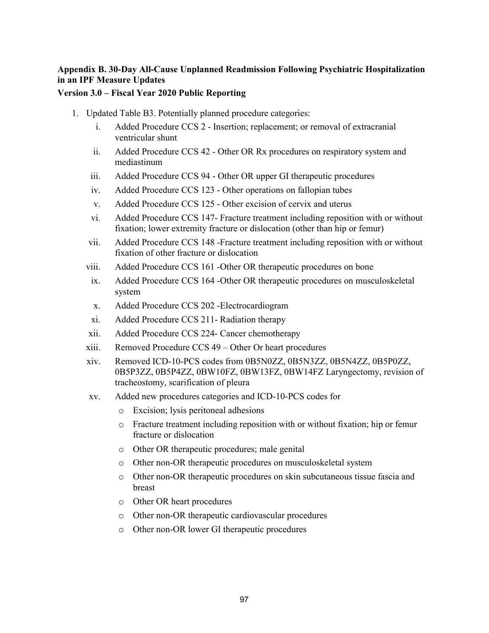# **Appendix B. 30-Day All-Cause Unplanned Readmission Following Psychiatric Hospitalization in an IPF Measure Updates**

#### **Version 3.0 – Fiscal Year 2020 Public Reporting**

- 1. Updated Table B3. Potentially planned procedure categories:
	- i. Added Procedure CCS 2 Insertion; replacement; or removal of extracranial ventricular shunt
	- ii. Added Procedure CCS 42 Other OR Rx procedures on respiratory system and mediastinum
	- iii. Added Procedure CCS 94 Other OR upper GI therapeutic procedures
	- iv. Added Procedure CCS 123 Other operations on fallopian tubes
	- v. Added Procedure CCS 125 Other excision of cervix and uterus
	- vi. Added Procedure CCS 147- Fracture treatment including reposition with or without fixation; lower extremity fracture or dislocation (other than hip or femur)
	- vii. Added Procedure CCS 148 -Fracture treatment including reposition with or without fixation of other fracture or dislocation
	- viii. Added Procedure CCS 161 -Other OR therapeutic procedures on bone
	- ix. Added Procedure CCS 164 -Other OR therapeutic procedures on musculoskeletal system
	- x. Added Procedure CCS 202 -Electrocardiogram
	- xi. Added Procedure CCS 211- Radiation therapy
	- xii. Added Procedure CCS 224- Cancer chemotherapy
	- xiii. Removed Procedure CCS 49 Other Or heart procedures
	- xiv. Removed ICD-10-PCS codes from 0B5N0ZZ, 0B5N3ZZ, 0B5N4ZZ, 0B5P0ZZ, 0B5P3ZZ, 0B5P4ZZ, 0BW10FZ, 0BW13FZ, 0BW14FZ Laryngectomy, revision of tracheostomy, scarification of pleura
	- xv. Added new procedures categories and ICD-10-PCS codes for
		- o Excision; lysis peritoneal adhesions
		- o Fracture treatment including reposition with or without fixation; hip or femur fracture or dislocation
		- o Other OR therapeutic procedures; male genital
		- o Other non-OR therapeutic procedures on musculoskeletal system
		- o Other non-OR therapeutic procedures on skin subcutaneous tissue fascia and breast
		- o Other OR heart procedures
		- o Other non-OR therapeutic cardiovascular procedures
		- o Other non-OR lower GI therapeutic procedures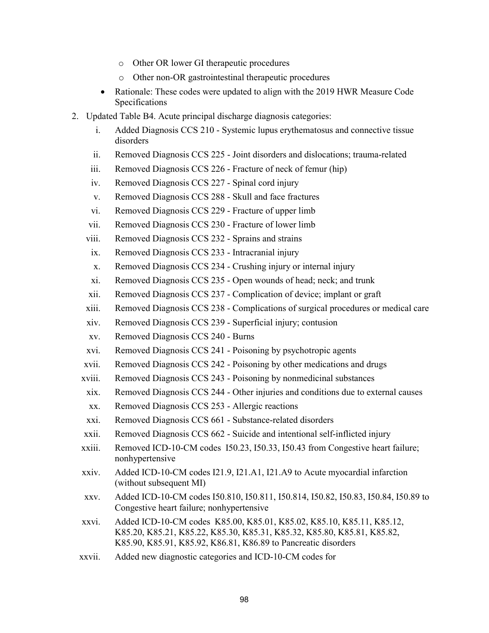- o Other OR lower GI therapeutic procedures
- o Other non-OR gastrointestinal therapeutic procedures
- Rationale: These codes were updated to align with the 2019 HWR Measure Code Specifications
- 2. Updated Table B4. Acute principal discharge diagnosis categories:
	- i. Added Diagnosis CCS 210 Systemic lupus erythematosus and connective tissue disorders
	- ii. Removed Diagnosis CCS 225 Joint disorders and dislocations; trauma-related
	- iii. Removed Diagnosis CCS 226 Fracture of neck of femur (hip)
	- iv. Removed Diagnosis CCS 227 Spinal cord injury
	- v. Removed Diagnosis CCS 288 Skull and face fractures
	- vi. Removed Diagnosis CCS 229 Fracture of upper limb
	- vii. Removed Diagnosis CCS 230 Fracture of lower limb
	- viii. Removed Diagnosis CCS 232 Sprains and strains
	- ix. Removed Diagnosis CCS 233 Intracranial injury
	- x. Removed Diagnosis CCS 234 Crushing injury or internal injury
	- xi. Removed Diagnosis CCS 235 Open wounds of head; neck; and trunk
	- xii. Removed Diagnosis CCS 237 Complication of device; implant or graft
	- xiii. Removed Diagnosis CCS 238 Complications of surgical procedures or medical care
	- xiv. Removed Diagnosis CCS 239 Superficial injury; contusion
	- xv. Removed Diagnosis CCS 240 Burns
	- xvi. Removed Diagnosis CCS 241 Poisoning by psychotropic agents
	- xvii. Removed Diagnosis CCS 242 Poisoning by other medications and drugs
	- xviii. Removed Diagnosis CCS 243 Poisoning by nonmedicinal substances
	- xix. Removed Diagnosis CCS 244 Other injuries and conditions due to external causes
	- xx. Removed Diagnosis CCS 253 Allergic reactions
	- xxi. Removed Diagnosis CCS 661 Substance-related disorders
	- xxii. Removed Diagnosis CCS 662 Suicide and intentional self-inflicted injury
	- xxiii. Removed ICD-10-CM codes I50.23, I50.33, I50.43 from Congestive heart failure; nonhypertensive
	- xxiv. Added ICD-10-CM codes I21.9, I21.A1, I21.A9 to Acute myocardial infarction (without subsequent MI)
	- xxv. Added ICD-10-CM codes I50.810, I50.811, I50.814, I50.82, I50.83, I50.84, I50.89 to Congestive heart failure; nonhypertensive
	- xxvi. Added ICD-10-CM codes K85.00, K85.01, K85.02, K85.10, K85.11, K85.12, K85.20, K85.21, K85.22, K85.30, K85.31, K85.32, K85.80, K85.81, K85.82, K85.90, K85.91, K85.92, K86.81, K86.89 to Pancreatic disorders
	- xxvii. Added new diagnostic categories and ICD-10-CM codes for